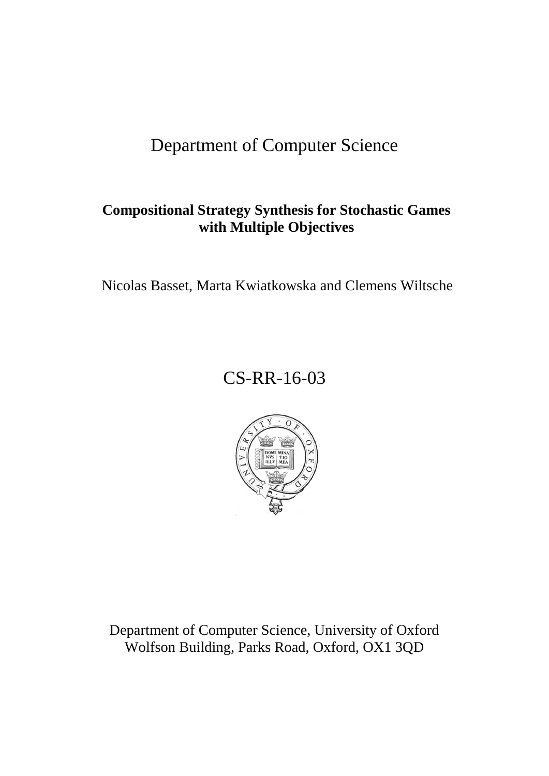# Department of Computer Science

# **Compositional Strategy Synthesis for Stochastic Games with Multiple Objectives**

Nicolas Basset, Marta Kwiatkowska and Clemens Wiltsche

# CS-RR-16-03



Department of Computer Science, University of Oxford Wolfson Building, Parks Road, Oxford, OX1 3QD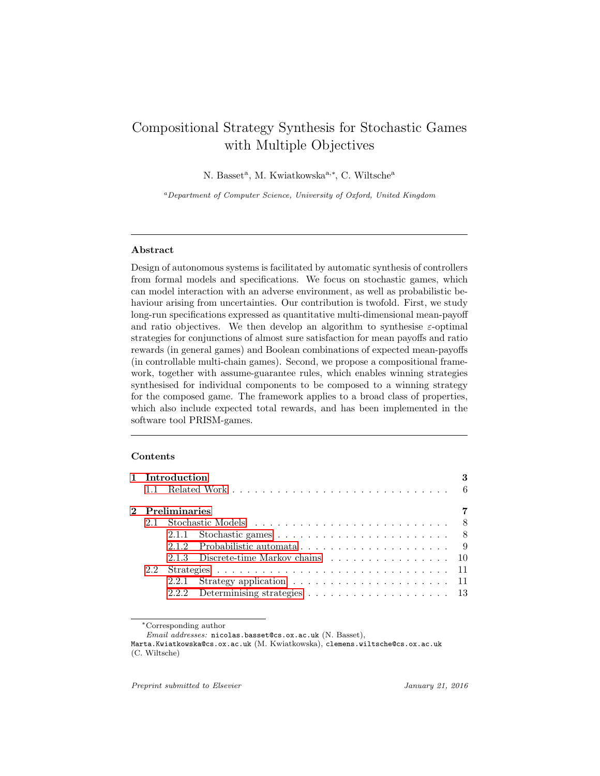# <span id="page-1-0"></span>Compositional Strategy Synthesis for Stochastic Games with Multiple Objectives

N. Basset<sup>a</sup>, M. Kwiatkowska<sup>a,\*</sup>, C. Wiltsche<sup>a</sup>

<sup>a</sup>Department of Computer Science, University of Oxford, United Kingdom

#### Abstract

Design of autonomous systems is facilitated by automatic synthesis of controllers from formal models and specifications. We focus on stochastic games, which can model interaction with an adverse environment, as well as probabilistic behaviour arising from uncertainties. Our contribution is twofold. First, we study long-run specifications expressed as quantitative multi-dimensional mean-payoff and ratio objectives. We then develop an algorithm to synthesise  $\varepsilon$ -optimal strategies for conjunctions of almost sure satisfaction for mean payoffs and ratio rewards (in general games) and Boolean combinations of expected mean-payoffs (in controllable multi-chain games). Second, we propose a compositional framework, together with assume-guarantee rules, which enables winning strategies synthesised for individual components to be composed to a winning strategy for the composed game. The framework applies to a broad class of properties, which also include expected total rewards, and has been implemented in the software tool PRISM-games.

#### Contents

|  | 1 Introduction  |                                                                                      |  |
|--|-----------------|--------------------------------------------------------------------------------------|--|
|  |                 |                                                                                      |  |
|  | 2 Preliminaries |                                                                                      |  |
|  |                 |                                                                                      |  |
|  |                 |                                                                                      |  |
|  |                 |                                                                                      |  |
|  |                 | 2.1.3 Discrete-time Markov chains 10                                                 |  |
|  |                 |                                                                                      |  |
|  |                 |                                                                                      |  |
|  |                 | 2.2.2 Determinising strategies $\ldots \ldots \ldots \ldots \ldots \ldots \ldots$ 13 |  |

<sup>∗</sup>Corresponding author

Email addresses: nicolas.basset@cs.ox.ac.uk (N. Basset),

Marta.Kwiatkowska@cs.ox.ac.uk (M. Kwiatkowska), clemens.wiltsche@cs.ox.ac.uk (C. Wiltsche)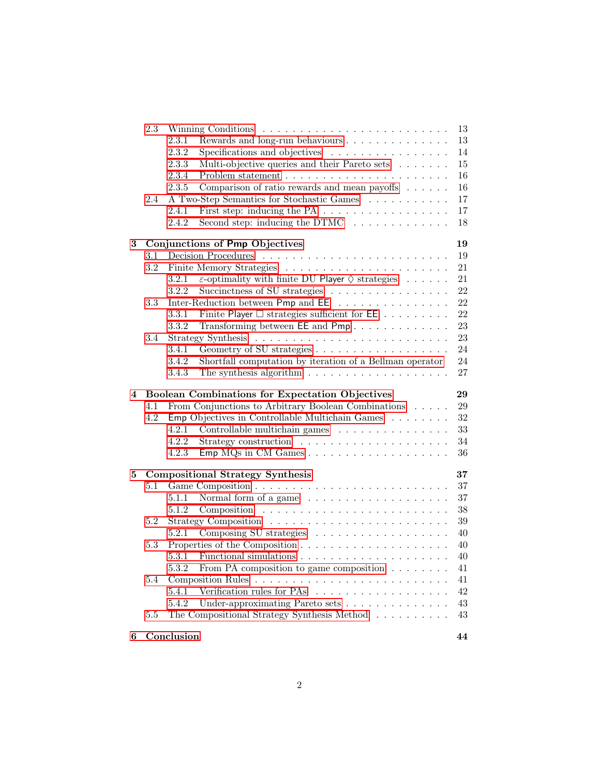|   | 2.3     |                                                                                    | 13     |
|---|---------|------------------------------------------------------------------------------------|--------|
|   |         | 2.3.1<br>Rewards and long-run behaviours                                           | 13     |
|   |         | 2.3.2<br>Specifications and objectives                                             | 14     |
|   |         | 2.3.3<br>Multi-objective queries and their Pareto sets                             | 15     |
|   |         | 2.3.4                                                                              | 16     |
|   |         | 2.3.5<br>Comparison of ratio rewards and mean payoffs $\dots \dots$                | 16     |
|   | 2.4     | A Two-Step Semantics for Stochastic Games                                          | 17     |
|   |         | First step: inducing the PA $\ldots \ldots \ldots \ldots \ldots$<br>2.4.1          | 17     |
|   |         | Second step: inducing the DTMC $\ldots \ldots \ldots \ldots$<br>2.4.2              | 18     |
| 3 |         | Conjunctions of Pmp Objectives                                                     | 19     |
|   | 3.1     |                                                                                    | 19     |
|   | $3.2\,$ |                                                                                    | 21     |
|   |         | $\varepsilon$ -optimality with finite DU Player $\diamondsuit$ strategies<br>3.2.1 | 21     |
|   |         | 3.2.2<br>Succinctness of SU strategies                                             | 22     |
|   | 3.3     | Inter-Reduction between Pmp and EE                                                 | 22     |
|   |         | 3.3.1<br>Finite Player $\Box$ strategies sufficient for $\mathsf{EE}$              | 22     |
|   |         | 3.3.2<br>Transforming between EE and Pmp                                           | 23     |
|   | 3.4     |                                                                                    | 23     |
|   |         | 3.4.1                                                                              | 24     |
|   |         | 3.4.2<br>Shortfall computation by iteration of a Bellman operator                  | 24     |
|   |         | The synthesis algorithm $\ldots \ldots \ldots \ldots \ldots \ldots$<br>3.4.3       | 27     |
|   |         |                                                                                    |        |
|   |         |                                                                                    |        |
| 4 |         | <b>Boolean Combinations for Expectation Objectives</b>                             | 29     |
|   | 4.1     | From Conjunctions to Arbitrary Boolean Combinations                                | 29     |
|   | 4.2     | Emp Objectives in Controllable Multichain Games                                    | $32\,$ |
|   |         | Controllable multichain games<br>4.2.1                                             | 33     |
|   |         | 4.2.2                                                                              | 34     |
|   |         | 4.2.3                                                                              | 36     |
| 5 |         | <b>Compositional Strategy Synthesis</b>                                            | 37     |
|   | 5.1     |                                                                                    | 37     |
|   |         | Normal form of a game<br>5.1.1                                                     | 37     |
|   |         | 5.1.2                                                                              | 38     |
|   | 5.2     |                                                                                    | 39     |
|   |         | 5.2.1                                                                              | 40     |
|   | 5.3     |                                                                                    | 40     |
|   |         | 5.3.1<br>Functional simulations $\dots \dots \dots \dots \dots \dots \dots \dots$  | 40     |
|   |         | 5.3.2<br>From PA composition to game composition $\ldots \ldots \ldots$            | 41     |
|   | 5.4     | <b>Composition Rules</b>                                                           | 41     |
|   |         | Verification rules for PAs<br>5.4.1                                                | $42\,$ |
|   |         | Under-approximating Pareto sets<br>5.4.2                                           | 43     |
|   | 5.5     | The Compositional Strategy Synthesis Method                                        | 43     |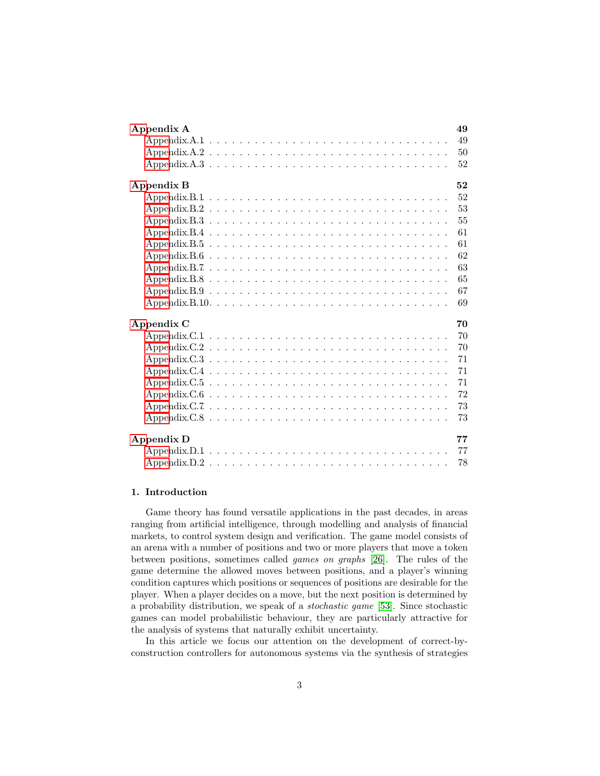| Appendix A                                                                                           | 49 |
|------------------------------------------------------------------------------------------------------|----|
|                                                                                                      | 49 |
|                                                                                                      | 50 |
|                                                                                                      | 52 |
| Appendix B                                                                                           | 52 |
|                                                                                                      | 52 |
|                                                                                                      | 53 |
|                                                                                                      | 55 |
|                                                                                                      | 61 |
|                                                                                                      | 61 |
| Appendix.B. $6 \ldots \ldots \ldots \ldots \ldots \ldots \ldots \ldots \ldots \ldots \ldots$         | 62 |
|                                                                                                      | 63 |
|                                                                                                      | 65 |
| Appendix B.9 $\ldots \ldots \ldots \ldots \ldots \ldots \ldots \ldots \ldots \ldots \ldots \ldots$   | 67 |
| Appendix.B.10. $\dots \dots \dots \dots \dots \dots \dots \dots \dots \dots \dots \dots \dots \dots$ | 69 |
| Appendix C                                                                                           | 70 |
|                                                                                                      | 70 |
|                                                                                                      | 70 |
|                                                                                                      | 71 |
|                                                                                                      | 71 |
|                                                                                                      | 71 |
|                                                                                                      | 72 |
|                                                                                                      | 73 |
|                                                                                                      | 73 |
| <b>Appendix D</b>                                                                                    | 77 |
|                                                                                                      | 77 |
|                                                                                                      |    |

# <span id="page-3-0"></span>1. Introduction

Game theory has found versatile applications in the past decades, in areas ranging from artificial intelligence, through modelling and analysis of financial markets, to control system design and verification. The game model consists of an arena with a number of positions and two or more players that move a token between positions, sometimes called games on graphs [\[26\]](#page-47-0). The rules of the game determine the allowed moves between positions, and a player's winning condition captures which positions or sequences of positions are desirable for the player. When a player decides on a move, but the next position is determined by a probability distribution, we speak of a stochastic game [\[53\]](#page-49-2). Since stochastic games can model probabilistic behaviour, they are particularly attractive for the analysis of systems that naturally exhibit uncertainty.

In this article we focus our attention on the development of correct-byconstruction controllers for autonomous systems via the synthesis of strategies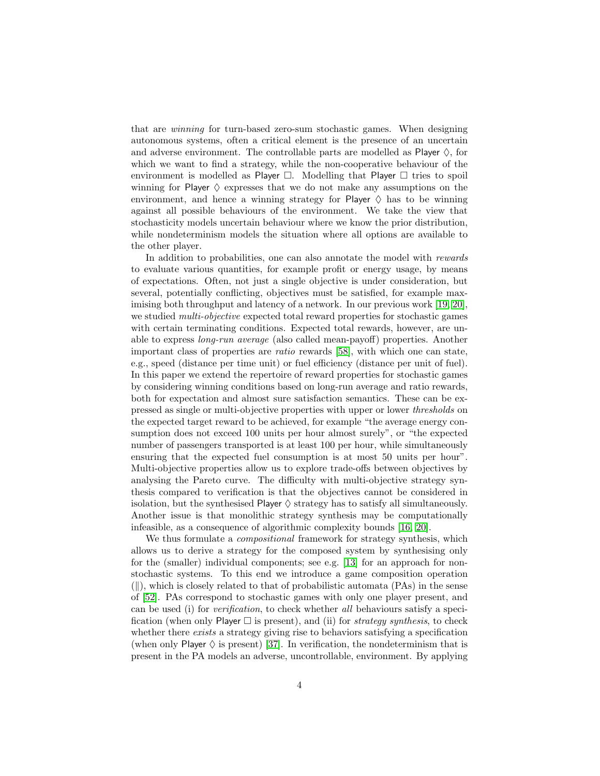that are winning for turn-based zero-sum stochastic games. When designing autonomous systems, often a critical element is the presence of an uncertain and adverse environment. The controllable parts are modelled as Player  $\Diamond$ , for which we want to find a strategy, while the non-cooperative behaviour of the environment is modelled as Player  $\Box$ . Modelling that Player  $\Box$  tries to spoil winning for Player  $\Diamond$  expresses that we do not make any assumptions on the environment, and hence a winning strategy for Player  $\Diamond$  has to be winning against all possible behaviours of the environment. We take the view that stochasticity models uncertain behaviour where we know the prior distribution, while nondeterminism models the situation where all options are available to the other player.

In addition to probabilities, one can also annotate the model with rewards to evaluate various quantities, for example profit or energy usage, by means of expectations. Often, not just a single objective is under consideration, but several, potentially conflicting, objectives must be satisfied, for example maximising both throughput and latency of a network. In our previous work [\[19,](#page-47-1) [20\]](#page-47-2), we studied *multi-objective* expected total reward properties for stochastic games with certain terminating conditions. Expected total rewards, however, are unable to express long-run average (also called mean-payoff) properties. Another important class of properties are ratio rewards [\[58\]](#page-49-3), with which one can state, e.g., speed (distance per time unit) or fuel efficiency (distance per unit of fuel). In this paper we extend the repertoire of reward properties for stochastic games by considering winning conditions based on long-run average and ratio rewards, both for expectation and almost sure satisfaction semantics. These can be expressed as single or multi-objective properties with upper or lower thresholds on the expected target reward to be achieved, for example "the average energy consumption does not exceed 100 units per hour almost surely", or "the expected number of passengers transported is at least 100 per hour, while simultaneously ensuring that the expected fuel consumption is at most 50 units per hour". Multi-objective properties allow us to explore trade-offs between objectives by analysing the Pareto curve. The difficulty with multi-objective strategy synthesis compared to verification is that the objectives cannot be considered in isolation, but the synthesised Player  $\Diamond$  strategy has to satisfy all simultaneously. Another issue is that monolithic strategy synthesis may be computationally infeasible, as a consequence of algorithmic complexity bounds [\[16,](#page-46-0) [20\]](#page-47-2).

We thus formulate a compositional framework for strategy synthesis, which allows us to derive a strategy for the composed system by synthesising only for the (smaller) individual components; see e.g. [\[13\]](#page-46-1) for an approach for nonstochastic systems. To this end we introduce a game composition operation  $(\|),$  which is closely related to that of probabilistic automata (PAs) in the sense of [\[52\]](#page-49-4). PAs correspond to stochastic games with only one player present, and can be used (i) for verification, to check whether all behaviours satisfy a specification (when only Player  $\square$  is present), and (ii) for *strategy synthesis*, to check whether there *exists* a strategy giving rise to behaviors satisfying a specification (when only Player  $\Diamond$  is present) [\[37\]](#page-48-0). In verification, the nondeterminism that is present in the PA models an adverse, uncontrollable, environment. By applying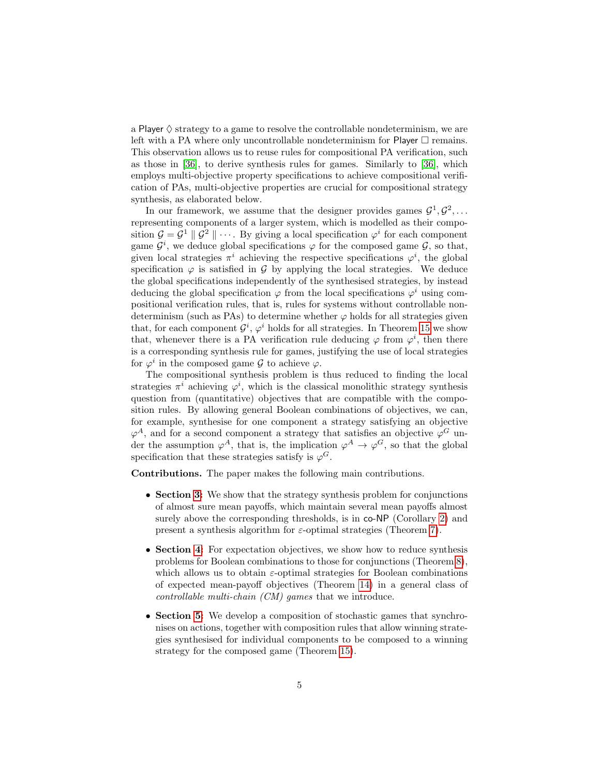a Player  $\diamond$  strategy to a game to resolve the controllable nondeterminism, we are left with a PA where only uncontrollable nondeterminism for Player  $\Box$  remains. This observation allows us to reuse rules for compositional PA verification, such as those in [\[36\]](#page-48-1), to derive synthesis rules for games. Similarly to [\[36\]](#page-48-1), which employs multi-objective property specifications to achieve compositional verification of PAs, multi-objective properties are crucial for compositional strategy synthesis, as elaborated below.

In our framework, we assume that the designer provides games  $\mathcal{G}^1, \mathcal{G}^2, \ldots$ representing components of a larger system, which is modelled as their composition  $\mathcal{G} = \mathcal{G}^1 \parallel \mathcal{G}^2 \parallel \cdots$ . By giving a local specification  $\varphi^i$  for each component game  $\mathcal{G}^i$ , we deduce global specifications  $\varphi$  for the composed game  $\mathcal{G}$ , so that, given local strategies  $\pi^i$  achieving the respective specifications  $\varphi^i$ , the global specification  $\varphi$  is satisfied in  $\mathcal G$  by applying the local strategies. We deduce the global specifications independently of the synthesised strategies, by instead deducing the global specification  $\varphi$  from the local specifications  $\varphi^i$  using compositional verification rules, that is, rules for systems without controllable nondeterminism (such as PAs) to determine whether  $\varphi$  holds for all strategies given that, for each component  $\mathcal{G}^i$ ,  $\varphi^i$  holds for all strategies. In Theorem [15](#page-41-2) we show that, whenever there is a PA verification rule deducing  $\varphi$  from  $\varphi^i$ , then there is a corresponding synthesis rule for games, justifying the use of local strategies for  $\varphi^i$  in the composed game  $\mathcal G$  to achieve  $\varphi$ .

The compositional synthesis problem is thus reduced to finding the local strategies  $\pi^i$  achieving  $\varphi^i$ , which is the classical monolithic strategy synthesis question from (quantitative) objectives that are compatible with the composition rules. By allowing general Boolean combinations of objectives, we can, for example, synthesise for one component a strategy satisfying an objective  $\varphi^A$ , and for a second component a strategy that satisfies an objective  $\varphi^G$  under the assumption  $\varphi^A$ , that is, the implication  $\varphi^A \to \varphi^G$ , so that the global specification that these strategies satisfy is  $\varphi^G$ .

Contributions. The paper makes the following main contributions.

- Section [3:](#page-19-0) We show that the strategy synthesis problem for conjunctions of almost sure mean payoffs, which maintain several mean payoffs almost surely above the corresponding thresholds, is in co-NP (Corollary [2\)](#page-21-2) and present a synthesis algorithm for  $\varepsilon$ -optimal strategies (Theorem [7\)](#page-28-0).
- Section [4:](#page-29-0) For expectation objectives, we show how to reduce synthesis problems for Boolean combinations to those for conjunctions (Theorem [8\)](#page-30-0), which allows us to obtain  $\varepsilon$ -optimal strategies for Boolean combinations of expected mean-payoff objectives (Theorem [14\)](#page-36-1) in a general class of controllable multi-chain (CM) games that we introduce.
- Section [5:](#page-37-0) We develop a composition of stochastic games that synchronises on actions, together with composition rules that allow winning strategies synthesised for individual components to be composed to a winning strategy for the composed game (Theorem [15\)](#page-41-2).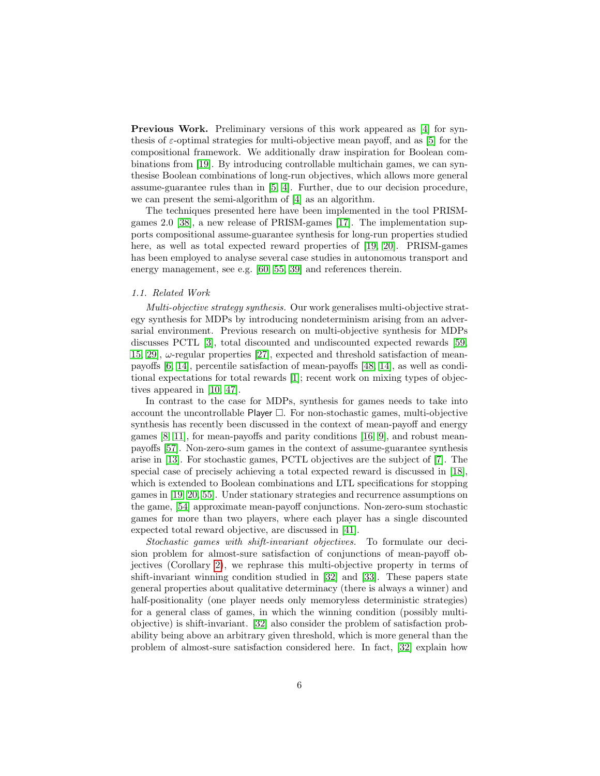Previous Work. Preliminary versions of this work appeared as [\[4\]](#page-45-0) for synthesis of  $\varepsilon$ -optimal strategies for multi-objective mean payoff, and as [\[5\]](#page-46-2) for the compositional framework. We additionally draw inspiration for Boolean combinations from [\[19\]](#page-47-1). By introducing controllable multichain games, we can synthesise Boolean combinations of long-run objectives, which allows more general assume-guarantee rules than in [\[5,](#page-46-2) [4\]](#page-45-0). Further, due to our decision procedure, we can present the semi-algorithm of [\[4\]](#page-45-0) as an algorithm.

The techniques presented here have been implemented in the tool PRISMgames 2.0 [\[38\]](#page-48-2), a new release of PRISM-games [\[17\]](#page-46-3). The implementation supports compositional assume-guarantee synthesis for long-run properties studied here, as well as total expected reward properties of [\[19,](#page-47-1) [20\]](#page-47-2). PRISM-games has been employed to analyse several case studies in autonomous transport and energy management, see e.g. [\[60,](#page-49-5) [55,](#page-49-6) [39\]](#page-48-3) and references therein.

# <span id="page-6-0"></span>1.1. Related Work

Multi-objective strategy synthesis. Our work generalises multi-objective strategy synthesis for MDPs by introducing nondeterminism arising from an adversarial environment. Previous research on multi-objective synthesis for MDPs discusses PCTL [\[3\]](#page-45-1), total discounted and undiscounted expected rewards [\[59,](#page-49-7) [15,](#page-46-4) 29,  $\omega$ -regular properties [\[27\]](#page-47-4), expected and threshold satisfaction of meanpayoffs [\[6,](#page-46-5) [14\]](#page-46-6), percentile satisfaction of mean-payoffs [\[48,](#page-49-8) [14\]](#page-46-6), as well as conditional expectations for total rewards [\[1\]](#page-45-2); recent work on mixing types of objectives appeared in [\[10,](#page-46-7) [47\]](#page-48-4).

In contrast to the case for MDPs, synthesis for games needs to take into account the uncontrollable Player  $\Box$ . For non-stochastic games, multi-objective synthesis has recently been discussed in the context of mean-payoff and energy games [\[8,](#page-46-8) [11\]](#page-46-9), for mean-payoffs and parity conditions [\[16,](#page-46-0) [9\]](#page-46-10), and robust meanpayoffs [\[57\]](#page-49-9). Non-zero-sum games in the context of assume-guarantee synthesis arise in [\[13\]](#page-46-1). For stochastic games, PCTL objectives are the subject of [\[7\]](#page-46-11). The special case of precisely achieving a total expected reward is discussed in [\[18\]](#page-47-5), which is extended to Boolean combinations and LTL specifications for stopping games in [\[19,](#page-47-1) [20,](#page-47-2) [55\]](#page-49-6). Under stationary strategies and recurrence assumptions on the game, [\[54\]](#page-49-10) approximate mean-payoff conjunctions. Non-zero-sum stochastic games for more than two players, where each player has a single discounted expected total reward objective, are discussed in [\[41\]](#page-48-5).

Stochastic games with shift-invariant objectives. To formulate our decision problem for almost-sure satisfaction of conjunctions of mean-payoff objectives (Corollary [2\)](#page-21-2), we rephrase this multi-objective property in terms of shift-invariant winning condition studied in [\[32\]](#page-47-6) and [\[33\]](#page-48-6). These papers state general properties about qualitative determinacy (there is always a winner) and half-positionality (one player needs only memoryless deterministic strategies) for a general class of games, in which the winning condition (possibly multiobjective) is shift-invariant. [\[32\]](#page-47-6) also consider the problem of satisfaction probability being above an arbitrary given threshold, which is more general than the problem of almost-sure satisfaction considered here. In fact, [\[32\]](#page-47-6) explain how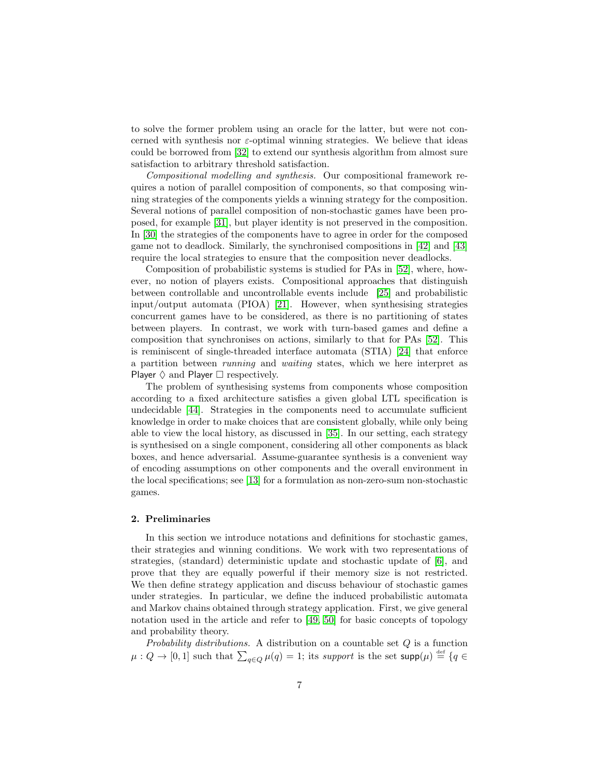to solve the former problem using an oracle for the latter, but were not concerned with synthesis nor  $\varepsilon$ -optimal winning strategies. We believe that ideas could be borrowed from [\[32\]](#page-47-6) to extend our synthesis algorithm from almost sure satisfaction to arbitrary threshold satisfaction.

Compositional modelling and synthesis. Our compositional framework requires a notion of parallel composition of components, so that composing winning strategies of the components yields a winning strategy for the composition. Several notions of parallel composition of non-stochastic games have been proposed, for example [\[31\]](#page-47-7), but player identity is not preserved in the composition. In [\[30\]](#page-47-8) the strategies of the components have to agree in order for the composed game not to deadlock. Similarly, the synchronised compositions in [\[42\]](#page-48-7) and [\[43\]](#page-48-8) require the local strategies to ensure that the composition never deadlocks.

Composition of probabilistic systems is studied for PAs in [\[52\]](#page-49-4), where, however, no notion of players exists. Compositional approaches that distinguish between controllable and uncontrollable events include [\[25\]](#page-47-9) and probabilistic input/output automata (PIOA) [\[21\]](#page-47-10). However, when synthesising strategies concurrent games have to be considered, as there is no partitioning of states between players. In contrast, we work with turn-based games and define a composition that synchronises on actions, similarly to that for PAs [\[52\]](#page-49-4). This is reminiscent of single-threaded interface automata (STIA) [\[24\]](#page-47-11) that enforce a partition between running and waiting states, which we here interpret as Player  $\Diamond$  and Player  $\Box$  respectively.

The problem of synthesising systems from components whose composition according to a fixed architecture satisfies a given global LTL specification is undecidable [\[44\]](#page-48-9). Strategies in the components need to accumulate sufficient knowledge in order to make choices that are consistent globally, while only being able to view the local history, as discussed in [\[35\]](#page-48-10). In our setting, each strategy is synthesised on a single component, considering all other components as black boxes, and hence adversarial. Assume-guarantee synthesis is a convenient way of encoding assumptions on other components and the overall environment in the local specifications; see [\[13\]](#page-46-1) for a formulation as non-zero-sum non-stochastic games.

#### <span id="page-7-0"></span>2. Preliminaries

In this section we introduce notations and definitions for stochastic games, their strategies and winning conditions. We work with two representations of strategies, (standard) deterministic update and stochastic update of [\[6\]](#page-46-5), and prove that they are equally powerful if their memory size is not restricted. We then define strategy application and discuss behaviour of stochastic games under strategies. In particular, we define the induced probabilistic automata and Markov chains obtained through strategy application. First, we give general notation used in the article and refer to [\[49,](#page-49-11) [50\]](#page-49-12) for basic concepts of topology and probability theory.

Probability distributions. A distribution on a countable set  $Q$  is a function  $\mu: Q \to [0,1]$  such that  $\sum_{q \in Q} \mu(q) = 1$ ; its support is the set supp $(\mu) \stackrel{\text{def}}{=} \{q \in$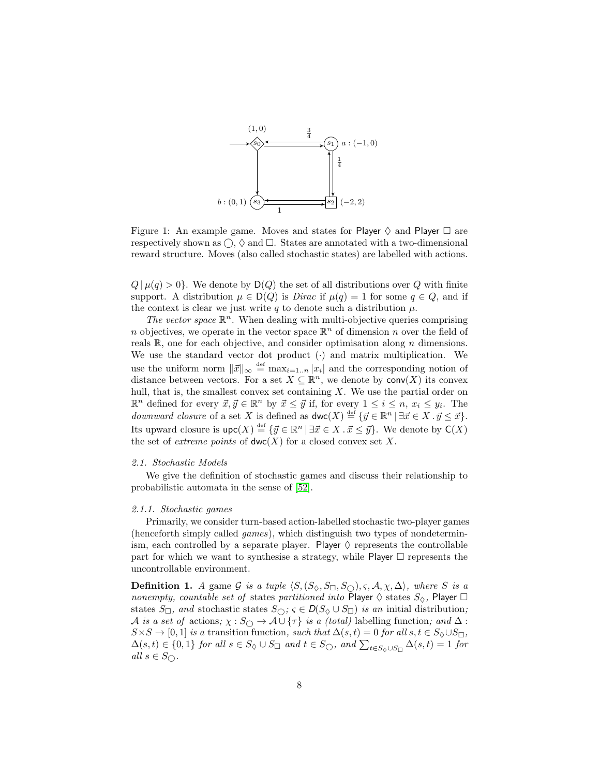<span id="page-8-2"></span>

Figure 1: An example game. Moves and states for Player  $\diamond$  and Player  $\square$  are respectively shown as  $\bigcirc$ ,  $\Diamond$  and  $\Box$ . States are annotated with a two-dimensional reward structure. Moves (also called stochastic states) are labelled with actions.

 $Q | \mu(q) > 0$ . We denote by  $D(Q)$  the set of all distributions over Q with finite support. A distribution  $\mu \in D(Q)$  is *Dirac* if  $\mu(q) = 1$  for some  $q \in Q$ , and if the context is clear we just write q to denote such a distribution  $\mu$ .

The vector space  $\mathbb{R}^n$ . When dealing with multi-objective queries comprising n objectives, we operate in the vector space  $\mathbb{R}^n$  of dimension n over the field of reals  $\mathbb{R}$ , one for each objective, and consider optimisation along *n* dimensions. We use the standard vector dot product  $(\cdot)$  and matrix multiplication. We use the uniform norm  $\|\vec{x}\|_{\infty} \stackrel{\text{def}}{=} \max_{i=1..n} |x_i|$  and the corresponding notion of distance between vectors. For a set  $X \subseteq \mathbb{R}^n$ , we denote by  $conv(X)$  its convex hull, that is, the smallest convex set containing  $X$ . We use the partial order on  $\mathbb{R}^n$  defined for every  $\vec{x}, \vec{y} \in \mathbb{R}^n$  by  $\vec{x} \leq \vec{y}$  if, for every  $1 \leq i \leq n$ ,  $x_i \leq y_i$ . The *downward closure* of a set X is defined as  $\mathsf{dwc}(X) \stackrel{\text{def}}{=} {\{\vec{y} \in \mathbb{R}^n \mid \exists \vec{x} \in X \cdot \vec{y} \leq \vec{x}\}}.$ Its upward closure is  $\textsf{upc}(X) \stackrel{\text{def}}{=} {\{\vec{y} \in \mathbb{R}^n \mid \exists \vec{x} \in X \cdot \vec{x} \leq \vec{y}\}}$ . We denote by  $\textsf{C}(X)$ the set of *extreme points* of  $dwc(X)$  for a closed convex set X.

# <span id="page-8-0"></span>2.1. Stochastic Models

We give the definition of stochastic games and discuss their relationship to probabilistic automata in the sense of [\[52\]](#page-49-4).

#### <span id="page-8-1"></span>2.1.1. Stochastic games

Primarily, we consider turn-based action-labelled stochastic two-player games (henceforth simply called games), which distinguish two types of nondeterminism, each controlled by a separate player. Player  $\diamondsuit$  represents the controllable part for which we want to synthesise a strategy, while Player  $\Box$  represents the uncontrollable environment.

**Definition 1.** A game G is a tuple  $\langle S, (S_{\Diamond}, S_{\Box}, S_{\bigcirc}), \varsigma, A, \chi, \Delta \rangle$ , where S is a nonempty, countable set of states partitioned into Player  $\diamondsuit$  states  $S_{\diamondsuit}$ , Player  $\square$ states  $S_{\Box}$ , and stochastic states  $S_{\bigcirc}$ ;  $\varsigma \in D(S_{\Diamond} \cup S_{\Box})$  is an initial distribution; A is a set of actions;  $\chi : S_{\bigcirc} \to A \cup \{\tau\}$  is a (total) labelling function; and  $\Delta$ :  $S \times S \rightarrow [0, 1]$  is a transition function, such that  $\Delta(s, t) = 0$  for all  $s, t \in S \setminus \cup S_{\Box}$ ,  $\Delta(s,t) \in \{0,1\}$  for all  $s \in S_{\Diamond} \cup S_{\Box}$  and  $t \in S_{\bigcirc}$ , and  $\sum_{t \in S_{\Diamond} \cup S_{\Box}} \Delta(s,t) = 1$  for all  $s \in S_{\bigcirc}$ .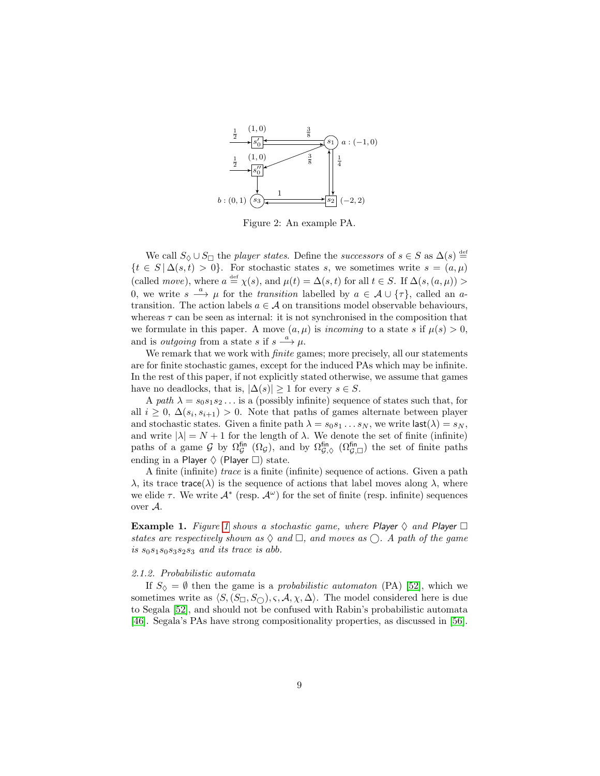<span id="page-9-1"></span>

Figure 2: An example PA.

We call  $S_{\Diamond} \cup S_{\Box}$  the player states. Define the successors of  $s \in S$  as  $\Delta(s) \stackrel{\text{def}}{=}$  $\{t \in S \mid \Delta(s,t) > 0\}$ . For stochastic states s, we sometimes write  $s = (a,\mu)$ (called *move*), where  $a \stackrel{\text{def}}{=} \chi(s)$ , and  $\mu(t) = \Delta(s, t)$  for all  $t \in S$ . If  $\Delta(s, (a, \mu))$ 0, we write  $s \stackrel{a}{\longrightarrow} \mu$  for the *transition* labelled by  $a \in \mathcal{A} \cup \{\tau\}$ , called an atransition. The action labels  $a \in \mathcal{A}$  on transitions model observable behaviours, whereas  $\tau$  can be seen as internal: it is not synchronised in the composition that we formulate in this paper. A move  $(a, \mu)$  is incoming to a state s if  $\mu(s) > 0$ , and is *outgoing* from a state s if  $s \stackrel{a}{\longrightarrow} \mu$ .

We remark that we work with *finite* games; more precisely, all our statements are for finite stochastic games, except for the induced PAs which may be infinite. In the rest of this paper, if not explicitly stated otherwise, we assume that games have no deadlocks, that is,  $|\Delta(s)| \geq 1$  for every  $s \in S$ .

A path  $\lambda = s_0 s_1 s_2 \dots$  is a (possibly infinite) sequence of states such that, for all  $i \geq 0$ ,  $\Delta(s_i, s_{i+1}) > 0$ . Note that paths of games alternate between player and stochastic states. Given a finite path  $\lambda = s_0 s_1 \dots s_N$ , we write last  $(\lambda) = s_N$ , and write  $|\lambda| = N + 1$  for the length of  $\lambda$ . We denote the set of finite (infinite) paths of a game  $\mathcal G$  by  $\Omega_{\mathcal G}^{\text{fin}}(\Omega_{\mathcal G})$ , and by  $\Omega_{\mathcal G,\Diamond}^{\text{fin}}(\Omega_{\mathcal G,\Box}^{\text{fin}})$  the set of finite paths ending in a Player  $\Diamond$  (Player  $\Box$ ) state.

A finite (infinite) trace is a finite (infinite) sequence of actions. Given a path  $\lambda$ , its trace trace( $\lambda$ ) is the sequence of actions that label moves along  $\lambda$ , where we elide  $\tau$ . We write  $\mathcal{A}^*$  (resp.  $\mathcal{A}^{\omega}$ ) for the set of finite (resp. infinite) sequences over A.

**Example [1](#page-8-2).** Figure 1 shows a stochastic game, where Player  $\Diamond$  and Player  $\Box$ states are respectively shown as  $\Diamond$  and  $\Box$ , and moves as  $\bigcirc$ . A path of the game is  $s_0s_1s_0s_3s_2s_3$  and its trace is abb.

#### <span id="page-9-0"></span>2.1.2. Probabilistic automata

If  $S_{\lozenge} = \emptyset$  then the game is a probabilistic automaton (PA) [\[52\]](#page-49-4), which we sometimes write as  $\langle S, (S_{\Box}, S_{\bigcirc}), \varsigma, A, \chi, \Delta \rangle$ . The model considered here is due to Segala [\[52\]](#page-49-4), and should not be confused with Rabin's probabilistic automata [\[46\]](#page-48-11). Segala's PAs have strong compositionality properties, as discussed in [\[56\]](#page-49-13).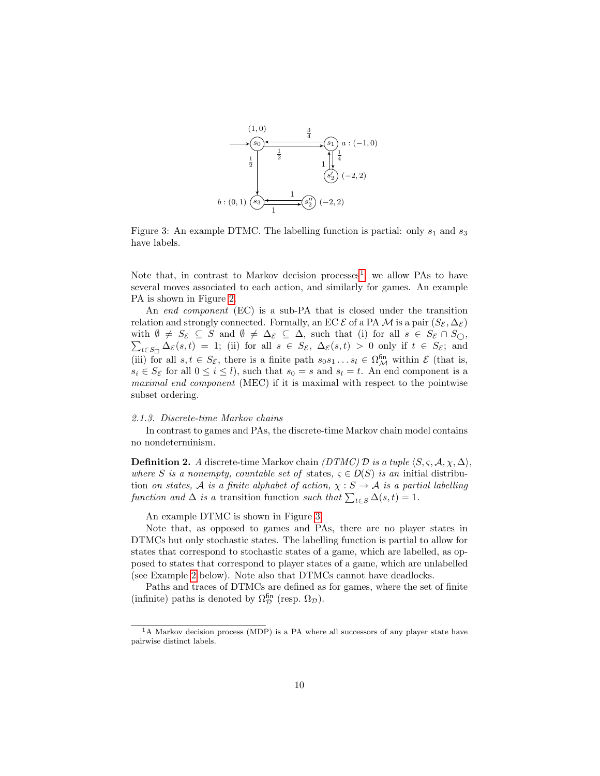<span id="page-10-2"></span>

Figure 3: An example DTMC. The labelling function is partial: only  $s_1$  and  $s_3$ have labels.

Note that, in contrast to Markov decision processes<sup>[1](#page-10-1)</sup>, we allow PAs to have several moves associated to each action, and similarly for games. An example PA is shown in Figure [2.](#page-9-1)

An end component (EC) is a sub-PA that is closed under the transition relation and strongly connected. Formally, an EC  $\mathcal E$  of a PA  $\mathcal M$  is a pair  $(S_{\mathcal E}, \Delta_{\mathcal E})$ with  $\emptyset \neq S_{\mathcal{E}} \subseteq S$  and  $\emptyset \neq \Delta_{\mathcal{E}} \subseteq \Delta$ , such that (i) for all  $s \in S_{\mathcal{E}} \cap S_{\bigcirc}$ ,  $\sum_{t \in S_{\Box}} \Delta_{\mathcal{E}}(s,t) = 1$ ; (ii) for all  $s \in S_{\mathcal{E}}$ ,  $\Delta_{\mathcal{E}}(s,t) > 0$  only if  $t \in S_{\mathcal{E}}$ ; and (iii) for all  $s, t \in S_{\mathcal{E}}$ , there is a finite path  $s_0 s_1 \dots s_l \in \Omega_{\mathcal{M}}^{\text{fin}}$  within  $\mathcal{E}$  (that is,  $s_i \in S_{\mathcal{E}}$  for all  $0 \leq i \leq l$ , such that  $s_0 = s$  and  $s_l = t$ . An end component is a maximal end component (MEC) if it is maximal with respect to the pointwise subset ordering.

#### <span id="page-10-0"></span>2.1.3. Discrete-time Markov chains

In contrast to games and PAs, the discrete-time Markov chain model contains no nondeterminism.

**Definition 2.** A discrete-time Markov chain (DTMC) D is a tuple  $\langle S, \varsigma, \mathcal{A}, \chi, \Delta \rangle$ , where S is a nonempty, countable set of states,  $\varsigma \in D(S)$  is an initial distribution on states,  $A$  is a finite alphabet of action,  $\chi : S \to A$  is a partial labelling function and  $\Delta$  is a transition function such that  $\sum_{t \in S} \Delta(s, t) = 1$ .

An example DTMC is shown in Figure [3.](#page-10-2)

Note that, as opposed to games and PAs, there are no player states in DTMCs but only stochastic states. The labelling function is partial to allow for states that correspond to stochastic states of a game, which are labelled, as opposed to states that correspond to player states of a game, which are unlabelled (see Example [2](#page-12-0) below). Note also that DTMCs cannot have deadlocks.

Paths and traces of DTMCs are defined as for games, where the set of finite (infinite) paths is denoted by  $\Omega_{\mathcal{D}}^{\text{fin}}$  (resp.  $\Omega_{\mathcal{D}}$ ).

<span id="page-10-1"></span> $1<sup>1</sup>$ A Markov decision process (MDP) is a PA where all successors of any player state have pairwise distinct labels.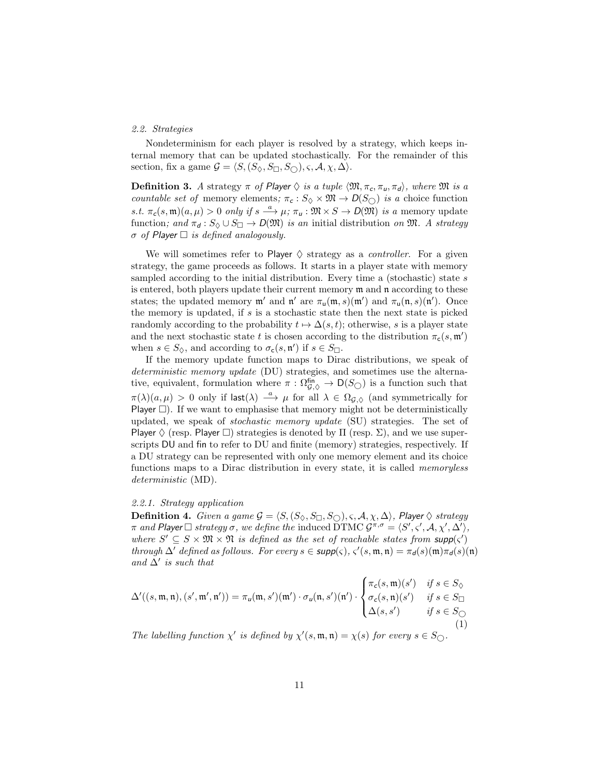# <span id="page-11-0"></span>2.2. Strategies

Nondeterminism for each player is resolved by a strategy, which keeps internal memory that can be updated stochastically. For the remainder of this section, fix a game  $\mathcal{G} = \langle S, (S_{\Diamond}, S_{\Box}, S_{\bigcirc}), \varsigma, \mathcal{A}, \chi, \Delta \rangle$ .

**Definition 3.** A strategy  $\pi$  of Player  $\Diamond$  is a tuple  $\langle \mathfrak{M}, \pi_c, \pi_u, \pi_d \rangle$ , where  $\mathfrak{M}$  is a countable set of memory elements;  $\pi_c : S_{\Diamond} \times \mathfrak{M} \to D(S_{\bigcirc})$  is a choice function s.t.  $\pi_c(s, \mathfrak{m})(a, \mu) > 0$  only if  $s \stackrel{a}{\longrightarrow} \mu; \pi_u : \mathfrak{M} \times S \to D(\mathfrak{M})$  is a memory update function; and  $\pi_d : S_{\Diamond} \cup S_{\Box} \rightarrow D(\mathfrak{M})$  is an initial distribution on  $\mathfrak{M}$ . A strategy  $\sigma$  of Player  $\Box$  is defined analogously.

We will sometimes refer to Player  $\Diamond$  strategy as a *controller*. For a given strategy, the game proceeds as follows. It starts in a player state with memory sampled according to the initial distribution. Every time a (stochastic) state s is entered, both players update their current memory m and n according to these states; the updated memory  $\mathfrak{m}'$  and  $\mathfrak{n}'$  are  $\pi_{\mathfrak{u}}(\mathfrak{m},s)(\mathfrak{m}')$  and  $\pi_{\mathfrak{u}}(\mathfrak{n},s)(\mathfrak{n}')$ . Once the memory is updated, if  $s$  is a stochastic state then the next state is picked randomly according to the probability  $t \mapsto \Delta(s, t)$ ; otherwise, s is a player state and the next stochastic state t is chosen according to the distribution  $\pi_{\mathsf{c}}(s, \mathfrak{m}')$ when  $s \in S_{\lozenge}$ , and according to  $\sigma_{\mathbf{c}}(s, \mathfrak{n}')$  if  $s \in S_{\square}$ .

If the memory update function maps to Dirac distributions, we speak of deterministic memory update (DU) strategies, and sometimes use the alternative, equivalent, formulation where  $\pi$  :  $\Omega_{\mathcal{G}, \Diamond}^{\text{fin}} \to D(S_{\bigcirc})$  is a function such that  $\pi(\lambda)(a,\mu) > 0$  only if  $\textsf{last}(\lambda) \stackrel{a}{\longrightarrow} \mu$  for all  $\lambda \in \Omega_{\mathcal{G},\Diamond}$  (and symmetrically for Player  $\square$ ). If we want to emphasise that memory might not be deterministically updated, we speak of stochastic memory update (SU) strategies. The set of Player  $\Diamond$  (resp. Player  $\Box$ ) strategies is denoted by  $\Pi$  (resp.  $\Sigma$ ), and we use superscripts DU and fin to refer to DU and finite (memory) strategies, respectively. If a DU strategy can be represented with only one memory element and its choice functions maps to a Dirac distribution in every state, it is called *memoryless* deterministic (MD).

#### <span id="page-11-1"></span>2.2.1. Strategy application

<span id="page-11-3"></span>**Definition 4.** Given a game  $\mathcal{G} = \langle S, (S_{\Diamond}, S_{\Box}, S_{\bigcirc}), \varsigma, \mathcal{A}, \chi, \Delta \rangle$ , Player  $\Diamond$  strategy π and Player  $\Box$  strategy  $\sigma$ , we define the induced DTMC  $\mathcal{G}^{\pi,\sigma} = \langle S', \varsigma', \mathcal{A}, \chi', \Delta' \rangle$ , where  $S' \subseteq S \times \mathfrak{M} \times \mathfrak{N}$  is defined as the set of reachable states from  $\textsf{supp}(\varsigma')$ through  $\Delta'$  defined as follows. For every  $s \in \text{supp}(\varsigma)$ ,  $\varsigma'(s, \mathfrak{m}, \mathfrak{n}) = \pi_d(s)(\mathfrak{m})\pi_d(s)(\mathfrak{n})$ and  $\Delta'$  is such that

<span id="page-11-2"></span>
$$
\Delta'((s,\mathfrak{m},\mathfrak{n}),(s',\mathfrak{m}',\mathfrak{n}')) = \pi_u(\mathfrak{m},s')(\mathfrak{m}') \cdot \sigma_u(\mathfrak{n},s')(\mathfrak{n}') \cdot \begin{cases} \pi_c(s,\mathfrak{m})(s') & \text{if } s \in S_\Diamond \\ \sigma_c(s,\mathfrak{n})(s') & \text{if } s \in S_\Box \\ \Delta(s,s') & \text{if } s \in S_\bigcirc \end{cases} \tag{1}
$$

The labelling function  $\chi'$  is defined by  $\chi'(s, \mathfrak{m}, \mathfrak{n}) = \chi(s)$  for every  $s \in S_{\bigcirc}$ .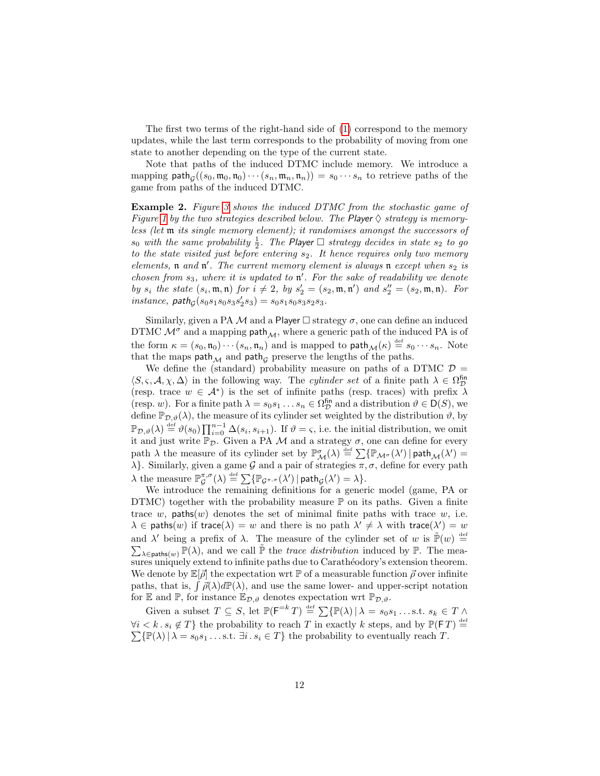The first two terms of the right-hand side of [\(1\)](#page-11-2) correspond to the memory updates, while the last term corresponds to the probability of moving from one state to another depending on the type of the current state.

Note that paths of the induced DTMC include memory. We introduce a mapping  $\text{path}_{\mathcal{G}}((s_0, \mathfrak{m}_0, \mathfrak{n}_0) \cdots (s_n, \mathfrak{m}_n, \mathfrak{n}_n)) = s_0 \cdots s_n$  to retrieve paths of the game from paths of the induced DTMC.

<span id="page-12-0"></span>Example 2. Figure [3](#page-10-2) shows the induced DTMC from the stochastic game of Figure [1](#page-8-2) by the two strategies described below. The Player  $\Diamond$  strategy is memoryless (let m its single memory element); it randomises amongst the successors of  $s_0$  with the same probability  $\frac{1}{2}$ . The Player  $\Box$  strategy decides in state  $s_2$  to go to the state visited just before entering  $s_2$ . It hence requires only two memory elements,  $\mathfrak n$  and  $\mathfrak n'$ . The current memory element is always  $\mathfrak n$  except when  $s_2$  is chosen from  $s_3$ , where it is updated to  $\mathfrak{n}'$ . For the sake of readability we denote by  $s_i$  the state  $(s_i, \mathfrak{m}, \mathfrak{n})$  for  $i \neq 2$ , by  $s'_2 = (s_2, \mathfrak{m}, \mathfrak{n}')$  and  $s''_2 = (s_2, \mathfrak{m}, \mathfrak{n})$ . For  $instance, path_{\mathcal{G}}(s_0s_1s_0s_3s'_2s_3) = s_0s_1s_0s_3s_2s_3.$ 

Similarly, given a PA M and a Player  $\Box$  strategy  $\sigma$ , one can define an induced DTMC  $\mathcal{M}^{\sigma}$  and a mapping path  $_M$ , where a generic path of the induced PA is of the form  $\kappa = (s_0, \mathfrak{n}_0) \cdots (s_n, \mathfrak{n}_n)$  and is mapped to  $\mathsf{path}_\mathcal{M}(\kappa) \stackrel{\text{def}}{=} s_0 \cdots s_n$ . Note that the maps  $\text{path}_{\mathcal{M}}$  and  $\text{path}_{\mathcal{G}}$  preserve the lengths of the paths.

We define the (standard) probability measure on paths of a DTMC  $\mathcal{D} =$  $\langle S, \varsigma, \mathcal{A}, \chi, \Delta \rangle$  in the following way. The *cylinder set* of a finite path  $\lambda \in \Omega_{\mathcal{D}}^{fin}$ (resp. trace  $w \in \mathcal{A}^*$ ) is the set of infinite paths (resp. traces) with prefix  $\lambda$ (resp. w). For a finite path  $\lambda = s_0 s_1 ... s_n \in \Omega_{\mathcal{D}}^{f_{\text{in}}}$  and a distribution  $\vartheta \in D(S)$ , we define  $\mathbb{P}_{\mathcal{D}, \vartheta}(\lambda)$ , the measure of its cylinder set weighted by the distribution  $\vartheta$ , by  $\mathbb{P}_{\mathcal{D},\vartheta}(\lambda) \stackrel{\text{def}}{=} \vartheta(s_0) \prod_{i=0}^{n-1} \Delta(s_i, s_{i+1}).$  If  $\vartheta = \varsigma$ , i.e. the initial distribution, we omit it and just write  $\mathbb{P}_{\mathcal{D}}$ . Given a PA M and a strategy  $\sigma$ , one can define for every path  $\lambda$  the measure of its cylinder set by  $\mathbb{P}^{\sigma}_{\mathcal{M}}(\lambda) \stackrel{\text{def}}{=} \sum {\mathbb{P}}_{\mathcal{M}^{\sigma}}(\lambda') | \text{path}_{\mathcal{M}}(\lambda') =$  $\lambda$ . Similarly, given a game G and a pair of strategies  $\pi, \sigma$ , define for every path  $\lambda$  the measure  $\mathbb{P}_{\mathcal{G}}^{\pi,\sigma}(\lambda) \stackrel{\text{def}}{=} \sum \{ \mathbb{P}_{\mathcal{G}^{\pi,\sigma}}(\lambda') \, | \, \mathsf{path}_{\mathcal{G}}(\lambda') = \lambda \}.$ 

We introduce the remaining definitions for a generic model (game, PA or DTMC) together with the probability measure  $\mathbb P$  on its paths. Given a finite trace w, paths $(w)$  denotes the set of minimal finite paths with trace w, i.e.  $\lambda \in \mathsf{paths}(w)$  if trace( $\lambda$ ) = w and there is no path  $\lambda' \neq \lambda$  with trace( $\lambda'$ ) = w and  $\lambda'$  being a prefix of  $\lambda$ . The measure of the cylinder set of w is  $\tilde{\mathbb{P}}(w) \stackrel{\text{def}}{=}$ and  $\lambda'$  being a prefix of  $\lambda$ . The measure of the cylinder set of w is  $\mathbb{P}(w) \stackrel{\text{def}}{=} \sum_{\lambda \in \text{paths}(w)} \mathbb{P}(\lambda)$ , and we call  $\tilde{\mathbb{P}}$  the *trace distribution* induced by  $\mathbb{P}$ . The measures uniquely extend to infinite paths due to Carathéodory's extension theorem. We denote by  $\mathbb{E}[\vec{\rho}]$  the expectation wrt P of a measurable function  $\vec{\rho}$  over infinite paths, that is,  $\int \vec{\rho}(\lambda) d\mathbb{P}(\lambda)$ , and use the same lower- and upper-script notation for  $\mathbb E$  and  $\mathbb P$ , for instance  $\mathbb E_{\mathcal D,\vartheta}$  denotes expectation wrt  $\mathbb P_{\mathcal D,\vartheta}$ .

Given a subset  $T \subseteq S$ , let  $\mathbb{P}(\mathsf{F}^{=k} T) \stackrel{\text{def}}{=} \sum {\mathbb{P}(\lambda) | \lambda = s_0 s_1 \dots s.t. s_k \in T \wedge \mathbb{P}(\lambda)}$  $\forall i < k \, . \, s_i \notin T$  the probability to reach T in exactly k steps, and by  $\mathbb{P}(\mathsf{F}T) \stackrel{\text{def}}{=} \sum \{\mathbb{P}(\lambda) \mid \lambda = s_0 s_1 \dots s \text{.t. } \exists i \, . \, s_i \in T\}$  the probability to eventually reach T.  $\sum {\{\mathbb{P}(\lambda) | \lambda = s_0 s_1 \dots s.t. \exists i \cdot s_i \in T\}}$  the probability to eventually reach T.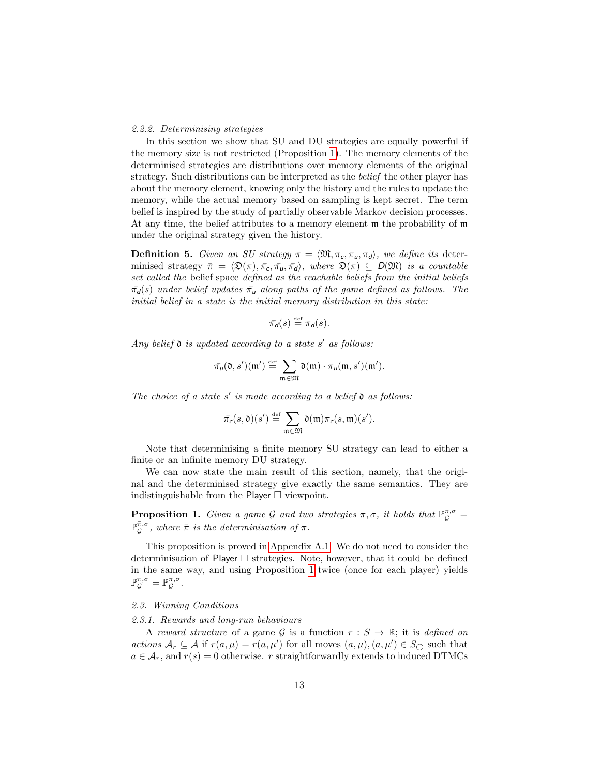#### <span id="page-13-0"></span>2.2.2. Determinising strategies

In this section we show that SU and DU strategies are equally powerful if the memory size is not restricted (Proposition [1\)](#page-13-3). The memory elements of the determinised strategies are distributions over memory elements of the original strategy. Such distributions can be interpreted as the belief the other player has about the memory element, knowing only the history and the rules to update the memory, while the actual memory based on sampling is kept secret. The term belief is inspired by the study of partially observable Markov decision processes. At any time, the belief attributes to a memory element m the probability of m under the original strategy given the history.

**Definition 5.** Given an SU strategy  $\pi = \langle \mathfrak{M}, \pi_c, \pi_u, \pi_d \rangle$ , we define its determinised strategy  $\bar{\pi} = \langle \mathfrak{D}(\pi), \bar{\pi_c}, \bar{\pi_u}, \bar{\pi_d} \rangle$ , where  $\mathfrak{D}(\pi) \subseteq D(\mathfrak{M})$  is a countable set called the belief space defined as the reachable beliefs from the initial beliefs  $\bar{\pi}_d(s)$  under belief updates  $\bar{\pi}_u$  along paths of the game defined as follows. The initial belief in a state is the initial memory distribution in this state:

$$
\bar{\pi}_d(s) \stackrel{\text{def}}{=} \pi_d(s).
$$

Any belief  $\mathfrak d$  is updated according to a state s' as follows:

$$
\bar{\pi}_u(\mathfrak{d},s')(\mathfrak{m}') \stackrel{\text{def}}{=} \sum_{\mathfrak{m}\in \mathfrak{M}} \mathfrak{d}(\mathfrak{m}) \cdot \pi_u(\mathfrak{m},s')(\mathfrak{m}').
$$

The choice of a state s' is made according to a belief  $\mathfrak d$  as follows:

$$
\bar{\pi}_{c}(s,\mathfrak{d})(s') \stackrel{\text{def}}{=} \sum_{\mathfrak{m}\in\mathfrak{M}} \mathfrak{d}(\mathfrak{m})\pi_{c}(s,\mathfrak{m})(s').
$$

Note that determinising a finite memory SU strategy can lead to either a finite or an infinite memory DU strategy.

We can now state the main result of this section, namely, that the original and the determinised strategy give exactly the same semantics. They are indistinguishable from the Player  $\Box$  viewpoint.

<span id="page-13-3"></span>**Proposition 1.** Given a game G and two strategies  $\pi, \sigma$ , it holds that  $\mathbb{P}_{\mathcal{G}}^{\pi,\sigma}$  =  $\mathbb{P}_{\mathcal{G}}^{\bar{\pi},\sigma}$ , where  $\bar{\pi}$  is the determinisation of  $\pi$ .

This proposition is proved in [Appendix A.1.](#page-49-1) We do not need to consider the determinisation of Player  $\Box$  strategies. Note, however, that it could be defined in the same way, and using Proposition [1](#page-13-3) twice (once for each player) yields  $\mathbb{P}^{\pi,\sigma}_{\mathcal{G}}=\mathbb{P}^{\bar{\pi},\overline{\sigma}}_{\mathcal{G}}.$ 

# <span id="page-13-1"></span>2.3. Winning Conditions

# <span id="page-13-2"></span>2.3.1. Rewards and long-run behaviours

A reward structure of a game G is a function  $r : S \to \mathbb{R}$ ; it is defined on actions  $\mathcal{A}_r \subseteq \mathcal{A}$  if  $r(a,\mu) = r(a,\mu')$  for all moves  $(a,\mu), (a,\mu') \in S_{\bigcirc}$  such that  $a \in \mathcal{A}_r$ , and  $r(s) = 0$  otherwise. r straightforwardly extends to induced DTMCs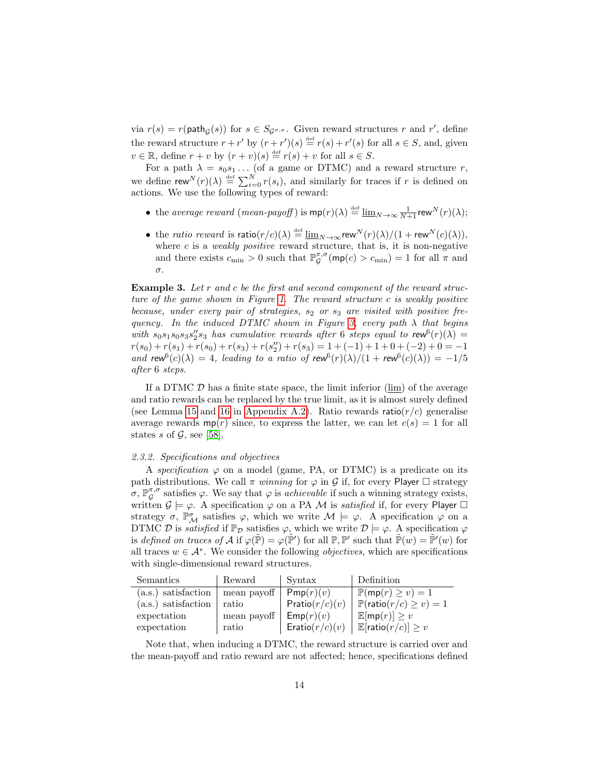via  $r(s) = r(\text{path}_{\mathcal{G}}(s))$  for  $s \in S_{\mathcal{G}^{\pi,\sigma}}$ . Given reward structures r and r', define the reward structure  $r + r'$  by  $(r + r')(s) \stackrel{\text{def}}{=} r(s) + r'(s)$  for all  $s \in S$ , and, given  $v \in \mathbb{R}$ , define  $r + v$  by  $(r + v)(s) \stackrel{\text{def}}{=} r(s) + v$  for all  $s \in S$ .

For a path  $\lambda = s_0 s_1 \dots$  (of a game or DTMC) and a reward structure r, we define  $\mathsf{rew}^N(r)(\lambda) \stackrel{\text{def}}{=} \sum_{i=0}^N r(s_i)$ , and similarly for traces if r is defined on actions. We use the following types of reward:

- the average reward (mean-payoff) is  $mp(r)(\lambda) \stackrel{\text{def}}{=} \underline{\lim}_{N \to \infty} \frac{1}{N+1}$ rew $N(r)(\lambda)$ ;
- the *ratio reward* is  $\mathsf{ratio}(r/c)(\lambda) \stackrel{\text{def}}{=} \underline{\lim}_{N \to \infty} \mathsf{rew}^N(r)(\lambda) / (1 + \mathsf{rew}^N(c)(\lambda)),$ where  $c$  is a *weakly positive* reward structure, that is, it is non-negative and there exists  $c_{\min} > 0$  such that  $\mathbb{P}_{\mathcal{G}}^{\pi,\sigma}(\textsf{mp}(c) > c_{\min}) = 1$  for all  $\pi$  and σ.

Example 3. Let r and c be the first and second component of the reward structure of the game shown in Figure [1.](#page-8-2) The reward structure c is weakly positive because, under every pair of strategies,  $s_2$  or  $s_3$  are visited with positive fre-quency. In the induced DTMC shown in Figure [3,](#page-10-2) every path  $\lambda$  that begins with  $s_0s_1s_0s_3s_2's_3$  has cumulative rewards after 6 steps equal to  $\mathsf{rew}^6(r)(\lambda) =$  $r(s_0) + r(s_1) + r(s_0) + r(s_3) + r(s_2'') + r(s_3) = 1 + (-1) + 1 + 0 + (-2) + 0 = -1$ and rew<sup>6</sup>(c)( $\lambda$ ) = 4, leading to a ratio of rew<sup>6</sup>(r)( $\lambda$ )/(1 + rew<sup>6</sup>(c)( $\lambda$ )) = -1/5 after 6 steps.

If a DTMC  $D$  has a finite state space, the limit inferior  $(\lim)$  of the average and ratio rewards can be replaced by the true limit, as it is almost surely defined (see Lemma [15](#page-51-0) and [16](#page-51-1) in [Appendix A.2\)](#page-50-0). Ratio rewards ratio( $r/c$ ) generalise average rewards  $mp(r)$  since, to express the latter, we can let  $c(s) = 1$  for all states s of  $\mathcal{G}$ , see [\[58\]](#page-49-3).

#### <span id="page-14-0"></span>2.3.2. Specifications and objectives

A specification  $\varphi$  on a model (game, PA, or DTMC) is a predicate on its path distributions. We call  $\pi$  winning for  $\varphi$  in  $\mathcal G$  if, for every Player  $\Box$  strategy  $\sigma$ ,  $\mathbb{P}_{\mathcal{G}}^{\pi,\sigma}$  satisfies  $\varphi$ . We say that  $\varphi$  is *achievable* if such a winning strategy exists, written  $\mathcal{G} \models \varphi$ . A specification  $\varphi$  on a PA M is *satisfied* if, for every Player  $\Box$ strategy  $\sigma$ ,  $\mathbb{P}^{\sigma}_{\mathcal{M}}$  satisfies  $\varphi$ , which we write  $\mathcal{M} \models \varphi$ . A specification  $\varphi$  on a DTMC D is *satisfied* if  $\mathbb{P}_{\mathcal{D}}$  satisfies  $\varphi$ , which we write  $\mathcal{D} \models \varphi$ . A specification  $\varphi$ is defined on traces of A if  $\varphi(\tilde{\mathbb{P}}) = \varphi(\tilde{\mathbb{P}}')$  for all  $\mathbb{P}, \mathbb{P}'$  such that  $\tilde{\mathbb{P}}(w) = \tilde{\mathbb{P}}'(w)$  for all traces  $w \in \mathcal{A}^*$ . We consider the following *objectives*, which are specifications with single-dimensional reward structures.

| Semantics             | Reward      | Syntax            | Definition                                      |
|-----------------------|-------------|-------------------|-------------------------------------------------|
| (a.s.) satisfaction   | mean payoff | Pmp(r)(v)         | $\mathbb{P}(\mathsf{mp}(r) \geq v) = 1$         |
| $(a.s.)$ satisfaction | ratio       | Pratio $(r/c)(v)$ | $\mid \mathbb{P}(\text{ratio}(r/c) \geq v) = 1$ |
| expectation           | mean payoff | Emp(r)(v)         | $\mathbb{E}[\mathsf{mp}(r)] \geq v$             |
| expectation           | ratio       | Eratio $(r/c)(v)$ | $\mathbb{E}[\text{ratio}(r/c)] \geq v$          |

Note that, when inducing a DTMC, the reward structure is carried over and the mean-payoff and ratio reward are not affected; hence, specifications defined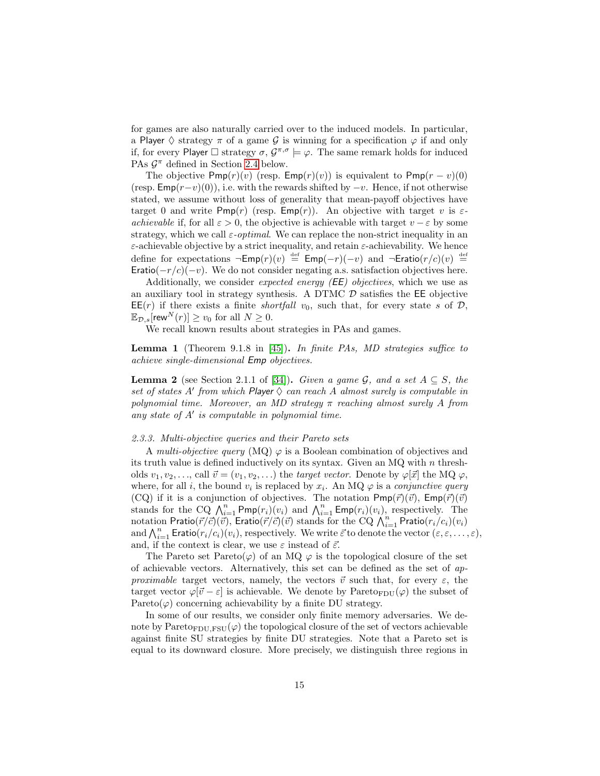for games are also naturally carried over to the induced models. In particular, a Player  $\Diamond$  strategy  $\pi$  of a game  $\mathcal G$  is winning for a specification  $\varphi$  if and only if, for every Player  $\Box$  strategy  $\sigma$ ,  $\mathcal{G}^{\pi,\sigma} \models \varphi$ . The same remark holds for induced PAs  $\mathcal{G}^{\pi}$  defined in Section [2.4](#page-17-0) below.

The objective  $Pmp(r)(v)$  (resp.  $Emp(r)(v)$ ) is equivalent to  $Pmp(r-v)(0)$ (resp.  $Emp(r-v)(0)$ ), i.e. with the rewards shifted by  $-v$ . Hence, if not otherwise stated, we assume without loss of generality that mean-payoff objectives have target 0 and write Pmp(r) (resp.  $Emp(r)$ ). An objective with target v is  $\varepsilon$ achievable if, for all  $\varepsilon > 0$ , the objective is achievable with target  $v - \varepsilon$  by some strategy, which we call  $\varepsilon$ -*optimal*. We can replace the non-strict inequality in an  $\varepsilon$ -achievable objective by a strict inequality, and retain  $\varepsilon$ -achievability. We hence define for expectations  $\neg Emp(r)(v) \stackrel{\text{def}}{=} Emp(-r)(-v)$  and  $\neg Eratio(r/c)(v) \stackrel{\text{def}}{=}$ Eratio( $-r/c$ )( $-v$ ). We do not consider negating a.s. satisfaction objectives here.

Additionally, we consider *expected energy (EE) objectives*, which we use as an auxiliary tool in strategy synthesis. A DTMC  $D$  satisfies the EE objective  $\mathsf{EE}(r)$  if there exists a finite *shortfall*  $v_0$ , such that, for every state s of  $\mathcal{D}$ ,  $\mathbb{E}_{\mathcal{D},s}$ [rew $N(r) \geq v_0$  for all  $N \geq 0$ .

We recall known results about strategies in PAs and games.

Lemma 1 (Theorem 9.1.8 in [\[45\]](#page-48-12)). In finite PAs, MD strategies suffice to achieve single-dimensional Emp objectives.

<span id="page-15-1"></span>**Lemma 2** (see Section 2.1.1 of [\[34\]](#page-48-13)). Given a game G, and a set  $A \subseteq S$ , the set of states A' from which Player  $\Diamond$  can reach A almost surely is computable in polynomial time. Moreover, an MD strategy  $\pi$  reaching almost surely A from any state of  $A'$  is computable in polynomial time.

#### <span id="page-15-0"></span>2.3.3. Multi-objective queries and their Pareto sets

A multi-objective query (MQ)  $\varphi$  is a Boolean combination of objectives and its truth value is defined inductively on its syntax. Given an MQ with  $n$  thresholds  $v_1, v_2, \ldots$ , call  $\vec{v} = (v_1, v_2, \ldots)$  the target vector. Denote by  $\varphi[\vec{x}]$  the MQ  $\varphi$ , where, for all i, the bound  $v_i$  is replaced by  $x_i$ . An MQ  $\varphi$  is a *conjunctive query* (CQ) if it is a conjunction of objectives. The notation  $Pmp(\vec{r})(\vec{v})$ ,  $Emp(\vec{r})(\vec{v})$ stands for the CQ  $\bigwedge_{i=1}^{n} \text{Pmp}(r_i)(v_i)$  and  $\bigwedge_{i=1}^{n} \text{Emp}(r_i)(v_i)$ , respectively. The notation Pratio $(\vec{r}/\vec{c})(\vec{v})$ , Eratio $(\vec{r}/\vec{c})(\vec{v})$  stands for the CQ  $\bigwedge_{i=1}^{n}$  Pratio $(r_i/c_i)(v_i)$ and  $\bigwedge_{i=1}^n$  Eratio $(r_i/c_i)(v_i)$ , respectively. We write  $\vec{\varepsilon}$  to denote the vector  $(\varepsilon, \varepsilon, \ldots, \varepsilon)$ , and, if the context is clear, we use  $\varepsilon$  instead of  $\vec{\varepsilon}$ .

The Pareto set Pareto( $\varphi$ ) of an MQ  $\varphi$  is the topological closure of the set of achievable vectors. Alternatively, this set can be defined as the set of approximable target vectors, namely, the vectors  $\vec{v}$  such that, for every  $\varepsilon$ , the target vector  $\varphi[\vec{v} - \varepsilon]$  is achievable. We denote by Pareto<sub>FDU</sub> $(\varphi)$  the subset of Pareto( $\varphi$ ) concerning achievability by a finite DU strategy.

In some of our results, we consider only finite memory adversaries. We denote by Pareto<sub>FDU,FSU</sub> $(\varphi)$  the topological closure of the set of vectors achievable against finite SU strategies by finite DU strategies. Note that a Pareto set is equal to its downward closure. More precisely, we distinguish three regions in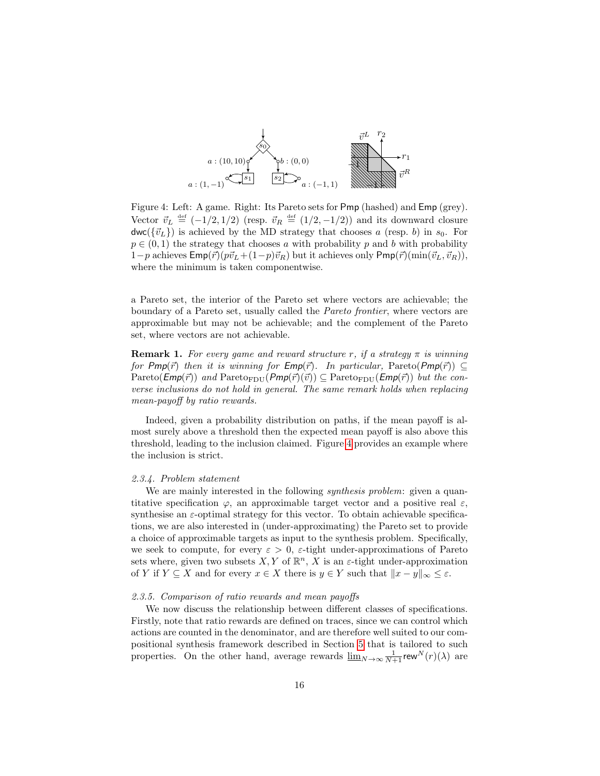<span id="page-16-2"></span>

Figure 4: Left: A game. Right: Its Pareto sets for Pmp (hashed) and Emp (grey). Vector  $\vec{v}_L \stackrel{\text{def}}{=} (-1/2, 1/2)$  (resp.  $\vec{v}_R \stackrel{\text{def}}{=} (1/2, -1/2)$ ) and its downward closure  $dwc({\vec{v}_L})$  is achieved by the MD strategy that chooses a (resp. b) in  $s_0$ . For  $p \in (0, 1)$  the strategy that chooses a with probability p and b with probability  $1-p$  achieves  $\mathsf{Emp}(\vec{r})(p\vec{v}_L + (1-p)\vec{v}_R)$  but it achieves only  $\mathsf{Pmp}(\vec{r})(\min(\vec{v}_L, \vec{v}_R)).$ where the minimum is taken componentwise.

a Pareto set, the interior of the Pareto set where vectors are achievable; the boundary of a Pareto set, usually called the Pareto frontier, where vectors are approximable but may not be achievable; and the complement of the Pareto set, where vectors are not achievable.

<span id="page-16-3"></span>**Remark 1.** For every game and reward structure r, if a strategy  $\pi$  is winning for Pmp( $\vec{r}$ ) then it is winning for  $Emp(\vec{r})$ . In particular, Pareto(Pmp( $\vec{r}$ ))  $\subseteq$  $Pareto(\text{Emp}(\vec{r}))$  and  $Pareto_{FDU}(Pmp(\vec{r})(\vec{v})) \subseteq Pareto_{FDU}(Emp(\vec{r}))$  but the converse inclusions do not hold in general. The same remark holds when replacing mean-payoff by ratio rewards.

Indeed, given a probability distribution on paths, if the mean payoff is almost surely above a threshold then the expected mean payoff is also above this threshold, leading to the inclusion claimed. Figure [4](#page-16-2) provides an example where the inclusion is strict.

#### <span id="page-16-0"></span>2.3.4. Problem statement

We are mainly interested in the following *synthesis problem*: given a quantitative specification  $\varphi$ , an approximable target vector and a positive real  $\varepsilon$ , synthesise an  $\varepsilon$ -optimal strategy for this vector. To obtain achievable specifications, we are also interested in (under-approximating) the Pareto set to provide a choice of approximable targets as input to the synthesis problem. Specifically, we seek to compute, for every  $\varepsilon > 0$ ,  $\varepsilon$ -tight under-approximations of Pareto sets where, given two subsets  $X, Y$  of  $\mathbb{R}^n$ ,  $\overline{X}$  is an  $\varepsilon$ -tight under-approximation of Y if  $Y \subseteq X$  and for every  $x \in X$  there is  $y \in Y$  such that  $||x - y||_{\infty} \leq \varepsilon$ .

#### <span id="page-16-1"></span>2.3.5. Comparison of ratio rewards and mean payoffs

We now discuss the relationship between different classes of specifications. Firstly, note that ratio rewards are defined on traces, since we can control which actions are counted in the denominator, and are therefore well suited to our compositional synthesis framework described in Section [5](#page-37-0) that is tailored to such properties. On the other hand, average rewards  $\underline{\lim}_{N\to\infty}\frac{1}{N+1}$ rew<sup>N</sup>(r)( $\lambda$ ) are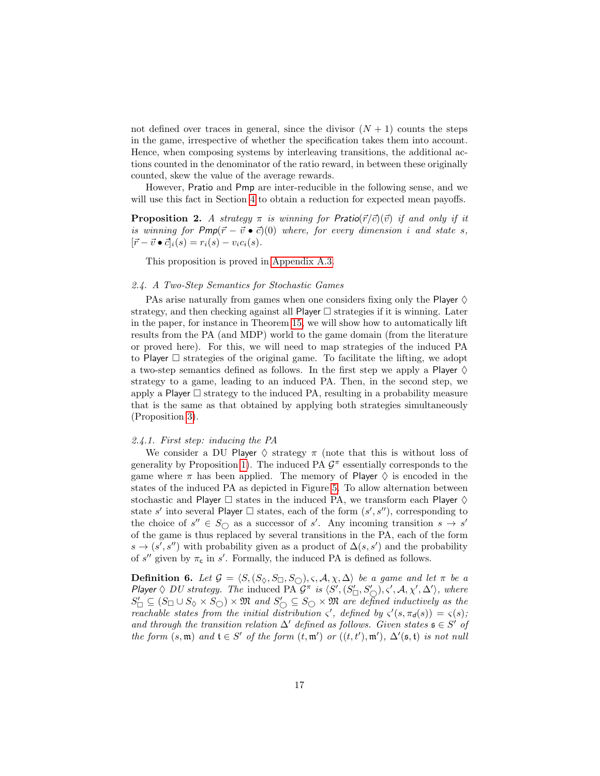not defined over traces in general, since the divisor  $(N + 1)$  counts the steps in the game, irrespective of whether the specification takes them into account. Hence, when composing systems by interleaving transitions, the additional actions counted in the denominator of the ratio reward, in between these originally counted, skew the value of the average rewards.

However, Pratio and Pmp are inter-reducible in the following sense, and we will use this fact in Section [4](#page-29-0) to obtain a reduction for expected mean payoffs.

**Proposition 2.** A strategy  $\pi$  is winning for Pratio( $\vec{r}/\vec{c}$ )( $\vec{v}$ ) if and only if it is winning for  $Pmp(\vec{r} - \vec{v} \bullet \vec{c})(0)$  where, for every dimension i and state s,  $[\vec{r} - \vec{v} \bullet \vec{c}]_i(s) = r_i(s) - v_i c_i(s).$ 

This proposition is proved in [Appendix A.3.](#page-52-0)

# <span id="page-17-0"></span>2.4. A Two-Step Semantics for Stochastic Games

PAs arise naturally from games when one considers fixing only the Player  $\diamond$ strategy, and then checking against all Player  $\Box$  strategies if it is winning. Later in the paper, for instance in Theorem [15,](#page-41-2) we will show how to automatically lift results from the PA (and MDP) world to the game domain (from the literature or proved here). For this, we will need to map strategies of the induced PA to Player  $\Box$  strategies of the original game. To facilitate the lifting, we adopt a two-step semantics defined as follows. In the first step we apply a Player  $\diamond$ strategy to a game, leading to an induced PA. Then, in the second step, we apply a Player  $\square$  strategy to the induced PA, resulting in a probability measure that is the same as that obtained by applying both strategies simultaneously (Proposition [3\)](#page-18-1).

#### <span id="page-17-1"></span>2.4.1. First step: inducing the PA

We consider a DU Player  $\Diamond$  strategy  $\pi$  (note that this is without loss of generality by Proposition [1\)](#page-13-3). The induced PA  $\mathcal{G}^{\pi}$  essentially corresponds to the game where  $\pi$  has been applied. The memory of Player  $\diamondsuit$  is encoded in the states of the induced PA as depicted in Figure [5.](#page-18-2) To allow alternation between stochastic and Player  $\Box$  states in the induced PA, we transform each Player  $\diamond$ state s' into several Player  $\Box$  states, each of the form  $(s', s'')$ , corresponding to the choice of  $s'' \in S_{\bigcirc}$  as a successor of s'. Any incoming transition  $s \to s'$ of the game is thus replaced by several transitions in the PA, each of the form  $s \to (s', s'')$  with probability given as a product of  $\Delta(s, s')$  and the probability of  $s''$  given by  $\pi_c$  in  $s'$ . Formally, the induced PA is defined as follows.

**Definition 6.** Let  $\mathcal{G} = \langle S, (S_{\Diamond}, S_{\Box}, S_{\Diamond}), \varsigma, \mathcal{A}, \chi, \Delta \rangle$  be a game and let  $\pi$  be a Player  $\Diamond$  DU strategy. The induced PA  $G^{\pi}$  is  $\langle S', (S'_{\Box}, S'_{\bigcirc}), \varsigma', \mathcal{A}, \chi', \Delta' \rangle$ , where  $S'_\Box \subseteq (S_\Box \cup S_\Diamond \times S_\bigcirc) \times \mathfrak{M}$  and  $S'_\bigcirc \subseteq S_\bigcirc \times \mathfrak{M}$  are defined inductively as the reachable states from the initial distribution  $\zeta'$ , defined by  $\zeta'(s, \pi_d(s)) = \zeta(s)$ ; and through the transition relation  $\Delta'$  defined as follows. Given states  $\mathfrak{s} \in S'$  of the form  $(s, \mathfrak{m})$  and  $\mathfrak{t} \in S'$  of the form  $(t, \mathfrak{m}')$  or  $((t, t'), \mathfrak{m}')$ ,  $\Delta'(\mathfrak{s}, \mathfrak{t})$  is not null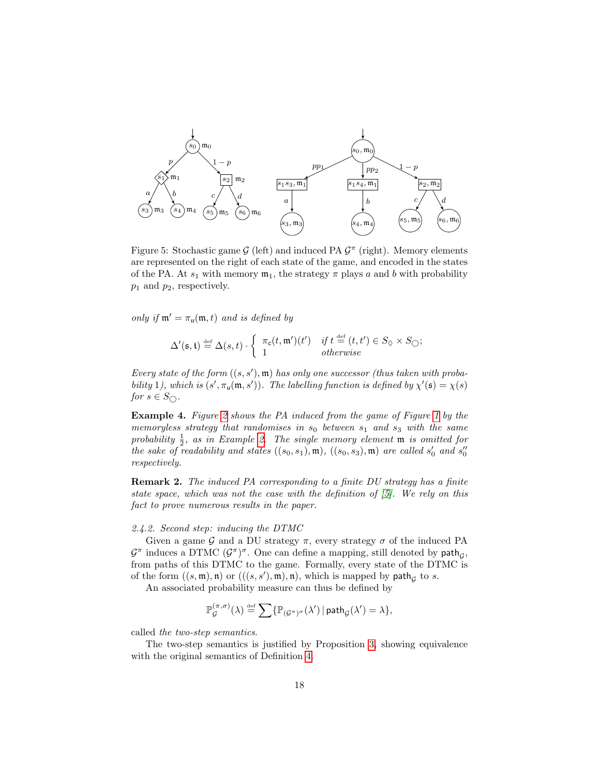<span id="page-18-2"></span>

Figure 5: Stochastic game  $G$  (left) and induced PA  $G^{\pi}$  (right). Memory elements are represented on the right of each state of the game, and encoded in the states of the PA. At  $s_1$  with memory  $\mathfrak{m}_1$ , the strategy  $\pi$  plays a and b with probability  $p_1$  and  $p_2$ , respectively.

only if  $m' = \pi_u(m, t)$  and is defined by

$$
\Delta'(\mathfrak{s},\mathfrak{t}) \stackrel{\text{def}}{=} \Delta(s,t) \cdot \left\{ \begin{array}{ll} \pi_c(t,\mathfrak{m}')(t') & \text{if } t \stackrel{\text{def}}{=} (t,t') \in S_{\Diamond} \times S_{\bigcirc}; \\ 1 & \text{otherwise} \end{array} \right.
$$

Every state of the form  $((s, s'), \mathfrak{m})$  has only one successor (thus taken with probability 1), which is  $(s', \pi_u(\mathfrak{m}, s'))$ . The labelling function is defined by  $\chi'(\mathfrak{s}) = \chi(s)$ for  $s \in S_{\bigcirc}$ .

Example 4. Figure [2](#page-9-1) shows the PA induced from the game of Figure [1](#page-8-2) by the memoryless strategy that randomises in  $s_0$  between  $s_1$  and  $s_3$  with the same probability  $\frac{1}{2}$ , as in Example [2.](#page-12-0) The single memory element  $\mathfrak m$  is omitted for the sake of readability and states  $((s_0, s_1), \mathfrak{m}), ((s_0, s_3), \mathfrak{m})$  are called  $s'_0$  and  $s''_0$ respectively.

Remark 2. The induced PA corresponding to a finite DU strategy has a finite state space, which was not the case with the definition of [\[5\]](#page-46-2). We rely on this fact to prove numerous results in the paper.

# <span id="page-18-0"></span>2.4.2. Second step: inducing the DTMC

Given a game G and a DU strategy  $\pi$ , every strategy  $\sigma$  of the induced PA  $\mathcal{G}^{\pi}$  induces a DTMC  $(\mathcal{G}^{\pi})^{\sigma}$ . One can define a mapping, still denoted by  $\mathsf{path}_{\mathcal{G}}$ , from paths of this DTMC to the game. Formally, every state of the DTMC is of the form  $((s, \mathfrak{m}), \mathfrak{n})$  or  $(((s, s'), \mathfrak{m}), \mathfrak{n})$ , which is mapped by path<sub>g</sub> to s.

An associated probability measure can thus be defined by

$$
\mathbb{P}_\mathcal{G}^{(\pi,\sigma)}(\lambda) \stackrel{\text{def}}{=} \sum \{ \mathbb{P}_{(\mathcal{G}^\pi)^\sigma}(\lambda') \, | \, \mathsf{path}_{\mathcal{G}}(\lambda') = \lambda \},
$$

called the two-step semantics.

<span id="page-18-1"></span>The two-step semantics is justified by Proposition [3,](#page-18-1) showing equivalence with the original semantics of Definition [4.](#page-11-3)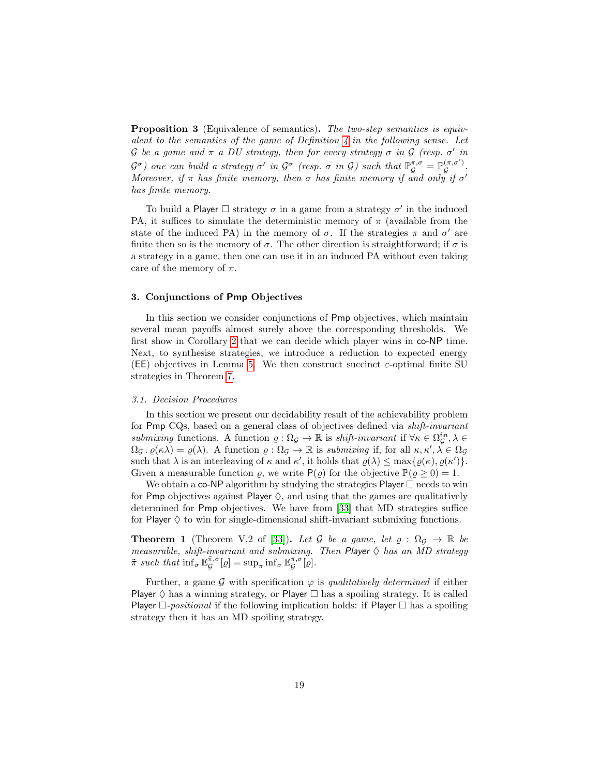Proposition 3 (Equivalence of semantics). The two-step semantics is equivalent to the semantics of the game of Definition  $\lambda$  in the following sense. Let G be a game and  $\pi$  a DU strategy, then for every strategy  $\sigma$  in G (resp.  $\sigma'$  in  $\mathcal{G}^{\sigma}$ ) one can build a strategy  $\sigma'$  in  $\mathcal{G}^{\sigma}$  (resp.  $\sigma$  in  $\mathcal{G}$ ) such that  $\mathbb{P}_{\mathcal{G}}^{\pi,\sigma} = \mathbb{P}_{\mathcal{G}}^{(\pi,\sigma')}$ ιπ,σ).<br>G Moreover, if  $\pi$  has finite memory, then  $\sigma$  has finite memory if and only if  $\sigma'$ has finite memory.

To build a Player  $\Box$  strategy  $\sigma$  in a game from a strategy  $\sigma'$  in the induced PA, it suffices to simulate the deterministic memory of  $\pi$  (available from the state of the induced PA) in the memory of  $\sigma$ . If the strategies  $\pi$  and  $\sigma'$  are finite then so is the memory of  $\sigma$ . The other direction is straightforward; if  $\sigma$  is a strategy in a game, then one can use it in an induced PA without even taking care of the memory of  $\pi$ .

# <span id="page-19-0"></span>3. Conjunctions of Pmp Objectives

In this section we consider conjunctions of Pmp objectives, which maintain several mean payoffs almost surely above the corresponding thresholds. We first show in Corollary [2](#page-21-2) that we can decide which player wins in co-NP time. Next, to synthesise strategies, we introduce a reduction to expected energy (EE) objectives in Lemma [5.](#page-23-2) We then construct succinct  $\varepsilon$ -optimal finite SU strategies in Theorem [7.](#page-28-0)

# <span id="page-19-1"></span>3.1. Decision Procedures

In this section we present our decidability result of the achievability problem for Pmp CQs, based on a general class of objectives defined via shift-invariant submixing functions. A function  $\varrho : \Omega_{\mathcal{G}} \to \mathbb{R}$  is shift-invariant if  $\forall \kappa \in \Omega_{\mathcal{G}}^{\text{fin}}, \lambda \in$  $\Omega_{\mathcal{G}} \cdot \varrho(\kappa \lambda) = \varrho(\lambda)$ . A function  $\varrho : \Omega_{\mathcal{G}} \to \mathbb{R}$  is submixing if, for all  $\kappa, \kappa', \lambda \in \Omega_{\mathcal{G}}$ such that  $\lambda$  is an interleaving of  $\kappa$  and  $\kappa'$ , it holds that  $\rho(\lambda) \leq \max\{\varrho(\kappa), \varrho(\kappa')\}.$ Given a measurable function  $\rho$ , we write  $P(\rho)$  for the objective  $P(\rho \ge 0) = 1$ .

We obtain a co-NP algorithm by studying the strategies Player  $\Box$  needs to win for Pmp objectives against Player  $\Diamond$ , and using that the games are qualitatively determined for Pmp objectives. We have from [\[33\]](#page-48-6) that MD strategies suffice for Player  $\diamondsuit$  to win for single-dimensional shift-invariant submixing functions.

<span id="page-19-2"></span>**Theorem 1** (Theorem V.2 of [\[33\]](#page-48-6)). Let G be a game, let  $\varrho : \Omega_{\mathcal{G}} \to \mathbb{R}$  be measurable, shift-invariant and submixing. Then Player  $\diamondsuit$  has an MD strategy  $\tilde{\pi}$  such that  $\inf_{\sigma} \mathbb{E}_{\mathcal{G}}^{\tilde{\pi},\sigma}[\varrho] = \sup_{\pi} \inf_{\sigma} \mathbb{E}_{\mathcal{G}}^{\pi,\sigma}[\varrho].$ 

<span id="page-19-3"></span>Further, a game G with specification  $\varphi$  is qualitatively determined if either Player  $\diamondsuit$  has a winning strategy, or Player  $\square$  has a spoiling strategy. It is called Player  $\Box$ -positional if the following implication holds: if Player  $\Box$  has a spoiling strategy then it has an MD spoiling strategy.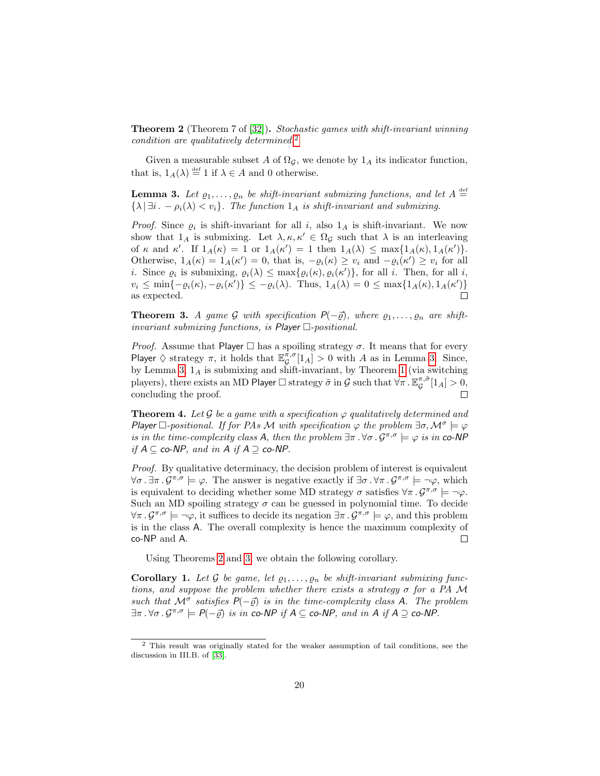**Theorem 2** (Theorem 7 of [\[32\]](#page-47-6)). Stochastic games with shift-invariant winning condition are qualitatively determined.<sup>[2](#page-20-0)</sup>

Given a measurable subset A of  $\Omega_{\mathcal{G}}$ , we denote by  $1_A$  its indicator function, that is,  $1_A(\lambda) \stackrel{\text{def}}{=} 1$  if  $\lambda \in A$  and 0 otherwise.

<span id="page-20-1"></span>**Lemma 3.** Let  $\varrho_1, \ldots, \varrho_n$  be shift-invariant submixing functions, and let  $A \stackrel{\text{def}}{=}$  $\{\lambda \mid \exists i \,.\, -\rho_i(\lambda) < v_i\}.$  The function  $1_A$  is shift-invariant and submixing.

*Proof.* Since  $\varrho_i$  is shift-invariant for all i, also  $1_A$  is shift-invariant. We now show that  $1_A$  is submixing. Let  $\lambda, \kappa, \kappa' \in \Omega_{\mathcal{G}}$  such that  $\lambda$  is an interleaving of  $\kappa$  and  $\kappa'$ . If  $1_A(\kappa) = 1$  or  $1_A(\kappa') = 1$  then  $1_A(\lambda) \le \max\{1_A(\kappa), 1_A(\kappa')\}.$ Otherwise,  $1_A(\kappa) = 1_A(\kappa') = 0$ , that is,  $-\varrho_i(\kappa) \ge v_i$  and  $-\varrho_i(\kappa') \ge v_i$  for all *i*. Since  $\varrho_i$  is submixing,  $\varrho_i(\lambda) \leq \max\{\varrho_i(\kappa), \varrho_i(\kappa')\}\)$ , for all *i*. Then, for all *i*,  $v_i \le \min\{-\varrho_i(\kappa), -\varrho_i(\kappa')\} \le -\varrho_i(\lambda)$ . Thus,  $1_A(\lambda) = 0 \le \max\{1_A(\kappa), 1_A(\kappa')\}$ as expected.  $\Box$ 

<span id="page-20-2"></span>**Theorem 3.** A game G with specification  $P(-\vec{\rho})$ , where  $\rho_1, \ldots, \rho_n$  are shiftinvariant submixing functions, is  $Player \square-positional$ .

*Proof.* Assume that Player  $\Box$  has a spoiling strategy  $\sigma$ . It means that for every Player  $\Diamond$  strategy  $\pi$ , it holds that  $\mathbb{E}_{\mathcal{G}}^{\pi,\sigma}[1_A] > 0$  with A as in Lemma [3.](#page-20-1) Since, by Lemma [3,](#page-20-1)  $1_A$  is submixing and shift-invariant, by Theorem [1](#page-19-2) (via switching players), there exists an MD Player  $\Box$  strategy  $\tilde{\sigma}$  in  $\mathcal G$  such that  $\forall \pi$  .  $\mathbb E^{\pi,\tilde{\sigma}}_{{\mathcal{G}}}[1_A]>0,$ concluding the proof.

**Theorem 4.** Let G be a game with a specification  $\varphi$  qualitatively determined and Player  $\Box$ -positional. If for PAs M with specification  $\varphi$  the problem  $\exists \sigma, \mathcal{M}^{\sigma} \models \varphi$ is in the time-complexity class A, then the problem  $\exists \pi . \forall \sigma . \mathcal{G}^{\pi,\sigma} \models \varphi$  is in co-NP if  $A \subseteq$  co-NP, and in A if  $A \supseteq$  co-NP.

Proof. By qualitative determinacy, the decision problem of interest is equivalent  $\forall \sigma \ldotp \exists \pi \ldotp \mathcal{G}^{\pi,\sigma} \models \varphi$ . The answer is negative exactly if  $\exists \sigma \ldotp \forall \pi \ldotp \mathcal{G}^{\pi,\sigma} \models \neg \varphi$ , which is equivalent to deciding whether some MD strategy  $\sigma$  satisfies  $\forall \pi \cdot \mathcal{G}^{\pi,\sigma} \models \neg \varphi$ . Such an MD spoiling strategy  $\sigma$  can be guessed in polynomial time. To decide  $\forall \pi \ldotp \mathcal{G}^{\pi,\sigma} \models \neg \varphi$ , it suffices to decide its negation  $\exists \pi \ldotp \mathcal{G}^{\pi,\sigma} \models \varphi$ , and this problem is in the class A. The overall complexity is hence the maximum complexity of co-NP and A.  $\Box$ 

Using Theorems [2](#page-19-3) and [3,](#page-20-2) we obtain the following corollary.

**Corollary 1.** Let G be game, let  $\varrho_1, \ldots, \varrho_n$  be shift-invariant submixing functions, and suppose the problem whether there exists a strategy  $\sigma$  for a PA M such that  $\mathcal{M}^{\sigma}$  satisfies  $P(-\vec{Q})$  is in the time-complexity class A. The problem  $\exists \pi \ldotp \forall \sigma \ldotp \mathcal{G}^{\pi,\sigma} \models P(-\vec{\varrho})$  is in co-NP if  $A \subseteq$  co-NP, and in A if  $A \supseteq$  co-NP.

<span id="page-20-0"></span> $^{\rm 2}$  This result was originally stated for the weaker assumption of tail conditions, see the discussion in III.B. of [\[33\]](#page-48-6).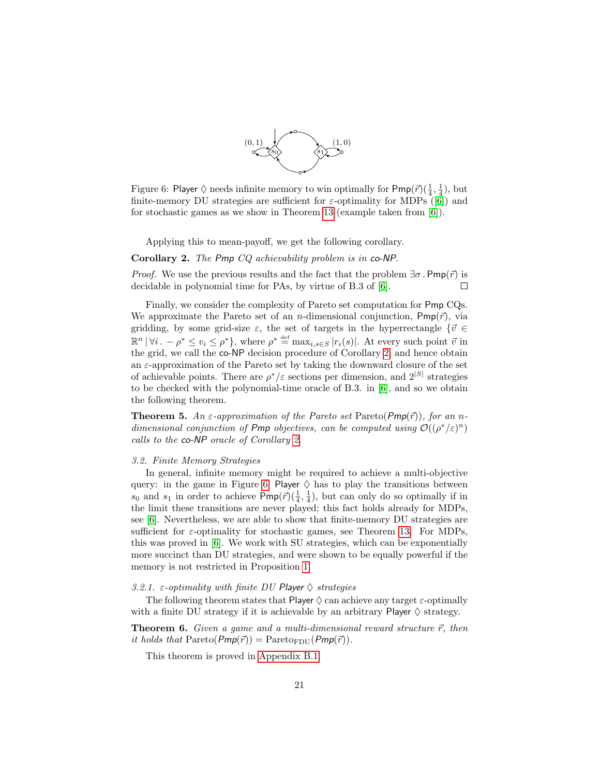

<span id="page-21-3"></span>Figure 6: Player  $\Diamond$  needs infinite memory to win optimally for  $\mathsf{Pmp}(\vec{r})(\frac{1}{4},\frac{1}{4})$ , but finite-memoryDU strategies are sufficient for  $\varepsilon$ -optimality for MDPs ([\[6\]](#page-46-5)) and for stochastic games as we show in Theorem [13](#page-36-2) (example taken from [\[6\]](#page-46-5)).

Applying this to mean-payoff, we get the following corollary.

<span id="page-21-2"></span>Corollary 2. The Pmp CQ achievability problem is in co-NP.

*Proof.* We use the previous results and the fact that the problem  $\exists \sigma$ . Pmp( $\vec{r}$ ) is decidable in polynomial time for PAs, by virtue of B.3 of [\[6\]](#page-46-5).  $\Box$ 

Finally, we consider the complexity of Pareto set computation for Pmp CQs. We approximate the Pareto set of an *n*-dimensional conjunction,  $Pmp(\vec{r})$ , via gridding, by some grid-size  $\varepsilon$ , the set of targets in the hyperrectangle  $\{\vec{v} \in$  $\mathbb{R}^n \, | \, \forall i \, . \, -\rho^* \leq v_i \leq \rho^* \},$  where  $\rho^* \stackrel{\text{def}}{=} \max_{i,s \in S} |r_i(s)|$ . At every such point  $\vec{v}$  in the grid, we call the co-NP decision procedure of Corollary [2,](#page-21-2) and hence obtain an  $\varepsilon$ -approximation of the Pareto set by taking the downward closure of the set of achievable points. There are  $\rho^*/\varepsilon$  sections per dimension, and  $2^{|S|}$  strategies to be checked with the polynomial-time oracle of B.3. in [\[6\]](#page-46-5), and so we obtain the following theorem.

**Theorem 5.** An  $\varepsilon$ -approximation of the Pareto set Pareto( $Pmp(\vec{r})$ ), for an ndimensional conjunction of Pmp objectives, can be computed using  $\mathcal{O}((\rho^*/\varepsilon)^n)$ calls to the co-NP oracle of Corollary [2.](#page-21-2)

#### <span id="page-21-0"></span>3.2. Finite Memory Strategies

In general, infinite memory might be required to achieve a multi-objective query: in the game in Figure [6,](#page-21-3) Player  $\diamond$  has to play the transitions between  $s_0$  and  $s_1$  in order to achieve  $\textsf{Pmp}(\vec{r})\left(\frac{1}{4},\frac{1}{4}\right)$ , but can only do so optimally if in the limit these transitions are never played; this fact holds already for MDPs, see [\[6\]](#page-46-5). Nevertheless, we are able to show that finite-memory DU strategies are sufficient for  $\varepsilon$ -optimality for stochastic games, see Theorem [13.](#page-36-2) For MDPs, this was proved in [\[6\]](#page-46-5). We work with SU strategies, which can be exponentially more succinct than DU strategies, and were shown to be equally powerful if the memory is not restricted in Proposition [1.](#page-13-3)

# <span id="page-21-1"></span>3.2.1.  $\varepsilon$ -optimality with finite DU Player  $\Diamond$  strategies

The following theorem states that Player  $\Diamond$  can achieve any target  $\varepsilon$ -optimally with a finite DU strategy if it is achievable by an arbitrary Player  $\diamond$  strategy.

<span id="page-21-4"></span>**Theorem 6.** Given a game and a multi-dimensional reward structure  $\vec{r}$ , then it holds that  $\text{Pareto}(\text{Pmp}(\vec{r})) = \text{Pareto}_{\text{FDU}}(\text{Pmp}(\vec{r})).$ 

This theorem is proved in [Appendix B.1.](#page-52-2)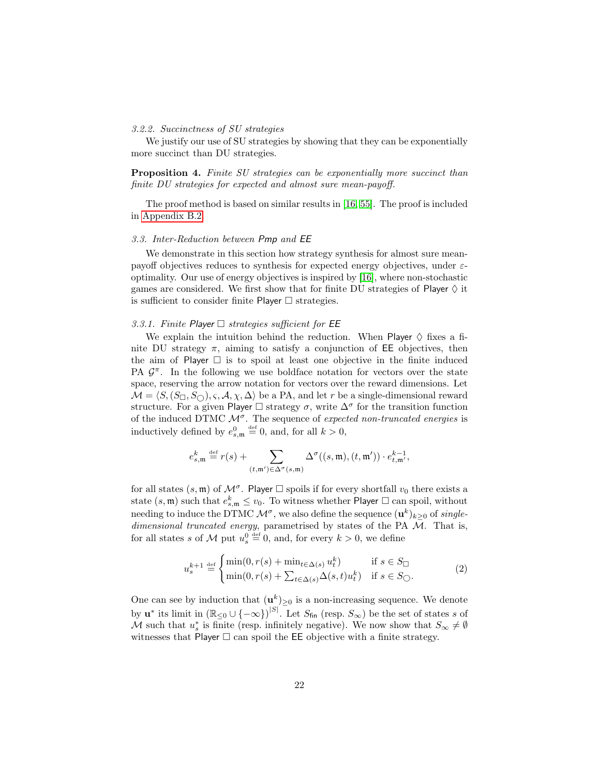#### <span id="page-22-0"></span>3.2.2. Succinctness of SU strategies

We justify our use of SU strategies by showing that they can be exponentially more succinct than DU strategies.

Proposition 4. Finite SU strategies can be exponentially more succinct than finite DU strategies for expected and almost sure mean-payoff.

The proof method is based on similar results in [\[16,](#page-46-0) [55\]](#page-49-6). The proof is included in [Appendix B.2.](#page-53-0)

#### <span id="page-22-1"></span>3.3. Inter-Reduction between Pmp and EE

We demonstrate in this section how strategy synthesis for almost sure meanpayoff objectives reduces to synthesis for expected energy objectives, under  $\varepsilon$ optimality. Our use of energy objectives is inspired by [\[16\]](#page-46-0), where non-stochastic games are considered. We first show that for finite DU strategies of Player  $\diamondsuit$  it is sufficient to consider finite Player  $\Box$  strategies.

# <span id="page-22-2"></span>3.3.1. Finite Player  $\Box$  strategies sufficient for EE

We explain the intuition behind the reduction. When Player  $\diamond$  fixes a finite DU strategy  $\pi$ , aiming to satisfy a conjunction of EE objectives, then the aim of Player  $\Box$  is to spoil at least one objective in the finite induced PA  $\mathcal{G}^{\pi}$ . In the following we use boldface notation for vectors over the state space, reserving the arrow notation for vectors over the reward dimensions. Let  $\mathcal{M} = \langle S, (S_{\Box}, S_{\bigcirc}), \varsigma, \mathcal{A}, \chi, \Delta \rangle$  be a PA, and let r be a single-dimensional reward structure. For a given Player  $\Box$  strategy  $\sigma$ , write  $\Delta^{\sigma}$  for the transition function of the induced DTMC  $\mathcal{M}^{\sigma}$ . The sequence of expected non-truncated energies is inductively defined by  $e_{s,\mathfrak{m}}^0 \stackrel{\text{def}}{=} 0$ , and, for all  $k > 0$ ,

$$
e_{s,\mathfrak{m}}^k\stackrel{\text{def}}{=} r(s)+\sum_{(t,\mathfrak{m}')\in\Delta^{\sigma}(s,\mathfrak{m})}\Delta^{\sigma}((s,\mathfrak{m}),(t,\mathfrak{m}'))\cdot e_{t,\mathfrak{m}'}^{k-1},
$$

for all states  $(s, \mathfrak{m})$  of  $\mathcal{M}^{\sigma}$ . Player  $\square$  spoils if for every shortfall  $v_0$  there exists a state  $(s, \mathfrak{m})$  such that  $e_{s,\mathfrak{m}}^k \leq v_0$ . To witness whether Player  $\Box$  can spoil, without needing to induce the DTMC  $\mathcal{M}^{\sigma}$ , we also define the sequence  $(\mathbf{u}^{k})_{k\geq0}$  of *single*dimensional truncated energy, parametrised by states of the PA M. That is, for all states s of M put  $u_s^0 \stackrel{\text{def}}{=} 0$ , and, for every  $k > 0$ , we define

$$
u_s^{k+1} \stackrel{\text{def}}{=} \begin{cases} \min(0, r(s) + \min_{t \in \Delta(s)} u_t^k) & \text{if } s \in S_{\square} \\ \min(0, r(s) + \sum_{t \in \Delta(s)} \Delta(s, t) u_t^k) & \text{if } s \in S_{\square} \end{cases} \tag{2}
$$

<span id="page-22-3"></span>One can see by induction that  $(\mathbf{u}^k)_{\geq 0}$  is a non-increasing sequence. We denote by  $\mathbf{u}^*$  its limit in  $(\mathbb{R}_{\leq 0} \cup \{-\infty\})^{|S|}$ . Let  $S_{\text{fin}}$  (resp.  $S_{\infty}$ ) be the set of states s of M such that  $u_s^*$  is finite (resp. infinitely negative). We now show that  $S_{\infty} \neq \emptyset$ witnesses that Player  $\Box$  can spoil the EE objective with a finite strategy.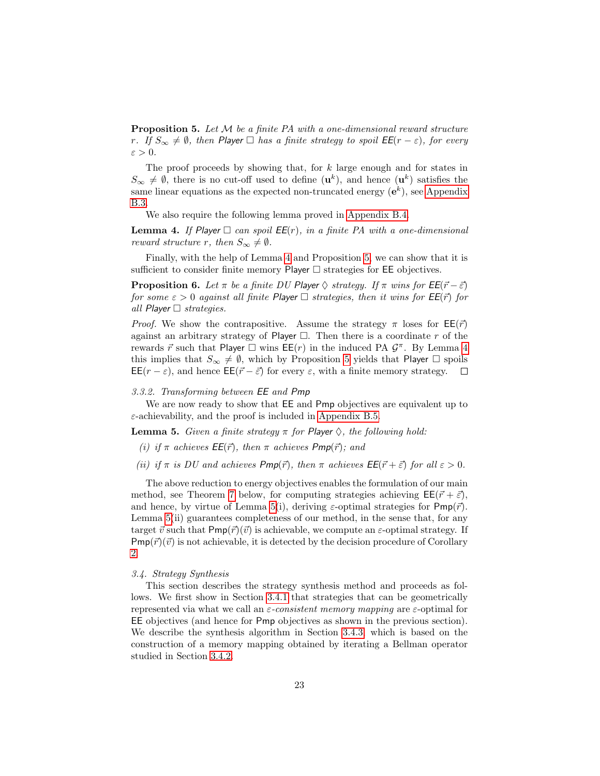**Proposition 5.** Let M be a finite PA with a one-dimensional reward structure r. If  $S_{\infty} \neq \emptyset$ , then Player  $\Box$  has a finite strategy to spoil  $\mathsf{EE}(r - \varepsilon)$ , for every  $\varepsilon > 0$ .

The proof proceeds by showing that, for  $k$  large enough and for states in  $S_{\infty} \neq \emptyset$ , there is no cut-off used to define  $(\mathbf{u}^k)$ , and hence  $(\mathbf{u}^k)$  satisfies the same linear equations as the expected non-truncated energy  $(e^k)$ , see [Appendix](#page-55-0) [B.3.](#page-55-0)

We also require the following lemma proved in [Appendix B.4.](#page-61-0)

<span id="page-23-3"></span>**Lemma 4.** If Player  $\Box$  can spoil  $EE(r)$ , in a finite PA with a one-dimensional reward structure r, then  $S_{\infty} \neq \emptyset$ .

Finally, with the help of Lemma [4](#page-23-3) and Proposition [5,](#page-22-3) we can show that it is sufficient to consider finite memory Player  $\Box$  strategies for EE objectives.

**Proposition 6.** Let  $\pi$  be a finite DU Player  $\Diamond$  strategy. If  $\pi$  wins for  $EE(\vec{r} - \vec{\varepsilon})$ for some  $\varepsilon > 0$  against all finite Player  $\Box$  strategies, then it wins for  $\mathsf{EE}(\vec{r})$  for all Player  $\Box$  strategies.

*Proof.* We show the contrapositive. Assume the strategy  $\pi$  loses for  $EE(\vec{r})$ against an arbitrary strategy of Player  $\Box$ . Then there is a coordinate r of the rewards  $\vec{r}$  such that Player  $\Box$  wins  $\overline{EE}(r)$  in the induced PA  $\mathcal{G}^{\pi}$ . By Lemma [4](#page-23-3) this implies that  $S_{\infty} \neq \emptyset$ , which by Proposition [5](#page-22-3) yields that Player  $\square$  spoils  $\mathsf{EE}(r-\varepsilon)$ , and hence  $\mathsf{EE}(\vec{r}-\vec{\varepsilon})$  for every  $\varepsilon$ , with a finite memory strategy.  $\Box$ 

#### <span id="page-23-0"></span>3.3.2. Transforming between EE and Pmp

We are now ready to show that EE and Pmp objectives are equivalent up to  $\varepsilon$ -achievability, and the proof is included in [Appendix B.5.](#page-61-1)

<span id="page-23-2"></span>**Lemma 5.** Given a finite strategy  $\pi$  for Player  $\diamondsuit$ , the following hold:

(i) if  $\pi$  achieves  $EE(\vec{r})$ , then  $\pi$  achieves  $Pmp(\vec{r})$ ; and

(ii) if  $\pi$  is DU and achieves  $Pmp(\vec{r})$ , then  $\pi$  achieves  $EE(\vec{r}+\vec{\varepsilon})$  for all  $\varepsilon > 0$ .

The above reduction to energy objectives enables the formulation of our main method, see Theorem [7](#page-28-0) below, for computing strategies achieving  $\mathsf{EE}(\vec{r} + \vec{\varepsilon})$ , and hence, by virtue of Lemma [5\(](#page-23-2)i), deriving  $\varepsilon$ -optimal strategies for Pmp( $\vec{r}$ ). Lemma [5\(](#page-23-2)ii) guarantees completeness of our method, in the sense that, for any target  $\vec{v}$  such that  $Pmp(\vec{r})(\vec{v})$  is achievable, we compute an  $\varepsilon$ -optimal strategy. If  $Pmp(\vec{r})(\vec{v})$  is not achievable, it is detected by the decision procedure of Corollary [2.](#page-21-2)

#### <span id="page-23-1"></span>3.4. Strategy Synthesis

This section describes the strategy synthesis method and proceeds as follows. We first show in Section [3.4.1](#page-24-0) that strategies that can be geometrically represented via what we call an  $\varepsilon$ -consistent memory mapping are  $\varepsilon$ -optimal for EE objectives (and hence for Pmp objectives as shown in the previous section). We describe the synthesis algorithm in Section [3.4.3,](#page-27-0) which is based on the construction of a memory mapping obtained by iterating a Bellman operator studied in Section [3.4.2.](#page-24-1)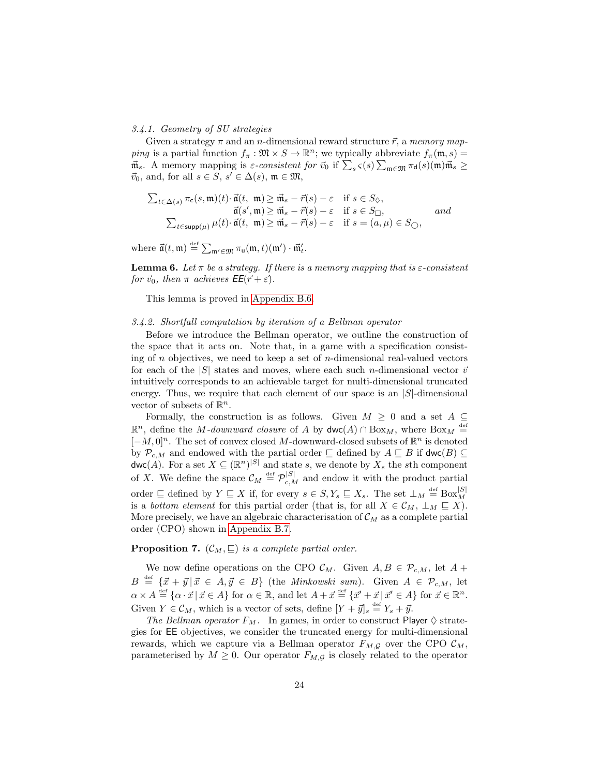# <span id="page-24-0"></span>3.4.1. Geometry of SU strategies

Given a strategy  $\pi$  and an *n*-dimensional reward structure  $\vec{r}$ , a memory mapping is a partial function  $f_{\pi} : \mathfrak{M} \times S \to \mathbb{R}^n$ ; we typically abbreviate  $f_{\pi}(\mathfrak{m}, s) =$  $\vec{m}_s$ . A memory mapping is  $\varepsilon$ -consistent for  $\vec{v}_0$  if  $\sum_s \varsigma(s) \sum_{\mathfrak{m} \in \mathfrak{M}} \pi_{\mathsf{d}}(s)(\mathfrak{m}) \vec{\mathfrak{m}}_s \geq$  $\vec{v}_0$ , and, for all  $s \in S$ ,  $s' \in \Delta(s)$ ,  $\mathfrak{m} \in \mathfrak{M}$ ,

$$
\sum_{t \in \Delta(s)} \pi_{\mathsf{c}}(s, \mathfrak{m})(t) \cdot \vec{\mathfrak{a}}(t, \mathfrak{m}) \geq \vec{\mathfrak{m}}_s - \vec{r}(s) - \varepsilon \quad \text{if } s \in S_{\Diamond},
$$
  

$$
\vec{\mathfrak{a}}(s', \mathfrak{m}) \geq \vec{\mathfrak{m}}_s - \vec{r}(s) - \varepsilon \quad \text{if } s \in S_{\Box},
$$
  

$$
\sum_{t \in \text{supp}(\mu)} \mu(t) \cdot \vec{\mathfrak{a}}(t, \mathfrak{m}) \geq \vec{\mathfrak{m}}_s - \vec{r}(s) - \varepsilon \quad \text{if } s = (a, \mu) \in S_{\bigcirc},
$$

where  $\vec{\mathfrak{a}}(t, \mathfrak{m}) \stackrel{\text{def}}{=} \sum_{\mathfrak{m}' \in \mathfrak{M}} \pi_{\mathfrak{u}}(\mathfrak{m}, t)(\mathfrak{m}') \cdot \vec{\mathfrak{m}}'_t$ .

<span id="page-24-2"></span>**Lemma 6.** Let  $\pi$  be a strategy. If there is a memory mapping that is  $\varepsilon$ -consistent for  $\vec{v}_0$ , then  $\pi$  achieves  $EE(\vec{r} + \vec{\varepsilon})$ .

This lemma is proved in [Appendix B.6.](#page-62-0)

#### <span id="page-24-1"></span>3.4.2. Shortfall computation by iteration of a Bellman operator

Before we introduce the Bellman operator, we outline the construction of the space that it acts on. Note that, in a game with a specification consisting of n objectives, we need to keep a set of n-dimensional real-valued vectors for each of the  $|S|$  states and moves, where each such n-dimensional vector  $\vec{v}$ intuitively corresponds to an achievable target for multi-dimensional truncated energy. Thus, we require that each element of our space is an  $|S|$ -dimensional vector of subsets of  $\mathbb{R}^n$ .

Formally, the construction is as follows. Given  $M \geq 0$  and a set  $A \subseteq$  $\mathbb{R}^n$ , define the *M*-downward closure of A by  $\mathsf{dwc}(A) \cap \text{Box}_M$ , where  $\text{Box}_M \stackrel{\text{def}}{=}$  $[-M, 0]$ <sup>n</sup>. The set of convex closed M-downward-closed subsets of  $\mathbb{R}^n$  is denoted by  $\mathcal{P}_{c,M}$  and endowed with the partial order  $\subseteq$  defined by  $A \subseteq B$  if  $\textsf{dwc}(B) \subseteq$  $\mathsf{dwc}(A)$ . For a set  $X \subseteq (\mathbb{R}^n)^{|S|}$  and state s, we denote by  $X_s$  the sth component of X. We define the space  $\mathcal{C}_M \stackrel{\text{def}}{=} \mathcal{P}_{c,M}^{[S]}$  and endow it with the product partial order  $\subseteq$  defined by  $Y \subseteq X$  if, for every  $s \in S, Y_s \subseteq X_s$ . The set  $\perp_M \stackrel{\text{def}}{=} \text{Box}_M^{|S|}$ is a bottom element for this partial order (that is, for all  $X \in \mathcal{C}_M$ ,  $\perp_M \sqsubseteq X$ ). More precisely, we have an algebraic characterisation of  $\mathcal{C}_M$  as a complete partial order (CPO) shown in [Appendix B.7.](#page-63-0)

# **Proposition 7.**  $(C_M, \subseteq)$  is a complete partial order.

We now define operations on the CPO  $\mathcal{C}_M$ . Given  $A, B \in \mathcal{P}_{c,M}$ , let  $A +$  $B \stackrel{\text{def}}{=} {\{\vec{x} + \vec{y} \mid \vec{x} \in A, \vec{y} \in B\}}$  (the *Minkowski sum*). Given  $A \in \mathcal{P}_{c,M}$ , let  $\alpha \times A \stackrel{\text{def}}{=} {\alpha \cdot \vec{x} \, | \, \vec{x} \in A}$  for  $\alpha \in \mathbb{R}$ , and let  $A + \vec{x} \stackrel{\text{def}}{=} {\{\vec{x}' + \vec{x} \, | \, \vec{x}' \in A\}}$  for  $\vec{x} \in \mathbb{R}^n$ . Given  $Y \in \mathcal{C}_M$ , which is a vector of sets, define  $[Y + \vec{y}]_s \stackrel{\text{def}}{=} Y_s + \vec{y}$ .

The Bellman operator  $F_M$ . In games, in order to construct Player  $\diamond$  strategies for EE objectives, we consider the truncated energy for multi-dimensional rewards, which we capture via a Bellman operator  $F_{M,G}$  over the CPO  $\mathcal{C}_M$ , parameterised by  $M \geq 0$ . Our operator  $F_{M,\mathcal{G}}$  is closely related to the operator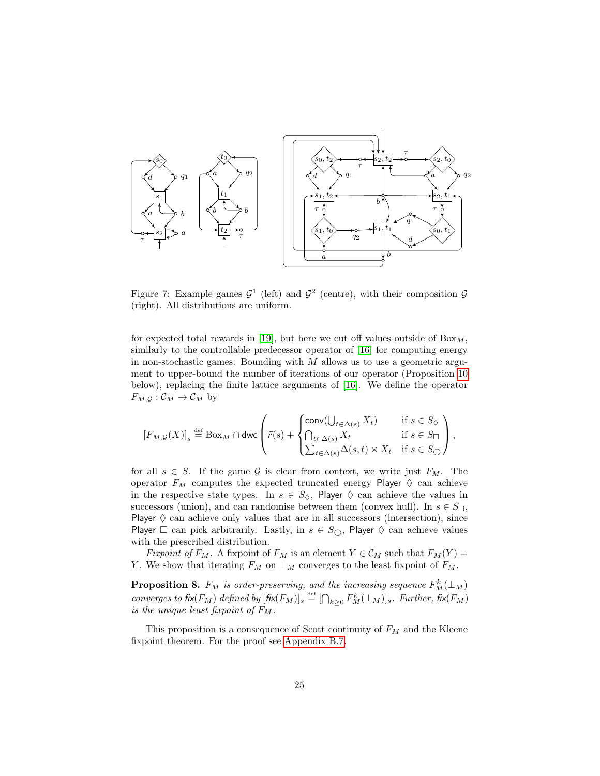<span id="page-25-0"></span>

Figure 7: Example games  $\mathcal{G}^1$  (left) and  $\mathcal{G}^2$  (centre), with their composition  $\mathcal{G}$ (right). All distributions are uniform.

for expected total rewards in [\[19\]](#page-47-1), but here we cut off values outside of  $Box_M$ , similarly to the controllable predecessor operator of [\[16\]](#page-46-0) for computing energy in non-stochastic games. Bounding with  $M$  allows us to use a geometric argument to upper-bound the number of iterations of our operator (Proposition [10](#page-27-1) below), replacing the finite lattice arguments of [\[16\]](#page-46-0). We define the operator  $F_{M,\mathcal{G}}: \mathcal{C}_M \to \mathcal{C}_M$  by

$$
\left[F_{M,\mathcal{G}}(X)\right]_s \stackrel{\text{def}}{=} \text{Box}_M \cap \text{dwc} \left(\vec{r}(s) + \begin{cases} \text{conv}(\bigcup_{t \in \Delta(s)} X_t) & \text{if } s \in S_{\Diamond} \\ \bigcap_{t \in \Delta(s)} X_t & \text{if } s \in S_{\Box} \\ \sum_{t \in \Delta(s)} \Delta(s,t) \times X_t & \text{if } s \in S_{\Diamond} \end{cases}\right),
$$

for all  $s \in S$ . If the game G is clear from context, we write just  $F_M$ . The operator  $F_M$  computes the expected truncated energy Player  $\Diamond$  can achieve in the respective state types. In  $s \in S_{\lozenge}$ , Player  $\lozenge$  can achieve the values in successors (union), and can randomise between them (convex hull). In  $s \in S_{\square}$ , Player  $\diamond$  can achieve only values that are in all successors (intersection), since Player  $\Box$  can pick arbitrarily. Lastly, in  $s \in S_{\bigcirc}$ , Player  $\Diamond$  can achieve values with the prescribed distribution.

Fixpoint of  $F_M$ . A fixpoint of  $F_M$  is an element  $Y \in \mathcal{C}_M$  such that  $F_M(Y) =$ Y. We show that iterating  $F_M$  on  $\perp_M$  converges to the least fixpoint of  $F_M$ .

<span id="page-25-1"></span>**Proposition 8.**  $F_M$  is order-preserving, and the increasing sequence  $F_M^k(\perp_M)$ converges to fix( $F_M$ ) defined by  $[\text{fix}(F_M)]_s \stackrel{\text{def}}{=} [\bigcap_{k \geq 0} F_M^k(\bot_M)]_s$ . Further, fix( $F_M$ ) is the unique least fixpoint of  $F_M$ .

This proposition is a consequence of Scott continuity of  $F_M$  and the Kleene fixpoint theorem. For the proof see [Appendix B.7.](#page-63-0)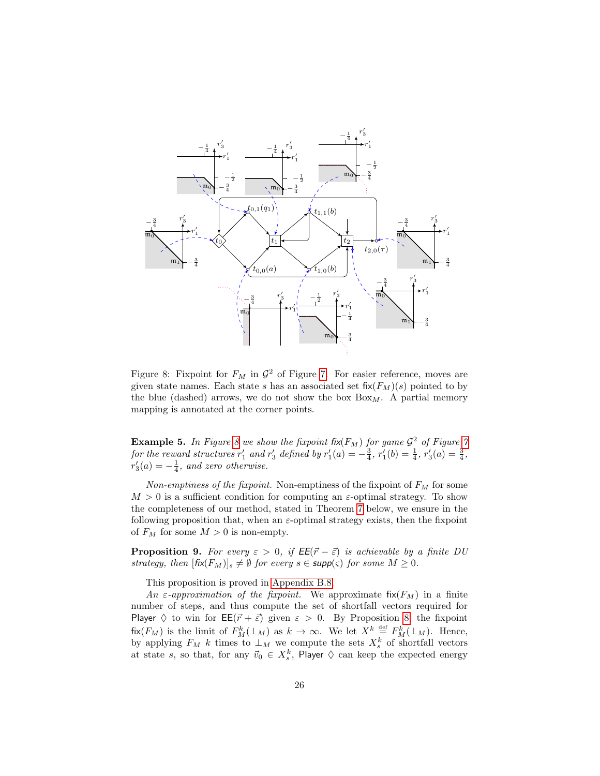<span id="page-26-0"></span>

Figure 8: Fixpoint for  $F_M$  in  $\mathcal{G}^2$  of Figure [7.](#page-25-0) For easier reference, moves are given state names. Each state s has an associated set  $fix(F_M)(s)$  pointed to by the blue (dashed) arrows, we do not show the box  $B\alpha_{M}$ . A partial memory mapping is annotated at the corner points.

**Example 5.** In Figure [8](#page-26-0) we show the fixpoint fix( $F_M$ ) for game  $\mathcal{G}^2$  of Figure [7](#page-25-0) for the reward structures  $r'_1$  and  $r'_3$  defined by  $r'_1(a) = -\frac{3}{4}$ ,  $r'_1(b) = \frac{1}{4}$ ,  $r'_3(a) = \frac{3}{4}$ ,  $r'_3(a) = -\frac{1}{4}$ , and zero otherwise.

Non-emptiness of the fixpoint. Non-emptiness of the fixpoint of  $F_M$  for some  $M > 0$  is a sufficient condition for computing an  $\varepsilon$ -optimal strategy. To show the completeness of our method, stated in Theorem [7](#page-28-0) below, we ensure in the following proposition that, when an  $\varepsilon$ -optimal strategy exists, then the fixpoint of  $F_M$  for some  $M > 0$  is non-empty.

<span id="page-26-1"></span>**Proposition 9.** For every  $\varepsilon > 0$ , if  $EE(\vec{r} - \vec{\varepsilon})$  is achievable by a finite DU strategy, then  $[\text{fix}(F_M)]_s \neq \emptyset$  for every  $s \in \text{supp}(\varsigma)$  for some  $M \geq 0$ .

This proposition is proved in [Appendix B.8.](#page-65-0)

An  $\varepsilon$ -approximation of the fixpoint. We approximate fix( $F_M$ ) in a finite number of steps, and thus compute the set of shortfall vectors required for Player  $\diamond$  to win for  $\mathsf{EE}(\vec{r} + \vec{\varepsilon})$  given  $\varepsilon > 0$ . By Proposition [8,](#page-25-1) the fixpoint  $f_{\mathsf{IX}}(F_M)$  is the limit of  $F_M^k(\perp_M)$  as  $k \to \infty$ . We let  $X^k \stackrel{\text{def}}{=} F_M^k(\perp_M)$ . Hence, by applying  $F_M$  k times to  $\perp_M$  we compute the sets  $X_s^k$  of shortfall vectors at state s, so that, for any  $\vec{v}_0 \in X_s^k$ , Player  $\diamondsuit$  can keep the expected energy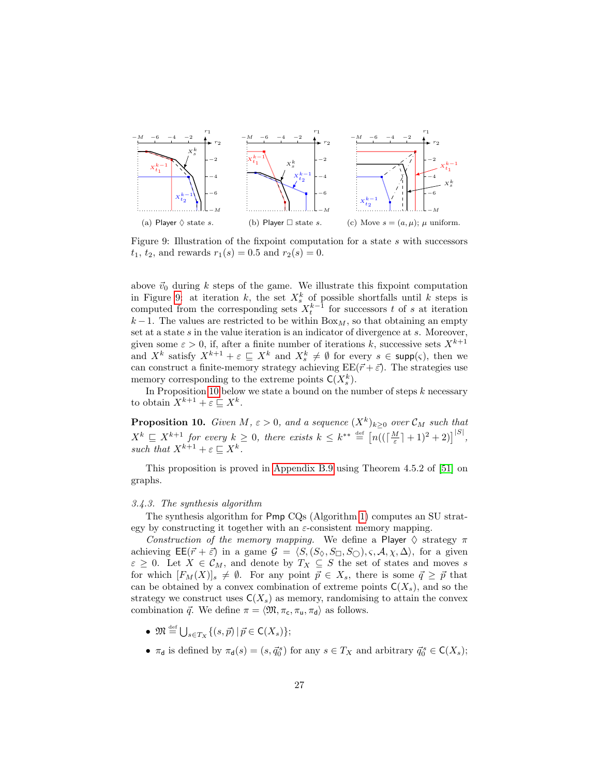<span id="page-27-2"></span>

Figure 9: Illustration of the fixpoint computation for a state s with successors  $t_1, t_2$ , and rewards  $r_1(s) = 0.5$  and  $r_2(s) = 0$ .

above  $\vec{v}_0$  during k steps of the game. We illustrate this fixpoint computation in Figure [9:](#page-27-2) at iteration k, the set  $X_s^k$  of possible shortfalls until k steps is computed from the corresponding sets  $X_t^{k-1}$  for successors t of s at iteration  $k-1$ . The values are restricted to be within Box<sub>M</sub>, so that obtaining an empty set at a state s in the value iteration is an indicator of divergence at s. Moreover, given some  $\varepsilon > 0$ , if, after a finite number of iterations k, successive sets  $X^{k+1}$ and  $X^k$  satisfy  $X^{k+1} + \varepsilon \subseteq X^k$  and  $X_s^k \neq \emptyset$  for every  $s \in \text{supp}(\varsigma)$ , then we can construct a finite-memory strategy achieving  $EE(\vec{r} + \vec{\varepsilon})$ . The strategies use memory corresponding to the extreme points  $\mathsf{C}(X_s^k)$ .

In Proposition [10](#page-27-1) below we state a bound on the number of steps  $k$  necessary to obtain  $X^{k+1} + \varepsilon \sqsubseteq X^k$ .

<span id="page-27-1"></span>**Proposition 10.** Given M,  $\varepsilon > 0$ , and a sequence  $(X^k)_{k \geq 0}$  over  $\mathcal{C}_M$  such that  $X^k \subseteq X^{k+1}$  for every  $k \geq 0$ , there exists  $k \leq k^{**} \stackrel{\text{def}}{=} \left[ n((\lceil \frac{M}{\varepsilon} \rceil + 1)^2 + 2) \right]^{|S|}$ , such that  $X^{k+1} + \varepsilon \sqsubseteq X^k$ .

This proposition is proved in [Appendix B.9](#page-67-0) using Theorem 4.5.2 of [\[51\]](#page-49-14) on graphs.

#### <span id="page-27-0"></span>3.4.3. The synthesis algorithm

The synthesis algorithm for Pmp CQs (Algorithm [1\)](#page-1-0) computes an SU strategy by constructing it together with an  $\varepsilon$ -consistent memory mapping.

Construction of the memory mapping. We define a Player  $\Diamond$  strategy  $\pi$ achieving  $\mathsf{EE}(\vec{r} + \vec{\varepsilon})$  in a game  $\mathcal{G} = \langle S, (S_{\Diamond}, S_{\Box}, S_{\Box}), \varsigma, \mathcal{A}, \chi, \Delta \rangle$ , for a given  $\varepsilon \geq 0$ . Let  $X \in \mathcal{C}_M$ , and denote by  $T_X \subseteq S$  the set of states and moves s for which  $[F_M(X)]_s \neq \emptyset$ . For any point  $\vec{p} \in X_s$ , there is some  $\vec{q} \geq \vec{p}$  that can be obtained by a convex combination of extreme points  $C(X_s)$ , and so the strategy we construct uses  $C(X_s)$  as memory, randomising to attain the convex combination  $\vec{q}$ . We define  $\pi = \langle \mathfrak{M}, \pi_{\mathsf{c}}, \pi_{\mathsf{u}}, \pi_{\mathsf{d}} \rangle$  as follows.

- $\mathfrak{M} \stackrel{\text{def}}{=} \bigcup_{s \in T_X} \{ (s, \vec{p}) \, | \, \vec{p} \in \mathsf{C}(X_s) \};$
- $\pi_d$  is defined by  $\pi_d(s) = (s, \vec{q}_0^s)$  for any  $s \in T_X$  and arbitrary  $\vec{q}_0^s \in C(X_s)$ ;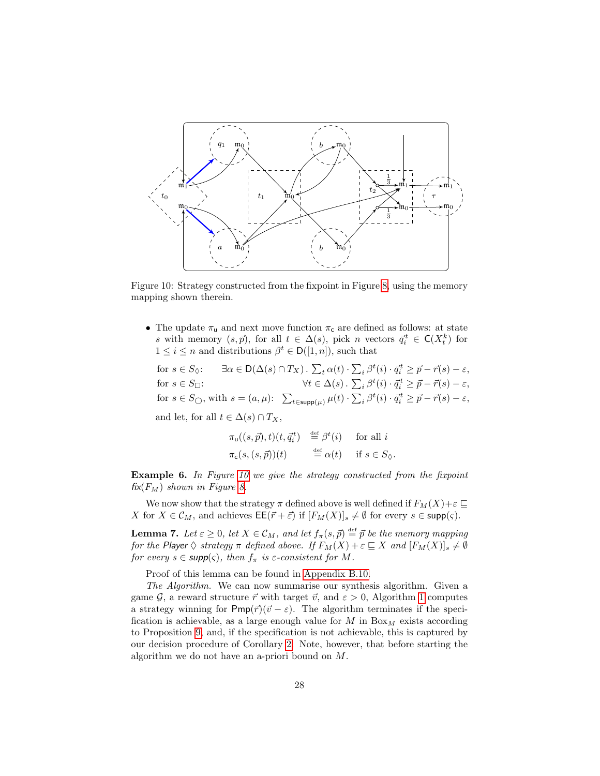<span id="page-28-1"></span>

Figure 10: Strategy constructed from the fixpoint in Figure [8,](#page-26-0) using the memory mapping shown therein.

• The update  $\pi_u$  and next move function  $\pi_c$  are defined as follows: at state s with memory  $(s, \vec{p})$ , for all  $t \in \Delta(s)$ , pick n vectors  $\vec{q}_i^t \in \mathsf{C}(X_t^k)$  for  $1 \leq i \leq n$  and distributions  $\beta^t \in D([1, n])$ , such that

for  $s \in S_{\Diamond}$ :  $\exists \alpha \in D(\Delta(s) \cap T_X)$ .  $\sum_{t} \alpha(t) \cdot \sum_{i} \beta^t(i) \cdot \vec{q}_i^t \geq \vec{p} - \vec{r}(s) - \varepsilon$ , for  $s \in S_{\square}$ :<br>  $\forall t \in \Delta(s) \cdot \sum_{i} \beta^{t}(i) \cdot \vec{q}_{i}^{t} \geq \vec{p} - \vec{r}(s) - \varepsilon,$ for  $s \in S_{\bigcirc}$ , with  $s = (a, \mu): \sum_{t \in \text{supp}(\mu)} \mu(t) \cdot \sum_{i} \beta^{t}(i) \cdot \vec{q}_{i}^{t} \geq \vec{p} - \vec{r}(s) - \varepsilon$ ,

and let, for all  $t \in \Delta(s) \cap T_X$ ,

$$
\pi_u((s,\vec{p}),t)(t,\vec{q}_i^t) \stackrel{\text{def}}{=} \beta^t(i) \quad \text{for all } i
$$
  

$$
\pi_c(s,(s,\vec{p}))(t) \stackrel{\text{def}}{=} \alpha(t) \quad \text{if } s \in S_{\Diamond}.
$$

Example 6. In Figure [10](#page-28-1) we give the strategy constructed from the fixpoint  $fix(F_M)$  shown in Figure [8.](#page-26-0)

We now show that the strategy  $\pi$  defined above is well defined if  $F_M(X)+\varepsilon \sqsubseteq$ X for  $X \in \mathcal{C}_M$ , and achieves  $\mathsf{EE}(\vec{r} + \vec{\varepsilon})$  if  $[F_M(X)]_s \neq \emptyset$  for every  $s \in \mathsf{supp}(\varsigma)$ .

<span id="page-28-2"></span>**Lemma 7.** Let  $\varepsilon \geq 0$ , let  $X \in \mathcal{C}_M$ , and let  $f_\pi(s, \vec{p}) \stackrel{\text{def}}{=} \vec{p}$  be the memory mapping for the Player  $\Diamond$  strategy  $\pi$  defined above. If  $F_M(X) + \varepsilon \sqsubseteq X$  and  $[F_M(X)]_s \neq \emptyset$ for every  $s \in \text{supp}(\varsigma)$ , then  $f_{\pi}$  is  $\varepsilon$ -consistent for M.

Proof of this lemma can be found in [Appendix B.10.](#page-69-0)

<span id="page-28-0"></span>The Algorithm. We can now summarise our synthesis algorithm. Given a game G, a reward structure  $\vec{r}$  with target  $\vec{v}$ , and  $\varepsilon > 0$ , Algorithm [1](#page-1-0) computes a strategy winning for  $Pmp(\vec{r})(\vec{v} - \varepsilon)$ . The algorithm terminates if the specification is achievable, as a large enough value for  $M$  in  $Box_M$  exists according to Proposition [9,](#page-26-1) and, if the specification is not achievable, this is captured by our decision procedure of Corollary [2.](#page-21-2) Note, however, that before starting the algorithm we do not have an a-priori bound on M.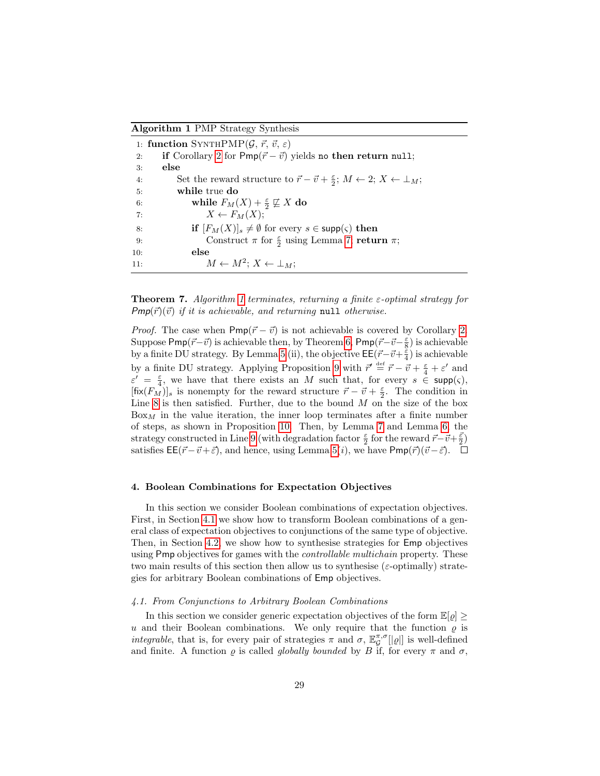Algorithm 1 PMP Strategy Synthesis

|     | 1: function SYNTHPMP $(\mathcal{G}, \vec{r}, \vec{v}, \varepsilon)$                                                   |
|-----|-----------------------------------------------------------------------------------------------------------------------|
| 2:  | if Corollary 2 for $Pmp(\vec{r}-\vec{v})$ yields no then return null;                                                 |
| 3:  | else                                                                                                                  |
| 4:  | Set the reward structure to $\vec{r} - \vec{v} + \frac{\varepsilon}{2}$ ; $M \leftarrow 2$ ; $X \leftarrow \perp_M$ ; |
| 5:  | while true do                                                                                                         |
| 6:  | while $F_M(X) + \frac{\varepsilon}{2} \not\sqsubseteq X$ do                                                           |
| 7:  | $X \leftarrow F_M(X);$                                                                                                |
| 8:  | <b>if</b> $[F_M(X)]_s \neq \emptyset$ for every $s \in \text{supp}(\varsigma)$ then                                   |
| 9:  | Construct $\pi$ for $\frac{\varepsilon}{2}$ using Lemma 7; return $\pi$ ;                                             |
| 10: | else                                                                                                                  |
| 11: | $M \leftarrow M^2$ ; $X \leftarrow \perp_M$ ;                                                                         |

**Theorem 7.** Algorithm [1](#page-1-0) terminates, returning a finite  $\varepsilon$ -optimal strategy for  $Pmp(\vec{r})(\vec{v})$  if it is achievable, and returning null otherwise.

*Proof.* The case when  $Pmp(\vec{r} - \vec{v})$  is not achievable is covered by Corollary [2.](#page-21-2) Suppose  $\mathsf{Pmp}(\vec{r}-\vec{v})$  is achievable then, by Theorem [6,](#page-21-4)  $\mathsf{Pmp}(\vec{r}-\vec{v}-\frac{\varepsilon}{8})$  is achievable by a finite DU strategy. By Lemma [5](#page-23-2) (ii), the objective  $\mathsf{EE}(\vec{r}-\vec{v}+\frac{\xi}{4})$  is achievable by a finite DU strategy. Applying Proposition [9](#page-26-1) with  $\vec{r}' \stackrel{\text{def}}{=} \vec{r} - \vec{v} + \frac{\varepsilon}{4} + \varepsilon'$  and  $\varepsilon' = \frac{\varepsilon}{4}$ , we have that there exists an M such that, for every  $s \in \text{supp}(\varsigma)$ ,  $[\text{fix}(F_M)]_s$  is nonempty for the reward structure  $\vec{r} - \vec{v} + \frac{\epsilon}{2}$ . The condition in Line [8](#page-1-0) is then satisfied. Further, due to the bound  $M$  on the size of the box  $Box<sub>M</sub>$  in the value iteration, the inner loop terminates after a finite number of steps, as shown in Proposition [10.](#page-27-1) Then, by Lemma [7](#page-28-2) and Lemma [6,](#page-24-2) the strategy constructed in Line [9](#page-1-0) (with degradation factor  $\frac{\varepsilon}{2}$  for the reward  $\vec{r}-\vec{v}+\frac{\vec{\varepsilon}}{2}$ ) satisfies  $\mathsf{EE}(\vec{r}-\vec{v}+\vec{\varepsilon})$ , and hence, using Lemma [5\(](#page-23-2)*i*), we have  $\mathsf{Pmp}(\vec{r})(\vec{v}-\vec{\varepsilon})$ .  $\Box$ 

#### <span id="page-29-0"></span>4. Boolean Combinations for Expectation Objectives

In this section we consider Boolean combinations of expectation objectives. First, in Section [4.1](#page-29-1) we show how to transform Boolean combinations of a general class of expectation objectives to conjunctions of the same type of objective. Then, in Section [4.2,](#page-32-0) we show how to synthesise strategies for Emp objectives using Pmp objectives for games with the *controllable multichain* property. These two main results of this section then allow us to synthesise ( $\varepsilon$ -optimally) strategies for arbitrary Boolean combinations of Emp objectives.

#### <span id="page-29-1"></span>4.1. From Conjunctions to Arbitrary Boolean Combinations

In this section we consider generic expectation objectives of the form  $\mathbb{E}[\rho] \geq$ u and their Boolean combinations. We only require that the function  $\rho$  is *integrable*, that is, for every pair of strategies  $\pi$  and  $\sigma$ ,  $\mathbb{E}_{\mathcal{G}}^{\pi,\sigma}[\rho]]$  is well-defined and finite. A function  $\varrho$  is called *globally bounded* by B if, for every  $\pi$  and  $\sigma$ ,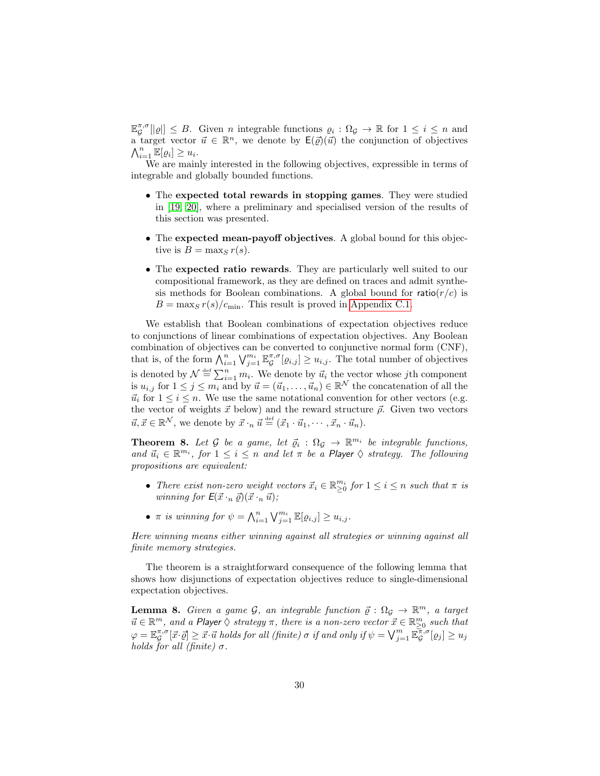$\mathbb{E}_{\mathcal{G}}^{\pi,\sigma}[|\varrho|] \leq B$ . Given *n* integrable functions  $\varrho_i : \Omega_{\mathcal{G}} \to \mathbb{R}$  for  $1 \leq i \leq n$  and a target vector  $\vec{u} \in \mathbb{R}^n$ , we denote by  $\mathsf{E}(\vec{\varrho})(\vec{u})$  the conjunction of objectives  $\bigwedge_{i=1}^n \mathbb{E}[\varrho_i] \geq u_i.$ 

We are mainly interested in the following objectives, expressible in terms of integrable and globally bounded functions.

- The expected total rewards in stopping games. They were studied in [\[19,](#page-47-1) [20\]](#page-47-2), where a preliminary and specialised version of the results of this section was presented.
- The expected mean-payoff objectives. A global bound for this objective is  $B = \max_{S} r(s)$ .
- The expected ratio rewards. They are particularly well suited to our compositional framework, as they are defined on traces and admit synthesis methods for Boolean combinations. A global bound for ratio $(r/c)$  is  $B = \max_{S} r(s)/c_{\min}$ . This result is proved in [Appendix C.1.](#page-70-1)

We establish that Boolean combinations of expectation objectives reduce to conjunctions of linear combinations of expectation objectives. Any Boolean combination of objectives can be converted to conjunctive normal form (CNF), that is, of the form  $\bigwedge_{i=1}^n \bigvee_{j=1}^{m_i} \mathbb{E}_{\mathcal{G}}^{\pi,\sigma}[\varrho_{i,j}] \geq u_{i,j}$ . The total number of objectives is denoted by  $\mathcal{N} \triangleq \sum_{i=1}^{n} m_i$ . We denote by  $\vec{u}_i$  the vector whose jth component is  $u_{i,j}$  for  $1 \leq j \leq m_i$  and by  $\vec{u} = (\vec{u}_1, \ldots, \vec{u}_n) \in \mathbb{R}^N$  the concatenation of all the  $\vec{u}_i$  for  $1 \leq i \leq n$ . We use the same notational convention for other vectors (e.g. the vector of weights  $\vec{x}$  below) and the reward structure  $\vec{\rho}$ . Given two vectors  $\vec{u}, \vec{x} \in \mathbb{R}^{\mathcal{N}},$  we denote by  $\vec{x} \cdot_n \vec{u} \stackrel{\text{def}}{=} (\vec{x}_1 \cdot \vec{u}_1, \dots, \vec{x}_n \cdot \vec{u}_n)$ .

<span id="page-30-0"></span>**Theorem 8.** Let G be a game, let  $\vec{q}_i : \Omega_{\mathcal{G}} \to \mathbb{R}^{m_i}$  be integrable functions, and  $\vec{u}_i \in \mathbb{R}^{m_i}$ , for  $1 \leq i \leq n$  and let  $\pi$  be a Player  $\diamondsuit$  strategy. The following propositions are equivalent:

- There exist non-zero weight vectors  $\vec{x}_i \in \mathbb{R}_{\geq 0}^{m_i}$  for  $1 \leq i \leq n$  such that  $\pi$  is winning for  $E(\vec{x} \cdot_n \vec{q}) (\vec{x} \cdot_n \vec{u})$ ;
- $\pi$  is winning for  $\psi = \bigwedge_{i=1}^{n} \bigvee_{j=1}^{m_i} \mathbb{E}[\varrho_{i,j}] \geq u_{i,j}$ .

Here winning means either winning against all strategies or winning against all finite memory strategies.

The theorem is a straightforward consequence of the following lemma that shows how disjunctions of expectation objectives reduce to single-dimensional expectation objectives.

**Lemma 8.** Given a game  $\mathcal{G}$ , an integrable function  $\vec{\varrho} : \Omega_{\mathcal{G}} \to \mathbb{R}^m$ , a target  $\vec{u} \in \mathbb{R}^m$ , and a Player  $\Diamond$  strategy  $\pi$ , there is a non-zero vector  $\vec{x} \in \mathbb{R}^m_{\geq 0}$  such that  $\varphi = \mathbb{E}_{\mathcal{G}}^{\pi,\sigma}[\vec{x}\cdot\vec{\varrho}] \geq \vec{x}\cdot\vec{u} \; holds \, for \; all \; (finite) \; \sigma \; \textit{if} \; and \; only \; \textit{if} \; \psi = \bigvee_{j=1}^{m}\mathbb{E}_{\mathcal{G}}^{\overline{\pi},\sigma}[\varrho_{j}] \geq u_{j}$ holds for all (finite)  $\sigma$ .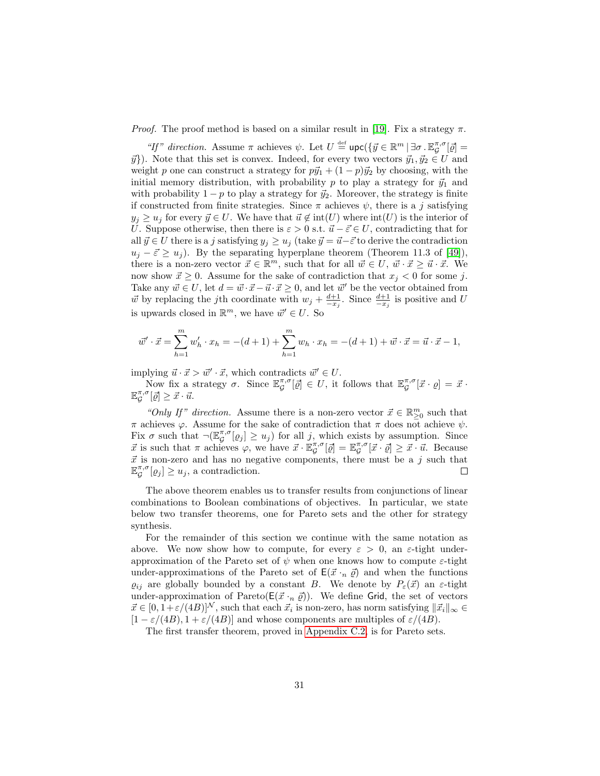*Proof.* The proof method is based on a similar result in [\[19\]](#page-47-1). Fix a strategy  $\pi$ .

"If" direction. Assume  $\pi$  achieves  $\psi$ . Let  $U \stackrel{\text{def}}{=} \text{upc}(\{\vec{y} \in \mathbb{R}^m \mid \exists \sigma \cdot \mathbb{E}_{\mathcal{G}}^{\pi,\sigma}[\vec{\varrho}] =$  $\vec{y}$ ). Note that this set is convex. Indeed, for every two vectors  $\vec{y}_1, \vec{y}_2 \in U$  and weight p one can construct a strategy for  $p\vec{y}_1 + (1 - p)\vec{y}_2$  by choosing, with the initial memory distribution, with probability p to play a strategy for  $\vec{y}_1$  and with probability  $1 - p$  to play a strategy for  $\vec{y}_2$ . Moreover, the strategy is finite if constructed from finite strategies. Since  $\pi$  achieves  $\psi$ , there is a j satisfying  $y_i \geq u_j$  for every  $\vec{y} \in U$ . We have that  $\vec{u} \notin \text{int}(U)$  where  $\text{int}(U)$  is the interior of U. Suppose otherwise, then there is  $\varepsilon > 0$  s.t.  $\vec{u} - \vec{\varepsilon} \in U$ , contradicting that for all  $\vec{y} \in U$  there is a j satisfying  $y_j \geq u_j$  (take  $\vec{y} = \vec{u} - \vec{\varepsilon}$  to derive the contradiction  $u_j - \vec{\varepsilon} \ge u_j$ ). By the separating hyperplane theorem (Theorem 11.3 of [\[49\]](#page-49-11)), there is a non-zero vector  $\vec{x} \in \mathbb{R}^m$ , such that for all  $\vec{w} \in U, \vec{w} \cdot \vec{x} \geq \vec{u} \cdot \vec{x}$ . We now show  $\vec{x} \geq 0$ . Assume for the sake of contradiction that  $x_j < 0$  for some j. Take any  $\vec{w} \in U$ , let  $d = \vec{w} \cdot \vec{x} - \vec{u} \cdot \vec{x} \geq 0$ , and let  $\vec{w}'$  be the vector obtained from  $\vec{w}$  by replacing the jth coordinate with  $w_j + \frac{d+1}{-x_j}$ . Since  $\frac{d+1}{-x_j}$  is positive and U is upwards closed in  $\mathbb{R}^m$ , we have  $\vec{w}' \in U$ . So

$$
\vec{w}' \cdot \vec{x} = \sum_{h=1}^{m} w'_h \cdot x_h = -(d+1) + \sum_{h=1}^{m} w_h \cdot x_h = -(d+1) + \vec{w} \cdot \vec{x} = \vec{u} \cdot \vec{x} - 1,
$$

implying  $\vec{u} \cdot \vec{x} > \vec{w}' \cdot \vec{x}$ , which contradicts  $\vec{w}' \in U$ .

Now fix a strategy  $\sigma$ . Since  $\mathbb{E}_{\mathcal{G}}^{\pi,\sigma}[\mathcal{Q}] \in U$ , it follows that  $\mathbb{E}_{\mathcal{G}}^{\pi,\sigma}[\vec{x} \cdot \varrho] = \vec{x} \cdot$  $\mathbb{E}_{\mathcal{G}}^{\pi,\sigma}[\vec{\varrho}] \geq \vec{x} \cdot \vec{u}.$ 

"Only If" direction. Assume there is a non-zero vector  $\vec{x} \in \mathbb{R}^m_{\geq 0}$  such that π achieves  $\varphi$ . Assume for the sake of contradiction that π does not achieve  $\psi$ . Fix  $\sigma$  such that  $\neg(\mathbb{E}_{\mathcal{G}}^{\pi,\sigma}[\varrho_j] \geq u_j)$  for all j, which exists by assumption. Since  $\vec{x}$  is such that  $\pi$  achieves  $\varphi$ , we have  $\vec{x} \cdot \mathbb{E}_{\mathcal{G}}^{\pi,\sigma}[\vec{\varrho}] = \mathbb{E}_{\mathcal{G}}^{\pi,\sigma}[\vec{x} \cdot \vec{\varrho}] \geq \vec{x} \cdot \vec{u}$ . Because  $\vec{x}$  is non-zero and has no negative components, there must be a j such that  $\mathbb{E}_{\mathcal{G}}^{\pi,\sigma}[\varrho_j] \geq u_j$ , a contradiction.  $\Box$ 

The above theorem enables us to transfer results from conjunctions of linear combinations to Boolean combinations of objectives. In particular, we state below two transfer theorems, one for Pareto sets and the other for strategy synthesis.

For the remainder of this section we continue with the same notation as above. We now show how to compute, for every  $\varepsilon > 0$ , an  $\varepsilon$ -tight underapproximation of the Pareto set of  $\psi$  when one knows how to compute  $\varepsilon$ -tight under-approximations of the Pareto set of  $E(\vec{x} \cdot n \vec{\varrho})$  and when the functions  $\varrho_{ij}$  are globally bounded by a constant B. We denote by  $P_{\varepsilon}(\vec{x})$  an  $\varepsilon$ -tight under-approximation of Pareto( $E(\vec{x} \cdot n \vec{\varrho})$ ). We define Grid, the set of vectors  $\vec{x} \in [0, 1+\varepsilon/(4B)]^N$ , such that each  $\vec{x}_i$  is non-zero, has norm satisfying  $\|\vec{x}_i\|_{\infty} \in$  $[1 - \varepsilon/(4B), 1 + \varepsilon/(4B)]$  and whose components are multiples of  $\varepsilon/(4B)$ .

The first transfer theorem, proved in [Appendix C.2,](#page-70-2) is for Pareto sets.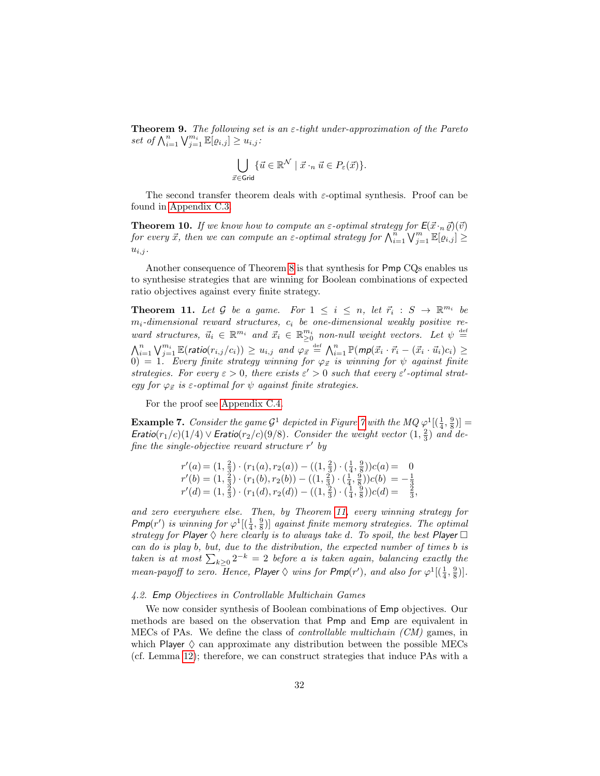**Theorem 9.** The following set is an  $\varepsilon$ -tight under-approximation of the Pareto set of  $\bigwedge_{i=1}^n \bigvee_{j=1}^{m_i} \mathbb{E}[\varrho_{i,j}] \geq u_{i,j}$ :

$$
\bigcup_{\vec{x}\in \mathsf{Grid}} \{\vec{u}\in \mathbb{R}^{\mathcal{N}} \mid \vec{x}\cdot_n \vec{u} \in P_{\varepsilon}(\vec{x})\}.
$$

The second transfer theorem deals with  $\varepsilon$ -optimal synthesis. Proof can be found in [Appendix C.3.](#page-71-0)

**Theorem 10.** If we know how to compute an  $\varepsilon$ -optimal strategy for  $E(\vec{x} \cdot n \vec{\varrho})(\vec{v})$ for every  $\vec{x}$ , then we can compute an  $\varepsilon$ -optimal strategy for  $\bigwedge_{i=1}^{n} \bigvee_{j=1}^{m} \mathbb{E}[e_{i,j}] \geq$  $u_{i,j}$ .

Another consequence of Theorem [8](#page-30-0) is that synthesis for Pmp CQs enables us to synthesise strategies that are winning for Boolean combinations of expected ratio objectives against every finite strategy.

<span id="page-32-1"></span>**Theorem 11.** Let G be a game. For  $1 \leq i \leq n$ , let  $\vec{r}_i : S \to \mathbb{R}^{m_i}$  be  $m_i$ -dimensional reward structures,  $c_i$  be one-dimensional weakly positive reward structures,  $\vec{u}_i \in \mathbb{R}^{m_i}$  and  $\vec{x}_i \in \mathbb{R}^{m_i}$  non-null weight vectors. Let  $\psi \stackrel{\text{def}}{=}$  $\bigwedge_{i=1}^n \bigvee_{j=1}^{m_i} \mathbb{E}(\textsf{ratio}(r_{i,j}/c_i)) \geq u_{i,j}$  and  $\varphi_{\vec{x}} \stackrel{\text{def}}{=} \bigwedge_{i=1}^n \mathbb{P}(\textsf{mp}(\vec{x}_i \cdot \vec{r}_i - (\vec{x}_i \cdot \vec{u}_i)c_i) \geq 0$  $0) = 1.$  Every finite strategy winning for  $\varphi_{\vec{x}}$  is winning for  $\psi$  against finite strategies. For every  $\varepsilon > 0$ , there exists  $\varepsilon' > 0$  such that every  $\varepsilon'$ -optimal strategy for  $\varphi_{\vec{x}}$  is  $\varepsilon$ -optimal for  $\psi$  against finite strategies.

For the proof see [Appendix C.4.](#page-71-1)

**Example [7](#page-25-0).** Consider the game  $\mathcal{G}^1$  depicted in Figure 7 with the MQ  $\varphi^1[(\frac{1}{4}, \frac{9}{8})] =$ Eratio( $r_1/c$ )(1/4) ∨ Eratio( $r_2/c$ )(9/8). Consider the weight vector (1,  $\frac{2}{3}$ ) and define the single-objective reward structure  $r'$  by

$$
r'(a) = (1, \frac{2}{3}) \cdot (r_1(a), r_2(a)) - ((1, \frac{2}{3}) \cdot (\frac{1}{4}, \frac{8}{8}))c(a) = 0
$$
  
\n
$$
r'(b) = (1, \frac{2}{3}) \cdot (r_1(b), r_2(b)) - ((1, \frac{2}{3}) \cdot (\frac{1}{4}, \frac{9}{8}))c(b) = -\frac{1}{3}
$$
  
\n
$$
r'(d) = (1, \frac{2}{3}) \cdot (r_1(d), r_2(d)) - ((1, \frac{2}{3}) \cdot (\frac{1}{4}, \frac{9}{8}))c(d) = \frac{2}{3},
$$

and zero everywhere else. Then, by Theorem [11,](#page-32-1) every winning strategy for  $Pmp(r')$  is winning for  $\varphi^1[(\frac{1}{4},\frac{9}{8})]$  against finite memory strategies. The optimal strategy for Player  $\Diamond$  here clearly is to always take d. To spoil, the best Player  $\Box$ can do is play b, but, due to the distribution, the expected number of times b is taken is at most  $\sum_{k\geq 0} 2^{-k} = 2$  before a is taken again, balancing exactly the mean-payoff to zero. Hence, Player  $\Diamond$  wins for  $Pmp(r')$ , and also for  $\varphi^1[(\frac{1}{4},\frac{9}{8})]$ .

#### <span id="page-32-0"></span>4.2. Emp Objectives in Controllable Multichain Games

We now consider synthesis of Boolean combinations of Emp objectives. Our methods are based on the observation that Pmp and Emp are equivalent in MECs of PAs. We define the class of controllable multichain (CM) games, in which Player  $\Diamond$  can approximate any distribution between the possible MECs (cf. Lemma [12\)](#page-35-0); therefore, we can construct strategies that induce PAs with a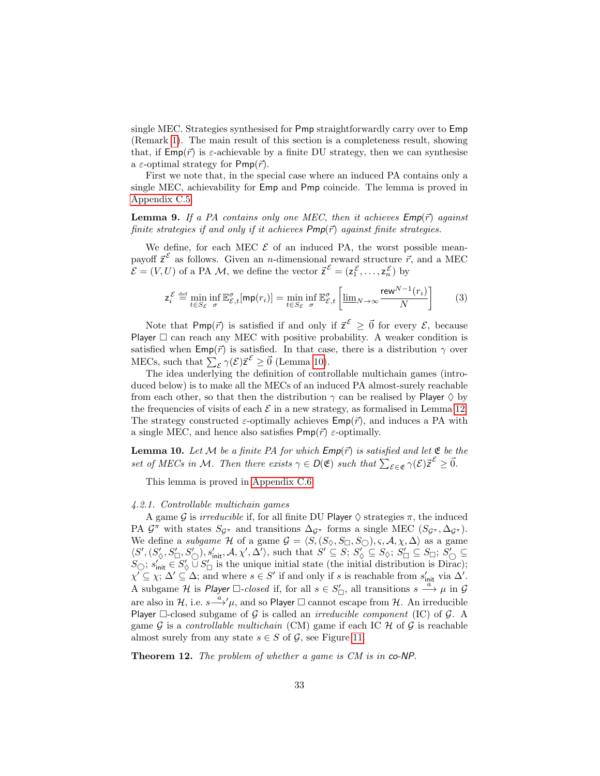single MEC. Strategies synthesised for Pmp straightforwardly carry over to Emp (Remark [1\)](#page-16-3). The main result of this section is a completeness result, showing that, if  $\textsf{Emp}(\vec{r})$  is  $\varepsilon$ -achievable by a finite DU strategy, then we can synthesise a  $\varepsilon$ -optimal strategy for Pmp( $\vec{r}$ ).

First we note that, in the special case where an induced PA contains only a single MEC, achievability for Emp and Pmp coincide. The lemma is proved in [Appendix C.5.](#page-71-2)

**Lemma 9.** If a PA contains only one MEC, then it achieves  $Emp(\vec{r})$  against finite strategies if and only if it achieves  $Pmp(\vec{r})$  against finite strategies.

We define, for each MEC  $\mathcal E$  of an induced PA, the worst possible meanpayoff  $\vec{z}^{\mathcal{E}}$  as follows. Given an *n*-dimensional reward structure  $\vec{r}$ , and a MEC  $\mathcal{E} = (V, U)$  of a PA M, we define the vector  $\vec{z}^{\mathcal{E}} = (z_1^{\mathcal{E}}, \dots, z_n^{\mathcal{E}})$  by

$$
\mathsf{z}_{i}^{\mathcal{E}} \stackrel{\text{def}}{=} \min_{t \in S_{\mathcal{E}}} \inf_{\sigma} \mathbb{E}_{\mathcal{E},t}^{\sigma}[\mathsf{mp}(r_{i})] = \min_{t \in S_{\mathcal{E}}} \inf_{\sigma} \mathbb{E}_{\mathcal{E},t}^{\sigma} \left[ \underline{\lim}_{N \to \infty} \frac{\mathsf{rew}^{N-1}(r_{i})}{N} \right] \tag{3}
$$

Note that Pmp( $\vec{r}$ ) is satisfied if and only if  $\vec{z}^{\varepsilon} \geq \vec{0}$  for every  $\mathcal{E}$ , because Player  $\Box$  can reach any MEC with positive probability. A weaker condition is satisfied when  $\textsf{Emp}(\vec{r})$  is satisfied. In that case, there is a distribution  $\gamma$  over MECs, such that  $\sum_{\mathcal{E}} \gamma(\mathcal{E}) \vec{z}^{\mathcal{E}} \geq \vec{0}$  (Lemma [10\)](#page-33-1).

The idea underlying the definition of controllable multichain games (introduced below) is to make all the MECs of an induced PA almost-surely reachable from each other, so that then the distribution  $\gamma$  can be realised by Player  $\Diamond$  by the frequencies of visits of each  $\mathcal E$  in a new strategy, as formalised in Lemma [12.](#page-35-0) The strategy constructed  $\varepsilon$ -optimally achieves  $\textsf{Emp}(\vec{r})$ , and induces a PA with a single MEC, and hence also satisfies  $Pmp(\vec{r})$  *ε*-optimally.

<span id="page-33-1"></span>**Lemma 10.** Let M be a finite PA for which  $Emp(\vec{r})$  is satisfied and let  $\mathfrak{E}$  be the set of MECs in M. Then there exists  $\gamma \in D(\mathfrak{E})$  such that  $\sum_{\mathcal{E} \in \mathfrak{E}} \gamma(\mathcal{E}) \vec{z}^{\mathcal{E}} \geq \vec{0}$ .

This lemma is proved in [Appendix C.6.](#page-72-0)

#### <span id="page-33-0"></span>4.2.1. Controllable multichain games

A game G is *irreducible* if, for all finite DU Player  $\Diamond$  strategies  $\pi$ , the induced PA  $\mathcal{G}^{\pi}$  with states  $S_{\mathcal{G}^{\pi}}$  and transitions  $\Delta_{\mathcal{G}^{\pi}}$  forms a single MEC  $(S_{\mathcal{G}^{\pi}}, \Delta_{\mathcal{G}^{\pi}})$ . We define a *subgame*  $H$  of a game  $G = \langle S, (S_{\diamondsuit}, S_{\square}, S_{\circsuit}), \varsigma, A, \chi, \Delta \rangle$  as a game  $\langle S',(S'_{\diamondsuit},S'_{\square},S'_{\square}),s'_{\mathsf{init}},\mathcal{A},\chi',\Delta'\rangle$ , such that  $S'\subseteq S;S'_{\diamondsuit}\subseteq S_{\diamondsuit};S'_{\square}\subseteq S_{\square};S'_{\bigcirc}\subseteq S$  $S_{\bigcirc}; s'_{\text{init}} \in S'_{\Diamond} \cup S'_{\Box}$  is the unique initial state (the initial distribution is Dirac);  $\chi' \subseteq \chi$ ;  $\Delta' \subseteq \Delta$ ; and where  $s \in S'$  if and only if s is reachable from  $s'_{\text{init}}$  via  $\Delta'$ . A subgame H is Player  $\Box$ -closed if, for all  $s \in S'_{\Box}$ , all transitions  $s \stackrel{\cdots}{\longrightarrow} \mu$  in G are also in H, i.e.  $s {\xrightarrow{\alpha}}' \mu$ , and so Player  $\Box$  cannot escape from H. An irreducible Player  $\Box$ -closed subgame of  $\mathcal G$  is called an *irreducible component* (IC) of  $\mathcal G$ . A game  $\mathcal G$  is a controllable multichain (CM) game if each IC  $\mathcal H$  of  $\mathcal G$  is reachable almost surely from any state  $s \in S$  of  $\mathcal{G}$ , see Figure [11.](#page-34-1)

Theorem 12. The problem of whether a game is CM is in co-NP.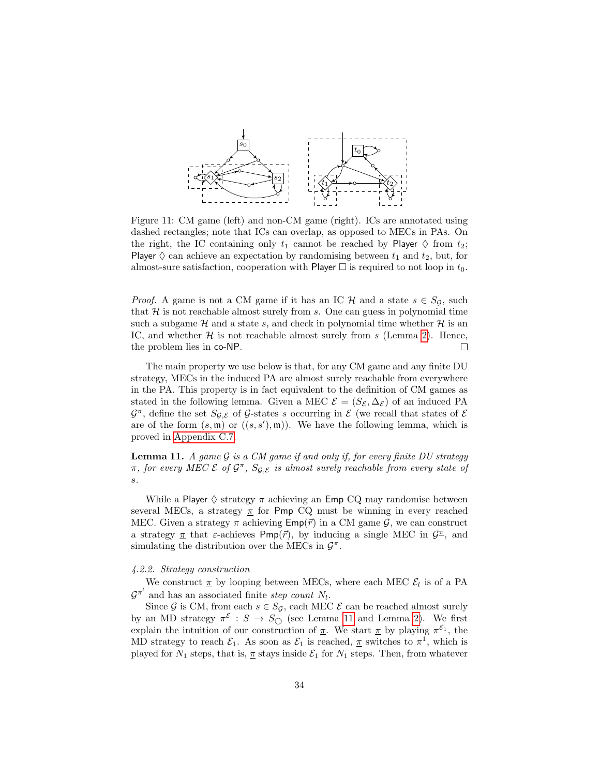<span id="page-34-1"></span>

Figure 11: CM game (left) and non-CM game (right). ICs are annotated using dashed rectangles; note that ICs can overlap, as opposed to MECs in PAs. On the right, the IC containing only  $t_1$  cannot be reached by Player  $\diamond$  from  $t_2$ ; Player  $\diamond$  can achieve an expectation by randomising between  $t_1$  and  $t_2$ , but, for almost-sure satisfaction, cooperation with Player  $\Box$  is required to not loop in  $t_0$ .

*Proof.* A game is not a CM game if it has an IC  $H$  and a state  $s \in S_{\mathcal{G}}$ , such that  $H$  is not reachable almost surely from s. One can guess in polynomial time such a subgame  $H$  and a state s, and check in polynomial time whether  $H$  is an IC, and whether  $\mathcal H$  is not reachable almost surely from s (Lemma [2\)](#page-15-1). Hence, the problem lies in co-NP.  $\Box$ 

The main property we use below is that, for any CM game and any finite DU strategy, MECs in the induced PA are almost surely reachable from everywhere in the PA. This property is in fact equivalent to the definition of CM games as stated in the following lemma. Given a MEC  $\mathcal{E} = (S_{\mathcal{E}}, \Delta_{\mathcal{E}})$  of an induced PA  $\mathcal{G}^{\pi}$ , define the set  $S_{\mathcal{G},\mathcal{E}}$  of  $\mathcal{G}$ -states s occurring in  $\mathcal{E}$  (we recall that states of  $\mathcal{E}$ are of the form  $(s, \mathfrak{m})$  or  $((s, s'), \mathfrak{m})$ . We have the following lemma, which is proved in [Appendix C.7.](#page-73-0)

<span id="page-34-2"></span>**Lemma 11.** A game  $\mathcal G$  is a CM game if and only if, for every finite DU strategy  $\pi$ , for every MEC  $\mathcal{E}$  of  $\mathcal{G}^{\pi}$ ,  $S_{\mathcal{G},\mathcal{E}}$  is almost surely reachable from every state of s.

While a Player  $\Diamond$  strategy  $\pi$  achieving an Emp CQ may randomise between several MECs, a strategy  $\pi$  for Pmp CQ must be winning in every reached MEC. Given a strategy  $\pi$  achieving  $\mathsf{Emp}(\vec{r})$  in a CM game  $\mathcal{G}$ , we can construct a strategy  $\pi$  that  $\varepsilon$ -achieves Pmp( $\vec{r}$ ), by inducing a single MEC in  $\mathcal{G}^{\pi}$ , and simulating the distribution over the MECs in  $\mathcal{G}^{\pi}$ .

#### <span id="page-34-0"></span>4.2.2. Strategy construction

We construct  $\underline{\pi}$  by looping between MECs, where each MEC  $\mathcal{E}_l$  is of a PA  $\mathcal{G}^{\pi^l}$  and has an associated finite step count  $N_l$ .

Since G is CM, from each  $s \in S_G$ , each MEC  $\mathcal E$  can be reached almost surely by an MD strategy  $\pi^{\mathcal{E}} : S \to S_{\bigcirc}$  (see Lemma [11](#page-34-2) and Lemma [2\)](#page-15-1). We first explain the intuition of our construction of  $\pi$ . We start  $\pi$  by playing  $\pi^{\mathcal{E}_1}$ , the MD strategy to reach  $\mathcal{E}_1$ . As soon as  $\mathcal{E}_1$  is reached,  $\underline{\pi}$  switches to  $\pi^1$ , which is played for  $N_1$  steps, that is,  $\pi$  stays inside  $\mathcal{E}_1$  for  $N_1$  steps. Then, from whatever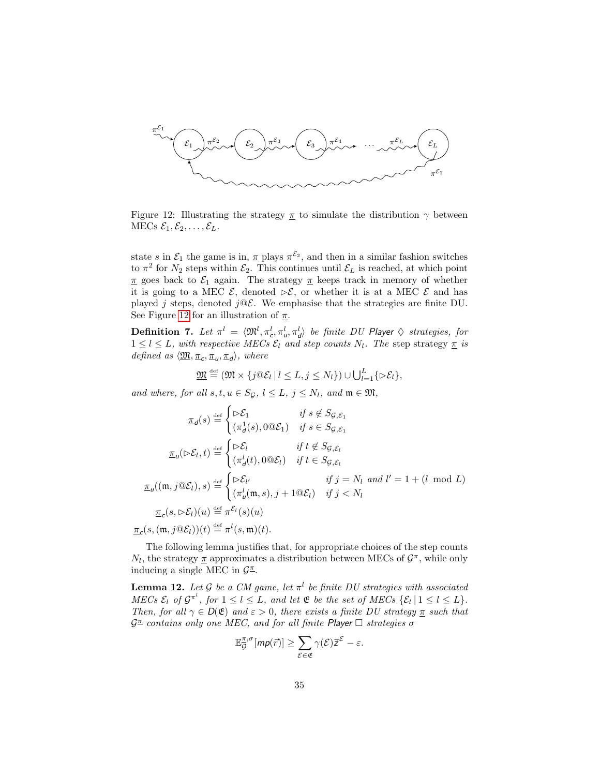<span id="page-35-1"></span>

Figure 12: Illustrating the strategy  $\pi$  to simulate the distribution  $\gamma$  between MECs  $\mathcal{E}_1, \mathcal{E}_2, \ldots, \mathcal{E}_L$ .

state s in  $\mathcal{E}_1$  the game is in,  $\underline{\pi}$  plays  $\pi^{\mathcal{E}_2}$ , and then in a similar fashion switches to  $\pi^2$  for  $N_2$  steps within  $\mathcal{E}_2$ . This continues until  $\mathcal{E}_L$  is reached, at which point π goes back to  $\mathcal{E}_1$  again. The strategy π keeps track in memory of whether it is going to a MEC  $\mathcal{E}$ , denoted  $\triangleright \mathcal{E}$ , or whether it is at a MEC  $\mathcal{E}$  and has played j steps, denoted  $j@{\mathcal{E}}$ . We emphasise that the strategies are finite DU. See Figure [12](#page-35-1) for an illustration of  $\pi$ .

**Definition 7.** Let  $\pi^l = \langle \mathfrak{M}^l, \pi_c^l, \pi_u^l, \pi_d^l \rangle$  be finite DU Player  $\Diamond$  strategies, for  $1 \leq l \leq L$ , with respective MECs  $\mathcal{E}_l$  and step counts  $N_l$ . The step strategy  $\underline{\pi}$  is defined as  $\langle \underline{\mathfrak{M}}, \underline{\pi}_c, \underline{\pi}_u, \underline{\pi}_d \rangle$ , where

$$
\underline{\mathfrak{M}} \stackrel{\text{def}}{=} (\mathfrak{M} \times \{ j \mathfrak{Q} \mathcal{E}_l \mid l \leq L, j \leq N_l \}) \cup \bigcup_{l=1}^L \{ \triangleright \mathcal{E}_l \},
$$

and where, for all  $s, t, u \in S_{\mathcal{G}}, l \leq L, j \leq N_l$ , and  $\mathfrak{m} \in \mathfrak{M}$ ,

$$
\underline{\pi}_d(s) \stackrel{\text{def}}{=} \begin{cases}\n\triangleright \mathcal{E}_1 & \text{if } s \notin S_{\mathcal{G}, \mathcal{E}_1} \\
(\pi_d^1(s), 0 \oplus \mathcal{E}_1) & \text{if } s \in S_{\mathcal{G}, \mathcal{E}_1} \\
\end{cases}
$$
\n
$$
\underline{\pi}_u(\triangleright \mathcal{E}_l, t) \stackrel{\text{def}}{=} \begin{cases}\n\triangleright \mathcal{E}_l & \text{if } t \notin S_{\mathcal{G}, \mathcal{E}_l} \\
(\pi_d^l(t), 0 \oplus \mathcal{E}_l) & \text{if } t \in S_{\mathcal{G}, \mathcal{E}_l} \\
\end{cases}
$$
\n
$$
\underline{\pi}_u((\mathfrak{m}, j \oplus \mathcal{E}_l), s) \stackrel{\text{def}}{=} \begin{cases}\n\triangleright \mathcal{E}_{l'} & \text{if } j = N_l \text{ and } l' = 1 + (l \mod L) \\
(\pi_u^l(\mathfrak{m}, s), j + 1 \oplus \mathcal{E}_l) & \text{if } j < N_l\n\end{cases}
$$
\n
$$
\underline{\pi}_c(s, \triangleright \mathcal{E}_l)(u) \stackrel{\text{def}}{=} \pi^{\mathcal{E}_l}(s)(u)
$$
\n
$$
\underline{\pi}_c(s, (\mathfrak{m}, j \oplus \mathcal{E}_l))(t) \stackrel{\text{def}}{=} \pi^l(s, \mathfrak{m})(t).
$$

The following lemma justifies that, for appropriate choices of the step counts  $N_l$ , the strategy  $\underline{\pi}$  approximates a distribution between MECs of  $\mathcal{G}^{\pi}$ , while only inducing a single MEC in  $\mathcal{G}^{\pi}$ .

<span id="page-35-0"></span>**Lemma 12.** Let G be a CM game, let  $\pi^l$  be finite DU strategies with associated MECs  $\mathcal{E}_l$  of  $\mathcal{G}^{\pi^l}$ , for  $1 \leq l \leq L$ , and let  $\mathfrak E$  be the set of MECs  $\{\mathcal{E}_l | l \leq l \leq L\}$ . Then, for all  $\gamma \in D(\mathfrak{E})$  and  $\varepsilon > 0$ , there exists a finite DU strategy  $\underline{\pi}$  such that  $\mathcal{G}^{\pi}$  contains only one MEC, and for all finite Player  $\Box$  strategies  $\sigma$ 

$$
\mathbb{E}_{\mathcal{G}}^{\overline{\pi},\sigma}[mp(\vec{r})] \geq \sum_{\mathcal{E}\in\mathfrak{E}} \gamma(\mathcal{E}) \vec{z}^{\mathcal{E}} - \varepsilon.
$$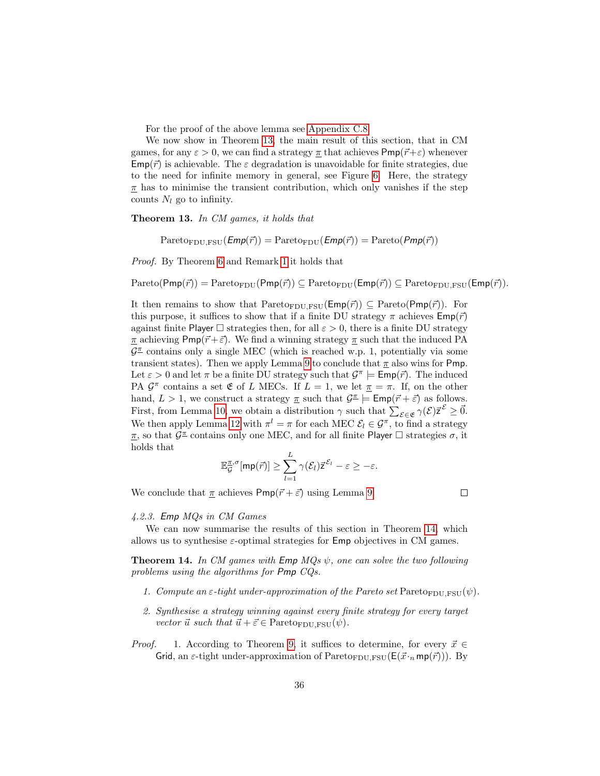For the proof of the above lemma see [Appendix C.8.](#page-73-0)

We now show in Theorem [13,](#page-36-0) the main result of this section, that in CM games, for any  $\varepsilon > 0$ , we can find a strategy  $\pi$  that achieves  $\mathsf{Pmp}(\vec{r}+\varepsilon)$  whenever  $\mathsf{Emp}(\vec{r})$  is achievable. The  $\varepsilon$  degradation is unavoidable for finite strategies, due to the need for infinite memory in general, see Figure [6.](#page-21-0) Here, the strategy  $\pi$  has to minimise the transient contribution, which only vanishes if the step counts  $N_l$  go to infinity.

<span id="page-36-0"></span>Theorem 13. In CM games, it holds that

 $Pareto_{FDU,FSU}(Emp(\vec{r})) = Pareto_{FDU}(Emp(\vec{r})) = Pareto(Pmp(\vec{r}))$ 

Proof. By Theorem [6](#page-21-1) and Remark [1](#page-16-0) it holds that

 $Pareto(Pmp(\vec{r})) = Pareto_{FDU}(Pmp(\vec{r})) \subseteq Pareto_{FDU}(Emp(\vec{r})) \subseteq Pareto_{FDU,FSU}(Emp(\vec{r}))$ .

It then remains to show that  $Pareto_{FDU,FSU}(Emp(\vec{r})) \subseteq Pareto(Pmp(\vec{r}))$ . For this purpose, it suffices to show that if a finite DU strategy  $\pi$  achieves  $\mathsf{Emp}(\vec{r})$ against finite Player  $\Box$  strategies then, for all  $\varepsilon > 0$ , there is a finite DU strategy  $\pi$  achieving Pmp( $\vec{r}+\vec{\varepsilon}$ ). We find a winning strategy  $\pi$  such that the induced PA  $\mathcal{G}^{\mathcal{I}}$  contains only a single MEC (which is reached w.p. 1, potentially via some transient states). Then we apply Lemma [9](#page-33-0) to conclude that  $\pi$  also wins for Pmp. Let  $\varepsilon > 0$  and let  $\pi$  be a finite DU strategy such that  $\mathcal{G}^{\pi} \models \text{Emp}(\vec{r})$ . The induced PA  $\mathcal{G}^{\pi}$  contains a set  $\mathfrak{E}$  of L MECs. If  $L = 1$ , we let  $\pi = \pi$ . If, on the other hand,  $L > 1$ , we construct a strategy  $\pi$  such that  $\mathcal{G}^{\pi} \models \text{Emp}(\vec{r} + \vec{\varepsilon})$  as follows. First, from Lemma [10,](#page-33-1) we obtain a distribution  $\gamma$  such that  $\sum_{\mathcal{E} \in \mathfrak{E}} \gamma(\mathcal{E}) \vec{z}^{\mathcal{E}} \geq \vec{0}$ . We then apply Lemma [12](#page-35-0) with  $\pi^l = \pi$  for each MEC  $\mathcal{E}_l \in \mathcal{G}^{\pi}$ , to find a strategy  $\pi$ , so that  $\mathcal{G}^{\pi}$  contains only one MEC, and for all finite Player  $\Box$  strategies  $\sigma$ , it holds that

$$
\mathbb{E}_{\mathcal{G}}^{\pi,\sigma}[\mathsf{mp}(\vec{r})] \geq \sum_{l=1}^{L} \gamma(\mathcal{E}_{l}) \vec{z}^{\mathcal{E}_{l}} - \varepsilon \geq -\varepsilon.
$$

We conclude that  $\pi$  achieves  $Pmp(\vec{r} + \vec{\varepsilon})$  using Lemma [9.](#page-33-0)

 $\Box$ 

#### 4.2.3. Emp MQs in CM Games

We can now summarise the results of this section in Theorem [14,](#page-36-1) which allows us to synthesise  $\varepsilon$ -optimal strategies for **Emp** objectives in CM games.

<span id="page-36-1"></span>**Theorem 14.** In CM games with  $\mathsf{Emp}\ MQs\ \psi$ , one can solve the two following problems using the algorithms for Pmp CQs.

- 1. Compute an  $\varepsilon$ -tight under-approximation of the Pareto set Pareto<sub>FDU,FSU</sub>( $\psi$ ).
- 2. Synthesise a strategy winning against every finite strategy for every target vector  $\vec{u}$  such that  $\vec{u} + \vec{\varepsilon} \in$  Pareto<sub>FDU,FSU</sub> $(\psi)$ .
- *Proof.* 1. According to Theorem [9,](#page-31-0) it suffices to determine, for every  $\vec{x} \in$ Grid, an  $\varepsilon$ -tight under-approximation of Pareto<sub>FDU,FSU</sub>( $E(\vec{x} \cdot_n m p(\vec{r}))$ ). By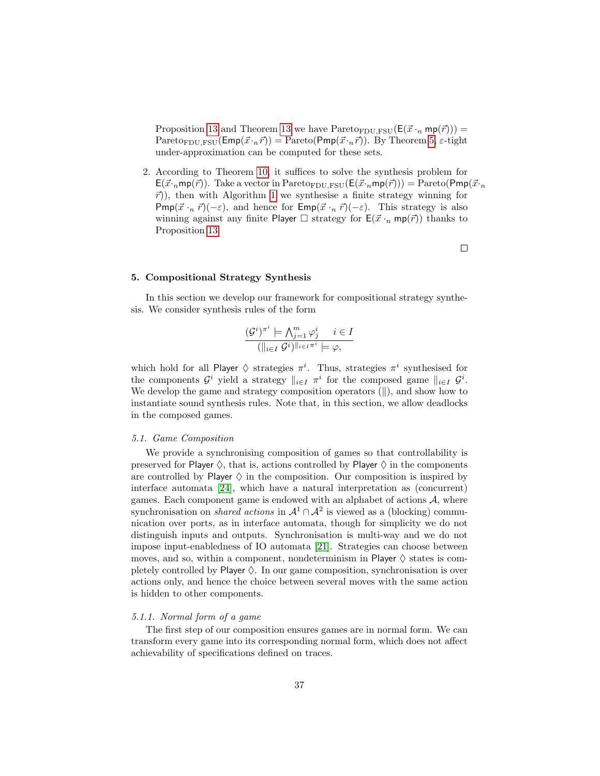Proposition [13](#page-36-0) and Theorem 13 we have  $\text{Pareto}_{\text{FDU},\text{FSU}}(E(\vec{x} \cdot_n \text{mp}(\vec{r})))$  = Pareto<sub>FDU,FSU</sub>( $\textsf{Emp}(\vec{x} \cdot_n \vec{r})$ ) = Pareto( $\textsf{Pmp}(\vec{x} \cdot_n \vec{r})$ ). By Theorem [5,](#page-21-2)  $\varepsilon$ -tight under-approximation can be computed for these sets.

2. According to Theorem [10,](#page-32-0) it suffices to solve the synthesis problem for  $E(\vec{x} \cdot_n m p(\vec{r}))$ . Take a vector in Pareto<sub>FDU,FSU</sub> $(E(\vec{x} \cdot_n m p(\vec{r}))) =$  Pareto(Pmp( $\vec{x} \cdot_n$  $\vec{r}$ ), then with Algorithm [1](#page-1-0) we synthesise a finite strategy winning for Pmp( $\vec{x} \cdot_n \vec{r}$ )(- $\varepsilon$ ), and hence for Emp( $\vec{x} \cdot_n \vec{r}$ )(- $\varepsilon$ ). This strategy is also winning against any finite Player  $\Box$  strategy for  $E(\vec{x} \cdot_n mp(\vec{r}))$  thanks to Proposition [13.](#page-51-0)

 $\Box$ 

#### 5. Compositional Strategy Synthesis

In this section we develop our framework for compositional strategy synthesis. We consider synthesis rules of the form

$$
\frac{(\mathcal{G}^i)^{\pi^i} \models \bigwedge_{j=1}^m \varphi_j^i \quad i \in I}{(\|_{i \in I} \mathcal{G}^i)^{\|_{i \in I} \pi^i} \models \varphi},
$$

which hold for all Player  $\Diamond$  strategies  $\pi^i$ . Thus, strategies  $\pi^i$  synthesised for the components  $\mathcal{G}^i$  yield a strategy  $\|_{i\in I} \pi^i$  for the composed game  $\|_{i\in I} \mathcal{G}^i$ . We develop the game and strategy composition operators  $(\|)$ , and show how to instantiate sound synthesis rules. Note that, in this section, we allow deadlocks in the composed games.

#### 5.1. Game Composition

We provide a synchronising composition of games so that controllability is preserved for Player  $\diamondsuit$ , that is, actions controlled by Player  $\diamondsuit$  in the components are controlled by Player  $\Diamond$  in the composition. Our composition is inspired by interface automata [\[24\]](#page-47-0), which have a natural interpretation as (concurrent) games. Each component game is endowed with an alphabet of actions  $A$ , where synchronisation on *shared actions* in  $\mathcal{A}^1 \cap \mathcal{A}^2$  is viewed as a (blocking) communication over ports, as in interface automata, though for simplicity we do not distinguish inputs and outputs. Synchronisation is multi-way and we do not impose input-enabledness of IO automata [\[21\]](#page-47-1). Strategies can choose between moves, and so, within a component, nondeterminism in Player  $\diamond$  states is completely controlled by Player  $\Diamond$ . In our game composition, synchronisation is over actions only, and hence the choice between several moves with the same action is hidden to other components.

#### 5.1.1. Normal form of a game

The first step of our composition ensures games are in normal form. We can transform every game into its corresponding normal form, which does not affect achievability of specifications defined on traces.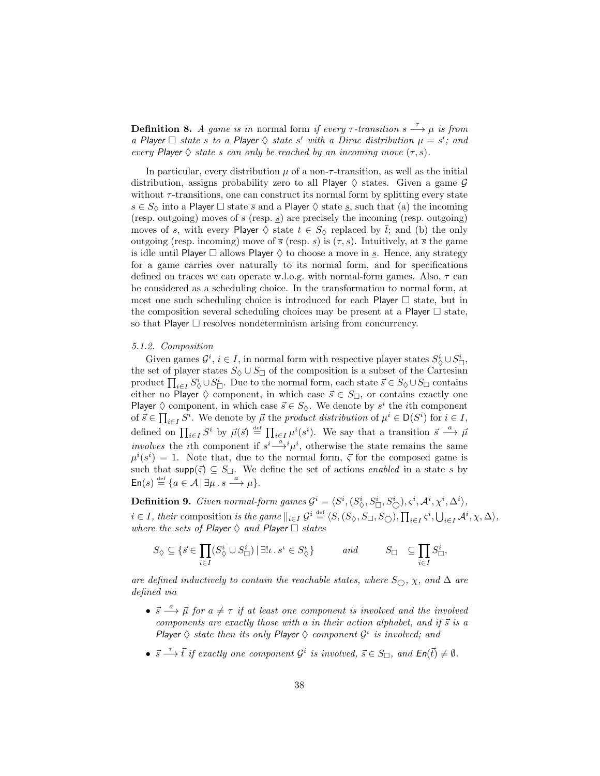**Definition 8.** A game is in normal form if every  $\tau$ -transition  $s \stackrel{\tau}{\longrightarrow} \mu$  is from a Player  $\Box$  state s to a Player  $\Diamond$  state s' with a Dirac distribution  $\mu = s'$ ; and every Player  $\Diamond$  state s can only be reached by an incoming move  $(\tau, s)$ .

In particular, every distribution  $\mu$  of a non- $\tau$ -transition, as well as the initial distribution, assigns probability zero to all Player  $\diamondsuit$  states. Given a game  $\mathcal G$ without  $\tau$ -transitions, one can construct its normal form by splitting every state  $s \in S_{\lozenge}$  into a Player  $\square$  state  $\overline{s}$  and a Player  $\lozenge$  state  $\underline{s}$ , such that (a) the incoming (resp. outgoing) moves of  $\bar{s}$  (resp.  $\underline{s}$ ) are precisely the incoming (resp. outgoing) moves of s, with every Player  $\Diamond$  state  $t \in S_{\Diamond}$  replaced by  $\overline{t}$ ; and (b) the only outgoing (resp. incoming) move of  $\bar{s}$  (resp.  $\underline{s}$ ) is  $(\tau, \underline{s})$ . Intuitively, at  $\bar{s}$  the game is idle until Player  $\Box$  allows Player  $\Diamond$  to choose a move in <u>s</u>. Hence, any strategy for a game carries over naturally to its normal form, and for specifications defined on traces we can operate w.l.o.g. with normal-form games. Also,  $\tau$  can be considered as a scheduling choice. In the transformation to normal form, at most one such scheduling choice is introduced for each Player  $\Box$  state, but in the composition several scheduling choices may be present at a Player  $\Box$  state, so that Player  $\Box$  resolves nondeterminism arising from concurrency.

#### 5.1.2. Composition

Given games  $\mathcal{G}^i$ ,  $i \in I$ , in normal form with respective player states  $S^i_{\Diamond} \cup S^i_{\Box}$ , the set of player states  $S_{\Diamond} \cup S_{\Box}$  of the composition is a subset of the Cartesian product  $\prod_{i\in I} S^i_{\Diamond} \cup S^i_{\Box}$ . Due to the normal form, each state  $\vec{s} \in S_{\Diamond} \cup S_{\Box}$  contains either no Player  $\Diamond$  component, in which case  $\vec{s} \in S_{\Box}$ , or contains exactly one Player  $\Diamond$  component, in which case  $\vec{s} \in S_{\Diamond}$ . We denote by  $s^i$  the *i*th component of  $\vec{s} \in \prod_{i \in I} S^i$ . We denote by  $\vec{\mu}$  the product distribution of  $\mu^i \in D(S^i)$  for  $i \in I$ , defined on  $\prod_{i\in I} S^i$  by  $\vec{\mu}(\vec{s}) \stackrel{\text{def}}{=} \prod_{i\in I} \mu^i(s^i)$ . We say that a transition  $\vec{s} \stackrel{a}{\longrightarrow} \vec{\mu}$ *involves* the *i*th component if  $s^i \stackrel{a}{\longrightarrow} \mu^i$ , otherwise the state remains the same  $\mu^{i}(s^{i}) = 1$ . Note that, due to the normal form,  $\vec{\zeta}$  for the composed game is such that supp( $\zeta$ )  $\subseteq S_{\square}$ . We define the set of actions *enabled* in a state s by  $\mathsf{En}(s) \stackrel{\text{def}}{=} \{a \in \mathcal{A} \mid \exists \mu \, . \, s \stackrel{a}{\longrightarrow} \mu\}.$ 

**Definition 9.** Given normal-form games  $G^i = \langle S^i, (S^i_{\diamondsuit}, S^i_{\square}, S^i_{\diamondsuit}), \varsigma^i, \mathcal{A}^i, \chi^i, \Delta^i \rangle$ ,  $i \in I$ , their composition is the game  $||_{i \in I}$   $G^i \stackrel{\text{def}}{=} \langle S, (S_{\Diamond}, S_{\Box}, S_{\bigcirc}), \prod_{i \in I} \varsigma^i, \bigcup_{i \in I} \mathcal{A}^i, \chi, \Delta \rangle$ , where the sets of Player  $\Diamond$  and Player  $\Box$  states

$$
S_{\Diamond} \subseteq \{ \vec{s} \in \prod_{i \in I} (S_{\Diamond}^i \cup S_{\Box}^i) \, | \, \exists ! \iota \, . \, s^{\iota} \in S_{\Diamond}^{\iota} \} \qquad \text{and} \qquad S_{\Box} \subseteq \prod_{i \in I} S_{\Box}^i,
$$

are defined inductively to contain the reachable states, where  $S_{\bigcirc}$ ,  $\chi$ , and  $\Delta$  are defined via

- $\vec{s} \stackrel{a}{\longrightarrow} \vec{\mu}$  for  $a \neq \tau$  if at least one component is involved and the involved components are exactly those with a in their action alphabet, and if  $\vec{s}$  is a Player  $\Diamond$  state then its only Player  $\Diamond$  component  $\mathcal{G}^i$  is involved; and
- $\vec{s} \stackrel{\tau}{\longrightarrow} \vec{t}$  if exactly one component  $\mathcal{G}^i$  is involved,  $\vec{s} \in S_{\Box}$ , and  $\mathsf{En}(\vec{t}) \neq \emptyset$ .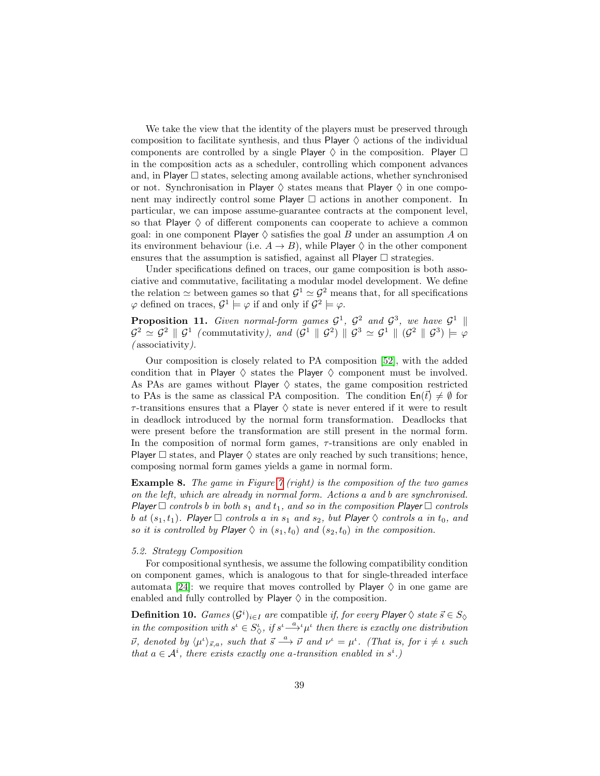We take the view that the identity of the players must be preserved through composition to facilitate synthesis, and thus Player  $\diamond$  actions of the individual components are controlled by a single Player  $\Diamond$  in the composition. Player  $\Box$ in the composition acts as a scheduler, controlling which component advances and, in Player  $\square$  states, selecting among available actions, whether synchronised or not. Synchronisation in Player  $\Diamond$  states means that Player  $\Diamond$  in one component may indirectly control some Player  $\Box$  actions in another component. In particular, we can impose assume-guarantee contracts at the component level, so that Player  $\diamond$  of different components can cooperate to achieve a common goal: in one component Player  $\Diamond$  satisfies the goal B under an assumption A on its environment behaviour (i.e.  $A \rightarrow B$ ), while Player  $\Diamond$  in the other component ensures that the assumption is satisfied, against all Player  $\Box$  strategies.

Under specifications defined on traces, our game composition is both associative and commutative, facilitating a modular model development. We define the relation  $\simeq$  between games so that  $\mathcal{G}^1 \simeq \mathcal{G}^2$  means that, for all specifications  $\varphi$  defined on traces,  $\mathcal{G}^1 \models \varphi$  if and only if  $\mathcal{G}^2 \models \varphi$ .

**Proposition 11.** Given normal-form games  $\mathcal{G}^1$ ,  $\mathcal{G}^2$  and  $\mathcal{G}^3$ , we have  $\mathcal{G}^1$  ||  $\mathcal{G}^2 \simeq \mathcal{G}^2 \parallel \mathcal{G}^1$  (commutativity), and  $(\mathcal{G}^1 \parallel \mathcal{G}^2) \parallel \mathcal{G}^3 \simeq \mathcal{G}^1 \parallel (\mathcal{G}^2 \parallel \mathcal{G}^3) \models \varphi$ ( associativity).

Our composition is closely related to PA composition [\[52\]](#page-49-0), with the added condition that in Player  $\diamondsuit$  states the Player  $\diamondsuit$  component must be involved. As PAs are games without Player  $\diamondsuit$  states, the game composition restricted to PAs is the same as classical PA composition. The condition  $\text{En}(t) \neq \emptyset$  for  $\tau$ -transitions ensures that a Player  $\diamond$  state is never entered if it were to result in deadlock introduced by the normal form transformation. Deadlocks that were present before the transformation are still present in the normal form. In the composition of normal form games,  $\tau$ -transitions are only enabled in Player  $\Box$  states, and Player  $\Diamond$  states are only reached by such transitions; hence, composing normal form games yields a game in normal form.

**Example 8.** The game in Figure  $\gamma$  (right) is the composition of the two games on the left, which are already in normal form. Actions a and b are synchronised. Player  $\Box$  controls b in both  $s_1$  and  $t_1$ , and so in the composition Player  $\Box$  controls b at  $(s_1, t_1)$ . Player  $\Box$  controls a in  $s_1$  and  $s_2$ , but Player  $\Diamond$  controls a in  $t_0$ , and so it is controlled by Player  $\Diamond$  in  $(s_1, t_0)$  and  $(s_2, t_0)$  in the composition.

#### 5.2. Strategy Composition

For compositional synthesis, we assume the following compatibility condition on component games, which is analogous to that for single-threaded interface automata [\[24\]](#page-47-0): we require that moves controlled by Player  $\diamond$  in one game are enabled and fully controlled by Player  $\diamond$  in the composition.

**Definition 10.**  $Games (G^i)_{i\in I}$  are compatible if, for every Player  $\diamondsuit$  state  $\vec{s} \in S_{\diamondsuit}$ in the composition with  $s^i \in S^i_{\zeta}$ , if  $s^i \stackrel{a}{\longrightarrow} \mu^i$  then there is exactly one distribution  $\vec{\nu}$ , denoted by  $\langle \mu^{\iota} \rangle_{\vec{s},a}$ , such that  $\vec{s} \stackrel{a}{\longrightarrow} \vec{\nu}$  and  $\nu^{\iota} = \mu^{\iota}$ . (That is, for  $i \neq \iota$  such that  $a \in \mathcal{A}^i$ , there exists exactly one a-transition enabled in  $s^i$ .)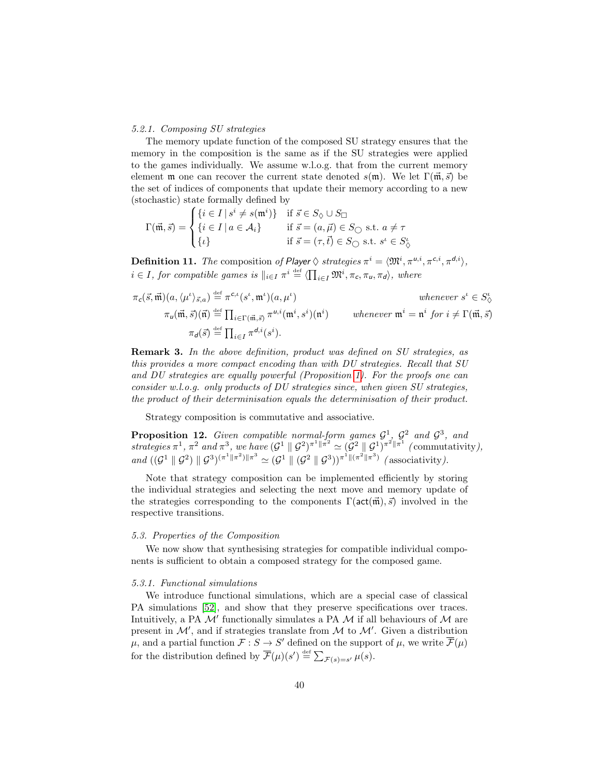#### 5.2.1. Composing SU strategies

The memory update function of the composed SU strategy ensures that the memory in the composition is the same as if the SU strategies were applied to the games individually. We assume w.l.o.g. that from the current memory element m one can recover the current state denoted  $s(\mathfrak{m})$ . We let  $\Gamma(\vec{\mathfrak{m}}, \vec{s})$  be the set of indices of components that update their memory according to a new (stochastic) state formally defined by

$$
\Gamma(\vec{\mathfrak{m}}, \vec{s}) = \begin{cases} \{i \in I \mid s^i \neq s(\mathfrak{m}^i)\} & \text{if } \vec{s} \in S_{\Diamond} \cup S_{\Box} \\ \{i \in I \mid a \in \mathcal{A}_i\} & \text{if } \vec{s} = (a, \vec{\mu}) \in S_{\bigcirc} \text{ s.t. } a \neq \tau \\ \{i\} & \text{if } \vec{s} = (\tau, \vec{t}) \in S_{\bigcirc} \text{ s.t. } s^i \in S_{\Diamond}^i \end{cases}
$$

**Definition 11.** The composition of Player  $\Diamond$  strategies  $\pi^i = \langle \mathfrak{M}^i, \pi^{u,i}, \pi^{c,i}, \pi^{d,i} \rangle$ ,  $i \in I$ , for compatible games is  $||_{i \in I} \pi^i \stackrel{\text{def}}{=} \langle \prod_{i \in I} \mathfrak{M}^i, \pi_c, \pi_u, \pi_d \rangle$ , where

$$
\pi_{\mathsf{c}}(\vec{s}, \vec{\mathfrak{m}})(a, \langle \mu^{\iota} \rangle_{\vec{s}, a}) \stackrel{\text{def}}{=} \pi^{\mathsf{c}, \iota}(s^{\iota}, \mathfrak{m}^{\iota})(a, \mu^{\iota}) \qquad \text{whenever } s^{\iota} \in S^{\iota}_{\diamondsuit}
$$
  
\n
$$
\pi_{\mathsf{u}}(\vec{\mathfrak{m}}, \vec{s})(\vec{\mathfrak{n}}) \stackrel{\text{def}}{=} \prod_{i \in \Gamma(\vec{\mathfrak{m}}, \vec{s})} \pi^{\mathsf{u}, i}(\mathfrak{m}^{i}, s^{i})(\mathfrak{n}^{i}) \qquad \text{whenever } \mathfrak{m}^{i} = \mathfrak{n}^{i} \text{ for } i \neq \Gamma(\vec{\mathfrak{m}}, \vec{s})
$$
  
\n
$$
\pi_{\mathsf{d}}(\vec{s}) \stackrel{\text{def}}{=} \prod_{i \in I} \pi^{\mathsf{d}, i}(s^{i}).
$$

Remark 3. In the above definition, product was defined on SU strategies, as this provides a more compact encoding than with DU strategies. Recall that SU and DU strategies are equally powerful (Proposition [1\)](#page-13-0). For the proofs one can consider w.l.o.g. only products of DU strategies since, when given SU strategies, the product of their determinisation equals the determinisation of their product.

Strategy composition is commutative and associative.

**Proposition 12.** Given compatible normal-form games  $\mathcal{G}^1$ ,  $\mathcal{G}^2$  and  $\mathcal{G}^3$ , and strategies  $\pi^1$ ,  $\pi^2$  and  $\pi^3$ , we have  $(\mathcal{G}^1 \parallel \mathcal{G}^2)^{\pi^1 \parallel \pi^2} \simeq (\mathcal{G}^2 \parallel \mathcal{G}^1)^{\pi^2 \parallel \pi^1}$  (commutativity), and  $((\mathcal{G}^1 \parallel \mathcal{G}^2) \parallel \mathcal{G}^3)^{(\pi^1 \parallel \pi^2) \parallel \pi^3} \simeq (\mathcal{G}^1 \parallel (\mathcal{G}^2 \parallel \mathcal{G}^3))^{(\pi^1 \parallel (\pi^2 \parallel \pi^3))}$  (associativity).

Note that strategy composition can be implemented efficiently by storing the individual strategies and selecting the next move and memory update of the strategies corresponding to the components  $\Gamma(\text{act}(\vec{m}), \vec{s})$  involved in the respective transitions.

## 5.3. Properties of the Composition

We now show that synthesising strategies for compatible individual components is sufficient to obtain a composed strategy for the composed game.

#### 5.3.1. Functional simulations

We introduce functional simulations, which are a special case of classical PA simulations [\[52\]](#page-49-0), and show that they preserve specifications over traces. Intuitively, a PA  $\mathcal{M}'$  functionally simulates a PA  $\mathcal M$  if all behaviours of  $\mathcal M$  are present in  $\mathcal{M}'$ , and if strategies translate from  $\mathcal M$  to  $\mathcal M'$ . Given a distribution  $\mu$ , and a partial function  $\mathcal{F}: S \to S'$  defined on the support of  $\mu$ , we write  $\overline{\mathcal{F}}(\mu)$ for the distribution defined by  $\overline{\mathcal{F}}(\mu)(s') \stackrel{\text{def}}{=} \sum_{\mathcal{F}(s) = s'} \mu(s)$ .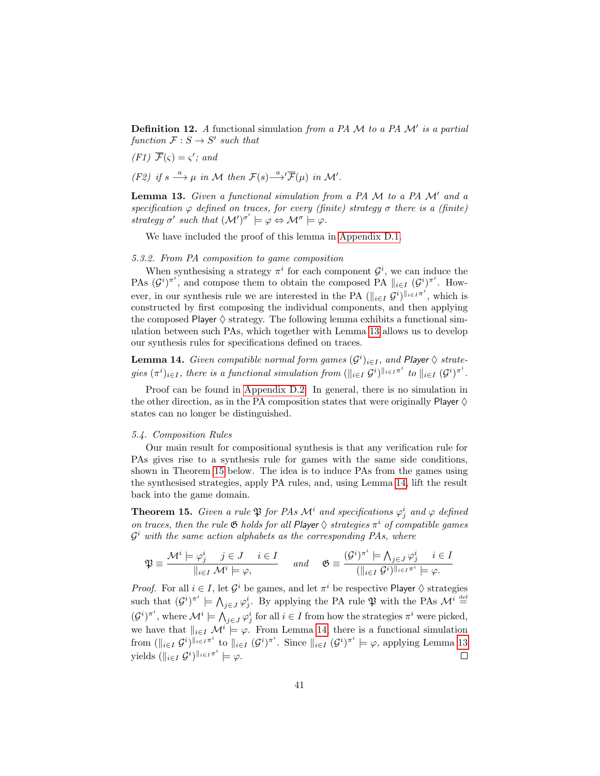**Definition 12.** A functional simulation from a PA  $M$  to a PA  $M'$  is a partial function  $\mathcal{F}: S \to S'$  such that

$$
(F1) \ \overline{\mathcal{F}}(\varsigma) = \varsigma'; \ and
$$

(F2) if  $s \stackrel{a}{\longrightarrow} \mu$  in M then  $\mathcal{F}(s) \stackrel{a}{\longrightarrow} \overline{\mathcal{F}}(\mu)$  in M'.

<span id="page-41-0"></span>**Lemma 13.** Given a functional simulation from a PA  $M$  to a PA  $M'$  and a specification  $\varphi$  defined on traces, for every (finite) strategy  $\sigma$  there is a (finite) strategy  $\sigma'$  such that  $({\cal M}')^{\sigma'} \models \varphi \Leftrightarrow {\cal M}^{\sigma} \models \varphi$ .

We have included the proof of this lemma in [Appendix D.1.](#page-77-0)

5.3.2. From PA composition to game composition

When synthesising a strategy  $\pi^i$  for each component  $\mathcal{G}^i$ , we can induce the PAs  $(G^{i})^{\pi^{i}}$ , and compose them to obtain the composed PA  $||_{i\in I} (G^{i})^{\pi^{i}}$ . However, in our synthesis rule we are interested in the PA  $(\|_{i\in I} \mathcal{G}^i)^{\|_{i\in I}\pi^i}$ , which is constructed by first composing the individual components, and then applying the composed Player  $\diamond$  strategy. The following lemma exhibits a functional simulation between such PAs, which together with Lemma [13](#page-41-0) allows us to develop our synthesis rules for specifications defined on traces.

<span id="page-41-2"></span>**Lemma 14.** Given compatible normal form games  $(G<sup>i</sup>)<sub>i\in I</sub>$ , and Player  $\diamondsuit$  strategies  $(\pi^i)_{i \in I}$ , there is a functional simulation from  $(\|_{i \in I} \mathcal{G}^i)^{\|\cdot\|_{i \in I} \pi^i}$  to  $\|_{i \in I} (\mathcal{G}^i)^{\pi^i}$ .

Proof can be found in [Appendix D.2.](#page-78-0) In general, there is no simulation in the other direction, as in the PA composition states that were originally Player  $\diamond$ states can no longer be distinguished.

## 5.4. Composition Rules

Our main result for compositional synthesis is that any verification rule for PAs gives rise to a synthesis rule for games with the same side conditions, shown in Theorem [15](#page-41-1) below. The idea is to induce PAs from the games using the synthesised strategies, apply PA rules, and, using Lemma [14,](#page-41-2) lift the result back into the game domain.

<span id="page-41-1"></span>**Theorem 15.** Given a rule  $\mathfrak{P}$  for PAs  $\mathcal{M}^i$  and specifications  $\varphi^i_j$  and  $\varphi$  defined on traces, then the rule  $\mathfrak G$  holds for all Player  $\Diamond$  strategies  $\pi^i$  of compatible games  $\mathcal{G}^i$  with the same action alphabets as the corresponding PAs, where

$$
\mathfrak{P}\equiv\frac{\mathcal{M}^i\models\varphi^i_j\quad j\in J\quad i\in I}{\parallel_{i\in I}\mathcal{M}^i\models\varphi,}\qquad and\qquad \mathfrak{G}\equiv\frac{(\mathcal{G}^i)^{\pi^i}\models\bigwedge_{j\in J}\varphi^i_j\quad i\in I}{(\parallel_{i\in I}\mathcal{G}^i)\parallel_{i\in I}\pi^i\models\varphi}.
$$

*Proof.* For all  $i \in I$ , let  $\mathcal{G}^i$  be games, and let  $\pi^i$  be respective Player  $\diamond$  strategies such that  $(\mathcal{G}^i)^{\pi^i} \models \bigwedge_{j \in J} \varphi^i_j$ . By applying the PA rule  $\mathfrak{P}$  with the PAs  $\mathcal{M}^i \stackrel{\text{def}}{=}$  $(\mathcal{G}^i)^{\pi^i}$ , where  $\mathcal{M}^i \models \bigwedge_{j \in J} \varphi^i_j$  for all  $i \in I$  from how the strategies  $\pi^i$  were picked, we have that  $\|_{i\in I}$   $\mathcal{M}^i \models \varphi$ . From Lemma [14,](#page-41-2) there is a functional simulation from  $(\|_{i\in I} \mathcal{G}^i)^{\|\cdot\|_{i\in I}}$  to  $\|_{i\in I} \mathcal{G}^i)^{\pi^i}$ . Since  $\|_{i\in I} \mathcal{G}^i)^{\pi^i} \models \varphi$ , applying Lemma [13](#page-41-0) yields  $(\|_{i\in I} \mathcal{G}^i)^{\|_{i\in I} \pi^i} \models \varphi.$  $\Box$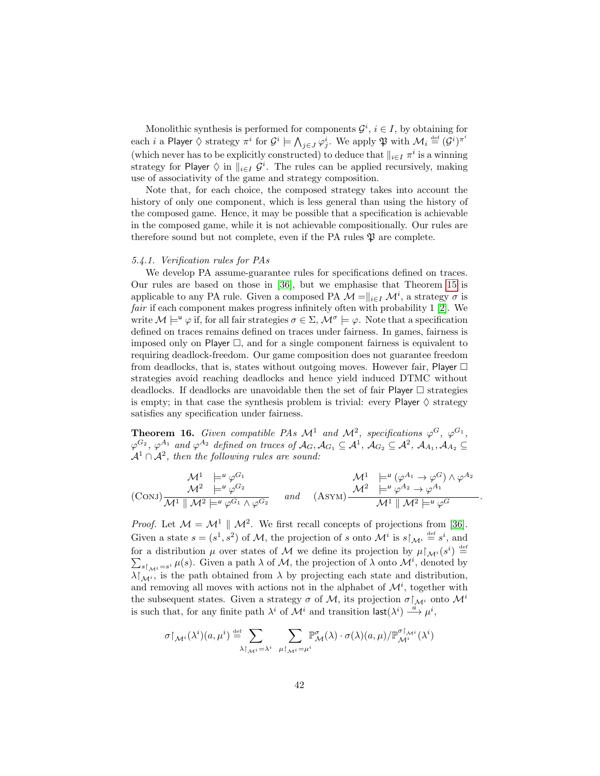Monolithic synthesis is performed for components  $\mathcal{G}^i$ ,  $i \in I$ , by obtaining for each  $i$  a Player  $\Diamond$  strategy  $\pi^i$  for  $\mathcal{G}^i \models \bigwedge_{j \in J} \varphi^i_j.$  We apply  $\mathfrak{P}$  with  $\mathcal{M}_i \stackrel{\text{\tiny def}}{=} (\mathcal{G}^i)^{\pi^i}$ (which never has to be explicitly constructed) to deduce that  $||_{i \in I} \pi^i$  is a winning strategy for Player  $\Diamond$  in  $\Vert_{i\in I}$   $\mathcal{G}^i$ . The rules can be applied recursively, making use of associativity of the game and strategy composition.

Note that, for each choice, the composed strategy takes into account the history of only one component, which is less general than using the history of the composed game. Hence, it may be possible that a specification is achievable in the composed game, while it is not achievable compositionally. Our rules are therefore sound but not complete, even if the PA rules  $\mathfrak P$  are complete.

#### 5.4.1. Verification rules for PAs

We develop PA assume-guarantee rules for specifications defined on traces. Our rules are based on those in [\[36\]](#page-48-0), but we emphasise that Theorem [15](#page-41-1) is applicable to any PA rule. Given a composed PA  $\mathcal{M} = ||_{i \in I} \mathcal{M}^i$ , a strategy  $\sigma$  is fair if each component makes progress infinitely often with probability 1 [\[2\]](#page-45-0). We write  $M \models^{\mathsf{u}} \varphi$  if, for all fair strategies  $\sigma \in \Sigma$ ,  $\mathcal{M}^{\sigma} \models \varphi$ . Note that a specification defined on traces remains defined on traces under fairness. In games, fairness is imposed only on Player  $\Box$ , and for a single component fairness is equivalent to requiring deadlock-freedom. Our game composition does not guarantee freedom from deadlocks, that is, states without outgoing moves. However fair, Player  $\Box$ strategies avoid reaching deadlocks and hence yield induced DTMC without deadlocks. If deadlocks are unavoidable then the set of fair Player  $\Box$  strategies is empty; in that case the synthesis problem is trivial: every Player  $\diamond$  strategy satisfies any specification under fairness.

**Theorem 16.** Given compatible PAs  $\mathcal{M}^1$  and  $\mathcal{M}^2$ , specifications  $\varphi^G$ ,  $\varphi^{G_1}$ ,  $\varphi^{G_2}, \varphi^{A_1}$  and  $\varphi^{A_2}$  defined on traces of  $\mathcal{A}_G, \mathcal{A}_{G_1} \subseteq \mathcal{A}^1$ ,  $\mathcal{A}_{G_2} \subseteq \mathcal{A}^2$ ,  $\mathcal{A}_{A_1}, \mathcal{A}_{A_2} \subseteq$  $\mathcal{A}^1 \cap \mathcal{A}^2$ , then the following rules are sound:

$$
\begin{array}{ccc}\nM^{1} & \models^{u} \varphi^{G_{1}} & M^{1} & \models^{u} (\varphi^{A_{1}} \to \varphi^{G}) \land \varphi^{A_{2}} \\
M^{2} & \models^{u} \varphi^{G_{2}} & \text{and} & (\text{Asym}) \frac{\mathcal{M}^{2} & \models^{u} \varphi^{A_{2}} \to \varphi^{A_{1}}}{\mathcal{M}^{1} \parallel \mathcal{M}^{2} \models^{u} \varphi^{G}} \\
\hline\n\end{array}
$$

.

*Proof.* Let  $\mathcal{M} = \mathcal{M}^1 \parallel \mathcal{M}^2$ . We first recall concepts of projections from [\[36\]](#page-48-0). Given a state  $s = (s^1, s^2)$  of M, the projection of s onto  $\mathcal{M}^i$  is  $s \upharpoonright_{\mathcal{M}^i} \stackrel{\text{def}}{=} s^i$ , and for a distribution  $\mu$  over states of M we define its projection by  $\mu\upharpoonright_{\mathcal{M}^i}(s^i) \stackrel{\text{def}}{=}$ for a distribution  $\mu$  over states of M we define its projection by  $\mu \upharpoonright_{\mathcal{M}^i} (s^i) \stackrel{\text{def}}{=} \sum_{s \upharpoonright_{\mathcal{M}^i} = s^i} \mu(s)$ . Given a path  $\lambda$  of M, the projection of  $\lambda$  onto  $\mathcal{M}^i$ , denoted by  $\lambda|_{\mathcal{M}^i}$ , is the path obtained from  $\lambda$  by projecting each state and distribution, and removing all moves with actions not in the alphabet of  $\mathcal{M}^i$ , together with the subsequent states. Given a strategy  $\sigma$  of M, its projection  $\sigma|_{\mathcal{M}^i}$  onto  $\mathcal{M}^i$ is such that, for any finite path  $\lambda^i$  of  $\mathcal{M}^i$  and transition  $\mathsf{last}(\lambda^i) \stackrel{\alpha}{\longrightarrow} \mu^i$ ,

$$
\sigma{\upharpoonright}_{\mathcal{M}^i}(\lambda^i)(a,\mu^i)\stackrel{\mathrm{def}}{=}\sum_{\lambda{\upharpoonright}_{\mathcal{M}^i}=\lambda^i}\ \sum_{\mu{\upharpoonright}_{\mathcal{M}^i}=\mu^i} \mathbb{P}^{\sigma}_{\mathcal{M}}(\lambda)\cdot \sigma(\lambda)(a,\mu)/\mathbb{P}^{\sigma{\upharpoonright}_{\mathcal{M}^i}}_{\mathcal{M}^i}(\lambda^i)
$$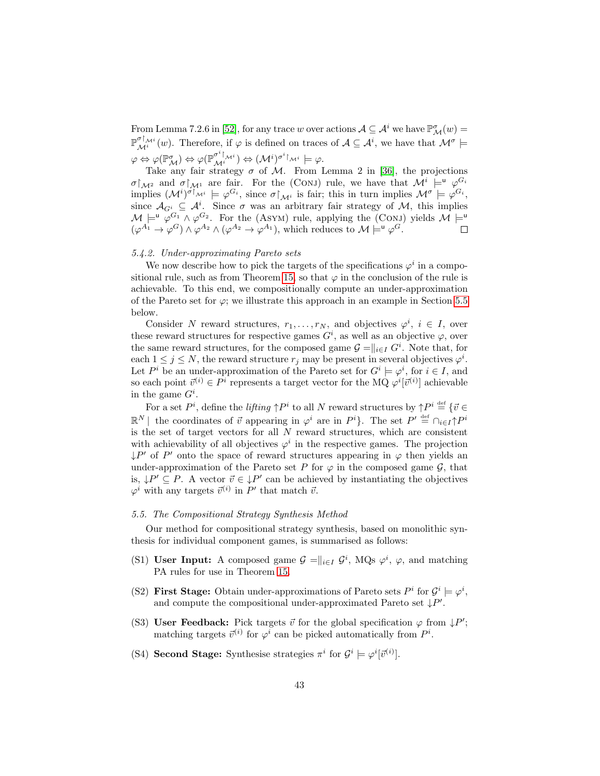From Lemma 7.2.6 in [\[52\]](#page-49-0), for any trace w over actions  $A \subseteq \mathcal{A}^i$  we have  $\mathbb{P}^{\sigma}_{\mathcal{M}}(w) =$  $\mathbb{P}^{\sigma\uparrow_{\mathcal{M}^i}}_{\mathcal{M}^i}(w)$ . Therefore, if  $\varphi$  is defined on traces of  $\mathcal{A} \subseteq \mathcal{A}^i$ , we have that  $\mathcal{M}^{\sigma} \models$  $\varphi \Leftrightarrow \varphi(\mathbb{P}^{\sigma}_{\mathcal{M}}) \Leftrightarrow \varphi(\mathbb{P}^{\sigma^{i}\restriction_{\mathcal{M}^{i}}}) \Leftrightarrow (\mathcal{M}^{i})^{\sigma^{i}\restriction_{\mathcal{M}^{i}}} \models \varphi.$ 

Take any fair strategy  $\sigma$  of M. From Lemma 2 in [\[36\]](#page-48-0), the projections  $\sigma|_{\mathcal{M}^2}$  and  $\sigma|_{\mathcal{M}^1}$  are fair. For the (CONJ) rule, we have that  $\mathcal{M}^i \models^{\mathsf{u}} \varphi^{\mathcal{G}_i}$ implies  $(M^i)^{\sigma}$ <sub>M<sup>i</sup></sub>  $\models \varphi^{G_i}$ , since  $\sigma|_{M^i}$  is fair; this in turn implies  $M^{\sigma} \models \varphi^{G_i}$ , since  $\mathcal{A}_{G^i} \subseteq \mathcal{A}^i$ . Since  $\sigma$  was an arbitrary fair strategy of M, this implies  $\mathcal{M} \models^{\mathsf{u}} \varphi^{G_1} \wedge \varphi^{G_2}$ . For the (ASYM) rule, applying the (CONJ) yields  $\mathcal{M} \models^{\mathsf{u}}$  $(\varphi^{A_1} \to \varphi^G) \wedge \varphi^{A_2} \wedge (\varphi^{A_2} \to \varphi^{A_1}),$  which reduces to  $\mathcal{M} \models^{\mathsf{u}} \varphi^G$ .

### 5.4.2. Under-approximating Pareto sets

We now describe how to pick the targets of the specifications  $\varphi^i$  in a compo-sitional rule, such as from Theorem [15,](#page-41-1) so that  $\varphi$  in the conclusion of the rule is achievable. To this end, we compositionally compute an under-approximation of the Pareto set for  $\varphi$ ; we illustrate this approach in an example in Section [5.5](#page-43-0) below.

Consider N reward structures,  $r_1, \ldots, r_N$ , and objectives  $\varphi^i$ ,  $i \in I$ , over these reward structures for respective games  $G<sup>i</sup>$ , as well as an objective  $\varphi$ , over the same reward structures, for the composed game  $\mathcal{G} = ||_{i \in I} G^i$ . Note that, for each  $1 \leq j \leq N$ , the reward structure  $r_j$  may be present in several objectives  $\varphi^i$ . Let  $P^i$  be an under-approximation of the Pareto set for  $G^i \models \varphi^i$ , for  $i \in I$ , and so each point  $\vec{v}^{(i)} \in P^i$  represents a target vector for the MQ  $\varphi^i[\vec{v}^{(i)}]$  achievable in the game  $G^i$ .

For a set  $P^i$ , define the *lifting*  $\uparrow P^i$  to all N reward structures by  $\uparrow P^i \stackrel{\text{def}}{=} \{ \vec{v} \in$  $\mathbb{R}^N$  | the coordinates of  $\vec{v}$  appearing in  $\varphi^i$  are in  $P^i$ }. The set  $P' \stackrel{\text{def}}{=} \bigcap_{i \in I} \uparrow P^i$ is the set of target vectors for all  $N$  reward structures, which are consistent with achievability of all objectives  $\varphi^i$  in the respective games. The projection  $\downarrow P'$  of P' onto the space of reward structures appearing in  $\varphi$  then yields an under-approximation of the Pareto set P for  $\varphi$  in the composed game  $\mathcal{G}$ , that is,  $\downarrow P' \subseteq P$ . A vector  $\vec{v} \in \downarrow P'$  can be achieved by instantiating the objectives  $\varphi^i$  with any targets  $\vec{v}^{(i)}$  in P' that match  $\vec{v}$ .

### <span id="page-43-0"></span>5.5. The Compositional Strategy Synthesis Method

Our method for compositional strategy synthesis, based on monolithic synthesis for individual component games, is summarised as follows:

- <span id="page-43-1"></span>(S1) User Input: A composed game  $\mathcal{G} = ||_{i \in I} \mathcal{G}^i$ , MQs  $\varphi^i$ ,  $\varphi$ , and matching PA rules for use in Theorem [15.](#page-41-1)
- <span id="page-43-3"></span>(S2) First Stage: Obtain under-approximations of Pareto sets  $P^i$  for  $\mathcal{G}^i \models \varphi^i$ , and compute the compositional under-approximated Pareto set  $\downarrow P'$ .
- <span id="page-43-4"></span>(S3) User Feedback: Pick targets  $\vec{v}$  for the global specification  $\varphi$  from  $\downarrow P'$ ; matching targets  $\vec{v}^{(i)}$  for  $\varphi^i$  can be picked automatically from  $P^i$ .
- <span id="page-43-2"></span>(S4) Second Stage: Synthesise strategies  $\pi^i$  for  $\mathcal{G}^i \models \varphi^i[\vec{v}^{(i)}]$ .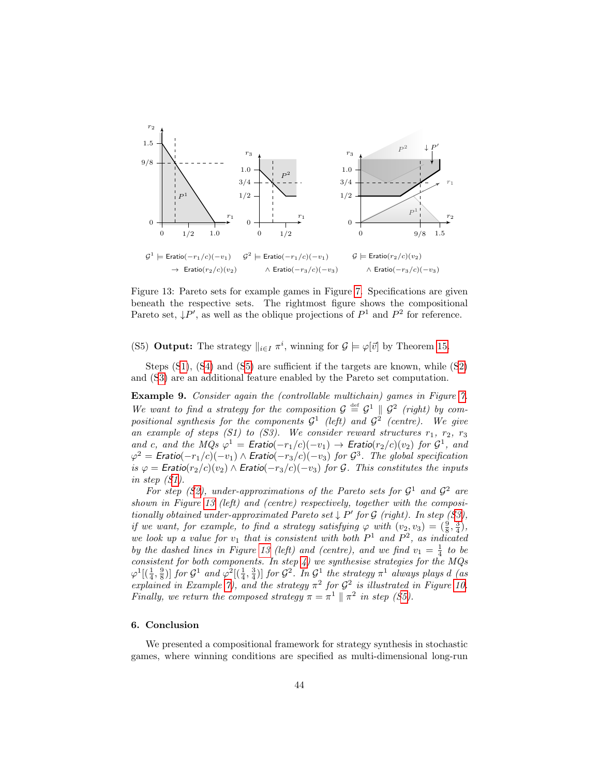<span id="page-44-1"></span>

Figure 13: Pareto sets for example games in Figure [7.](#page-25-0) Specifications are given beneath the respective sets. The rightmost figure shows the compositional Pareto set,  $\downarrow P'$ , as well as the oblique projections of  $P^1$  and  $P^2$  for reference.

<span id="page-44-0"></span>(S5) **Output:** The strategy  $\|_{i \in I} \pi^i$ , winning for  $\mathcal{G} \models \varphi[\vec{v}]$  by Theorem [15.](#page-41-1)

Steps ([S1\)](#page-43-1), ([S4\)](#page-43-2) and ([S5\)](#page-44-0) are sufficient if the targets are known, while ([S2\)](#page-43-3) and ([S3\)](#page-43-4) are an additional feature enabled by the Pareto set computation.

Example 9. Consider again the (controllable multichain) games in Figure [7.](#page-25-0) We want to find a strategy for the composition  $G \stackrel{\text{def}}{=} G^1 \parallel G^2$  (right) by compositional synthesis for the components  $G^1$  (left) and  $G^2$  (centre). We give an example of steps  $(S1)$  to  $(S3)$ . We consider reward structures  $r_1, r_2, r_3$ and c, and the MQs  $\varphi^1 =$  Eratio( $-r_1/c$ )( $-v_1$ )  $\to$  Eratio( $r_2/c$ )( $v_2$ ) for  $\mathcal{G}^1$ , and  $\varphi^2 = \mathsf{E}$ ratio $(-r_1/c)(-v_1) \wedge \mathsf{E}$ ratio $(-r_3/c)(-v_3)$  for  $\mathcal{G}^3$ . The global specification is  $\varphi =$  Eratio( $r_2/c$ )( $v_2$ )  $\wedge$  Eratio( $-r_3/c$ )( $-v_3$ ) for G. This constitutes the inputs in step ([S1\)](#page-43-1).

For step ([S2\)](#page-43-3), under-approximations of the Pareto sets for  $\mathcal{G}^1$  and  $\mathcal{G}^2$  are shown in Figure [13](#page-44-1) (left) and (centre) respectively, together with the compositionally obtained under-approximated Pareto set  $\downarrow$  P' for G (right). In step ([S3\)](#page-43-4), if we want, for example, to find a strategy satisfying  $\varphi$  with  $(v_2, v_3) = (\frac{9}{8}, \frac{3}{4})$ , we look up a value for  $v_1$  that is consistent with both  $P^1$  and  $P^2$ , as indicated by the dashed lines in Figure [13](#page-44-1) (left) and (centre), and we find  $v_1 = \frac{1}{4}$  to be consistent for both components. In step  $4$ ) we synthesise strategies for the MQs  $\varphi^1[(\frac{1}{4},\frac{9}{8})]$  for  $\mathcal{G}^1$  and  $\varphi^2[(\frac{1}{4},\frac{3}{4})]$  for  $\mathcal{G}^2$ . In  $\mathcal{G}^1$  the strategy  $\pi^1$  always plays d (as explained in Example [7\)](#page-32-1), and the strategy  $\pi^2$  for  $\mathcal{G}^2$  is illustrated in Figure [10.](#page-28-0) Finally, we return the composed strategy  $\pi = \pi^1 \parallel \pi^2$  in step ([S5\)](#page-44-0).

### 6. Conclusion

We presented a compositional framework for strategy synthesis in stochastic games, where winning conditions are specified as multi-dimensional long-run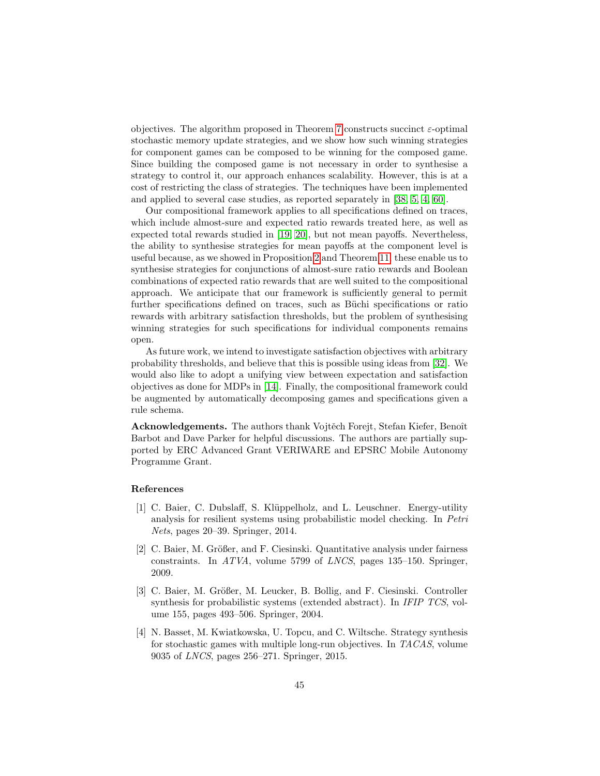objectives. The algorithm proposed in Theorem [7](#page-28-1) constructs succinct  $\varepsilon$ -optimal stochastic memory update strategies, and we show how such winning strategies for component games can be composed to be winning for the composed game. Since building the composed game is not necessary in order to synthesise a strategy to control it, our approach enhances scalability. However, this is at a cost of restricting the class of strategies. The techniques have been implemented and applied to several case studies, as reported separately in [\[38,](#page-48-1) [5,](#page-46-0) [4,](#page-45-1) [60\]](#page-49-1).

Our compositional framework applies to all specifications defined on traces, which include almost-sure and expected ratio rewards treated here, as well as expected total rewards studied in [\[19,](#page-47-2) [20\]](#page-47-3), but not mean payoffs. Nevertheless, the ability to synthesise strategies for mean payoffs at the component level is useful because, as we showed in Proposition [2](#page-17-0) and Theorem [11,](#page-32-2) these enable us to synthesise strategies for conjunctions of almost-sure ratio rewards and Boolean combinations of expected ratio rewards that are well suited to the compositional approach. We anticipate that our framework is sufficiently general to permit further specifications defined on traces, such as Büchi specifications or ratio rewards with arbitrary satisfaction thresholds, but the problem of synthesising winning strategies for such specifications for individual components remains open.

As future work, we intend to investigate satisfaction objectives with arbitrary probability thresholds, and believe that this is possible using ideas from [\[32\]](#page-47-4). We would also like to adopt a unifying view between expectation and satisfaction objectives as done for MDPs in [\[14\]](#page-46-1). Finally, the compositional framework could be augmented by automatically decomposing games and specifications given a rule schema.

Acknowledgements. The authors thank Vojtěch Forejt, Stefan Kiefer, Benoît Barbot and Dave Parker for helpful discussions. The authors are partially supported by ERC Advanced Grant VERIWARE and EPSRC Mobile Autonomy Programme Grant.

### References

- [1] C. Baier, C. Dubslaff, S. Kl¨uppelholz, and L. Leuschner. Energy-utility analysis for resilient systems using probabilistic model checking. In Petri Nets, pages 20–39. Springer, 2014.
- <span id="page-45-0"></span>[2] C. Baier, M. Größer, and F. Ciesinski. Quantitative analysis under fairness constraints. In ATVA, volume 5799 of LNCS, pages 135–150. Springer, 2009.
- [3] C. Baier, M. Größer, M. Leucker, B. Bollig, and F. Ciesinski. Controller synthesis for probabilistic systems (extended abstract). In IFIP TCS, volume 155, pages 493–506. Springer, 2004.
- <span id="page-45-1"></span>[4] N. Basset, M. Kwiatkowska, U. Topcu, and C. Wiltsche. Strategy synthesis for stochastic games with multiple long-run objectives. In TACAS, volume 9035 of LNCS, pages 256–271. Springer, 2015.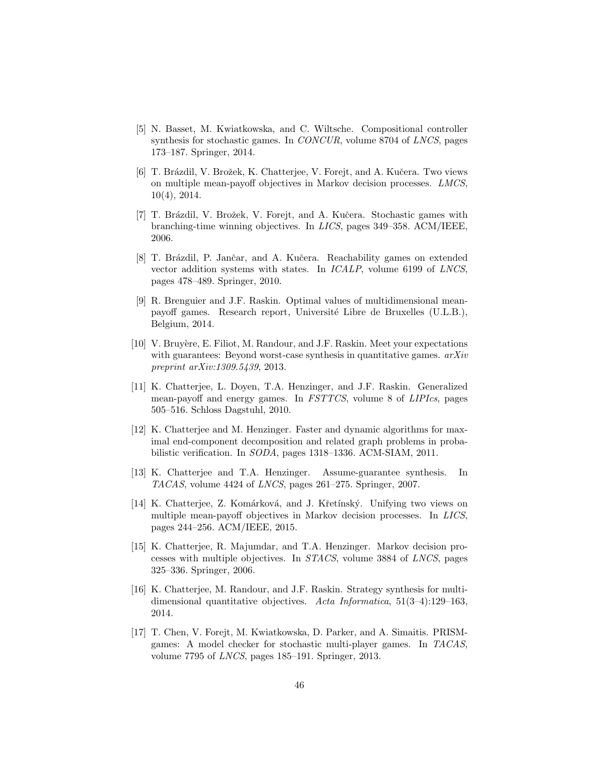- <span id="page-46-0"></span>[5] N. Basset, M. Kwiatkowska, and C. Wiltsche. Compositional controller synthesis for stochastic games. In CONCUR, volume 8704 of LNCS, pages 173–187. Springer, 2014.
- [6] T. Brázdil, V. Brožek, K. Chatterjee, V. Forejt, and A. Kučera. Two views on multiple mean-payoff objectives in Markov decision processes. LMCS, 10(4), 2014.
- [7] T. Brázdil, V. Brožek, V. Forejt, and A. Kučera. Stochastic games with branching-time winning objectives. In LICS, pages 349–358. ACM/IEEE, 2006.
- [8] T. Brázdil, P. Jančar, and A. Kučera. Reachability games on extended vector addition systems with states. In ICALP, volume 6199 of LNCS, pages 478–489. Springer, 2010.
- [9] R. Brenguier and J.F. Raskin. Optimal values of multidimensional meanpayoff games. Research report, Université Libre de Bruxelles (U.L.B.), Belgium, 2014.
- [10] V. Bruyère, E. Filiot, M. Randour, and J.F. Raskin. Meet your expectations with guarantees: Beyond worst-case synthesis in quantitative games.  $arXiv$ preprint arXiv:1309.5439, 2013.
- [11] K. Chatterjee, L. Doyen, T.A. Henzinger, and J.F. Raskin. Generalized mean-payoff and energy games. In FSTTCS, volume 8 of LIPIcs, pages 505–516. Schloss Dagstuhl, 2010.
- [12] K. Chatterjee and M. Henzinger. Faster and dynamic algorithms for maximal end-component decomposition and related graph problems in probabilistic verification. In SODA, pages 1318–1336. ACM-SIAM, 2011.
- [13] K. Chatterjee and T.A. Henzinger. Assume-guarantee synthesis. In TACAS, volume 4424 of LNCS, pages 261–275. Springer, 2007.
- <span id="page-46-1"></span>[14] K. Chatterjee, Z. Komárková, and J. Křetínský. Unifying two views on multiple mean-payoff objectives in Markov decision processes. In LICS, pages 244–256. ACM/IEEE, 2015.
- [15] K. Chatterjee, R. Majumdar, and T.A. Henzinger. Markov decision processes with multiple objectives. In STACS, volume 3884 of LNCS, pages 325–336. Springer, 2006.
- <span id="page-46-2"></span>[16] K. Chatterjee, M. Randour, and J.F. Raskin. Strategy synthesis for multidimensional quantitative objectives. Acta Informatica,  $51(3-4):129-163$ , 2014.
- [17] T. Chen, V. Forejt, M. Kwiatkowska, D. Parker, and A. Simaitis. PRISMgames: A model checker for stochastic multi-player games. In TACAS, volume 7795 of LNCS, pages 185–191. Springer, 2013.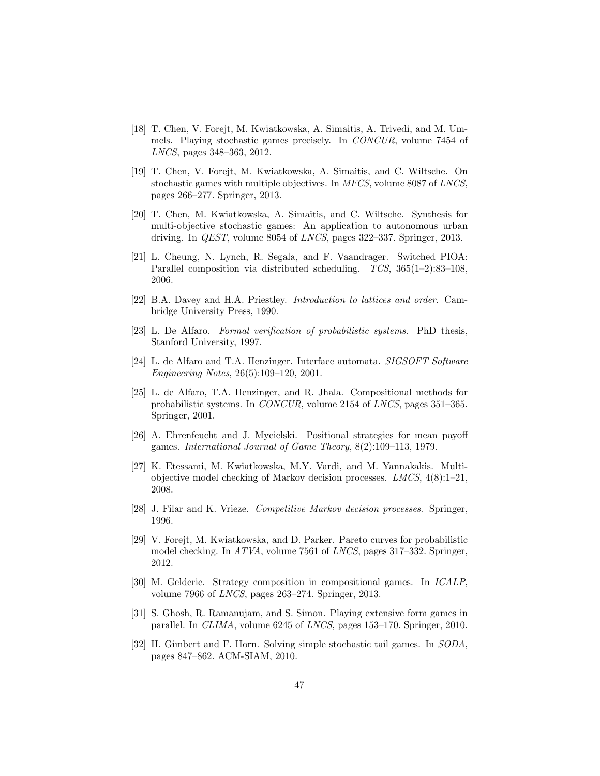- [18] T. Chen, V. Forejt, M. Kwiatkowska, A. Simaitis, A. Trivedi, and M. Ummels. Playing stochastic games precisely. In CONCUR, volume 7454 of LNCS, pages 348–363, 2012.
- <span id="page-47-2"></span>[19] T. Chen, V. Forejt, M. Kwiatkowska, A. Simaitis, and C. Wiltsche. On stochastic games with multiple objectives. In MFCS, volume 8087 of LNCS, pages 266–277. Springer, 2013.
- <span id="page-47-3"></span>[20] T. Chen, M. Kwiatkowska, A. Simaitis, and C. Wiltsche. Synthesis for multi-objective stochastic games: An application to autonomous urban driving. In QEST, volume 8054 of LNCS, pages 322–337. Springer, 2013.
- <span id="page-47-1"></span>[21] L. Cheung, N. Lynch, R. Segala, and F. Vaandrager. Switched PIOA: Parallel composition via distributed scheduling. TCS, 365(1–2):83–108, 2006.
- <span id="page-47-6"></span>[22] B.A. Davey and H.A. Priestley. Introduction to lattices and order. Cambridge University Press, 1990.
- [23] L. De Alfaro. Formal verification of probabilistic systems. PhD thesis, Stanford University, 1997.
- <span id="page-47-0"></span>[24] L. de Alfaro and T.A. Henzinger. Interface automata. SIGSOFT Software Engineering Notes, 26(5):109–120, 2001.
- [25] L. de Alfaro, T.A. Henzinger, and R. Jhala. Compositional methods for probabilistic systems. In CONCUR, volume 2154 of LNCS, pages 351–365. Springer, 2001.
- [26] A. Ehrenfeucht and J. Mycielski. Positional strategies for mean payoff games. International Journal of Game Theory, 8(2):109–113, 1979.
- [27] K. Etessami, M. Kwiatkowska, M.Y. Vardi, and M. Yannakakis. Multiobjective model checking of Markov decision processes.  $LMCS$ ,  $4(8):1-21$ , 2008.
- <span id="page-47-5"></span>[28] J. Filar and K. Vrieze. Competitive Markov decision processes. Springer, 1996.
- [29] V. Forejt, M. Kwiatkowska, and D. Parker. Pareto curves for probabilistic model checking. In ATVA, volume 7561 of LNCS, pages 317–332. Springer, 2012.
- [30] M. Gelderie. Strategy composition in compositional games. In ICALP, volume 7966 of LNCS, pages 263–274. Springer, 2013.
- [31] S. Ghosh, R. Ramanujam, and S. Simon. Playing extensive form games in parallel. In CLIMA, volume 6245 of LNCS, pages 153–170. Springer, 2010.
- <span id="page-47-4"></span>[32] H. Gimbert and F. Horn. Solving simple stochastic tail games. In SODA, pages 847–862. ACM-SIAM, 2010.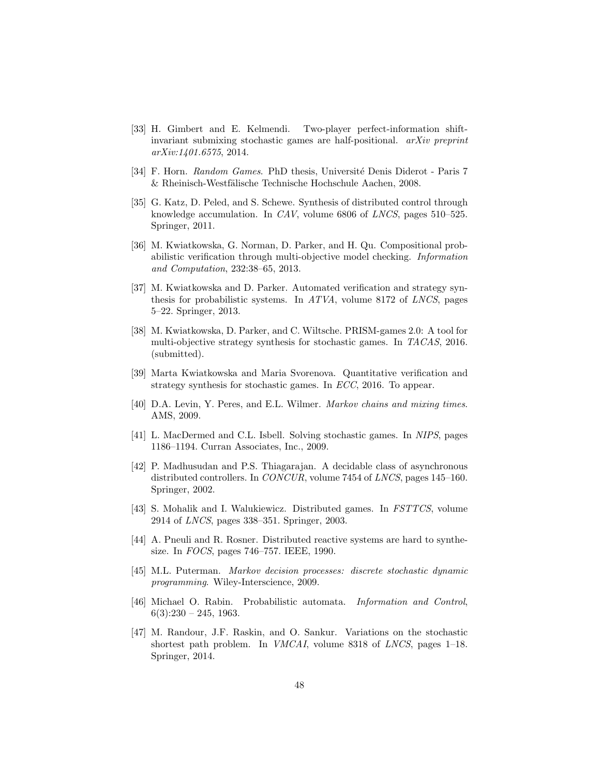- [33] H. Gimbert and E. Kelmendi. Two-player perfect-information shiftinvariant submixing stochastic games are half-positional. arXiv preprint arXiv:1401.6575, 2014.
- [34] F. Horn. Random Games. PhD thesis, Université Denis Diderot Paris 7  $&$  Rheinisch-Westfälische Technische Hochschule Aachen, 2008.
- [35] G. Katz, D. Peled, and S. Schewe. Synthesis of distributed control through knowledge accumulation. In CAV, volume 6806 of LNCS, pages 510–525. Springer, 2011.
- <span id="page-48-0"></span>[36] M. Kwiatkowska, G. Norman, D. Parker, and H. Qu. Compositional probabilistic verification through multi-objective model checking. Information and Computation, 232:38–65, 2013.
- [37] M. Kwiatkowska and D. Parker. Automated verification and strategy synthesis for probabilistic systems. In  $ATVA$ , volume 8172 of LNCS, pages 5–22. Springer, 2013.
- <span id="page-48-1"></span>[38] M. Kwiatkowska, D. Parker, and C. Wiltsche. PRISM-games 2.0: A tool for multi-objective strategy synthesis for stochastic games. In TACAS, 2016. (submitted).
- [39] Marta Kwiatkowska and Maria Svorenova. Quantitative verification and strategy synthesis for stochastic games. In ECC, 2016. To appear.
- <span id="page-48-2"></span>[40] D.A. Levin, Y. Peres, and E.L. Wilmer. Markov chains and mixing times. AMS, 2009.
- [41] L. MacDermed and C.L. Isbell. Solving stochastic games. In NIPS, pages 1186–1194. Curran Associates, Inc., 2009.
- [42] P. Madhusudan and P.S. Thiagarajan. A decidable class of asynchronous distributed controllers. In CONCUR, volume 7454 of LNCS, pages 145–160. Springer, 2002.
- [43] S. Mohalik and I. Walukiewicz. Distributed games. In FSTTCS, volume 2914 of LNCS, pages 338–351. Springer, 2003.
- [44] A. Pneuli and R. Rosner. Distributed reactive systems are hard to synthesize. In FOCS, pages 746–757. IEEE, 1990.
- [45] M.L. Puterman. Markov decision processes: discrete stochastic dynamic programming. Wiley-Interscience, 2009.
- [46] Michael O. Rabin. Probabilistic automata. Information and Control,  $6(3):230 - 245, 1963.$
- [47] M. Randour, J.F. Raskin, and O. Sankur. Variations on the stochastic shortest path problem. In VMCAI, volume 8318 of LNCS, pages 1–18. Springer, 2014.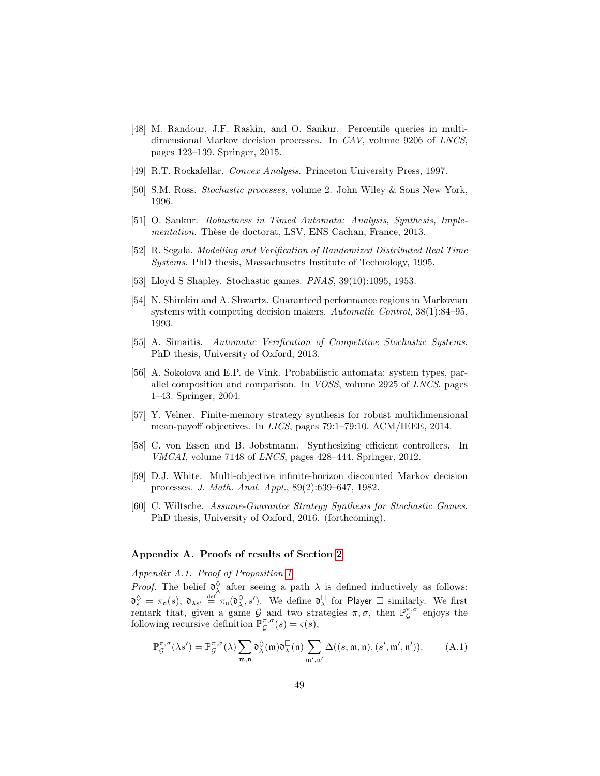- [48] M. Randour, J.F. Raskin, and O. Sankur. Percentile queries in multidimensional Markov decision processes. In CAV, volume 9206 of LNCS, pages 123–139. Springer, 2015.
- <span id="page-49-4"></span>[49] R.T. Rockafellar. Convex Analysis. Princeton University Press, 1997.
- [50] S.M. Ross. Stochastic processes, volume 2. John Wiley & Sons New York, 1996.
- <span id="page-49-5"></span>[51] O. Sankur. Robustness in Timed Automata: Analysis, Synthesis, Implementation. Thèse de doctorat, LSV, ENS Cachan, France, 2013.
- <span id="page-49-0"></span>[52] R. Segala. Modelling and Verification of Randomized Distributed Real Time Systems. PhD thesis, Massachusetts Institute of Technology, 1995.
- [53] Lloyd S Shapley. Stochastic games. PNAS, 39(10):1095, 1953.
- [54] N. Shimkin and A. Shwartz. Guaranteed performance regions in Markovian systems with competing decision makers. Automatic Control, 38(1):84–95, 1993.
- <span id="page-49-3"></span>[55] A. Simaitis. Automatic Verification of Competitive Stochastic Systems. PhD thesis, University of Oxford, 2013.
- [56] A. Sokolova and E.P. de Vink. Probabilistic automata: system types, parallel composition and comparison. In VOSS, volume 2925 of LNCS, pages 1–43. Springer, 2004.
- [57] Y. Velner. Finite-memory strategy synthesis for robust multidimensional mean-payoff objectives. In LICS, pages 79:1–79:10. ACM/IEEE, 2014.
- [58] C. von Essen and B. Jobstmann. Synthesizing efficient controllers. In VMCAI, volume 7148 of LNCS, pages 428–444. Springer, 2012.
- [59] D.J. White. Multi-objective infinite-horizon discounted Markov decision processes. J. Math. Anal. Appl., 89(2):639–647, 1982.
- <span id="page-49-1"></span>[60] C. Wiltsche. Assume-Guarantee Strategy Synthesis for Stochastic Games. PhD thesis, University of Oxford, 2016. (forthcoming).

## Appendix A. Proofs of results of Section [2](#page-7-0)

Appendix A.1. Proof of Proposition [1](#page-13-0)

*Proof.* The belief  $\mathfrak{d}^{\Diamond}_{\lambda}$  after seeing a path  $\lambda$  is defined inductively as follows: λ  ${\mathfrak d}^\diamondsuit_s \,=\, \pi_{\mathsf d}(s),\ {\mathfrak d}_{\lambda s'} \,\stackrel{\text{\tiny def}}{=} \pi_{\mathsf u}({\mathfrak d}^\diamondsuit_\lambda)$  $\frac{\Diamond}{\lambda}, s'$ ). We define  $\mathfrak{d}^{\square}_{\lambda}$  for Player  $\square$  similarly. We first remark that, given a game  $G$  and two strategies  $\pi, \sigma$ , then  $\mathbb{P}_{G}^{\pi,\sigma}$  enjoys the following recursive definition  $\mathbb{P}_{\mathcal{G}}^{\pi,\sigma}(s) = \varsigma(s)$ ,

<span id="page-49-2"></span>
$$
\mathbb{P}_{\mathcal{G}}^{\pi,\sigma}(\lambda s') = \mathbb{P}_{\mathcal{G}}^{\pi,\sigma}(\lambda) \sum_{\mathfrak{m},\mathfrak{n}} \mathfrak{d}_{\lambda}^{\lozenge}(\mathfrak{m}) \mathfrak{d}_{\lambda}^{\square}(\mathfrak{n}) \sum_{\mathfrak{m}',\mathfrak{n}'} \Delta((s,\mathfrak{m},\mathfrak{n}),(s',\mathfrak{m}',\mathfrak{n}')). \qquad (A.1)
$$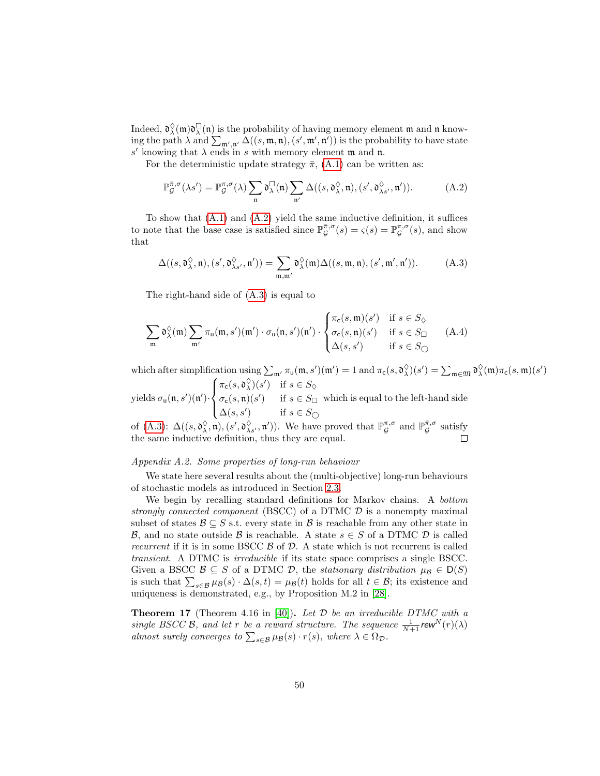Indeed,  $\mathfrak{d}^{\lozenge}_{\lambda}$  $\chi^{\Diamond}(\mathfrak{m})\mathfrak{d}^{\Box}_{\lambda}(\mathfrak{n})$  is the probability of having memory element  $\mathfrak{m}$  and  $\mathfrak{n}$  knowing the path  $\lambda$  and  $\sum_{\mathfrak{m}',\mathfrak{n}'} \Delta((s,\mathfrak{m},\mathfrak{n}),(s',\mathfrak{m}',\mathfrak{n}'))$  is the probability to have state s' knowing that  $\lambda$  ends in s with memory element m and n.

For the deterministic update strategy  $\bar{\pi}$ , [\(A.1\)](#page-49-2) can be written as:

<span id="page-50-0"></span>
$$
\mathbb{P}_{\mathcal{G}}^{\bar{\pi},\sigma}(\lambda s') = \mathbb{P}_{\mathcal{G}}^{\pi,\sigma}(\lambda) \sum_{\mathfrak{n}} \mathfrak{d}_{\lambda}^{\square}(\mathfrak{n}) \sum_{\mathfrak{n}'} \Delta((s,\mathfrak{d}_{\lambda}^{\lozenge},\mathfrak{n}),(s',\mathfrak{d}_{\lambda s'}^{\lozenge},\mathfrak{n}')). \tag{A.2}
$$

To show that [\(A.1\)](#page-49-2) and [\(A.2\)](#page-50-0) yield the same inductive definition, it suffices to note that the base case is satisfied since  $\mathbb{P}_{\mathcal{G}}^{\bar{\pi},\sigma}(s) = \varsigma(s) = \mathbb{P}_{\mathcal{G}}^{\pi,\sigma}(s)$ , and show that

<span id="page-50-1"></span>
$$
\Delta((s,\mathfrak{d}_{\lambda}^{\lozenge},\mathfrak{n}),(s',\mathfrak{d}_{\lambda s'}^{\lozenge},\mathfrak{n}'))=\sum_{\mathfrak{m},\mathfrak{m}'}\mathfrak{d}_{\lambda}^{\lozenge}(\mathfrak{m})\Delta((s,\mathfrak{m},\mathfrak{n}),(s',\mathfrak{m}',\mathfrak{n}')).
$$
 (A.3)

The right-hand side of [\(A.3\)](#page-50-1) is equal to

$$
\sum_{\mathfrak{m}} \mathfrak{d}_{\lambda}^{\Diamond}(\mathfrak{m}) \sum_{\mathfrak{m}'} \pi_{\mathfrak{u}}(\mathfrak{m}, s')(\mathfrak{m}') \cdot \sigma_{\mathfrak{u}}(\mathfrak{n}, s')(\mathfrak{n}') \cdot \begin{cases} \pi_{\mathsf{c}}(s, \mathfrak{m})(s') & \text{if } s \in S_{\Diamond} \\ \sigma_{\mathsf{c}}(s, \mathfrak{n})(s') & \text{if } s \in S_{\Box} \\ \Delta(s, s') & \text{if } s \in S_{\bigcirc} \end{cases} \tag{A.4}
$$

which after simplification using  $\sum_{\mathfrak{m}'} \pi_{\mathfrak{u}}(\mathfrak{m}, s')(\mathfrak{m}') = 1$  and  $\pi_{\mathsf{c}}(s, \mathfrak{d}^{\lozenge}_{\lambda})$  $\chi^{\Diamond}(s') = \sum_{\mathfrak{m} \in \mathfrak{M}} \mathfrak{d}^{\Diamond}_{\lambda}$  $_\lambda^\Diamond(\mathfrak{m})\pi_{\mathsf{c}}(s,\mathfrak{m})(s')$  $\sqrt{ }$  $\pi_{\mathsf{c}}(s,\mathfrak{d}_{\lambda}^{\lozenge})$  $\lambda^{(s)}(s')$  if  $s \in S_{\lozenge}$ 

yields  $\sigma_{\mathsf{u}}(\mathfrak{n},s')(\mathfrak{n}')\cdot$  $\int$  $\mathcal{L}$  $\sigma_{\mathsf{c}}(s,\mathfrak{n})(s')$  if  $s \in S_{\square}$  $\Delta(s, s')$  if  $s \in S_{\bigcirc}$ which is equal to the left-hand side

of [\(A.3\)](#page-50-1):  $\Delta((s, \mathfrak{d}_{\lambda}^{\lozenge}))$  $(\lambda, \mathfrak{n}), (s', \mathfrak{d}^{\lozenge}_{\lambda s'}, \mathfrak{n}')).$  We have proved that  $\mathbb{P}_{\mathcal{G}}^{\pi, \sigma}$  and  $\mathbb{P}_{\mathcal{G}}^{\bar{\pi}, \sigma}$  satisfy the same inductive definition, thus they are equal.

## Appendix A.2. Some properties of long-run behaviour

We state here several results about the (multi-objective) long-run behaviours of stochastic models as introduced in Section [2.3.](#page-13-1)

We begin by recalling standard definitions for Markov chains. A bottom strongly connected component (BSCC) of a DTMC  $\mathcal D$  is a nonempty maximal subset of states  $\mathcal{B} \subseteq S$  s.t. every state in  $\mathcal{B}$  is reachable from any other state in B, and no state outside B is reachable. A state  $s \in S$  of a DTMC D is called recurrent if it is in some BSCC  $\beta$  of  $\mathcal{D}$ . A state which is not recurrent is called transient. A DTMC is irreducible if its state space comprises a single BSCC. Given a BSCC  $\mathcal{B} \subseteq S$  of a DTMC  $\mathcal{D}$ , the *stationary distribution*  $\mu_{\mathcal{B}} \in D(S)$ is such that  $\sum_{s\in\mathcal{B}}\mu_{\mathcal{B}}(s)\cdot\Delta(s,t)=\mu_{\mathcal{B}}(t)$  holds for all  $t\in\mathcal{B}$ ; its existence and uniqueness is demonstrated, e.g., by Proposition M.2 in [\[28\]](#page-47-5).

<span id="page-50-3"></span><span id="page-50-2"></span>**Theorem 17** (Theorem 4.16 in [\[40\]](#page-48-2)). Let  $D$  be an irreducible DTMC with a single BSCC B, and let r be a reward structure. The sequence  $\frac{1}{N+1}$ rew<sup>N</sup> $(r)(\lambda)$ almost surely converges to  $\sum_{s \in \mathcal{B}} \mu_{\mathcal{B}}(s) \cdot r(s)$ , where  $\lambda \in \Omega_{\mathcal{D}}$ .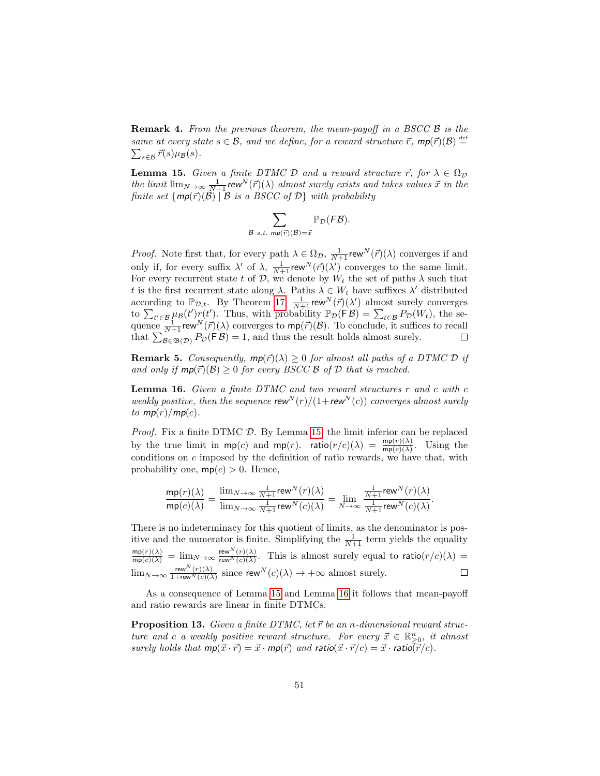**Remark 4.** From the previous theorem, the mean-payoff in a BSCC  $\beta$  is the same at every state  $s \in \mathcal{B}$ , and we define, for a reward structure  $\vec{r}$ ,  $mp(\vec{r})(\mathcal{B}) \stackrel{\text{def}}{=} \sum_{s \in \mathcal{B}} \vec{r}(s) \mu(\mathcal{B})$ .  $\sum_{s\in\mathcal{B}} \vec{r}(s) \mu_{\mathcal{B}}(s).$ 

<span id="page-51-1"></span>**Lemma 15.** Given a finite DTMC D and a reward structure  $\vec{r}$ , for  $\lambda \in \Omega_{\mathcal{D}}$ the limit  $\lim_{N\to\infty}\frac{1}{N+1}$  rew<sup>N</sup> $(\vec{r})(\lambda)$  almost surely exists and takes values  $\vec{x}$  in the finite set  $\{mp(\vec{r})(\mathcal{B}) \mid \mathcal{B}$  is a BSCC of  $\mathcal{D}\}$  with probability

$$
\sum_{\mathcal{B} \text{ s.t. } mp(\vec{r})(\mathcal{B}) = \vec{x}} \mathbb{P}_{\mathcal{D}}(F\mathcal{B}).
$$

*Proof.* Note first that, for every path  $\lambda \in \Omega_{\mathcal{D}}$ ,  $\frac{1}{N+1}$  rew<sup>N</sup>( $\vec{r}$ )( $\lambda$ ) converges if and only if, for every suffix  $\lambda'$  of  $\lambda$ ,  $\frac{1}{N+1}$  rew<sup>N</sup> $(\vec{r})(\lambda')$  converges to the same limit. For every recurrent state t of  $\mathcal{D}$ , we denote by  $W_t$  the set of paths  $\lambda$  such that t is the first recurrent state along  $\lambda$ . Paths  $\lambda \in W_t$  have suffixes  $\lambda'$  distributed according to  $\mathbb{P}_{\mathcal{D},t}$ . By Theorem [17,](#page-50-2)  $\frac{1}{N+1}$ rew<sup>N</sup> $(\vec{r})(\lambda')$  almost surely converges to  $\sum_{t' \in \mathcal{B}} \mu_{\mathcal{B}}(t') r(t')$ . Thus, with probability  $\mathbb{P}_{\mathcal{D}}(\mathsf{F}\mathcal{B}) = \sum_{t \in \mathcal{B}} P_{\mathcal{D}}(W_t)$ , the sequence  $\frac{1}{N+1}$  rew<sup>N</sup> $(\vec{r})(\lambda)$  converges to mp $(\vec{r})(\beta)$ . To conclude, it suffices to recall that  $\sum_{\mathcal{B}\in\mathfrak{B}(\mathcal{D})} P_{\mathcal{D}}(\mathsf{F}\,\mathcal{B}) = 1$ , and thus the result holds almost surely.

<span id="page-51-3"></span>**Remark 5.** Consequently,  $mp(\vec{r})(\lambda) \ge 0$  for almost all paths of a DTMC  $\mathcal{D}$  if and only if  $mp(\vec{r})(\mathcal{B}) \geq 0$  for every BSCC  $\mathcal{B}$  of  $\mathcal{D}$  that is reached.

<span id="page-51-2"></span>Lemma 16. Given a finite DTMC and two reward structures r and c with c weakly positive, then the sequence rew<sup>N</sup>(r)/(1+rew<sup>N</sup>(c)) converges almost surely to  $mp(r)/mp(c)$ .

*Proof.* Fix a finite DTMC  $D$ . By Lemma [15,](#page-51-1) the limit inferior can be replaced by the true limit in  $mp(c)$  and  $mp(r)$ . ratio $(r/c)(\lambda) = \frac{mp(r)(\lambda)}{mp(c)(\lambda)}$ . Using the conditions on  $c$  imposed by the definition of ratio rewards, we have that, with probability one,  $mp(c) > 0$ . Hence,

$$
\frac{\mathsf{mp}(r)(\lambda)}{\mathsf{mp}(c)(\lambda)} = \frac{\lim_{N \to \infty} \frac{1}{N+1} \mathsf{rew}^N(r)(\lambda)}{\lim_{N \to \infty} \frac{1}{N+1} \mathsf{rew}^N(c)(\lambda)} = \lim_{N \to \infty} \frac{\frac{1}{N+1} \mathsf{rew}^N(r)(\lambda)}{\frac{1}{N+1} \mathsf{rew}^N(c)(\lambda)}.
$$

There is no indeterminacy for this quotient of limits, as the denominator is positive and the numerator is finite. Simplifying the  $\frac{1}{N+1}$  term yields the equality  $\frac{\text{mp}(r)(\lambda)}{\text{mp}(c)(\lambda)} = \lim_{N \to \infty} \frac{\text{rew}^{N}(r)(\lambda)}{\text{rew}^{N}(c)(\lambda)}$  $\frac{\text{rewr}^{\text{new}}(r)(\lambda)}{\text{rewr}(c)(\lambda)}$ . This is almost surely equal to ratio $(r/c)(\lambda)$  =  $\lim_{N\to\infty} \frac{\operatorname{rew}^N(r)(\lambda)}{1+\operatorname{rew}^N(r)(\lambda)}$  $\frac{\text{rew''}(r)(\lambda)}{1+\text{rew''}(c)(\lambda)}$  since rew<sup>N</sup>(c)( $\lambda$ )  $\rightarrow +\infty$  almost surely.

As a consequence of Lemma [15](#page-51-1) and Lemma [16](#page-51-2) it follows that mean-payoff and ratio rewards are linear in finite DTMCs.

<span id="page-51-0"></span>**Proposition 13.** Given a finite DTMC, let  $\vec{r}$  be an n-dimensional reward structure and c a weakly positive reward structure. For every  $\vec{x} \in \mathbb{R}^n_{\geq 0}$ , it almost surely holds that  $mp(\vec{x} \cdot \vec{r}) = \vec{x} \cdot mp(\vec{r})$  and ratio $(\vec{x} \cdot \vec{r}/c) = \vec{x} \cdot r$ atio $(\vec{r}/c)$ .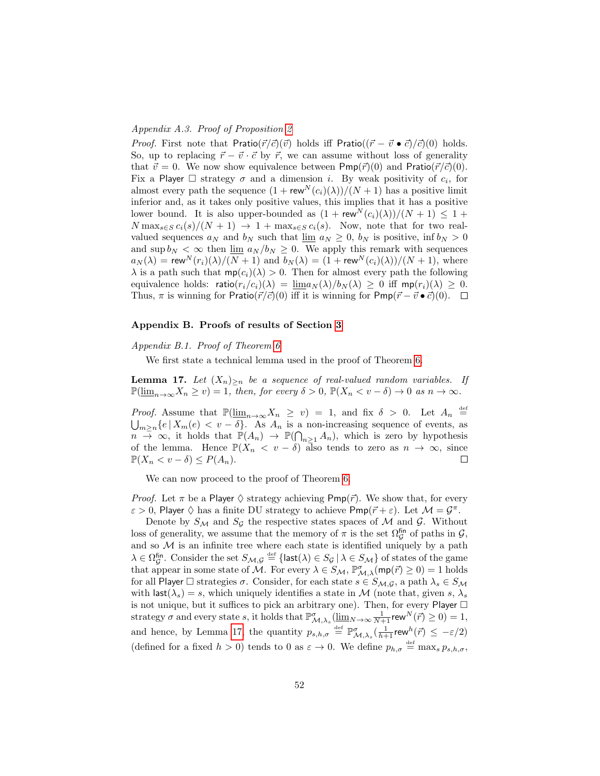## Appendix A.3. Proof of Proposition [2](#page-17-0)

*Proof.* First note that Pratio( $\vec{r}/\vec{c}$ )( $\vec{v}$ ) holds iff Pratio(( $\vec{r} - \vec{v} \cdot \vec{c}$ )( $\vec{c}$ )(0) holds. So, up to replacing  $\vec{r} - \vec{v} \cdot \vec{c}$  by  $\vec{r}$ , we can assume without loss of generality that  $\vec{v} = 0$ . We now show equivalence between Pmp( $\vec{r}/(0)$  and Pratio( $\vec{r}/\vec{c}/(0)$ . Fix a Player  $\Box$  strategy  $\sigma$  and a dimension i. By weak positivity of  $c_i$ , for almost every path the sequence  $(1 + \mathsf{rew}^N(c_i)(\lambda))/(N+1)$  has a positive limit inferior and, as it takes only positive values, this implies that it has a positive lower bound. It is also upper-bounded as  $(1 + \mathsf{rew}^N(c_i)(\lambda))/(N + 1) \leq 1 +$  $N \max_{s \in S} c_i(s)/(N+1) \rightarrow 1 + \max_{s \in S} c_i(s)$ . Now, note that for two realvalued sequences  $a_N$  and  $b_N$  such that  $\lim a_N \geq 0$ ,  $b_N$  is positive,  $\inf b_N > 0$ and  $\sup b_N < \infty$  then  $\lim a_N / b_N \geq 0$ . We apply this remark with sequences  $a_N(\lambda) = \text{rew}^N(r_i)(\lambda)/(N+1)$  and  $b_N(\lambda) = (1 + \text{rew}^N(c_i)(\lambda))/(N+1)$ , where  $\lambda$  is a path such that  $mp(c_i)(\lambda) > 0$ . Then for almost every path the following equivalence holds: ratio $(r_i/c_i)(\lambda) = \underline{\lim} a_N(\lambda)/b_N(\lambda) \geq 0$  iff mp $(r_i)(\lambda) \geq 0$ . Thus,  $\pi$  is winning for Pratio( $\vec{r}/\vec{c}$ )(0) iff it is winning for Pmp( $\vec{r} - \vec{v} \cdot \vec{c}$ )(0).  $\Box$ 

#### Appendix B. Proofs of results of Section [3](#page-19-0)

### Appendix B.1. Proof of Theorem [6](#page-21-1)

We first state a technical lemma used in the proof of Theorem [6.](#page-21-1)

<span id="page-52-0"></span>**Lemma 17.** Let  $(X_n)_{\geq n}$  be a sequence of real-valued random variables. If  $\mathbb{P}(\underline{\lim}_{n\to\infty}X_n\geq v)=1$ , then, for every  $\delta>0$ ,  $\mathbb{P}(X_n\lt v-\delta)\to 0$  as  $n\to\infty$ .

*Proof.* Assume that  $\mathbb{P}(\underline{\lim}_{n\to\infty}X_n \geq v) = 1$ , and fix  $\delta > 0$ . Let  $A_n \stackrel{\text{def}}{=}$  $\bigcup_{m\geq n}\{e | X_m(e) < v - \delta\}$ . As  $A_n$  is a non-increasing sequence of events, as  $n \to \infty$ , it holds that  $\mathbb{P}(A_n) \to \mathbb{P}(\bigcap_{n \geq 1} A_n)$ , which is zero by hypothesis of the lemma. Hence  $\mathbb{P}(X_n < v - \delta)$  also tends to zero as  $n \to \infty$ , since  $\mathbb{P}(X_n < v - \delta) \leq P(A_n).$  $\Box$ 

We can now proceed to the proof of Theorem [6.](#page-21-1)

*Proof.* Let  $\pi$  be a Player  $\Diamond$  strategy achieving  $Pmp(\vec{r})$ . We show that, for every  $\varepsilon > 0$ , Player  $\Diamond$  has a finite DU strategy to achieve Pmp( $\vec{r} + \varepsilon$ ). Let  $\mathcal{M} = \mathcal{G}^{\pi}$ .

Denote by  $S_M$  and  $S_g$  the respective states spaces of M and G. Without loss of generality, we assume that the memory of  $\pi$  is the set  $\Omega_{\mathcal{G}}^{\text{fin}}$  of paths in  $\mathcal{G}$ , and so  $M$  is an infinite tree where each state is identified uniquely by a path  $\lambda \in \Omega_{\mathcal{G}}^{\text{fin}}$ . Consider the set  $S_{\mathcal{M},\mathcal{G}} \stackrel{\text{def}}{=} {\text{last}}(\lambda) \in S_{\mathcal{G}} \mid \lambda \in S_{\mathcal{M}}$  of states of the game that appear in some state of M. For every  $\lambda \in S_{\mathcal{M}}$ ,  $\mathbb{P}_{\mathcal{M},\lambda}^{\sigma}(\textsf{mp}(\vec{r}) \geq 0) = 1$  holds for all Player  $\Box$  strategies  $\sigma$ . Consider, for each state  $s \in S_{\mathcal{M},\mathcal{G}}$ , a path  $\lambda_s \in S_{\mathcal{M}}$ with last( $\lambda_s$ ) = s, which uniquely identifies a state in M (note that, given s,  $\lambda_s$ ) is not unique, but it suffices to pick an arbitrary one). Then, for every Player  $\Box$ strategy  $\sigma$  and every state s, it holds that  $\mathbb{P}^{\sigma}_{\mathcal{M},\lambda_s}(\underline{\lim}_{N\to\infty}\frac{1}{N+1}$ rew $^N(\vec{r})\geq 0)=1$ , and hence, by Lemma [17,](#page-52-0) the quantity  $p_{s,h,\sigma} \stackrel{\text{def}}{=} \mathbb{P}^{\sigma}_{\mathcal{M},\lambda_s}(\frac{1}{h+1} \text{rew}^h(\vec{r}) \leq -\varepsilon/2)$ (defined for a fixed  $h > 0$ ) tends to 0 as  $\varepsilon \to 0$ . We define  $p_{h,\sigma} \stackrel{\text{def}}{=} \max_s p_{s,h,\sigma}$ ,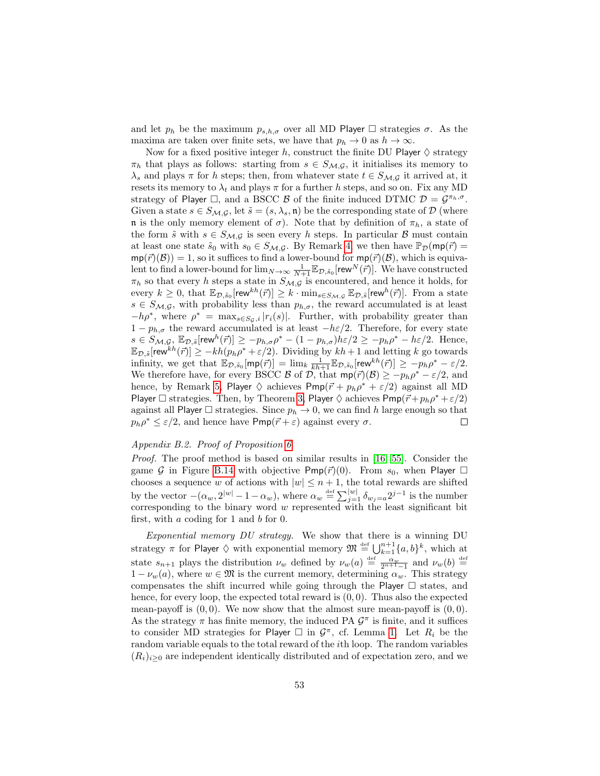and let  $p_h$  be the maximum  $p_{s,h,\sigma}$  over all MD Player  $\Box$  strategies  $\sigma$ . As the maxima are taken over finite sets, we have that  $p_h \to 0$  as  $h \to \infty$ .

Now for a fixed positive integer h, construct the finite DU Player  $\diamond$  strategy  $\pi_h$  that plays as follows: starting from  $s \in S_{\mathcal{M},\mathcal{G}}$ , it initialises its memory to  $\lambda_s$  and plays  $\pi$  for h steps; then, from whatever state  $t \in S_{\mathcal{M},\mathcal{G}}$  it arrived at, it resets its memory to  $\lambda_t$  and plays  $\pi$  for a further h steps, and so on. Fix any MD strategy of Player  $\Box$ , and a BSCC B of the finite induced DTMC  $\mathcal{D} = \mathcal{G}^{\pi_h, \sigma}$ . Given a state  $s \in S_{\mathcal{M},\mathcal{G}}$ , let  $\tilde{s} = (s, \lambda_s, \mathfrak{n})$  be the corresponding state of  $\mathcal{D}$  (where n is the only memory element of  $\sigma$ ). Note that by definition of  $\pi_h$ , a state of the form  $\tilde{s}$  with  $s \in S_{\mathcal{M},\mathcal{G}}$  is seen every h steps. In particular B must contain at least one state  $\tilde{s}_0$  with  $s_0 \in S_{\mathcal{M},\mathcal{G}}$ . By Remark [4,](#page-50-3) we then have  $\mathbb{P}_{\mathcal{D}}(\mathsf{mp}(\vec{r}) =$  $mp(\vec{r})(\mathcal{B})) = 1$ , so it suffices to find a lower-bound for  $mp(\vec{r})(\mathcal{B})$ , which is equivalent to find a lower-bound for  $\lim_{N\to\infty}\frac{1}{N+1}\mathbb{E}_{\mathcal{D},\tilde{s}_0}[\text{rew}^N(\vec{r})]$ . We have constructed  $\pi_h$  so that every h steps a state in  $S_{\mathcal{M},\mathcal{G}}$  is encountered, and hence it holds, for every  $k \geq 0$ , that  $\mathbb{E}_{\mathcal{D},\tilde{s}_0}[\text{rew}^{kh}(\vec{r})] \geq k \cdot \min_{s \in S_{\mathcal{M},\mathcal{G}}} \mathbb{E}_{\mathcal{D},\tilde{s}}[\text{rew}^{h}(\vec{r})]$ . From a state  $s \in S_{\mathcal{M},\mathcal{G}}$ , with probability less than  $p_{h,\sigma}$ , the reward accumulated is at least  $-h\rho^*$ , where  $\rho^* = \max_{s \in S_{\mathcal{G}}, i} |r_i(s)|$ . Further, with probability greater than  $1 - p_{h,\sigma}$  the reward accumulated is at least  $-h\varepsilon/2$ . Therefore, for every state  $s \in S_{\mathcal{M},\mathcal{G}}, \ \mathbb{E}_{\mathcal{D},\tilde{s}}[\text{rew}^h(\vec{r})] \geq -p_{h,\sigma}\rho^* - (1-p_{h,\sigma})h\varepsilon/2 \geq -p_h\rho^* - h\varepsilon/2.$  Hence,  $\mathbb{E}_{\mathcal{D},\tilde{s}}[\mathsf{rew}^{\bar{k}h}(\vec{r})] \ge -kh(p_h\rho^*+\varepsilon/2).$  Dividing by  $kh+1$  and letting  $k$  go towards infinity, we get that  $\mathbb{E}_{\mathcal{D},\tilde{s}_0}[\text{mp}(\vec{r})] = \lim_k \frac{1}{kh+1} \mathbb{E}_{\mathcal{D},\tilde{s}_0}[\text{rew}^{kh}(\vec{r})] \ge -p_h\rho^* - \varepsilon/2.$ We therefore have, for every BSCC B of  $\mathcal{D}$ , that  $mp(\vec{r})(\vec{B}) \ge -p_h\rho^* - \varepsilon/2$ , and hence, by Remark [5,](#page-51-3) Player  $\Diamond$  achieves  $Pmp(\vec{r} + p_h\rho^* + \varepsilon/2)$  against all MD Player  $\Box$  strategies. Then, by Theorem [3,](#page-20-0) Player  $\Diamond$  achieves  $Pmp(\vec{r}+p_h\rho^*+\varepsilon/2)$ against all Player  $\Box$  strategies. Since  $p_h \to 0$ , we can find h large enough so that  $p_h \rho^* \leq \varepsilon/2$ , and hence have  $\mathsf{Pmp}(\vec{r} + \varepsilon)$  against every  $\sigma$ .  $\Box$ 

### Appendix B.2. Proof of Proposition [6](#page-21-1)

Proof. The proof method is based on similar results in [\[16,](#page-46-2) [55\]](#page-49-3). Consider the game G in Figure [B.14](#page-54-0) with objective Pmp( $\vec{r}$ )(0). From  $s_0$ , when Player  $\Box$ chooses a sequence w of actions with  $|w| \leq n+1$ , the total rewards are shifted by the vector  $-(\alpha_w, 2^{|w|} - 1 - \alpha_w)$ , where  $\alpha_w \stackrel{\text{def}}{=} \sum_{j=1}^{|w|} \delta_{w_j = a} 2^{j-1}$  is the number corresponding to the binary word  $w$  represented with the least significant bit first, with a coding for 1 and b for 0.

Exponential memory DU strategy. We show that there is a winning DU strategy  $\pi$  for Player  $\Diamond$  with exponential memory  $\mathfrak{M} \stackrel{\text{\tiny def}}{=} \bigcup_{k=1}^{n+1} \{a,b\}^k$ , which at state  $s_{n+1}$  plays the distribution  $\nu_w$  defined by  $\nu_w(a) \stackrel{\text{def}}{=} \frac{\alpha_w}{2^{n+1}-1}$  and  $\nu_w(b) \stackrel{\text{def}}{=}$  $1 - \nu_w(a)$ , where  $w \in \mathfrak{M}$  is the current memory, determining  $\alpha_w$ . This strategy compensates the shift incurred while going through the Player  $\Box$  states, and hence, for every loop, the expected total reward is  $(0, 0)$ . Thus also the expected mean-payoff is  $(0,0)$ . We now show that the almost sure mean-payoff is  $(0,0)$ . As the strategy  $\pi$  has finite memory, the induced PA  $\mathcal{G}^{\pi}$  is finite, and it suffices to consider MD strategies for Player  $\Box$  in  $\mathcal{G}^{\pi}$ , cf. Lemma [1.](#page-15-0) Let  $R_i$  be the random variable equals to the total reward of the ith loop. The random variables  $(R_i)_{i\geq 0}$  are independent identically distributed and of expectation zero, and we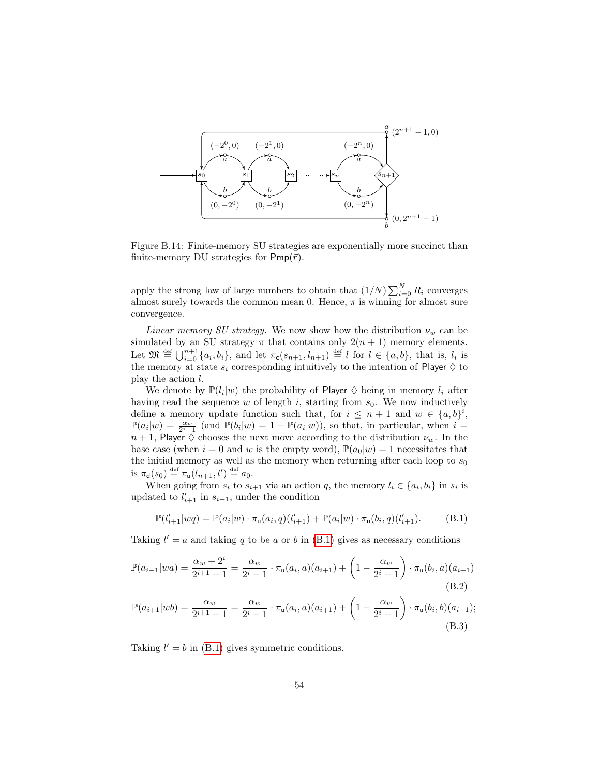<span id="page-54-0"></span>

Figure B.14: Finite-memory SU strategies are exponentially more succinct than finite-memory DU strategies for  $Pmp(\vec{r})$ .

apply the strong law of large numbers to obtain that  $(1/N)\sum_{i=0}^{N} R_i$  converges almost surely towards the common mean 0. Hence,  $\pi$  is winning for almost sure convergence.

Linear memory SU strategy. We now show how the distribution  $\nu_w$  can be simulated by an SU strategy  $\pi$  that contains only  $2(n + 1)$  memory elements. Let  $\mathfrak{M} \stackrel{\text{def}}{=} \bigcup_{i=0}^{n+1} \{a_i, b_i\}$ , and let  $\pi_{\mathsf{c}}(s_{n+1}, l_{n+1}) \stackrel{\text{def}}{=} l$  for  $l \in \{a, b\}$ , that is,  $l_i$  is the memory at state  $s_i$  corresponding intuitively to the intention of Player  $\diamondsuit$  to play the action l.

We denote by  $\mathbb{P}(l_i|w)$  the probability of Player  $\diamond$  being in memory  $l_i$  after having read the sequence w of length i, starting from  $s_0$ . We now inductively define a memory update function such that, for  $i \leq n+1$  and  $w \in \{a, b\}^i$ ,  $\mathbb{P}(a_i|w) = \frac{\alpha_w}{2^i-1}$  (and  $\mathbb{P}(b_i|w) = 1 - \mathbb{P}(a_i|w)$ ), so that, in particular, when  $i =$  $n + 1$ , Player  $\diamond$  chooses the next move according to the distribution  $\nu_w$ . In the base case (when  $i = 0$  and w is the empty word),  $\mathbb{P}(a_0|w) = 1$  necessitates that the initial memory as well as the memory when returning after each loop to  $s_0$ is  $\pi_{\mathsf{d}}(s_0) \stackrel{\text{def}}{=} \pi_{\mathsf{u}}(l_{n+1}, l') \stackrel{\text{def}}{=} a_0.$ 

When going from  $s_i$  to  $s_{i+1}$  via an action q, the memory  $l_i \in \{a_i, b_i\}$  in  $s_i$  is updated to  $l'_{i+1}$  in  $s_{i+1}$ , under the condition

<span id="page-54-2"></span><span id="page-54-1"></span>
$$
\mathbb{P}(l'_{i+1}|wq) = \mathbb{P}(a_i|w) \cdot \pi_{\mathsf{u}}(a_i, q)(l'_{i+1}) + \mathbb{P}(a_i|w) \cdot \pi_{\mathsf{u}}(b_i, q)(l'_{i+1}).\tag{B.1}
$$

Taking  $l' = a$  and taking q to be a or b in [\(B.1\)](#page-54-1) gives as necessary conditions

$$
\mathbb{P}(a_{i+1}|wa) = \frac{\alpha_w + 2^i}{2^{i+1} - 1} = \frac{\alpha_w}{2^i - 1} \cdot \pi_u(a_i, a)(a_{i+1}) + \left(1 - \frac{\alpha_w}{2^i - 1}\right) \cdot \pi_u(b_i, a)(a_{i+1})
$$
\n(B.2)

$$
\mathbb{P}(a_{i+1}|wb) = \frac{\alpha_w}{2^{i+1} - 1} = \frac{\alpha_w}{2^i - 1} \cdot \pi_u(a_i, a)(a_{i+1}) + \left(1 - \frac{\alpha_w}{2^i - 1}\right) \cdot \pi_u(b_i, b)(a_{i+1});
$$
\n(B.3)

Taking  $l' = b$  in [\(B.1\)](#page-54-1) gives symmetric conditions.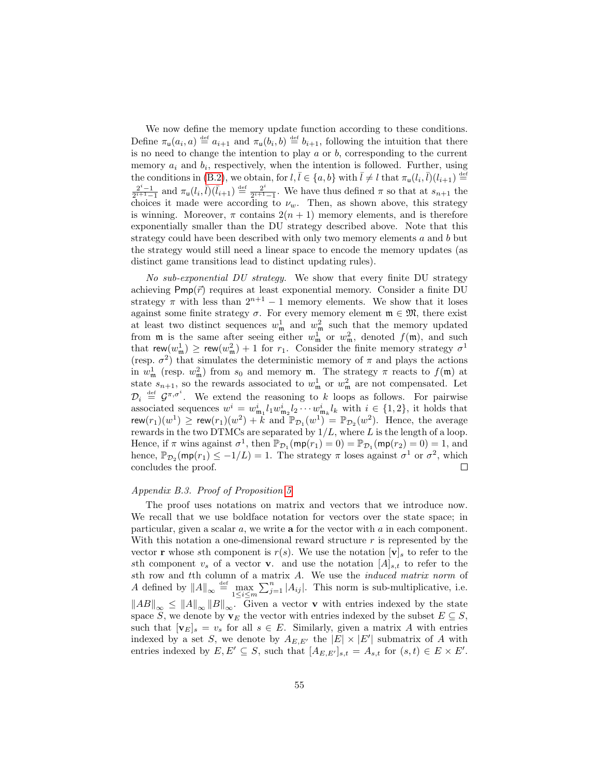We now define the memory update function according to these conditions. Define  $\pi_u(a_i, a) \stackrel{\text{def}}{=} a_{i+1}$  and  $\pi_u(b_i, b) \stackrel{\text{def}}{=} b_{i+1}$ , following the intuition that there is no need to change the intention to play  $a$  or  $b$ , corresponding to the current memory  $a_i$  and  $b_i$ , respectively, when the intention is followed. Further, using the conditions in [\(B.2\)](#page-54-2), we obtain, for  $l, \overline{l} \in \{a, b\}$  with  $\overline{l} \neq l$  that  $\pi_u(l_i, \overline{l})(l_{i+1}) \stackrel{\text{def}}{=}$  $\frac{2^{i}-1}{2^{i+1}-1}$  and  $\pi_{\mathsf{u}}(l_i,\bar{l})(\bar{l}_{i+1}) \stackrel{\text{def}}{=} \frac{2^{i}}{2^{i+1}}$  $\frac{2^{i}}{2^{i+1}-1}$ . We have thus defined  $\pi$  so that at  $s_{n+1}$  the choices it made were according to  $\nu_w$ . Then, as shown above, this strategy is winning. Moreover,  $\pi$  contains  $2(n + 1)$  memory elements, and is therefore exponentially smaller than the DU strategy described above. Note that this strategy could have been described with only two memory elements  $a$  and  $b$  but the strategy would still need a linear space to encode the memory updates (as distinct game transitions lead to distinct updating rules).

No sub-exponential DU strategy. We show that every finite DU strategy achieving  $Pmp(\vec{r})$  requires at least exponential memory. Consider a finite DU strategy  $\pi$  with less than  $2^{n+1} - 1$  memory elements. We show that it loses against some finite strategy  $\sigma$ . For every memory element  $\mathfrak{m} \in \mathfrak{M}$ , there exist at least two distinct sequences  $w_m^1$  and  $w_m^2$  such that the memory updated from  $\mathfrak m$  is the same after seeing either  $w_{\mathfrak m}^1$  or  $w_{\mathfrak m}^2$ , denoted  $f(\mathfrak m)$ , and such that  $\mathsf{rew}(w^1_\mathfrak{m}) \ge \mathsf{rew}(w^2_\mathfrak{m}) + 1$  for  $r_1$ . Consider the finite memory strategy  $\sigma^1$ (resp.  $\sigma^2$ ) that simulates the deterministic memory of  $\pi$  and plays the actions in  $w_{\mathfrak{m}}^1$  (resp.  $w_{\mathfrak{m}}^2$ ) from  $s_0$  and memory  $\mathfrak{m}$ . The strategy  $\pi$  reacts to  $f(\mathfrak{m})$  at state  $s_{n+1}$ , so the rewards associated to  $w_m^1$  or  $w_m^2$  are not compensated. Let  $\mathcal{D}_i \stackrel{\text{def}}{=} \mathcal{G}^{\pi,\sigma^i}$ . We extend the reasoning to k loops as follows. For pairwise associated sequences  $w^i = w^i_{m_1} l_1 w^i_{m_2} l_2 \cdots w^i_{m_k} l_k$  with  $i \in \{1, 2\}$ , it holds that rew $(r_1)(w^1) \geq$  rew $(r_1)(w^2) + k$  and  $\mathbb{P}_{\mathcal{D}_1}(w^1) = \mathbb{P}_{\mathcal{D}_2}(w^2)$ . Hence, the average rewards in the two DTMCs are separated by  $1/L$ , where L is the length of a loop. Hence, if  $\pi$  wins against  $\sigma^1$ , then  $\mathbb{P}_{\mathcal{D}_1}(\textsf{mp}(r_1) = 0) = \mathbb{P}_{\mathcal{D}_1}(\textsf{mp}(r_2) = 0) = 1$ , and hence,  $\mathbb{P}_{\mathcal{D}_2}(\textsf{mp}(r_1) \leq -1/L) = 1$ . The strategy  $\pi$  loses against  $\sigma^1$  or  $\sigma^2$ , which concludes the proof.  $\Box$ 

#### Appendix B.3. Proof of Proposition [5](#page-22-0)

The proof uses notations on matrix and vectors that we introduce now. We recall that we use boldface notation for vectors over the state space; in particular, given a scalar a, we write a for the vector with a in each component. With this notation a one-dimensional reward structure  $r$  is represented by the vector **r** whose sth component is  $r(s)$ . We use the notation  $|\mathbf{v}|_s$  to refer to the sth component  $v_s$  of a vector **v**. and use the notation  $[A]_{s,t}$  to refer to the sth row and tth column of a matrix A. We use the induced matrix norm of A defined by  $||A||_{\infty} \stackrel{\text{def}}{=} \max_{1 \leq i \leq m} \sum_{j=1}^{n} |A_{ij}|$ . This norm is sub-multiplicative, i.e.  $||AB||_{\infty} \leq ||A||_{\infty}||B||_{\infty}$ . Given a vector **v** with entries indexed by the state space S, we denote by  $\mathbf{v}_E$  the vector with entries indexed by the subset  $E \subseteq S$ , such that  $[\mathbf{v}_E]_s = v_s$  for all  $s \in E$ . Similarly, given a matrix A with entries indexed by a set S, we denote by  $A_{E,E'}$  the  $|E| \times |E'|$  submatrix of A with entries indexed by  $E, E' \subseteq S$ , such that  $[A_{E,E'}]_{s,t} = A_{s,t}$  for  $(s,t) \in E \times E'.$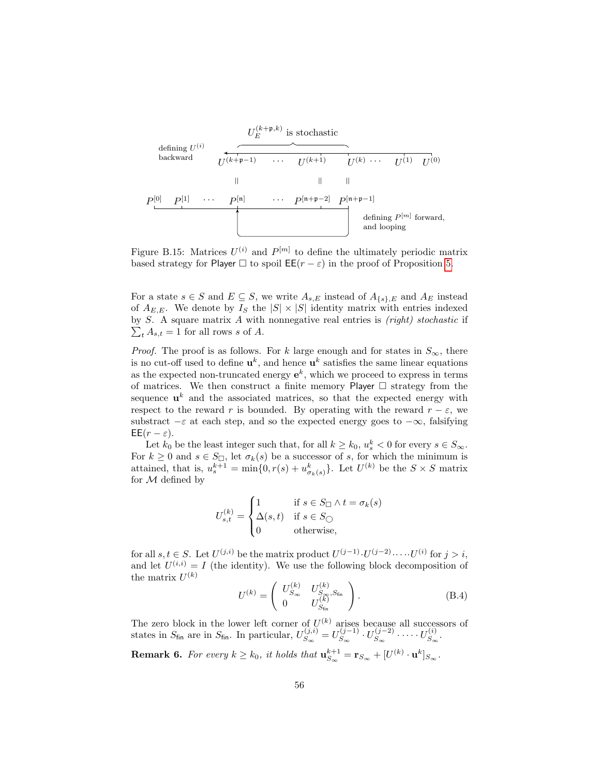

Figure B.15: Matrices  $U^{(i)}$  and  $P^{[m]}$  to define the ultimately periodic matrix based strategy for Player  $\Box$  to spoil  $\mathsf{EE}(r - \varepsilon)$  in the proof of Proposition [5.](#page-22-0)

For a state  $s \in S$  and  $E \subseteq S$ , we write  $A_{s,E}$  instead of  $A_{\{s\},E}$  and  $A_E$  instead of  $A_{E,E}$ . We denote by  $I_S$  the  $|S| \times |S|$  identity matrix with entries indexed by  $S$ . A square matrix  $A$  with nonnegative real entries is  $(right)$  stochastic if  $\sum_{t} A_{s,t} = 1$  for all rows s of A.

*Proof.* The proof is as follows. For k large enough and for states in  $S_{\infty}$ , there is no cut-off used to define  $\mathbf{u}^{k}$ , and hence  $\mathbf{u}^{k}$  satisfies the same linear equations as the expected non-truncated energy  $e^k$ , which we proceed to express in terms of matrices. We then construct a finite memory Player  $\Box$  strategy from the sequence  $\mathbf{u}^k$  and the associated matrices, so that the expected energy with respect to the reward r is bounded. By operating with the reward  $r - \varepsilon$ , we substract  $-\varepsilon$  at each step, and so the expected energy goes to  $-\infty$ , falsifying  $\mathsf{EE}(r-\varepsilon).$ 

Let  $k_0$  be the least integer such that, for all  $k \geq k_0$ ,  $u_s^k < 0$  for every  $s \in S_{\infty}$ . For  $k \geq 0$  and  $s \in S_{\square}$ , let  $\sigma_k(s)$  be a successor of s, for which the minimum is attained, that is,  $u_s^{k+1} = \min\{0, r(s) + u_{\sigma_k(s)}^k\}$ . Let  $U^{(k)}$  be the  $S \times S$  matrix for  $M$  defined by

$$
U_{s,t}^{(k)} = \begin{cases} 1 & \text{if } s \in S_{\square} \land t = \sigma_k(s) \\ \Delta(s,t) & \text{if } s \in S_{\square} \\ 0 & \text{otherwise,} \end{cases}
$$

for all  $s, t \in S$ . Let  $U^{(j,i)}$  be the matrix product  $U^{(j-1)} \cdot U^{(j-2)} \cdots U^{(i)}$  for  $j > i$ , and let  $U^{(i,i)} = I$  (the identity). We use the following block decomposition of the matrix  $U^{(k)}$ 

<span id="page-56-1"></span>
$$
U^{(k)} = \begin{pmatrix} U_{S_{\infty}}^{(k)} & U_{S_{\infty}, S_{\text{fin}}}^{(k)} \\ 0 & U_{S_{\text{fin}}}^{(k)} \end{pmatrix}.
$$
 (B.4)

The zero block in the lower left corner of  $U^{(k)}$  arises because all successors of states in  $S_{fin}$  are in  $S_{fin}$ . In particular,  $U_{S_{\infty}}^{(j,i)}$  $S_{\infty}^{(j,i)} = U_{S_{\infty}}^{(j-1)}$  $\frac{S_{\infty}(j-1)}{S_{\infty}} \cdot U_{S_{\infty}}^{(j-2)}$  $\cup_{S_{\infty}}^{(j-2)}$   $\cdots$   $\cdots$   $U_{S_{\infty}}^{(i)}$  $S_{\infty}^{(i)}$  .

<span id="page-56-0"></span>**Remark 6.** For every  $k \geq k_0$ , it holds that  $\mathbf{u}_{S_\infty}^{k+1} = \mathbf{r}_{S_\infty} + [U^{(k)} \cdot \mathbf{u}^k]_{S_\infty}$ .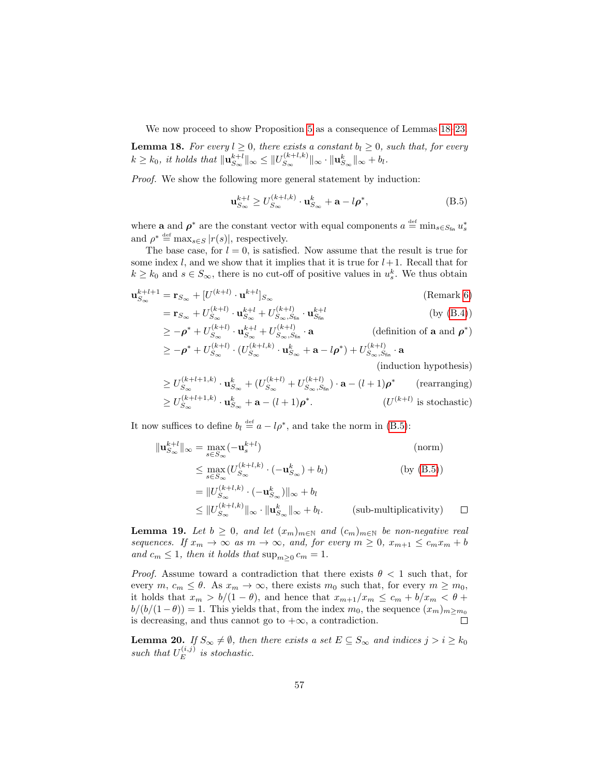We now proceed to show Proposition [5](#page-22-0) as a consequence of Lemmas [18–](#page-57-0)[23.](#page-59-0)

<span id="page-57-0"></span>**Lemma 18.** For every  $l \geq 0$ , there exists a constant  $b_l \geq 0$ , such that, for every  $k \geq k_0$ , it holds that  $\|\mathbf{u}_{S_{\infty}}^{k+l}\|_{\infty} \leq ||U_{S_{\infty}}^{(k+l,k)}||$  $\|S_\infty^{(k+l,k)}\|_\infty\cdot\|{\mathbf{u}}_{S_\infty}^k\|_\infty+b_l.$ 

Proof. We show the following more general statement by induction:

<span id="page-57-1"></span>
$$
\mathbf{u}_{S_{\infty}}^{k+l} \ge U_{S_{\infty}}^{(k+l,k)} \cdot \mathbf{u}_{S_{\infty}}^k + \mathbf{a} - l\rho^*,
$$
 (B.5)

where **a** and  $\rho^*$  are the constant vector with equal components  $a \stackrel{\text{def}}{=} \min_{s \in S_{fin}} u_s^*$ and  $\rho^* \stackrel{\text{def}}{=} \max_{s \in S} |r(s)|$ , respectively.

The base case, for  $l = 0$ , is satisfied. Now assume that the result is true for some index l, and we show that it implies that it is true for  $l+1$ . Recall that for  $k \geq k_0$  and  $s \in S_\infty$ , there is no cut-off of positive values in  $u_s^k$ . We thus obtain

$$
\mathbf{u}_{S_{\infty}}^{k+l+1} = \mathbf{r}_{S_{\infty}} + [U^{(k+l)} \cdot \mathbf{u}^{k+l}]_{S_{\infty}}
$$
\n(Remark 6)

$$
= \mathbf{r}_{S_{\infty}} + U_{S_{\infty}}^{(k+l)} \cdot \mathbf{u}_{S_{\infty}}^{k+l} + U_{S_{\infty},S_{\text{fin}}}^{(k+l)} \cdot \mathbf{u}_{S_{\text{fin}}}^{k+l}
$$
(by (B.4))

$$
\geq -\rho^* + U_{S_{\infty}}^{(k+l)} \cdot \mathbf{u}_{S_{\infty}}^{k+l} + U_{S_{\infty},S_{\text{fin}}}^{(k+l)} \cdot \mathbf{a}
$$
 (definition of **a** and  $\rho^*$ )  
\n
$$
\geq -\rho^* + U_{S_{\infty}}^{(k+l)} \cdot (U_{S_{\infty}}^{(k+l,k)} \cdot \mathbf{u}_{S_{\infty}}^k + \mathbf{a} - l\rho^*) + U_{S_{\infty},S_{\text{fin}}}^{(k+l)} \cdot \mathbf{a}
$$

(induction hypothesis)

$$
\geq U_{S_{\infty}}^{(k+l+1,k)} \cdot \mathbf{u}_{S_{\infty}}^k + (U_{S_{\infty}}^{(k+l)} + U_{S_{\infty},S_{\text{fin}}}^{(k+l)}) \cdot \mathbf{a} - (l+1)\boldsymbol{\rho}^*
$$
 (rearranging)  
\n
$$
\geq U_{S_{\infty}}^{(k+l+1,k)} \cdot \mathbf{u}_{S_{\infty}}^k + \mathbf{a} - (l+1)\boldsymbol{\rho}^*.
$$
 (*U*<sup>(k+l)</sup> is stochastic)

It now suffices to define  $b_l \stackrel{\text{def}}{=} a - l\rho^*$ , and take the norm in [\(B.5\)](#page-57-1):

$$
\|\mathbf{u}_{S_{\infty}}^{k+l}\|_{\infty} = \max_{s \in S_{\infty}} (-\mathbf{u}_{s}^{k+l})
$$
 (norm)  
\n
$$
\leq \max_{s \in S_{\infty}} (U_{S_{\infty}}^{(k+l,k)} \cdot (-\mathbf{u}_{S_{\infty}}^{k}) + b_{l})
$$
 (by (B.5))  
\n
$$
= \|U_{S_{\infty}}^{(k+l,k)} \cdot (-\mathbf{u}_{S_{\infty}}^{k})\|_{\infty} + b_{l}
$$
  
\n
$$
\leq \|U_{S_{\infty}}^{(k+l,k)}\|_{\infty} \cdot \|\mathbf{u}_{S_{\infty}}^{k}\|_{\infty} + b_{l}.
$$
 (sub-multiplicativity)  $\square$ 

<span id="page-57-2"></span>**Lemma 19.** Let  $b \geq 0$ , and let  $(x_m)_{m \in \mathbb{N}}$  and  $(c_m)_{m \in \mathbb{N}}$  be non-negative real sequences. If  $x_m \to \infty$  as  $m \to \infty$ , and, for every  $m \geq 0$ ,  $x_{m+1} \leq c_m x_m + b$ and  $c_m \leq 1$ , then it holds that  $\sup_{m\geq 0} c_m = 1$ .

*Proof.* Assume toward a contradiction that there exists  $\theta$  < 1 such that, for every  $m, c_m \leq \theta$ . As  $x_m \to \infty$ , there exists  $m_0$  such that, for every  $m \geq m_0$ , it holds that  $x_m > b/(1 - \theta)$ , and hence that  $x_{m+1}/x_m \leq c_m + b/x_m < \theta +$  $b/(b/(1-\theta)) = 1$ . This yields that, from the index  $m_0$ , the sequence  $(x_m)_{m \geq m_0}$ is decreasing, and thus cannot go to  $+\infty$ , a contradiction.  $\Box$ 

<span id="page-57-3"></span>**Lemma 20.** If  $S_{\infty} \neq \emptyset$ , then there exists a set  $E \subseteq S_{\infty}$  and indices  $j > i \geq k_0$ such that  $U_E^{(i,j)}$  $E^{(i,j)}$  is stochastic.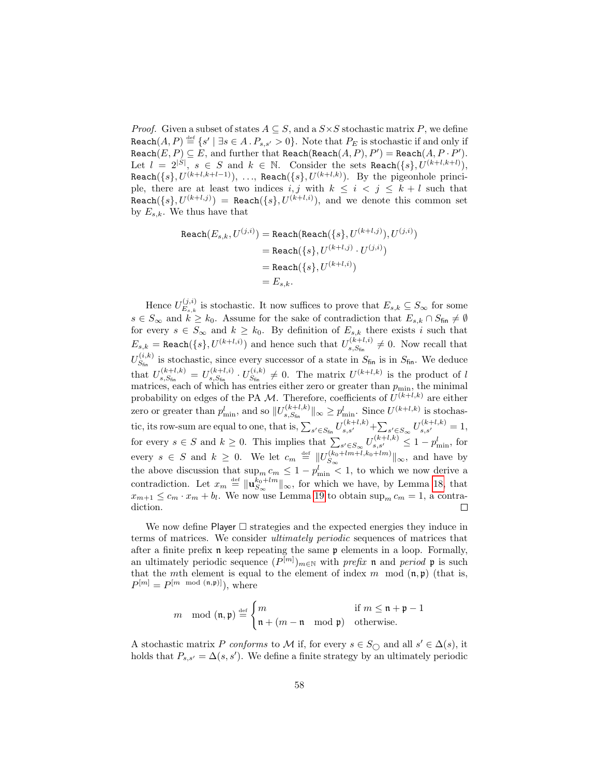*Proof.* Given a subset of states  $A \subseteq S$ , and a  $S \times S$  stochastic matrix P, we define  $\mathtt{Reach}(A, P) \stackrel{\text{\tiny def}}{=} \{s' \mid \exists s \in A \mathbin{.} P_{s, s'} > 0\}.$  Note that  $P_E$  is stochastic if and only if Reach $(E, P) \subseteq E$ , and further that Reach(Reach $(A, P), P') =$ Reach $(A, P \cdot P')$ . Let  $l = 2^{|S|}, s \in S$  and  $k \in \mathbb{N}$ . Consider the sets Reach $({s}, U^{(k+l, k+l)}),$  $\texttt{Reach}(\{s\}, U^{(k+l,k+l-1)}), \ldots, \ \texttt{Reach}(\{s\}, U^{(k+l,k)}).$  By the pigeonhole principle, there are at least two indices i, j with  $k \leq i \leq j \leq k+l$  such that  $\texttt{Reach}(\{s\}, U^{(k+l,j)}) = \texttt{Reach}(\{s\}, U^{(k+l,i)}),$  and we denote this common set by  $E_{s,k}$ . We thus have that

$$
\begin{aligned} \texttt{Reach}(E_{s,k},U^{(j,i)}) &= \texttt{Reach}(\texttt{Reach}(\{s\},U^{(k+l,j)}),U^{(j,i)}) \\ &= \texttt{Reach}(\{s\},U^{(k+l,j)}\cdot U^{(j,i)}) \\ &= \texttt{Reach}(\{s\},U^{(k+l,i)}) \\ &= E_{s,k}. \end{aligned}
$$

Hence  $U_{E_{i,k}}^{(j,i)}$  $E_{s,k}^{(j,i)}$  is stochastic. It now suffices to prove that  $E_{s,k} \subseteq S_{\infty}$  for some  $s \in S_{\infty}$  and  $k \geq k_0$ . Assume for the sake of contradiction that  $E_{s,k} \cap S_{\text{fin}} \neq \emptyset$ for every  $s \in S_{\infty}$  and  $k \geq k_0$ . By definition of  $E_{s,k}$  there exists i such that  $E_{s,k} = \text{Reach}(\{s\}, U^{(k+l,i)})$  and hence such that  $U_{s,S_{\text{fin}}}^{(k+l,i)}$  $s_{s,S_{\text{fin}}}^{(k+l,i)} \neq 0$ . Now recall that  $U_{S_{\epsilon}}^{(i,k)}$  $S_{fin}^{(i,k)}$  is stochastic, since every successor of a state in  $S_{fin}$  is in  $S_{fin}$ . We deduce that  $U_{s, S_{\epsilon}}^{(k+l,k)}$  $\frac{1}{s,S_{\text{fin}}}^{(k+l,k)} = U_{s,S_{\text{fin}}}^{(k+l,i)}$  $\frac{1}{s, S_{\text{fin}}}^{(k+l,i)} \cdot U_{S_{\text{fin}}}^{(i,k)}$  $S_{\text{fin}}^{(i,k)} \neq 0$ . The matrix  $U^{(k+l,k)}$  is the product of l matrices, each of which has entries either zero or greater than  $p_{\min}$ , the minimal probability on edges of the PA M. Therefore, coefficients of  $U^{(k+l,k)}$  are either zero or greater than  $p_{\min}^l$ , and so  $||U_{s,S_{\text{fin}}}^{(k+l,k)}||$  $\|s_{s,S_{fin}}^{(k+l,k)}\|_{\infty} \geq p_{\min}^l$ . Since  $U^{(k+l,k)}$  is stochastic, its row-sum are equal to one, that is,  $\sum_{s' \in S_{\text{fin}}} U_{s,s'}^{(k+l,k)} + \sum_{s' \in S_{\infty}} U_{s,s'}^{(k+l,k)} = 1$ , for every  $s \in S$  and  $k \geq 0$ . This implies that  $\sum_{s' \in S_{\infty}} U_{s,s'}^{(k+l,k)} \leq 1 - p_{\min}^l$ , for every  $s \in S$  and  $k \geq 0$ . We let  $c_m \stackrel{\text{def}}{=} ||U_{S_{\infty}}^{(k_0+lm+1,k_0+lm)}$  $S_{\infty}$ <sup>( $\kappa_0$ +*tm*+*t*, $\kappa_0$ +*tm*)||<sub>∞</sub>, and have by</sup> the above discussion that  $\sup_m c_m \leq 1 - p_{\min}^l < 1$ , to which we now derive a contradiction. Let  $x_m \stackrel{\text{def}}{=} \| \mathbf{u}_{S_{\infty}}^{k_0 + lm} \|_{\infty}$ , for which we have, by Lemma [18,](#page-57-0) that  $x_{m+1} \leq c_m \cdot x_m + b_l$ . We now use Lemma [19](#page-57-2) to obtain  $\sup_m c_m = 1$ , a contradiction.  $\Box$ 

We now define Player  $\square$  strategies and the expected energies they induce in terms of matrices. We consider ultimately periodic sequences of matrices that after a finite prefix n keep repeating the same p elements in a loop. Formally, an ultimately periodic sequence  $(P^{[m]})_{m \in \mathbb{N}}$  with prefix n and period p is such that the mth element is equal to the element of index m mod  $(\mathfrak{n}, \mathfrak{p})$  (that is,  $P^{[m]} = P^{[m \mod (n,p)]}),$  where

$$
m \mod(\mathfrak{n}, \mathfrak{p}) \stackrel{\text{def}}{=} \begin{cases} m & \text{if } m \leq \mathfrak{n} + \mathfrak{p} - 1 \\ \mathfrak{n} + (m - \mathfrak{n} \mod \mathfrak{p}) & \text{otherwise.} \end{cases}
$$

A stochastic matrix P conforms to M if, for every  $s \in S_{\bigcirc}$  and all  $s' \in \Delta(s)$ , it holds that  $P_{s,s'} = \Delta(s, s')$ . We define a finite strategy by an ultimately periodic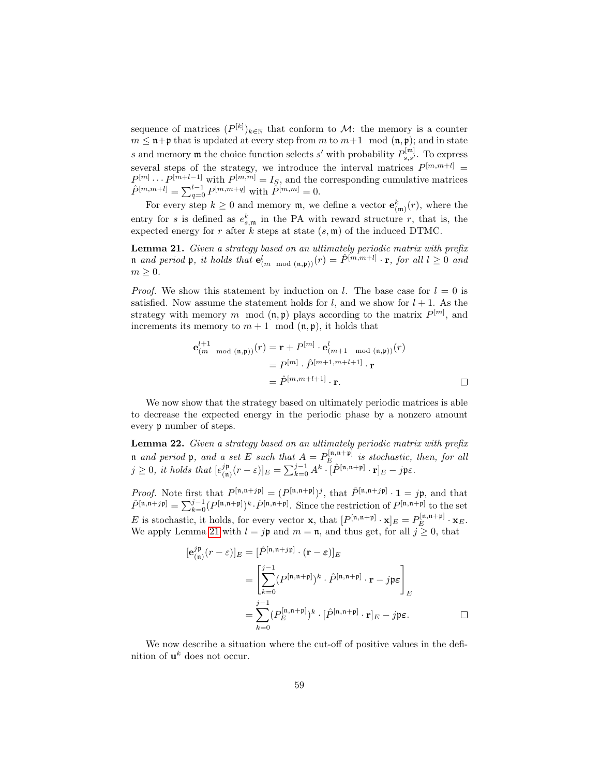sequence of matrices  $(P^{[k]})_{k \in \mathbb{N}}$  that conform to M: the memory is a counter  $m \leq \mathfrak{n} + \mathfrak{p}$  that is updated at every step from m to  $m+1 \mod (\mathfrak{n}, \mathfrak{p})$ ; and in state s and memory  $\mathfrak m$  the choice function selects s' with probability  $P_{s,s'}^{[\mathfrak m]}$ . To express several steps of the strategy, we introduce the interval matrices  $P^{[m,m+l]}$  =  $P^{[m]} \cdots P^{[m+l-1]}$  with  $P^{[m,m]} = I_S$ , and the corresponding cumulative matrices  $\hat{P}^{[m,m+l]} = \sum_{q=0}^{l-1} P^{[m,m+q]}$  with  $\tilde{P}^{[m,m]} = 0$ .

For every step  $k \geq 0$  and memory  $\mathfrak{m}$ , we define a vector  $\mathbf{e}_{(\mathfrak{m})}^k(r)$ , where the entry for s is defined as  $e_{s,m}^k$  in the PA with reward structure r, that is, the expected energy for r after k steps at state  $(s, \mathfrak{m})$  of the induced DTMC.

<span id="page-59-1"></span>Lemma 21. Given a strategy based on an ultimately periodic matrix with prefix n and period p, it holds that  $e^l_{(m \mod(n,p))}(r) = \hat{P}^{[m,m+l]} \cdot \mathbf{r}$ , for all  $l \geq 0$  and  $m \geq 0$ .

*Proof.* We show this statement by induction on l. The base case for  $l = 0$  is satisfied. Now assume the statement holds for  $l$ , and we show for  $l + 1$ . As the strategy with memory m mod  $(n, p)$  plays according to the matrix  $P^{[m]}$ , and increments its memory to  $m + 1 \mod(n, p)$ , it holds that

$$
\mathbf{e}_{(m \mod (\mathfrak{n}, \mathfrak{p}))}^{l+1}(r) = \mathbf{r} + P^{[m]} \cdot \mathbf{e}_{(m+1 \mod (\mathfrak{n}, \mathfrak{p}))}^{l}(r)
$$

$$
= P^{[m]} \cdot \hat{P}^{[m+1, m+l+1]} \cdot \mathbf{r}
$$

$$
= \hat{P}^{[m, m+l+1]} \cdot \mathbf{r}.
$$

We now show that the strategy based on ultimately periodic matrices is able to decrease the expected energy in the periodic phase by a nonzero amount every p number of steps.

<span id="page-59-2"></span>Lemma 22. Given a strategy based on an ultimately periodic matrix with prefix **n** and period **p**, and a set E such that  $A = P_E^{[\mathfrak{n},\mathfrak{n}+\mathfrak{p}]}$  $E^{[ $\mathsf{L},\mathsf{L}+\mathsf{P}]}$  is stochastic, then, for all$  $j \geq 0$ , it holds that  $[e_{\text{in}}^{j}]$  $[\hat{P}^{j\mathfrak{p}}_{(\mathfrak{n})}(r-\varepsilon)]_E = \sum_{k=0}^{j-1} A^k \cdot [\hat{P}^{[\mathfrak{n},\mathfrak{n}+\mathfrak{p}]} \cdot \mathbf{r}]_E - j \mathfrak{p} \varepsilon.$ 

*Proof.* Note first that  $P^{[\mathfrak{n},\mathfrak{n}+j\mathfrak{p}]} = (P^{[\mathfrak{n},\mathfrak{n}+\mathfrak{p}]})^j$ , that  $\hat{P}^{[\mathfrak{n},\mathfrak{n}+j\mathfrak{p}]} \cdot \mathbf{1} = j\mathfrak{p}$ , and that  $\hat{P}^{[n,n+j\mathfrak{p}]} = \sum_{k=0}^{j-1} (P^{[n,n+\mathfrak{p}]})^k \cdot \hat{P}^{[n,n+\mathfrak{p}]}$ . Since the restriction of  $P^{[n,n+\mathfrak{p}]}$  to the set E is stochastic, it holds, for every vector **x**, that  $[P^{[n,n+p]} \cdot \mathbf{x}]_E = P^{[n,n+p]}_E$  $E^{[{\mathfrak{n}}, {\mathfrak{n}}+{\mathfrak{p}}]}$   $\cdot$   $\mathbf{x}_E$ . We apply Lemma [21](#page-59-1) with  $l = j\mathfrak{p}$  and  $m = \mathfrak{n}$ , and thus get, for all  $j \geq 0$ , that

$$
[\mathbf{e}_{(\mathbf{n})}^{j\mathbf{p}}(r-\varepsilon)]_E = [\hat{P}^{[\mathbf{n},\mathbf{n}+j\mathbf{p}]} \cdot (\mathbf{r}-\varepsilon)]_E
$$
  
\n
$$
= \left[ \sum_{k=0}^{j-1} (P^{[\mathbf{n},\mathbf{n}+\mathbf{p}]})^k \cdot \hat{P}^{[\mathbf{n},\mathbf{n}+\mathbf{p}]} \cdot \mathbf{r} - j\mathbf{p}\varepsilon \right]_E
$$
  
\n
$$
= \sum_{k=0}^{j-1} (P_E^{[\mathbf{n},\mathbf{n}+\mathbf{p}]})^k \cdot [\hat{P}^{[\mathbf{n},\mathbf{n}+\mathbf{p}]} \cdot \mathbf{r}]_E - j\mathbf{p}\varepsilon.
$$

<span id="page-59-0"></span>We now describe a situation where the cut-off of positive values in the definition of  $\mathbf{u}^k$  does not occur.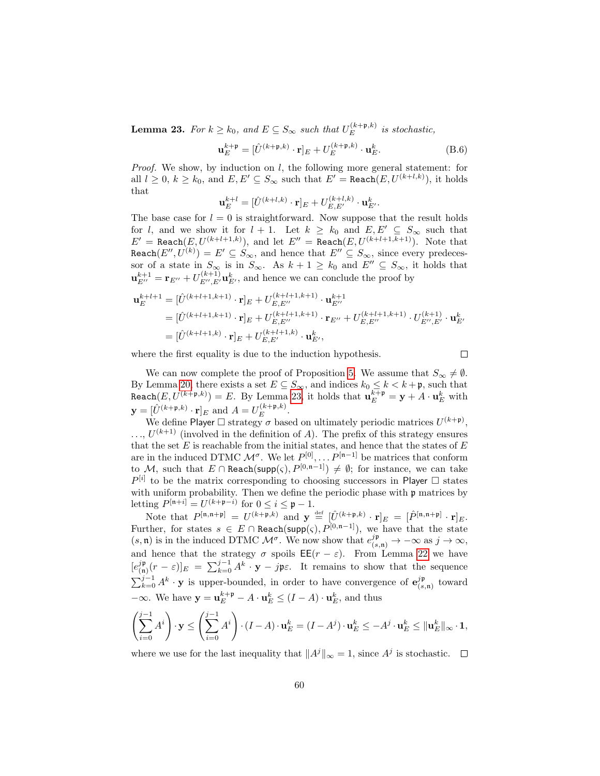**Lemma 23.** For  $k \geq k_0$ , and  $E \subseteq S_\infty$  such that  $U_E^{(k+p,k)}$  $E^{(\kappa+p,\kappa)}$  is stochastic,

$$
\mathbf{u}_{E}^{k+\mathfrak{p}} = [\hat{U}^{(k+\mathfrak{p},k)} \cdot \mathbf{r}]_{E} + U_{E}^{(k+\mathfrak{p},k)} \cdot \mathbf{u}_{E}^{k}.
$$
 (B.6)

*Proof.* We show, by induction on  $l$ , the following more general statement: for all  $l \geq 0, k \geq k_0$ , and  $E, E' \subseteq S_\infty$  such that  $E' = \texttt{Reach}(E, U^{(k+l,k)}),$  it holds that

$$
\mathbf{u}_{E}^{k+l} = [\hat{U}^{(k+l,k)} \cdot \mathbf{r}]_{E} + U_{E,E'}^{(k+l,k)} \cdot \mathbf{u}_{E'}^{k}.
$$

The base case for  $l = 0$  is straightforward. Now suppose that the result holds for l, and we show it for  $l + 1$ . Let  $k \geq k_0$  and  $E, E' \subseteq S_\infty$  such that  $E' = \text{Reach}(E, U^{(k+l+1,k)})$ , and let  $E'' = \text{Reach}(E, U^{(k+l+1,k+1)})$ . Note that Reach $(E'', U^{(k)}) = E' \subseteq S_{\infty}$ , and hence that  $E'' \subseteq S_{\infty}$ , since every predecessor of a state in  $S_{\infty}$  is in  $S_{\infty}$ . As  $k + 1 \ge k_0$  and  $E'' \subseteq S_{\infty}$ , it holds that  $\mathbf{u}_{E''}^{k+1} = \mathbf{r}_{E''} + U_{E'',E'}^{(k+1)} \mathbf{u}_{E'}^k$ , and hence we can conclude the proof by

$$
\mathbf{u}_{E}^{k+l+1} = [\hat{U}^{(k+l+1,k+1)} \cdot \mathbf{r}]_{E} + U_{E,E''}^{(k+l+1,k+1)} \cdot \mathbf{u}_{E''}^{k+1}
$$
\n
$$
= [\hat{U}^{(k+l+1,k+1)} \cdot \mathbf{r}]_{E} + U_{E,E''}^{(k+l+1,k+1)} \cdot \mathbf{r}_{E''} + U_{E,E''}^{(k+l+1,k+1)} \cdot U_{E'',E'}^{(k+l)} \cdot \mathbf{u}_{E'}^{k}
$$
\n
$$
= [\hat{U}^{(k+l+1,k)} \cdot \mathbf{r}]_{E} + U_{E,E'}^{(k+l+1,k)} \cdot \mathbf{u}_{E'}^{k},
$$

where the first equality is due to the induction hypothesis.

 $\Box$ 

We can now complete the proof of Proposition [5.](#page-22-0) We assume that  $S_{\infty} \neq \emptyset$ . By Lemma [20,](#page-57-3) there exists a set  $E \subseteq S_{\infty}$ , and indices  $k_0 \leq k < k + \mathfrak{p}$ , such that  $\texttt{Reach}(E, U^{(k+\mathfrak{p},k)}) = E.$  By Lemma [23,](#page-59-0) it holds that  $\mathbf{u}_E^{k+\mathfrak{p}} = \mathbf{y} + A \cdot \mathbf{u}_E^k$  with  $\mathbf{y} = [\hat{U}^{(k+\mathfrak{p},k)} \cdot \mathbf{r}]_E$  and  $A = U_E^{(k+\mathfrak{p},k)}$  $E^{\kappa+\mathfrak{p},\kappa}$ .

We define Player  $\Box$  strategy  $\sigma$  based on ultimately periodic matrices  $U^{(k+p)}$ ,  $\dots, U^{(k+1)}$  (involved in the definition of A). The prefix of this strategy ensures that the set  $E$  is reachable from the initial states, and hence that the states of  $E$ are in the induced DTMC  $\mathcal{M}^{\sigma}$ . We let  $P^{[0]}, \ldots P^{[n-1]}$  be matrices that conform to M, such that  $E \cap \text{Reach}(\text{supp}(\varsigma), P^{[0,n-1]}) \neq \emptyset$ ; for instance, we can take  $P^{[i]}$  to be the matrix corresponding to choosing successors in Player  $\Box$  states with uniform probability. Then we define the periodic phase with  $\mathfrak p$  matrices by letting  $P^{[n+i]} = U^{(k+p-i)}$  for  $0 \le i \le \mathfrak{p} - 1$ .

Note that  $P^{[\mathfrak{n},\mathfrak{n}+\mathfrak{p}]} = U^{(k+\mathfrak{p},k)}$  and  $\mathbf{y} \stackrel{\text{def}}{=} [\hat{U}^{(k+\mathfrak{p},k)} \cdot \mathbf{r}]_E = [\hat{P}^{[\mathfrak{n},\mathfrak{n}+\mathfrak{p}]} \cdot \mathbf{r}]_E$ . Further, for states  $s \in E \cap \text{Reach}(\text{supp}(\varsigma), P^{[0,n-1]})$ , we have that the state  $(s, \mathfrak{n})$  is in the induced DTMC  $\mathcal{M}^{\sigma}$ . We now show that  $e^{j\mathfrak{p}}_{(s,\mathfrak{n})} \to -\infty$  as  $j \to \infty$ , and hence that the strategy  $\sigma$  spoils  $\mathsf{EE}(r - \varepsilon)$ . From Lemma [22](#page-59-2) we have  $[e^{j\mathfrak{p}}]$  $(\mathbf{r}(\mathbf{r})_{\mathbf{r}})_{E} = \sum_{k=0}^{j-1} A^{k} \cdot \mathbf{y} - j \mathbf{\mathfrak{p}} \varepsilon$ . It remains to show that the sequence  $\sum_{k=0}^{j-1} A^k \cdot \mathbf{y}$  is upper-bounded, in order to have convergence of  $\mathbf{e}_{(s)}^{jp}$  $\binom{JP}{(s,\mathfrak{n})}$  toward  $-\infty$ . We have  $y = u_E^{k+p} - A \cdot u_E^k \leq (I - A) \cdot u_E^k$ , and thus

$$
\left(\sum_{i=0}^{j-1} A^i\right) \cdot \mathbf{y} \le \left(\sum_{i=0}^{j-1} A^i\right) \cdot (I - A) \cdot \mathbf{u}_E^k = (I - A^j) \cdot \mathbf{u}_E^k \le -A^j \cdot \mathbf{u}_E^k \le ||\mathbf{u}_E^k||_{\infty} \cdot \mathbf{1},
$$

where we use for the last inequality that  $||A^j||_{\infty} = 1$ , since  $A^j$  is stochastic.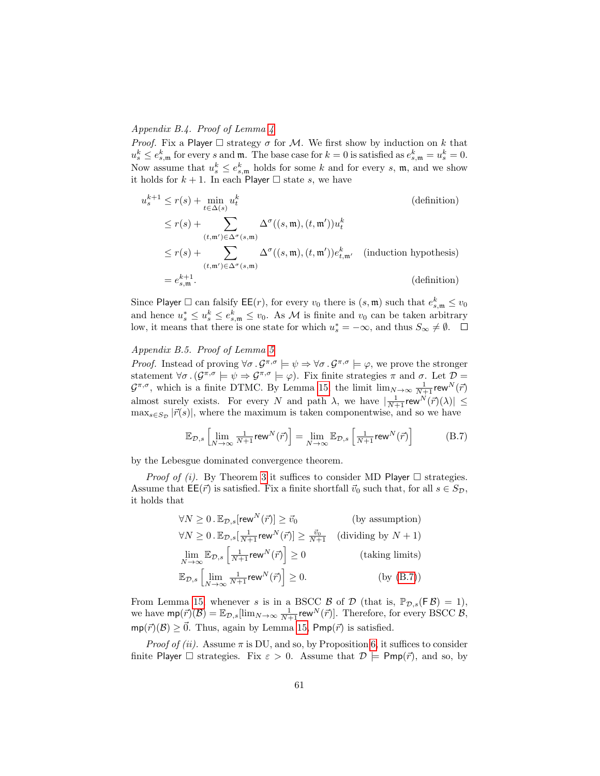## Appendix B.4. Proof of Lemma [4](#page-23-0)

*Proof.* Fix a Player  $\Box$  strategy  $\sigma$  for M. We first show by induction on k that  $u_s^k \leq e_{s,\mathfrak{m}}^k$  for every s and  $\mathfrak{m}$ . The base case for  $k = 0$  is satisfied as  $e_{s,\mathfrak{m}}^k = u_s^k = 0$ . Now assume that  $u_s^k \leq e_{s,\mathfrak{m}}^k$  holds for some k and for every s,  $\mathfrak{m}$ , and we show it holds for  $k + 1$ . In each Player  $\Box$  state s, we have

$$
u_s^{k+1} \le r(s) + \min_{t \in \Delta(s)} u_t^k
$$
 (definition)  
\n
$$
\le r(s) + \sum_{(t,\mathfrak{m}') \in \Delta^{\sigma}(s,\mathfrak{m})} \Delta^{\sigma}((s,\mathfrak{m}),(t,\mathfrak{m}'))u_t^k
$$
  
\n
$$
\le r(s) + \sum_{(t,\mathfrak{m}') \in \Delta^{\sigma}(s,\mathfrak{m})} \Delta^{\sigma}((s,\mathfrak{m}),(t,\mathfrak{m}'))e_{t,\mathfrak{m}'}^k
$$
 (induction hypothesis)  
\n
$$
= e_{s,\mathfrak{m}}^{k+1}.
$$
 (definition)

Since Player  $\Box$  can falsify  $\mathsf{EE}(r)$ , for every  $v_0$  there is  $(s, \mathfrak{m})$  such that  $e_{s, \mathfrak{m}}^k \leq v_0$ and hence  $u_s^* \leq u_s^k \leq e_{s,\mathfrak{m}}^k \leq v_0$ . As M is finite and  $v_0$  can be taken arbitrary low, it means that there is one state for which  $u_s^* = -\infty$ , and thus  $S_{\infty} \neq \emptyset$ .

## Appendix B.5. Proof of Lemma [5](#page-23-1)

*Proof.* Instead of proving  $\forall \sigma \cdot \mathcal{G}^{\pi,\sigma} \models \psi \Rightarrow \forall \sigma \cdot \mathcal{G}^{\pi,\sigma} \models \varphi$ , we prove the stronger statement  $\forall \sigma \, .$   $(\mathcal{G}^{\pi,\sigma} \models \psi \Rightarrow \mathcal{G}^{\pi,\sigma} \models \varphi)$ . Fix finite strategies  $\pi$  and  $\sigma$ . Let  $\mathcal{D} =$  $\mathcal{G}^{\pi,\sigma}$ , which is a finite DTMC. By Lemma [15,](#page-51-1) the limit  $\lim_{N\to\infty}\frac{1}{N+1}$ rew $^N(\vec{r})$ almost surely exists. For every N and path  $\lambda$ , we have  $\left|\frac{1}{N+1} \text{rew}^N(\vec{r})(\lambda)\right| \leq$  $\max_{s \in S_{\mathcal{D}}} |\vec{r}(s)|$ , where the maximum is taken componentwise, and so we have

<span id="page-61-0"></span>
$$
\mathbb{E}_{\mathcal{D},s} \left[ \lim_{N \to \infty} \frac{1}{N+1} \text{rew}^N(\vec{r}) \right] = \lim_{N \to \infty} \mathbb{E}_{\mathcal{D},s} \left[ \frac{1}{N+1} \text{rew}^N(\vec{r}) \right] \tag{B.7}
$$

by the Lebesgue dominated convergence theorem.

*Proof of (i).* By Theorem [3](#page-20-0) it suffices to consider MD Player  $\Box$  strategies. Assume that  $\mathsf{EE}(\vec{r})$  is satisfied. Fix a finite shortfall  $\vec{v}_0$  such that, for all  $s \in S_{\mathcal{D}}$ , it holds that

$$
\forall N \ge 0. \mathbb{E}_{\mathcal{D},s}[\text{rew}^N(\vec{r})] \ge \vec{v}_0 \qquad \qquad \text{(by assumption)}
$$
  

$$
\forall N \ge 0. \mathbb{E}_{\mathcal{D},s}[\frac{1}{N+1}\text{rew}^N(\vec{r})] \ge \frac{\vec{v}_0}{N+1} \qquad \text{(dividing by } N+1)
$$
  

$$
\lim_{N \to \infty} \mathbb{E}_{\mathcal{D},s}[\frac{1}{N+1}\text{rew}^N(\vec{r})] \ge 0 \qquad \qquad \text{(taking limits)}
$$
  

$$
\mathbb{E}_{\mathcal{D},s}[\lim_{N \to \infty} \frac{1}{N+1}\text{rew}^N(\vec{r})] \ge 0. \qquad \qquad \text{(by (B.7))}
$$

From Lemma [15,](#page-51-1) whenever s is in a BSCC  $\beta$  of  $\mathcal D$  (that is,  $\mathbb P_{\mathcal D,s}(F\beta) = 1$ ), we have  $\text{mp}(\vec{r})(\mathcal{B}) = \mathbb{E}_{\mathcal{D},s}[\lim_{N \to \infty} \frac{1}{N+1} \text{rew}^N(\vec{r})]$ . Therefore, for every BSCC  $\mathcal{B},$  $mp(\vec{r})(\mathcal{B}) \geq \vec{0}$ . Thus, again by Lemma [15,](#page-51-1) Pmp( $\vec{r}$ ) is satisfied.

*Proof of (ii).* Assume  $\pi$  is DU, and so, by Proposition [6,](#page-23-2) it suffices to consider finite Player  $\Box$  strategies. Fix  $\varepsilon > 0$ . Assume that  $\mathcal{D} \models \textsf{Pmp}(\vec{r})$ , and so, by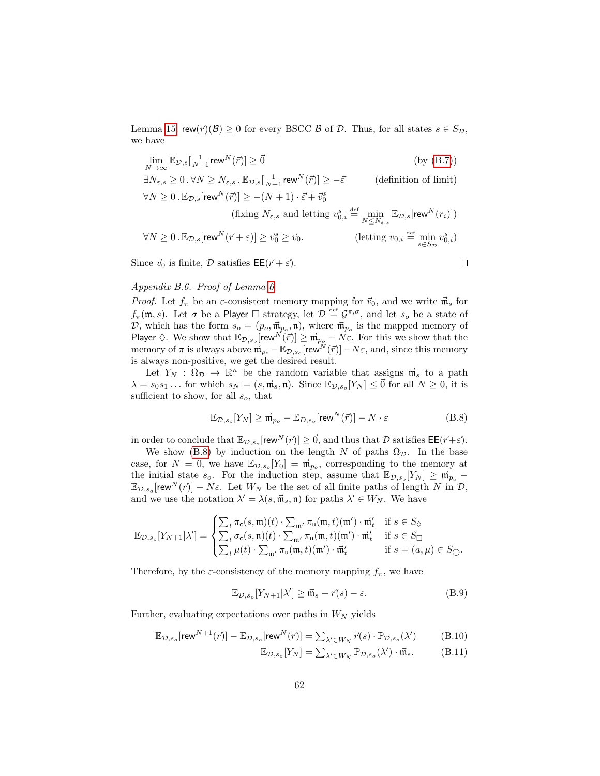Lemma [15,](#page-51-1) rew $(\vec{r})(\vec{B}) \ge 0$  for every BSCC  $\vec{B}$  of  $\vec{D}$ . Thus, for all states  $s \in S_{\mathcal{D}}$ , we have

 $\lim_{N \to \infty} \mathbb{E}_{\mathcal{D},s}[\frac{1}{N+1} \text{rew}^N(\vec{r})] \ge \vec{0}$  (by [\(B.7\)](#page-61-0))

$$
\label{eq:3.1} \begin{aligned} \exists N_{\varepsilon,s} \geq 0 \, . \, \forall N \geq N_{\varepsilon,s} \, . \, \mathbb{E}_{\mathcal{D},s}[\tfrac{1}{N+1} \text{rew}^N(\vec{r})] \geq -\vec{\varepsilon} \qquad & \text{(definition of limit)}\\ \forall N \geq 0 \, . \, \mathbb{E}_{\mathcal{D},s}[\text{rew}^N(\vec{r})] \geq -(N+1) \cdot \vec{\varepsilon} + \vec{v}_0^s \\ & \text{(fixing $N_{\varepsilon,s}$ and letting $v_{0,i}^s \stackrel{\text{def}}{=} \min_{N \leq N_{\varepsilon,s}} \mathbb{E}_{\mathcal{D},s}[\text{rew}^N(r_i)])}\\ \forall N \geq 0 \, . \, \mathbb{E}_{\mathcal{D},s}[\text{rew}^N(\vec{r}+\varepsilon)] \geq \vec{v}_0^s \geq \vec{v}_0. \qquad & \text{(letting $v_{0,i} \stackrel{\text{def}}{=} \min_{s \in S_{\mathcal{D}}} v_{0,i}^s$)} \end{aligned}
$$

Since  $\vec{v}_0$  is finite,  $\mathcal D$  satisfies  $\mathsf{EE}(\vec{r} + \vec{\varepsilon})$ .

$$
\Box
$$

## Appendix B.6. Proof of Lemma [6](#page-24-0)

*Proof.* Let  $f_{\pi}$  be an  $\varepsilon$ -consistent memory mapping for  $\vec{v}_0$ , and we write  $\vec{m}_s$  for  $f_\pi(\mathfrak{m},s)$ . Let  $\sigma$  be a Player  $\Box$  strategy, let  $\mathcal{D} \stackrel{\text{\tiny def}}{=} \mathcal{G}^{\pi,\sigma}$ , and let  $s_o$  be a state of D, which has the form  $s_o = (p_o, \vec{m}_{p_o}, \mathfrak{n})$ , where  $\vec{m}_{p_o}$  is the mapped memory of Player  $\Diamond$ . We show that  $\mathbb{E}_{\mathcal{D},s_o}$  rew $N(\vec{r}) \geq \vec{\mathfrak{m}}_{p_o} - N\epsilon$ . For this we show that the memory of  $\pi$  is always above  $\vec{\mathfrak{m}}_{p_o} - \mathbb{E}_{\mathcal{D},s_o}[\mathsf{rew}^{\tilde{N}}(\vec{r})] - N\varepsilon$ , and, since this memory is always non-positive, we get the desired result.

Let  $Y_N$ :  $\Omega_{\mathcal{D}} \to \mathbb{R}^n$  be the random variable that assigns  $\vec{\mathfrak{m}}_s$  to a path  $\lambda = s_0 s_1 \dots$  for which  $s_N = (s, \vec{\mathfrak{m}}_s, \mathfrak{n})$ . Since  $\mathbb{E}_{\mathcal{D}, s_o}[Y_N] \leq \vec{0}$  for all  $N \geq 0$ , it is sufficient to show, for all  $s_o$ , that

<span id="page-62-0"></span>
$$
\mathbb{E}_{\mathcal{D},s_o}[Y_N] \ge \vec{\mathfrak{m}}_{p_o} - \mathbb{E}_{D,s_o}[\text{rew}^N(\vec{r})] - N \cdot \varepsilon
$$
\n(B.8)

in order to conclude that  $\mathbb{E}_{\mathcal{D},s_o}[\text{rew}^N(\vec{r})] \geq \vec{0}$ , and thus that  $\mathcal D$  satisfies  $\mathsf{EE}(\vec{r}+\vec{\varepsilon})$ .

We show [\(B.8\)](#page-62-0) by induction on the length N of paths  $\Omega_{\mathcal{D}}$ . In the base case, for  $N = 0$ , we have  $\mathbb{E}_{\mathcal{D}, s_o}[Y_0] = \vec{\mathfrak{m}}_{p_o}$ , corresponding to the memory at the initial state  $s_o$ . For the induction step, assume that  $\mathbb{E}_{\mathcal{D}, s_o}[Y_N] \geq \vec{\mathfrak{m}}_{p_o}$  $\mathbb{E}_{\mathcal{D},s_o}[\text{rew}^N(\vec{r})] - N\varepsilon$ . Let  $W_N$  be the set of all finite paths of length N in  $\mathcal{D},$ and we use the notation  $\lambda' = \lambda(s, \vec{\mathfrak{m}}_s, \mathfrak{n})$  for paths  $\lambda' \in W_N$ . We have

$$
\mathbb{E}_{\mathcal{D},s_o}[Y_{N+1}|\lambda'] = \begin{cases} \sum_t \pi_{\mathsf{c}}(s,\mathfrak{m})(t) \cdot \sum_{\mathfrak{m}'} \pi_{\mathsf{u}}(\mathfrak{m},t)(\mathfrak{m}') \cdot \vec{\mathfrak{m}}'_t & \text{if } s \in S_{\lozenge} \\ \sum_t \sigma_{\mathsf{c}}(s,\mathfrak{n})(t) \cdot \sum_{\mathfrak{m}'} \pi_{\mathsf{u}}(\mathfrak{m},t)(\mathfrak{m}') \cdot \vec{\mathfrak{m}}'_t & \text{if } s \in S_{\square} \\ \sum_t \mu(t) \cdot \sum_{\mathfrak{m}'} \pi_{\mathsf{u}}(\mathfrak{m},t)(\mathfrak{m}') \cdot \vec{\mathfrak{m}}'_t & \text{if } s = (a,\mu) \in S_{\square} .\end{cases}
$$

Therefore, by the  $\varepsilon$ -consistency of the memory mapping  $f_{\pi}$ , we have

$$
\mathbb{E}_{\mathcal{D},s_o}[Y_{N+1}|\lambda'] \ge \vec{\mathfrak{m}}_s - \vec{r}(s) - \varepsilon. \tag{B.9}
$$

Further, evaluating expectations over paths in  $W_N$  yields

$$
\mathbb{E}_{\mathcal{D},s_o}[\text{rew}^{N+1}(\vec{r})] - \mathbb{E}_{\mathcal{D},s_o}[\text{rew}^N(\vec{r})] = \sum_{\lambda' \in W_N} \vec{r}(s) \cdot \mathbb{P}_{\mathcal{D},s_o}(\lambda') \tag{B.10}
$$

<span id="page-62-3"></span><span id="page-62-2"></span><span id="page-62-1"></span>
$$
\mathbb{E}_{\mathcal{D},s_o}[Y_N] = \sum_{\lambda' \in W_N} \mathbb{P}_{\mathcal{D},s_o}(\lambda') \cdot \vec{\mathfrak{m}}_s. \tag{B.11}
$$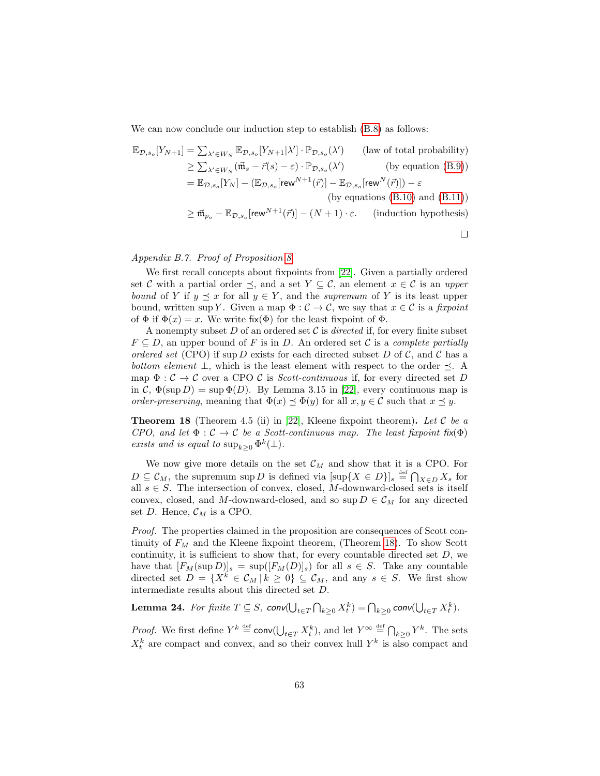We can now conclude our induction step to establish  $(B.8)$  as follows:

$$
\mathbb{E}_{\mathcal{D},s_o}[Y_{N+1}] = \sum_{\lambda' \in W_N} \mathbb{E}_{\mathcal{D},s_o}[Y_{N+1}|\lambda'] \cdot \mathbb{P}_{\mathcal{D},s_o}(\lambda')
$$
 (law of total probability)  
\n
$$
\geq \sum_{\lambda' \in W_N} (\vec{m}_s - \vec{r}(s) - \varepsilon) \cdot \mathbb{P}_{\mathcal{D},s_o}(\lambda')
$$
 (by equation (B.9))  
\n
$$
= \mathbb{E}_{\mathcal{D},s_o}[Y_N] - (\mathbb{E}_{\mathcal{D},s_o}[\text{rew}^{N+1}(\vec{r})] - \mathbb{E}_{\mathcal{D},s_o}[\text{rew}^{N}(\vec{r})]) - \varepsilon
$$
  
\n(by equations (B.10) and (B.11))  
\n
$$
\geq \vec{m}_{p_o} - \mathbb{E}_{\mathcal{D},s_o}[\text{rew}^{N+1}(\vec{r})] - (N+1) \cdot \varepsilon.
$$
 (induction hypothesis)

## Appendix B.7. Proof of Proposition [8](#page-25-1)

We first recall concepts about fixpoints from [\[22\]](#page-47-6). Given a partially ordered set C with a partial order  $\preceq$ , and a set  $Y \subseteq \mathcal{C}$ , an element  $x \in \mathcal{C}$  is an upper bound of Y if  $y \leq x$  for all  $y \in Y$ , and the supremum of Y is its least upper bound, written sup Y. Given a map  $\Phi : \mathcal{C} \to \mathcal{C}$ , we say that  $x \in \mathcal{C}$  is a fixpoint of  $\Phi$  if  $\Phi(x) = x$ . We write fix( $\Phi$ ) for the least fixpoint of  $\Phi$ .

A nonempty subset  $D$  of an ordered set  $\mathcal C$  is *directed* if, for every finite subset  $F \subseteq D$ , an upper bound of F is in D. An ordered set C is a *complete partially* ordered set (CPO) if sup D exists for each directed subset D of C, and C has a bottom element  $\perp$ , which is the least element with respect to the order  $\preceq$ . A map  $\Phi : \mathcal{C} \to \mathcal{C}$  over a CPO  $\mathcal{C}$  is *Scott-continuous* if, for every directed set D in C,  $\Phi(\sup D) = \sup \Phi(D)$ . By Lemma 3.15 in [\[22\]](#page-47-6), every continuous map is order-preserving, meaning that  $\Phi(x) \preceq \Phi(y)$  for all  $x, y \in \mathcal{C}$  such that  $x \preceq y$ .

<span id="page-63-0"></span>**Theorem 18** (Theorem 4.5 (ii) in [\[22\]](#page-47-6), Kleene fixpoint theorem). Let  $C$  be a CPO, and let  $\Phi : \mathcal{C} \to \mathcal{C}$  be a Scott-continuous map. The least fixpoint fix( $\Phi$ ) exists and is equal to  $\sup_{k\geq 0} \Phi^k(\perp)$ .

We now give more details on the set  $\mathcal{C}_M$  and show that it is a CPO. For  $D \subseteq \mathcal{C}_M$ , the supremum sup D is defined via  $[\sup\{X \in D\}]_s \stackrel{\text{def}}{=} \bigcap_{X \in D} X_s$  for all  $s \in S$ . The intersection of convex, closed, M-downward-closed sets is itself convex, closed, and M-downward-closed, and so sup  $D \in \mathcal{C}_M$  for any directed set D. Hence,  $C_M$  is a CPO.

*Proof.* The properties claimed in the proposition are consequences of Scott continuity of  $F_M$  and the Kleene fixpoint theorem, (Theorem [18\)](#page-63-0). To show Scott continuity, it is sufficient to show that, for every countable directed set  $D$ , we have that  $[F_M(\sup D)]_s = \sup([F_M(D)]_s)$  for all  $s \in S$ . Take any countable directed set  $D = \{X^k \in \mathcal{C}_M \mid k \geq 0\} \subseteq \mathcal{C}_M$ , and any  $s \in S$ . We first show intermediate results about this directed set D.

<span id="page-63-1"></span>**Lemma 24.** For finite  $T \subseteq S$ ,  $\mathsf{conv}(\bigcup_{t \in T} \bigcap_{k \geq 0} X_t^k) = \bigcap_{k \geq 0} \mathsf{conv}(\bigcup_{t \in T} X_t^k)$ .

*Proof.* We first define  $Y^k \stackrel{\text{def}}{=} \text{conv}(\bigcup_{t \in T} X_t^k)$ , and let  $Y^{\infty} \stackrel{\text{def}}{=} \bigcap_{k \geq 0} Y^k$ . The sets  $X_t^k$  are compact and convex, and so their convex hull  $Y^k$  is also compact and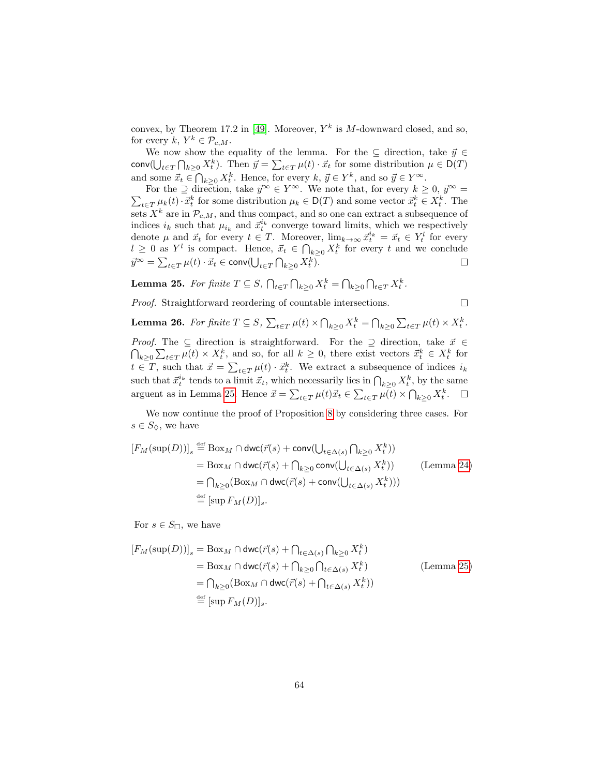convex, by Theorem 17.2 in [\[49\]](#page-49-4). Moreover,  $Y^k$  is M-downward closed, and so, for every  $k, Y^k \in \mathcal{P}_{c,M}$ .

We now show the equality of the lemma. For the  $\subseteq$  direction, take  $\vec{y} \in$ conv $(\bigcup_{t\in T}\bigcap_{k\geq 0}X_t^k)$ . Then  $\vec{y}=\sum_{t\in T}\mu(t)\cdot\vec{x}_t$  for some distribution  $\mu\in\mathsf{D}(T)$ and some  $\vec{x}_t \in \bigcap_{k \geq 0} X_t^k$ . Hence, for every  $k, \, \vec{y} \in Y^k$ , and so  $\vec{y} \in Y^{\infty}$ .

For the  $\supseteq$  direction, take  $\vec{y}^{\infty} \in Y^{\infty}$ . We note that, for every  $k \geq 0$ ,  $\vec{y}^{\infty} =$  $\sum_{t \in T} \mu_k(t) \cdot \vec{x}_t^k$  for some distribution  $\mu_k \in D(T)$  and some vector  $\vec{x}_t^k \in X_t^k$ . The sets  $X^k$  are in  $\mathcal{P}_{c,M}$ , and thus compact, and so one can extract a subsequence of indices  $i_k$  such that  $\mu_{i_k}$  and  $\vec{x}_t^{i_k}$  converge toward limits, which we respectively denote  $\mu$  and  $\vec{x}_t$  for every  $t \in T$ . Moreover,  $\lim_{k \to \infty} \vec{x}_t^{i_k} = \vec{x}_t \in Y_t^l$  for every  $l \geq 0$  as  $Y^l$  is compact. Hence,  $\vec{x}_t \in \bigcap_{k \geq 0} X_t^k$  for every t and we conclude  $\vec{y}^{\infty} = \sum_{t \in T} \mu(t) \cdot \vec{x_t} \in \mathsf{conv}(\bigcup_{t \in T} \bigcap_{k \geq 0} X_t^k).$  $\Box$ 

<span id="page-64-0"></span>**Lemma 25.** For finite  $T \subseteq S$ ,  $\bigcap_{t \in T} \bigcap_{k \geq 0} X_t^k = \bigcap_{k \geq 0} \bigcap_{t \in T} X_t^k$ .

Proof. Straightforward reordering of countable intersections.

<span id="page-64-1"></span>**Lemma 26.** For finite  $T \subseteq S$ ,  $\sum_{t \in T} \mu(t) \times \bigcap_{k \geq 0} X_t^k = \bigcap_{k \geq 0} \sum_{t \in T} \mu(t) \times X_t^k$ .

 $\Box$ 

*Proof.* The  $\subseteq$  direction is straightforward. For the  $\supseteq$  direction, take  $\vec{x} \in$  $\bigcap_{k\geq 0} \sum_{t\in T} \mu(t) \times X_t^k$ , and so, for all  $k\geq 0$ , there exist vectors  $\vec{x}_t^k \in X_t^k$  for  $t \in T$ , such that  $\vec{x} = \sum_{t \in T} \mu(t) \cdot \vec{x}_t^k$ . We extract a subsequence of indices  $i_k$ such that  $\vec{x}_t^{i_k}$  tends to a limit  $\vec{x}_t$ , which necessarily lies in  $\bigcap_{k\geq 0} X_t^k$ , by the same arguent as in Lemma [25.](#page-64-0) Hence  $\vec{x} = \sum_{t \in T} \mu(t) \vec{x}_t \in \sum_{t \in T} \mu(t) \times \bigcap_{k \geq 0} X_t^k$ .

We now continue the proof of Proposition [8](#page-25-1) by considering three cases. For  $s \in S_{\diamondsuit}$ , we have

$$
[F_M(\sup(D))]_s \stackrel{\text{def}}{=} \text{Box}_M \cap \text{dwc}(\vec{r}(s) + \text{conv}(\bigcup_{t \in \Delta(s)} \bigcap_{k \ge 0} X_t^k))
$$
  
\n
$$
= \text{Box}_M \cap \text{dwc}(\vec{r}(s) + \bigcap_{k \ge 0} \text{conv}(\bigcup_{t \in \Delta(s)} X_t^k))
$$
 (Lemma 24)  
\n
$$
= \bigcap_{k \ge 0} (\text{Box}_M \cap \text{dwc}(\vec{r}(s) + \text{conv}(\bigcup_{t \in \Delta(s)} X_t^k)))
$$
  
\n
$$
\stackrel{\text{def}}{=} [\text{sup } F_M(D)]_s.
$$

For  $s \in S_{\square}$ , we have

$$
[F_M(\sup(D))]_s = \text{Box}_M \cap \text{dwc}(\vec{r}(s) + \bigcap_{t \in \Delta(s)} \bigcap_{k \ge 0} X_t^k)
$$
  
\n
$$
= \text{Box}_M \cap \text{dwc}(\vec{r}(s) + \bigcap_{k \ge 0} \bigcap_{t \in \Delta(s)} X_t^k)
$$
  
\n
$$
= \bigcap_{k \ge 0} (\text{Box}_M \cap \text{dwc}(\vec{r}(s) + \bigcap_{t \in \Delta(s)} X_t^k))
$$
  
\n
$$
\stackrel{\text{def}}{=} [\text{sup } F_M(D)]_s.
$$
 (Lemma 25)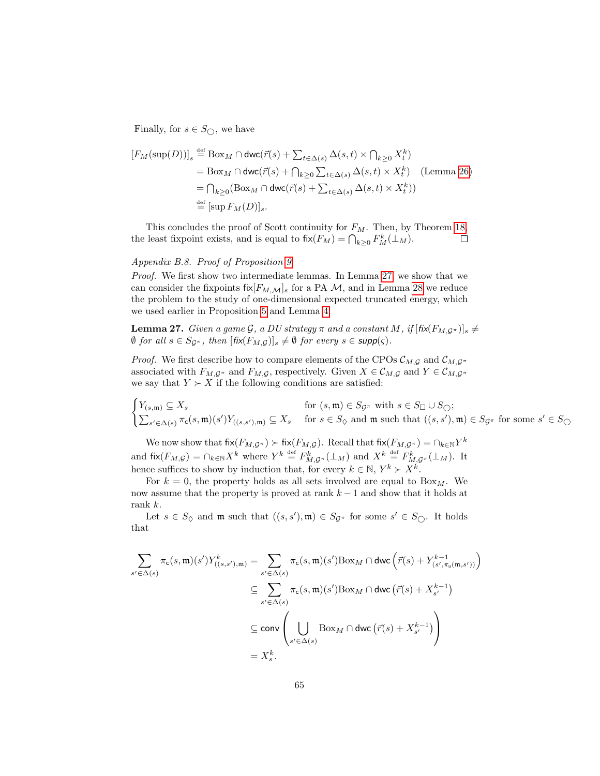Finally, for  $s \in S_{\bigcirc}$ , we have

$$
[F_M(\sup(D))]_s \stackrel{\text{def}}{=} \text{Box}_M \cap \text{dwc}(\vec{r}(s) + \sum_{t \in \Delta(s)} \Delta(s, t) \times \bigcap_{k \ge 0} X_t^k)
$$
  
\n
$$
= \text{Box}_M \cap \text{dwc}(\vec{r}(s) + \bigcap_{k \ge 0} \sum_{t \in \Delta(s)} \Delta(s, t) \times X_t^k) \quad \text{(Lemma 26)}
$$
  
\n
$$
= \bigcap_{k \ge 0} (\text{Box}_M \cap \text{dwc}(\vec{r}(s) + \sum_{t \in \Delta(s)} \Delta(s, t) \times X_t^k))
$$
  
\n
$$
\stackrel{\text{def}}{=} [\text{sup } F_M(D)],
$$

This concludes the proof of Scott continuity for  $F_M$ . Then, by Theorem [18,](#page-63-0) the least fixpoint exists, and is equal to  $f(x) = \bigcap_{k \geq 0} F_M^k(\perp_M)$ .  $\Box$ 

### Appendix B.8. Proof of Proposition [9](#page-26-0)

Proof. We first show two intermediate lemmas. In Lemma [27,](#page-65-0) we show that we can consider the fixpoints fix  $[F_{M,\mathcal{M}}]_s$  for a PA M, and in Lemma [28](#page-66-0) we reduce the problem to the study of one-dimensional expected truncated energy, which we used earlier in Proposition [5](#page-22-0) and Lemma [4.](#page-23-0)

<span id="page-65-0"></span>**Lemma 27.** Given a game G, a DU strategy  $\pi$  and a constant M, if  $[f\mathbf{i} \mathbf{x}(F_{M,\mathcal{G}^{\pi}})]_s \neq$  $\emptyset$  for all  $s \in S_{\mathcal{G}^{\pi}}$ , then  $[\text{fix}(F_{M,\mathcal{G}})]_s \neq \emptyset$  for every  $s \in \text{supp}(\varsigma)$ .

*Proof.* We first describe how to compare elements of the CPOs  $\mathcal{C}_{M,\mathcal{G}}$  and  $\mathcal{C}_{M,\mathcal{G}}$ <sup> $\pi$ </sup> associated with  $F_{M,\mathcal{G}}$ <sup>π</sup> and  $F_{M,\mathcal{G}}$ , respectively. Given  $X \in \mathcal{C}_{M,\mathcal{G}}$  and  $Y \in \mathcal{C}_{M,\mathcal{G}}$ <sup>π</sup> we say that  $Y \succ X$  if the following conditions are satisfied:

$$
\begin{cases} Y_{(s,\mathfrak{m})} \subseteq X_s & \text{for } (s,\mathfrak{m}) \in S_{\mathcal{G}^\pi} \text{ with } s \in S_{\square} \cup S_{\bigcirc}; \\ \sum_{s' \in \Delta(s)} \pi_{\mathsf{c}}(s,\mathfrak{m})(s')Y_{((s,s'),\mathfrak{m})} \subseteq X_s & \text{for } s \in S_{\lozenge} \text{ and } \mathfrak{m} \text{ such that } ((s,s'),\mathfrak{m}) \in S_{\mathcal{G}^\pi} \text{ for some } s' \in S_{\bigcirc} \end{cases}
$$

We now show that  $fix(F_{M,\mathcal{G}^{\pi}}) \succ fix(F_{M,\mathcal{G}})$ . Recall that  $fix(F_{M,\mathcal{G}^{\pi}}) = \cap_{k \in \mathbb{N}} Y^k$ and  $\operatorname{fix}(F_{M,\mathcal{G}}) = \bigcap_{k \in \mathbb{N}} X^k$  where  $Y^k \stackrel{\text{def}}{=} F^k_{M,\mathcal{G}^{\pi}}(\perp_M)$  and  $X^k \stackrel{\text{def}}{=} F^k_{M,\mathcal{G}^{\pi}}(\perp_M)$ . It hence suffices to show by induction that, for every  $k \in \mathbb{N}, Y^k \succ X^k$ .

For  $k = 0$ , the property holds as all sets involved are equal to  $B\alpha_M$ . We now assume that the property is proved at rank  $k-1$  and show that it holds at rank k.

Let  $s \in S_{\Diamond}$  and  $\mathfrak{m}$  such that  $((s, s'), \mathfrak{m}) \in S_{\mathcal{G}^{\pi}}$  for some  $s' \in S_{\Diamond}$ . It holds that

$$
\sum_{s' \in \Delta(s)} \pi_{\mathsf{c}}(s, \mathfrak{m})(s') Y^{k}_{((s, s'), \mathfrak{m})} = \sum_{s' \in \Delta(s)} \pi_{\mathsf{c}}(s, \mathfrak{m})(s') \text{Box}_{M} \cap \text{dwc} \left( \vec{r}(s) + Y^{k-1}_{(s', \pi_{\mathsf{u}}(\mathfrak{m}, s'))} \right)
$$

$$
\subseteq \sum_{s' \in \Delta(s)} \pi_{\mathsf{c}}(s, \mathfrak{m})(s') \text{Box}_{M} \cap \text{dwc} \left( \vec{r}(s) + X^{k-1}_{s'} \right)
$$

$$
\subseteq \text{conv} \left( \bigcup_{s' \in \Delta(s)} \text{Box}_{M} \cap \text{dwc} \left( \vec{r}(s) + X^{k-1}_{s'} \right) \right)
$$

$$
= X^{k}_{s}.
$$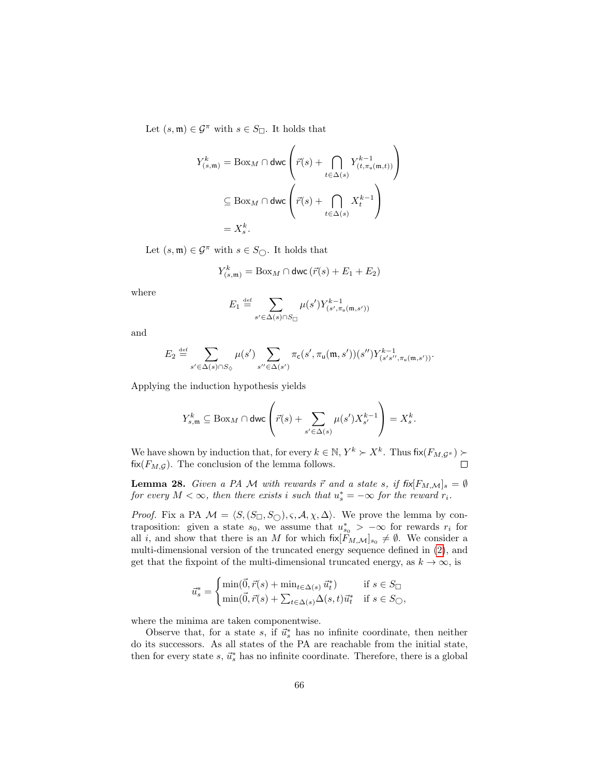Let  $(s, \mathfrak{m}) \in \mathcal{G}^{\pi}$  with  $s \in S_{\square}$ . It holds that

$$
\begin{aligned} Y_{(s,\mathfrak{m})}^{k} &= \mathrm{Box}_{M} \cap \mathrm{dwc} \left( \vec{r}(s) + \bigcap_{t \in \Delta(s)} Y_{(t,\pi_{\mathfrak{u}}(\mathfrak{m},t))}^{k-1} \right) \\ &\subseteq \mathrm{Box}_{M} \cap \mathrm{dwc} \left( \vec{r}(s) + \bigcap_{t \in \Delta(s)} X_{t}^{k-1} \right) \\ &= X_{s}^{k}. \end{aligned}
$$

Let  $(s, \mathfrak{m}) \in \mathcal{G}^{\pi}$  with  $s \in S_{\bigcirc}$ . It holds that

$$
Y^k_{(s,\mathfrak{m})} = \mathrm{Box}_M \cap \mathrm{dwc} \left( \vec{r}(s) + E_1 + E_2 \right)
$$

where

$$
E_1 \stackrel{\text{def}}{=} \sum_{s' \in \Delta(s) \cap S_{\square}} \mu(s') Y_{(s', \pi_{\mathfrak{u}}(\mathfrak{m}, s'))}^{k-1}
$$

and

$$
E_2 \stackrel{\text{def}}{=} \sum_{s' \in \Delta(s) \cap S_{\diamondsuit}} \mu(s') \sum_{s'' \in \Delta(s')} \pi_{\mathsf{c}}(s', \pi_{\mathsf{u}}(\mathfrak{m}, s'))(s'') Y^{k-1}_{(s's'', \pi_{\mathsf{u}}(\mathfrak{m}, s'))}.
$$

Applying the induction hypothesis yields

$$
Y_{s,\mathfrak{m}}^k\subseteq \mathrm{Box}_{M}\cap\mathsf{dwc}\left(\vec{r}(s)+\sum_{s'\in\Delta(s)}\mu(s')X_{s'}^{k-1}\right)=X_s^k.
$$

We have shown by induction that, for every  $k \in \mathbb{N}, Y^k \succ X^k$ . Thus  $fix(F_M, \mathcal{G}^*)$ fix( $F_{M,\mathcal{G}}$ ). The conclusion of the lemma follows.  $\Box$ 

<span id="page-66-0"></span>**Lemma 28.** Given a PA M with rewards  $\vec{r}$  and a state s, if  $f\{ik[F_{M,\mathcal{M}}]_{s} = \emptyset$ for every  $M < \infty$ , then there exists i such that  $u_s^* = -\infty$  for the reward  $r_i$ .

*Proof.* Fix a PA  $M = \langle S, (S_{\square}, S_{\square}), \varsigma, A, \chi, \Delta \rangle$ . We prove the lemma by contraposition: given a state  $s_0$ , we assume that  $u_{s_0}^*$  >  $-\infty$  for rewards  $r_i$  for all i, and show that there is an M for which  $f[x]F_{M,\mathcal{M}}]_{s_0} \neq \emptyset$ . We consider a multi-dimensional version of the truncated energy sequence defined in [\(2\)](#page-22-1), and get that the fixpoint of the multi-dimensional truncated energy, as  $k \to \infty$ , is

$$
\vec{u}_s^* = \begin{cases} \min(\vec{0}, \vec{r}(s) + \min_{t \in \Delta(s)} \vec{u}_t^*) & \text{if } s \in S_{\square} \\ \min(\vec{0}, \vec{r}(s) + \sum_{t \in \Delta(s)} \Delta(s, t) \vec{u}_t^* & \text{if } s \in S_{\square} \end{cases}
$$

where the minima are taken componentwise.

Observe that, for a state s, if  $\vec{u}_s^*$  has no infinite coordinate, then neither do its successors. As all states of the PA are reachable from the initial state, then for every state  $s, \, \vec{u}_s^*$  has no infinite coordinate. Therefore, there is a global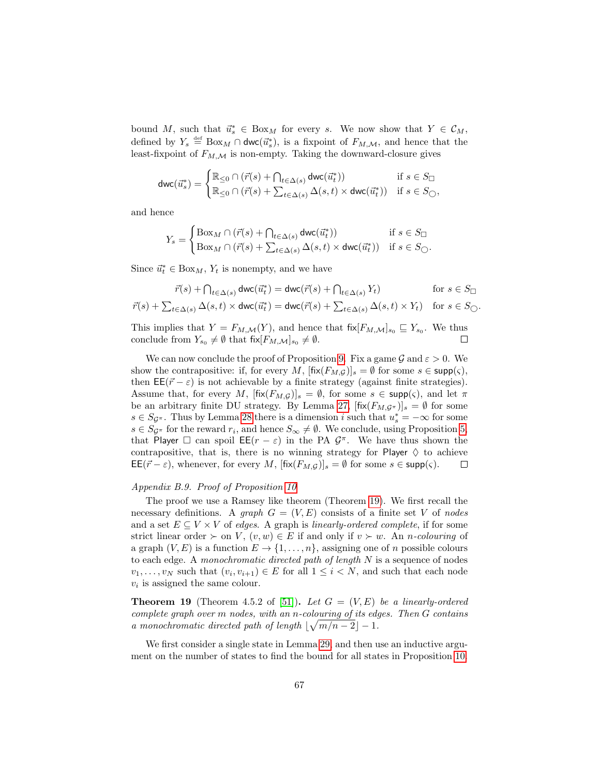bound M, such that  $\vec{u}_s^* \in \text{Box}_M$  for every s. We now show that  $Y \in \mathcal{C}_M$ , defined by  $Y_s \stackrel{\text{def}}{=} \text{Box}_M \cap \text{dwc}(\vec{u}_s^*)$ , is a fixpoint of  $F_{M,\mathcal{M}}$ , and hence that the least-fixpoint of  $F_{M,\mathcal{M}}$  is non-empty. Taking the downward-closure gives

$$
\operatorname{dwc}(\vec{u}_s^*) = \begin{cases} \mathbb{R}_{\leq 0} \cap (\vec{r}(s) + \bigcap_{t \in \Delta(s)} \operatorname{dwc}(\vec{u}_t^*)) & \text{if } s \in S_{\square} \\ \mathbb{R}_{\leq 0} \cap (\vec{r}(s) + \sum_{t \in \Delta(s)} \Delta(s, t) \times \operatorname{dwc}(\vec{u}_t^*)) & \text{if } s \in S_{\square}, \end{cases}
$$

and hence

$$
Y_s = \begin{cases} \n\text{Box}_M \cap (\vec{r}(s) + \bigcap_{t \in \Delta(s)} \text{dwc}(\vec{u}_t^*)) & \text{if } s \in S_{\square} \\ \n\text{Box}_M \cap (\vec{r}(s) + \sum_{t \in \Delta(s)} \Delta(s, t) \times \text{dwc}(\vec{u}_t^*)) & \text{if } s \in S_{\square}. \n\end{cases}
$$

Since  $\vec{u}_t^* \in \text{Box}_M$ ,  $Y_t$  is nonempty, and we have

$$
\vec{r}(s) + \bigcap_{t \in \Delta(s)} \text{dwc}(\vec{u}_t^*) = \text{dwc}(\vec{r}(s) + \bigcap_{t \in \Delta(s)} Y_t) \quad \text{for } s \in S_{\Box}
$$

$$
\vec{r}(s) + \sum_{t \in \Delta(s)} \Delta(s, t) \times \text{dwc}(\vec{u}_t^*) = \text{dwc}(\vec{r}(s) + \sum_{t \in \Delta(s)} \Delta(s, t) \times Y_t) \quad \text{for } s \in S_{\bigcirc}.
$$

This implies that  $Y = F_{M,\mathcal{M}}(Y)$ , and hence that  $f_{N,\mathcal{M}}|_{s_0} \subseteq Y_{s_0}$ . We thus conclude from  $Y_{s_0} \neq \emptyset$  that  $f_{\alpha}[F_{M,\mathcal{M}}]_{s_0} \neq \emptyset$ .

We can now conclude the proof of Proposition [9.](#page-26-0) Fix a game  $\mathcal G$  and  $\varepsilon > 0$ . We show the contrapositive: if, for every M,  $[\text{fix}(F_{M,\mathcal{G}})]_s = \emptyset$  for some  $s \in \text{supp}(\varsigma)$ , then  $\mathsf{EE}(\vec{r} - \varepsilon)$  is not achievable by a finite strategy (against finite strategies). Assume that, for every M,  $[\text{fix}(F_{M,\mathcal{G}})]_s = \emptyset$ , for some  $s \in \text{supp}(\varsigma)$ , and let  $\pi$ be an arbitrary finite DU strategy. By Lemma [27,](#page-65-0)  $[\text{fix}(F_{M,\mathcal{G}^{\pi}})]_s = \emptyset$  for some  $s \in S_{\mathcal{G}^{\pi}}$ . Thus by Lemma [28](#page-66-0) there is a dimension i such that  $u_s^* = -\infty$  for some  $s \in S_{\mathcal{G}^{\pi}}$  for the reward  $r_i$ , and hence  $S_{\infty} \neq \emptyset$ . We conclude, using Proposition [5,](#page-22-0) that Player  $\Box$  can spoil  $\mathsf{EE}(r - \varepsilon)$  in the PA  $\mathcal{G}^{\pi}$ . We have thus shown the contrapositive, that is, there is no winning strategy for Player  $\diamondsuit$  to achieve  $\mathsf{EE}(\vec{r} - \varepsilon)$ , whenever, for every M,  $[\text{fix}(F_{M,\mathcal{G}})]_s = \emptyset$  for some  $s \in \text{supp}(\varsigma)$ .  $\Box$ 

## Appendix B.9. Proof of Proposition [10](#page-27-0)

The proof we use a Ramsey like theorem (Theorem [19\)](#page-67-0). We first recall the necessary definitions. A graph  $G = (V, E)$  consists of a finite set V of nodes and a set  $E \subseteq V \times V$  of edges. A graph is linearly-ordered complete, if for some strict linear order  $\succ$  on V,  $(v, w) \in E$  if and only if  $v \succ w$ . An *n*-colouring of a graph  $(V, E)$  is a function  $E \to \{1, \ldots, n\}$ , assigning one of n possible colours to each edge. A monochromatic directed path of length  $N$  is a sequence of nodes  $v_1, \ldots, v_N$  such that  $(v_i, v_{i+1}) \in E$  for all  $1 \leq i \leq N$ , and such that each node  $v_i$  is assigned the same colour.

<span id="page-67-0"></span>**Theorem 19** (Theorem 4.5.2 of [\[51\]](#page-49-5)). Let  $G = (V, E)$  be a linearly-ordered complete graph over m nodes, with an n-colouring of its edges. Then G contains a monochromatic directed path of length  $\lfloor \sqrt{m/n-2} \rfloor - 1$ .

<span id="page-67-1"></span>We first consider a single state in Lemma [29,](#page-67-1) and then use an inductive argument on the number of states to find the bound for all states in Proposition [10.](#page-27-0)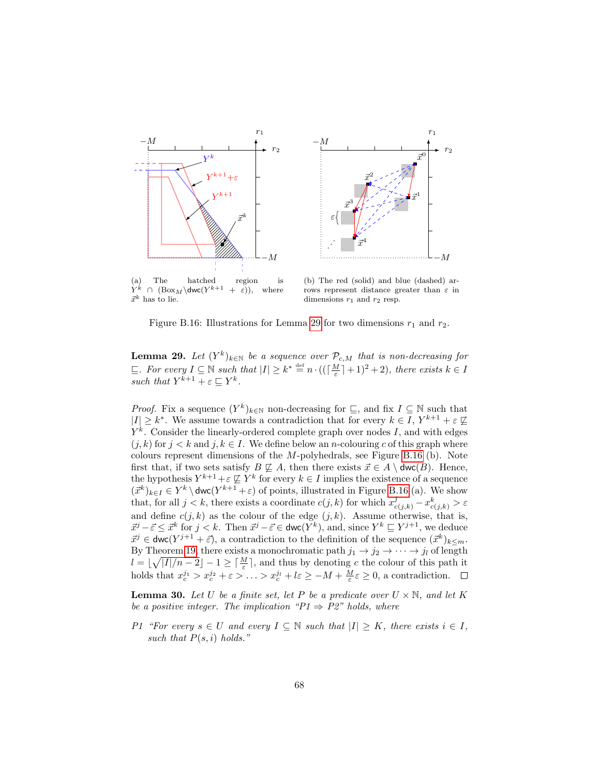<span id="page-68-0"></span>

 $\vec{x}^k$  has to lie.

rows represent distance greater than  $\varepsilon$  in dimensions  $r_1$  and  $r_2$  resp.

Figure B.16: Illustrations for Lemma [29](#page-67-1) for two dimensions  $r_1$  and  $r_2$ .

**Lemma 29.** Let  $(Y^k)_{k \in \mathbb{N}}$  be a sequence over  $\mathcal{P}_{c,M}$  that is non-decreasing for  $\subseteq$ . For every  $I \subseteq \mathbb{N}$  such that  $|I| \geq k^* \stackrel{\text{def}}{=} n \cdot ((\lceil \frac{M}{\varepsilon} \rceil + 1)^2 + 2)$ , there exists  $k \in I$ such that  $Y^{k+1} + \varepsilon \sqsubseteq Y^k$ .

*Proof.* Fix a sequence  $(Y^k)_{k \in \mathbb{N}}$  non-decreasing for  $\subseteq$ , and fix  $I \subseteq \mathbb{N}$  such that  $|I| \geq k^*$ . We assume towards a contradiction that for every  $k \in I$ ,  $Y^{k+1} + \varepsilon \not\sqsubseteq$  $Y^k$ . Consider the linearly-ordered complete graph over nodes I, and with edges  $(j, k)$  for  $j < k$  and  $j, k \in I$ . We define below an *n*-colouring c of this graph where colours represent dimensions of the  $M$ -polyhedrals, see Figure [B.16](#page-68-0) (b). Note first that, if two sets satisfy  $B \not\sqsubseteq A$ , then there exists  $\vec{x} \in A \setminus \text{dwc}(B)$ . Hence, the hypothesis  $Y^{k+1} + \varepsilon \not\sqsubseteq Y^k$  for every  $k \in I$  implies the existence of a sequence  $(\vec{x}^k)_{k \in I} \in Y^k \setminus \text{dwc}(Y^{k+1} + \varepsilon)$  of points, illustrated in Figure [B.16](#page-68-0) (a). We show that, for all  $j < k$ , there exists a coordinate  $c(j, k)$  for which  $x_{c(j,k)}^j - x_{c(j,k)}^k > \varepsilon$ and define  $c(j, k)$  as the colour of the edge  $(j, k)$ . Assume otherwise, that is,  $\vec{x}^j - \vec{\varepsilon} \leq \vec{x}^k$  for  $j < k$ . Then  $\vec{x}^j - \vec{\varepsilon} \in \text{dwc}(Y^k)$ , and, since  $Y^k \sqsubseteq Y^{j+1}$ , we deduce  $\vec{x}^j \in \text{dwc}(Y^{j+1} + \vec{\varepsilon}),$  a contradiction to the definition of the sequence  $(\vec{x}^k)_{k \leq m}$ . By Theorem [19,](#page-67-0) there exists a monochromatic path  $j_1 \rightarrow j_2 \rightarrow \cdots \rightarrow j_l$  of length  $l = \lfloor \sqrt{|I|/n-2} \rfloor - 1 \ge \lceil \frac{M}{\varepsilon} \rceil$ , and thus by denoting c the colour of this path it holds that  $x_c^{j_1} > x_c^{j_2} + \varepsilon > \ldots > x_c^{j_l} + l\varepsilon \ge -M + \frac{M}{\varepsilon} \varepsilon \ge 0$ , a contradiction.

<span id="page-68-1"></span>**Lemma 30.** Let U be a finite set, let P be a predicate over  $U \times N$ , and let K be a positive integer. The implication " $P1 \Rightarrow P2$ " holds, where

P1 "For every  $s \in U$  and every  $I \subseteq \mathbb{N}$  such that  $|I| \geq K$ , there exists  $i \in I$ , such that  $P(s, i)$  holds."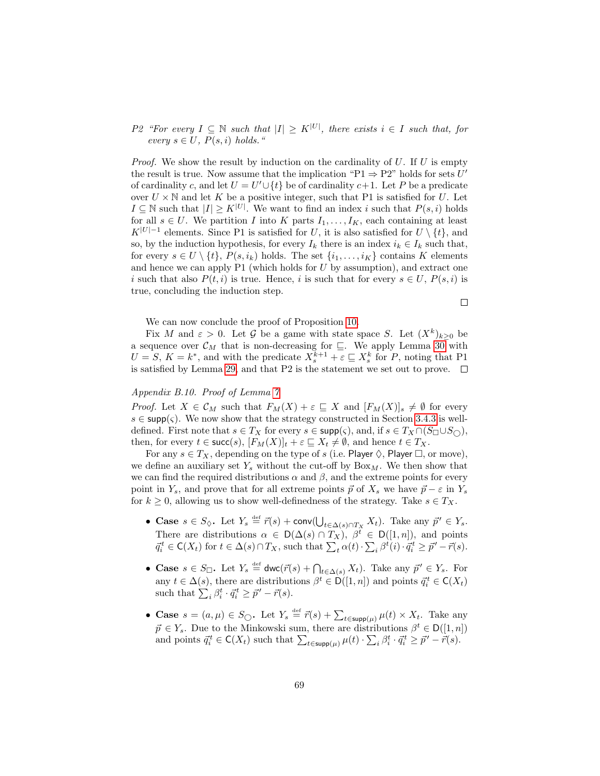# P2 "For every  $I \subseteq \mathbb{N}$  such that  $|I| \geq K^{|U|}$ , there exists  $i \in I$  such that, for every  $s \in U$ ,  $P(s, i)$  holds."

*Proof.* We show the result by induction on the cardinality of  $U$ . If  $U$  is empty the result is true. Now assume that the implication " $P1 \Rightarrow P2$ " holds for sets U' of cardinality c, and let  $U = U' \cup \{t\}$  be of cardinality  $c+1$ . Let P be a predicate over  $U \times \mathbb{N}$  and let K be a positive integer, such that P1 is satisfied for U. Let  $I \subseteq \mathbb{N}$  such that  $|I| \geq K^{|U|}$ . We want to find an index i such that  $P(s, i)$  holds for all  $s \in U$ . We partition I into K parts  $I_1, \ldots, I_K$ , each containing at least  $K^{|U|-1}$  elements. Since P1 is satisfied for U, it is also satisfied for  $U \setminus \{t\}$ , and so, by the induction hypothesis, for every  $I_k$  there is an index  $i_k \in I_k$  such that, for every  $s \in U \setminus \{t\}$ ,  $P(s, i_k)$  holds. The set  $\{i_1, \ldots, i_K\}$  contains K elements and hence we can apply  $P1$  (which holds for U by assumption), and extract one i such that also  $P(t, i)$  is true. Hence, i is such that for every  $s \in U$ ,  $P(s, i)$  is true, concluding the induction step.

We can now conclude the proof of Proposition [10.](#page-27-0)

Fix M and  $\varepsilon > 0$ . Let G be a game with state space S. Let  $(X^k)_{k \geq 0}$  be a sequence over  $\mathcal{C}_M$  that is non-decreasing for  $\subseteq$ . We apply Lemma [30](#page-68-1) with  $U = S, K = k^*$ , and with the predicate  $X_s^{k+1} + \varepsilon \sqsubseteq X_s^k$  for P, noting that P1 is satisfied by Lemma [29,](#page-67-1) and that P2 is the statement we set out to prove.  $\Box$ 

 $\Box$ 

## Appendix B.10. Proof of Lemma [7](#page-28-2)

*Proof.* Let  $X \in \mathcal{C}_M$  such that  $F_M(X) + \varepsilon \subseteq X$  and  $[F_M(X)]_s \neq \emptyset$  for every  $s \in \text{supp}(\varsigma)$ . We now show that the strategy constructed in Section [3.4.3](#page-27-1) is welldefined. First note that  $s \in T_X$  for every  $s \in \text{supp}(\varsigma)$ , and, if  $s \in T_X \cap (S_{\square} \cup S_{\square})$ , then, for every  $t \in \text{succ}(s)$ ,  $[F_M(X)]_t + \varepsilon \subseteq X_t \neq \emptyset$ , and hence  $t \in T_X$ .

For any  $s \in T_X$ , depending on the type of s (i.e. Player  $\Diamond$ , Player  $\Box$ , or move), we define an auxiliary set  $Y_s$  without the cut-off by  $Box_M$ . We then show that we can find the required distributions  $\alpha$  and  $\beta$ , and the extreme points for every point in  $Y_s$ , and prove that for all extreme points  $\vec{p}$  of  $X_s$  we have  $\vec{p} - \varepsilon$  in  $Y_s$ for  $k \geq 0$ , allowing us to show well-definedness of the strategy. Take  $s \in T_X$ .

- Case  $s \in S_{\lozenge}$ . Let  $Y_s \stackrel{\text{def}}{=} \vec{r}(s) + \text{conv}(\bigcup_{t \in \Delta(s) \cap T_X} X_t)$ . Take any  $\vec{p}' \in Y_s$ . There are distributions  $\alpha \in D(\Delta(s) \cap T_X)$ ,  $\beta^t \in D([1, n])$ , and points  $\vec{q}_i^t \in \mathsf{C}(X_t)$  for  $t \in \Delta(s) \cap T_X$ , such that  $\sum_t \alpha(t) \cdot \sum_i \beta^t(i) \cdot \vec{q}_i^t \geq \vec{p}' - \vec{r}(s)$ .
- Case  $s \in S_{\Box}$ . Let  $Y_s \stackrel{\text{def}}{=} \text{dwc}(\vec{r}(s) + \bigcap_{t \in \Delta(s)} X_t)$ . Take any  $\vec{p}' \in Y_s$ . For any  $t \in \Delta(s)$ , there are distributions  $\beta^t \in D([1, n])$  and points  $\vec{q}_i^t \in C(X_t)$ such that  $\sum_i \beta_i^t \cdot \vec{q}_i^t \geq \vec{p}' - \vec{r}(s)$ .
- Case  $s = (a, \mu) \in S_{\bigcirc}$ . Let  $Y_s \stackrel{\text{def}}{=} \vec{r}(s) + \sum_{t \in \text{supp}(\mu)} \mu(t) \times X_t$ . Take any  $\vec{p} \in Y_s$ . Due to the Minkowski sum, there are distributions  $\beta^t \in D([1, n])$ and points  $\vec{q}_i^t \in \mathsf{C}(X_t)$  such that  $\sum_{t \in \mathsf{supp}(\mu)} \mu(t) \cdot \sum_i \beta_i^t \cdot \vec{q}_i^t \geq \vec{p}' - \vec{r}(s)$ .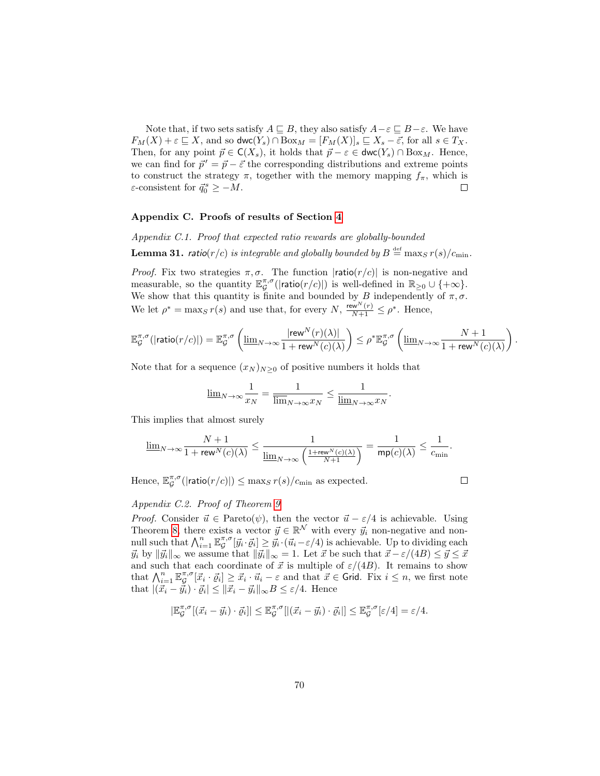Note that, if two sets satisfy  $A \sqsubseteq B$ , they also satisfy  $A - \varepsilon \sqsubseteq B - \varepsilon$ . We have  $F_M(X) + \varepsilon \sqsubseteq X$ , and so  $\mathsf{dwc}(Y_s) \cap \text{Box}_M = [F_M(X)]_s \sqsubseteq X_s - \overline{\varepsilon}$ , for all  $s \in T_X$ . Then, for any point  $\vec{p} \in \mathsf{C}(X_s)$ , it holds that  $\vec{p} - \varepsilon \in \mathsf{dwc}(Y_s) \cap \text{Box}_M$ . Hence, we can find for  $\vec{p}' = \vec{p} - \vec{\varepsilon}$  the corresponding distributions and extreme points to construct the strategy  $\pi$ , together with the memory mapping  $f_{\pi}$ , which is  $\varepsilon$ -consistent for  $\vec{q}_0^s \geq -M$ .  $\Box$ 

#### Appendix C. Proofs of results of Section [4](#page-29-0)

Appendix C.1. Proof that expected ratio rewards are globally-bounded

**Lemma 31.** ratio(r/c) is integrable and globally bounded by  $B \stackrel{\text{def}}{=} \max_S r(s)/c_{\min}$ .

*Proof.* Fix two strategies  $\pi, \sigma$ . The function  $|ratio(r/c)|$  is non-negative and measurable, so the quantity  $\mathbb{E}_{\mathcal{G}}^{\pi,\sigma}(|\textsf{ratio}(r/c)|)$  is well-defined in  $\mathbb{R}_{\geq 0} \cup \{+\infty\}.$ We show that this quantity is finite and bounded by B independently of  $\pi, \sigma$ . We let  $\rho^* = \max_{S} r(s)$  and use that, for every  $N$ ,  $\frac{\text{rew}^{N}(r)}{N+1} \leq \rho^*$ . Hence,

$$
\mathbb{E}_\mathcal{G}^{\pi,\sigma}(|\text{ratio}(r/c)|)=\mathbb{E}_\mathcal{G}^{\pi,\sigma}\left(\underline{\lim}_{N\to\infty}\frac{|\text{rew}^N(r)(\lambda)|}{1+\text{rew}^N(c)(\lambda)}\right)\leq \rho^*\mathbb{E}_\mathcal{G}^{\pi,\sigma}\left(\underline{\lim}_{N\to\infty}\frac{N+1}{1+\text{rew}^N(c)(\lambda)}\right).
$$

.

Note that for a sequence  $(x_N)_{N>0}$  of positive numbers it holds that

$$
\underline{\lim}_{N \to \infty} \frac{1}{x_N} = \frac{1}{\overline{\lim}_{N \to \infty} x_N} \le \frac{1}{\underline{\lim}_{N \to \infty} x_N}
$$

This implies that almost surely

$$
\underline{\lim}_{N\to\infty}\frac{N+1}{1+\mathop{\rm rew}\nolimits^N(c)(\lambda)}\leq\frac{1}{\underline{\lim}_{N\to\infty}\left(\frac{1+\mathop{\rm rew}\nolimits^N(c)(\lambda)}{N+1}\right)}=\frac{1}{\mathop{\rm mp}(c)(\lambda)}\leq\frac{1}{c_{\min}}.
$$

Hence,  $\mathbb{E}_{\mathcal{G}}^{\pi,\sigma}(|\textsf{ratio}(r/c)|) \leq \max_{S} r(s)/c_{\min}$  as expected.

 $\Box$ 

## Appendix C.2. Proof of Theorem [9](#page-31-0)

*Proof.* Consider  $\vec{u} \in$  Pareto( $\psi$ ), then the vector  $\vec{u} - \varepsilon/4$  is achievable. Using Theorem [8,](#page-30-0) there exists a vector  $\vec{y} \in \mathbb{R}^N$  with every  $\vec{y}_i$  non-negative and nonnull such that  $\bigwedge_{i=1}^{n} \mathbb{E}_{\mathcal{G}}^{\pi,\sigma}[\vec{y}_i \cdot \vec{\varrho}_i] \geq \vec{y}_i \cdot (\vec{u}_i - \varepsilon/4)$  is achievable. Up to dividing each  $\vec{y}_i$  by  $\|\vec{y}_i\|_{\infty}$  we assume that  $\|\vec{y}_i\|_{\infty} = 1$ . Let  $\vec{x}$  be such that  $\vec{x} - \varepsilon/(4B) \le \vec{y} \le \vec{x}$ and such that each coordinate of  $\vec{x}$  is multiple of  $\varepsilon/(4B)$ . It remains to show that  $\bigwedge_{i=1}^n \mathbb{E}_{\mathcal{G}}^{\pi,\sigma}[\vec{x}_i \cdot \vec{\varrho}_i] \geq \vec{x}_i \cdot \vec{u}_i - \varepsilon$  and that  $\vec{x} \in \text{Grid}$ . Fix  $i \leq n$ , we first note that  $|({\vec{x}}_i - {\vec{y}}_i) \cdot {\vec{\varrho}}_i| \leq ||{\vec{x}}_i - {\vec{y}}_i||_{\infty} B \leq \varepsilon/4$ . Hence

$$
|\mathbb{E}_{\mathcal{G}}^{\pi,\sigma}[(\vec{x}_i-\vec{y}_i)\cdot\vec{\varrho}_i]|\leq \mathbb{E}_{\mathcal{G}}^{\pi,\sigma}[|(\vec{x}_i-\vec{y}_i)\cdot\vec{\varrho}_i|]\leq \mathbb{E}_{\mathcal{G}}^{\pi,\sigma}[\varepsilon/4]=\varepsilon/4.
$$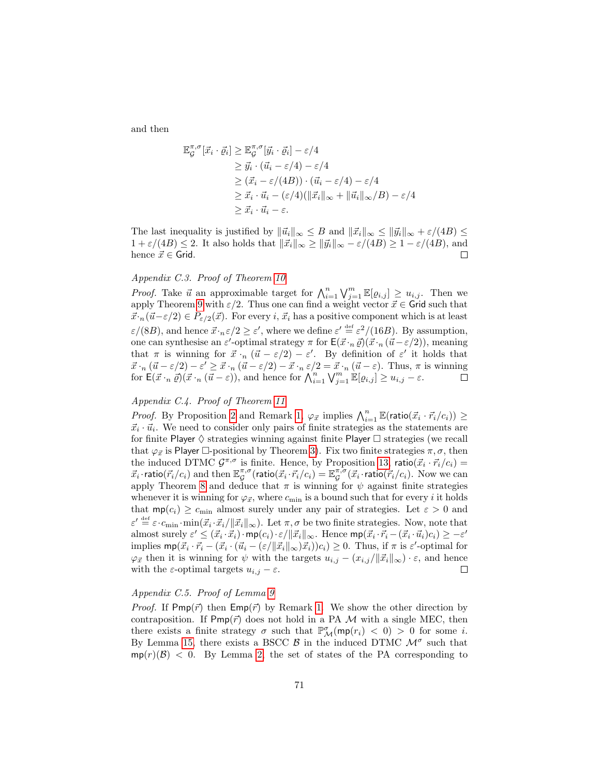and then

$$
\mathbb{E}_{\mathcal{G}}^{\pi,\sigma}[\vec{x}_i \cdot \vec{\varrho}_i] \geq \mathbb{E}_{\mathcal{G}}^{\pi,\sigma}[\vec{y}_i \cdot \vec{\varrho}_i] - \varepsilon/4
$$
  
\n
$$
\geq \vec{y}_i \cdot (\vec{u}_i - \varepsilon/4) - \varepsilon/4
$$
  
\n
$$
\geq (\vec{x}_i - \varepsilon/(4B)) \cdot (\vec{u}_i - \varepsilon/4) - \varepsilon/4
$$
  
\n
$$
\geq \vec{x}_i \cdot \vec{u}_i - (\varepsilon/4)(\|\vec{x}_i\|_{\infty} + \|\vec{u}_i\|_{\infty}/B) - \varepsilon/4
$$
  
\n
$$
\geq \vec{x}_i \cdot \vec{u}_i - \varepsilon.
$$

The last inequality is justified by  $\|\vec{u}_i\|_{\infty} \leq B$  and  $\|\vec{x}_i\|_{\infty} \leq \|\vec{y}_i\|_{\infty} + \varepsilon/(4B) \leq$  $1 + \varepsilon/(4B) \leq 2$ . It also holds that  $\|\vec{x}_i\|_{\infty} \geq \|\vec{y}_i\|_{\infty} - \varepsilon/(4B) \geq 1 - \varepsilon/(4B)$ , and hence  $\vec{x} \in$  Grid.  $\Box$ 

### Appendix C.3. Proof of Theorem [10](#page-32-0)

*Proof.* Take  $\vec{u}$  an approximable target for  $\bigwedge_{i=1}^{n} \bigvee_{j=1}^{m} \mathbb{E}[\varrho_{i,j}] \geq u_{i,j}$ . Then we apply Theorem [9](#page-31-0) with  $\varepsilon/2$ . Thus one can find a weight vector  $\vec{x} \in \mathsf{Grid}$  such that  $\vec{x} \cdot_n(\vec{u}-\varepsilon/2) \in P_{\varepsilon/2}(\vec{x})$ . For every i,  $\vec{x}_i$  has a positive component which is at least  $\varepsilon/(8B)$ , and hence  $\vec{x} \cdot_{n} \varepsilon/2 \geq \varepsilon'$ , where we define  $\varepsilon' \stackrel{\text{def}}{=} \varepsilon^{2}/(16B)$ . By assumption, one can synthesise an  $\varepsilon'$ -optimal strategy  $\pi$  for  $\mathsf{E}(\vec{x} \cdot n \vec{\varrho}) (\vec{x} \cdot n (\vec{u} - \varepsilon/2))$ , meaning that  $\pi$  is winning for  $\vec{x} \cdot_n (\vec{u} - \varepsilon/2) - \varepsilon'$ . By definition of  $\varepsilon'$  it holds that  $\vec{x} \cdot_n (\vec{u} - \varepsilon/2) - \varepsilon' \geq \vec{x} \cdot_n (\vec{u} - \varepsilon/2) - \vec{x} \cdot_n \varepsilon/2 = \vec{x} \cdot_n (\vec{u} - \varepsilon)$ . Thus,  $\pi$  is winning for  $\mathsf{E}(\vec{x} \cdot_n \vec{\varrho}) (\vec{x} \cdot_n (\vec{u} - \varepsilon))$ , and hence for  $\bigwedge_{i=1}^n \bigvee_{j=1}^m \mathbb{E}[\varrho_{i,j}] \geq u_{i,j} - \varepsilon$ .

## Appendix C.4. Proof of Theorem [11](#page-32-2)

*Proof.* By Proposition [2](#page-17-0) and Remark [1,](#page-16-0)  $\varphi_{\vec{x}}$  implies  $\bigwedge_{i=1}^{n} \mathbb{E}(\text{ratio}(\vec{x}_i \cdot \vec{r}_i/c_i)) \geq$  $\vec{x}_i \cdot \vec{u}_i$ . We need to consider only pairs of finite strategies as the statements are for finite Player  $\diamond$  strategies winning against finite Player  $\Box$  strategies (we recall that  $\varphi_{\vec{x}}$  is Player  $\Box$ -positional by Theorem [3\)](#page-20-0). Fix two finite strategies  $\pi, \sigma$ , then the induced DTMC  $\mathcal{G}^{\pi,\sigma}$  is finite. Hence, by Proposition [13,](#page-51-0) ratio $(\vec{x}_i \cdot \vec{r}_i/c_i)$  =  $\vec{x}_i \cdot$ ratio $(\vec{r}_i/c_i)$  and then  $\mathbb{E}_{\mathcal{G}}^{\pi,\sigma}$ (ratio $(\vec{x}_i \cdot \vec{r}_i/c_i) = \mathbb{E}_{\mathcal{G}}^{\pi,\sigma}(\vec{x}_i \cdot \textsf{ratio}(\vec{r}_i/c_i)$ . Now we can apply Theorem [8](#page-30-0) and deduce that  $\pi$  is winning for  $\psi$  against finite strategies whenever it is winning for  $\varphi_{\vec{x}}$ , where  $c_{\min}$  is a bound such that for every *i* it holds that  $mp(c_i) \geq c_{\text{min}}$  almost surely under any pair of strategies. Let  $\varepsilon > 0$  and  $\varepsilon' \stackrel{\text{def}}{=} \varepsilon \cdot c_{\min} \cdot \min(\vec{x}_i \cdot \vec{x}_i / ||\vec{x}_i||_{\infty})$ . Let  $\pi, \sigma$  be two finite strategies. Now, note that almost surely  $\varepsilon' \leq (\vec{x}_i \cdot \vec{x}_i) \cdot \textsf{mp}(c_i) \cdot \varepsilon / ||\vec{x}_i||_{\infty}$ . Hence  $\textsf{mp}(\vec{x}_i \cdot \vec{r}_i - (\vec{x}_i \cdot \vec{u}_i)c_i) \geq -\varepsilon'$ implies  $\textsf{mp}(\vec{x}_i \cdot \vec{r}_i - (\vec{x}_i \cdot (\vec{u}_i - (\varepsilon/\|\vec{x}_i\|_{\infty})\vec{x}_i))c_i) \geq 0$ . Thus, if  $\pi$  is  $\varepsilon'$ -optimal for  $\varphi_{\vec{x}}$  then it is winning for  $\psi$  with the targets  $u_{i,j} - (x_{i,j}/\|\vec{x}_i\|_{\infty}) \cdot \varepsilon$ , and hence with the  $\varepsilon$ -optimal targets  $u_{i,j} - \varepsilon$ .  $\Box$ 

### Appendix C.5. Proof of Lemma [9](#page-33-0)

*Proof.* If Pmp( $\vec{r}$ ) then  $Emp(\vec{r})$  by Remark [1.](#page-16-0) We show the other direction by contraposition. If  $Pmp(\vec{r})$  does not hold in a PA M with a single MEC, then there exists a finite strategy  $\sigma$  such that  $\mathbb{P}^{\sigma}_{\mathcal{M}}(\text{mp}(r_i) < 0) > 0$  for some *i*. By Lemma [15,](#page-51-1) there exists a BSCC  $\beta$  in the induced DTMC  $\mathcal{M}^{\sigma}$  such that  $mp(r)(\mathcal{B})$  < 0. By Lemma [2,](#page-15-1) the set of states of the PA corresponding to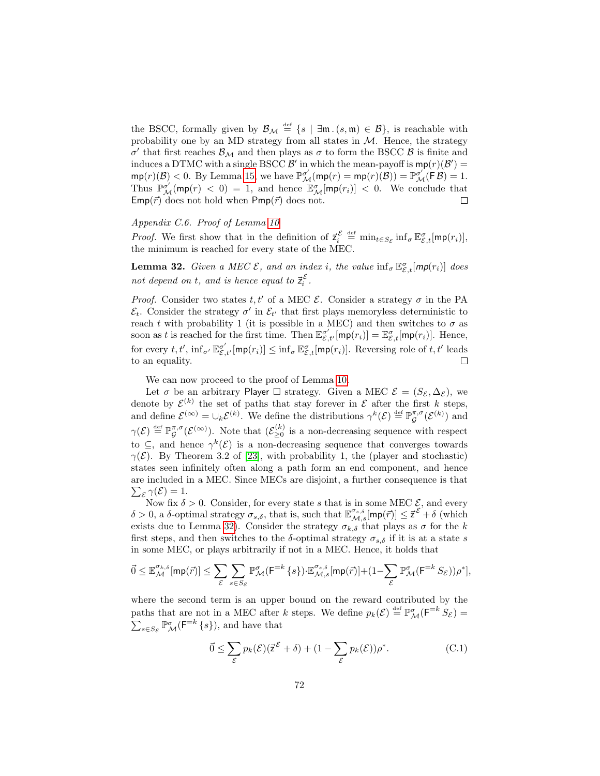the BSCC, formally given by  $\mathcal{B}_\mathcal{M} \stackrel{\text{def}}{=} \{s \mid \exists \mathfrak{m} \ldotp (s, \mathfrak{m}) \in \mathcal{B}\},\$  is reachable with probability one by an MD strategy from all states in  $M$ . Hence, the strategy σ' that first reaches  $\mathcal{B}_\mathcal{M}$  and then plays as σ to form the BSCC  $\mathcal B$  is finite and induces a DTMC with a single BSCC  $\mathcal{B}'$  in which the mean-payoff is  $\text{mp}(r)(\mathcal{B}') =$  $\text{mp}(r)(\mathcal{B}) < 0$ . By Lemma [15,](#page-51-0) we have  $\mathbb{P}^{\sigma'}_{\mathcal{M}}(\text{mp}(r) = \text{mp}(r)(\mathcal{B})) = \mathbb{P}^{\sigma'}_{\mathcal{M}}(\mathsf{F}\mathcal{B}) = 1$ . Thus  $\mathbb{P}^{\sigma'}_{\mathcal{M}}(\mathsf{mp}(r) < 0) = 1$ , and hence  $\mathbb{E}^{\sigma}_{\mathcal{M}}[\mathsf{mp}(r_i)] < 0$ . We conclude that  $Emp(\vec{r})$  does not hold when  $Pmp(\vec{r})$  does not.  $\Box$ 

# Appendix C.6. Proof of Lemma [10](#page-33-0)

*Proof.* We first show that in the definition of  $\vec{z}_i^{\mathcal{E}} \stackrel{\text{def}}{=} \min_{t \in S_{\mathcal{E}}} \inf_{\sigma} \mathbb{E}_{\mathcal{E},t}^{\sigma}[\text{mp}(r_i)],$ the minimum is reached for every state of the MEC.

<span id="page-72-0"></span>**Lemma 32.** Given a MEC  $\mathcal{E}$ , and an index i, the value  $\inf_{\sigma} \mathbb{E}_{\mathcal{E},t}^{\sigma}$  [mp(r<sub>i</sub>)] does not depend on t, and is hence equal to  $\vec{z}_i^{\mathcal{E}}$ .

*Proof.* Consider two states t, t' of a MEC  $\mathcal{E}$ . Consider a strategy  $\sigma$  in the PA  $\mathcal{E}_t$ . Consider the strategy  $\sigma'$  in  $\mathcal{E}_{t'}$  that first plays memoryless deterministic to reach t with probability 1 (it is possible in a MEC) and then switches to  $\sigma$  as soon as t is reached for the first time. Then  $\mathbb{E}_{\mathcal{E},t'}^{\sigma'}[\mathsf{mp}(r_i)] = \mathbb{E}_{\mathcal{E},t}^{\sigma}[\mathsf{mp}(r_i)]$ . Hence, for every  $t, t'$ ,  $\inf_{\sigma'} \mathbb{E}_{\mathcal{E},t'}^{\sigma'}[\text{mp}(r_i)] \leq \inf_{\sigma} \mathbb{E}_{\mathcal{E},t}^{\sigma}[\text{mp}(r_i)]$ . Reversing role of  $t, t'$  leads to an equality.  $\Box$ 

We can now proceed to the proof of Lemma [10.](#page-33-0)

Let  $\sigma$  be an arbitrary Player  $\Box$  strategy. Given a MEC  $\mathcal{E} = (S_{\mathcal{E}}, \Delta_{\mathcal{E}})$ , we denote by  $\mathcal{E}^{(k)}$  the set of paths that stay forever in  $\mathcal E$  after the first k steps, and define  $\mathcal{E}^{(\infty)} = \cup_k \mathcal{E}^{(k)}$ . We define the distributions  $\gamma^k(\mathcal{E}) \stackrel{\text{def}}{=} \mathbb{P}_{\mathcal{G}}^{\pi,\sigma}(\mathcal{E}^{(k)})$  and  $\gamma(\mathcal{E}) \stackrel{\text{def}}{=} \mathbb{P}_{\mathcal{G}}^{\pi,\sigma}(\mathcal{E}^{(\infty)})$ . Note that  $(\mathcal{E}_{\geq 0}^{(k)})$  $\geq 0$  is a non-decreasing sequence with respect to  $\subseteq$ , and hence  $\gamma^k(\mathcal{E})$  is a non-decreasing sequence that converges towards  $\gamma(\mathcal{E})$ . By Theorem 3.2 of [\[23\]](#page-47-0), with probability 1, the (player and stochastic) states seen infinitely often along a path form an end component, and hence are included in a MEC. Since MECs are disjoint, a further consequence is that  $\sum_{\mathcal{E}} \gamma(\mathcal{E}) = 1.$ 

Now fix  $\delta > 0$ . Consider, for every state s that is in some MEC  $\mathcal{E}$ , and every δ > 0, a δ-optimal strategy  $\sigma_{s,\delta}$ , that is, such that  $\mathbb{E}^{\sigma_{s,\delta}}_{\mathcal{M},s}[\text{mp}(\vec{r})] \leq \vec{z}^{\mathcal{E}} + \delta$  (which exists due to Lemma [32\)](#page-72-0). Consider the strategy  $\sigma_{k,\delta}$  that plays as  $\sigma$  for the k first steps, and then switches to the  $\delta$ -optimal strategy  $\sigma_{s,\delta}$  if it is at a state s in some MEC, or plays arbitrarily if not in a MEC. Hence, it holds that

$$
\vec{0} \leq \mathbb{E}_{\mathcal{M}}^{\sigma_{k,\delta}}[ \mathrm{mp}(\vec{r})] \leq \sum_{\mathcal{E}} \sum_{s \in S_{\mathcal{E}}} \mathbb{P}_{\mathcal{M}}^{\sigma}( \mathsf{F}^{=k} \left\{ s \right\} ) \cdot \mathbb{E}_{\mathcal{M},s}^{\sigma_{s,\delta}}[ \mathrm{mp}(\vec{r})] + (1- \sum_{\mathcal{E}} \mathbb{P}_{\mathcal{M}}^{\sigma}( \mathsf{F}^{=k} \, S_{\mathcal{E}})) \rho^* ],
$$

where the second term is an upper bound on the reward contributed by the paths that are not in a MEC after k steps. We define  $p_k(\mathcal{E}) \stackrel{\text{def}}{=} \mathbb{P}^{\sigma}_{\mathcal{M}}(\mathsf{F}^{=k} S_{\mathcal{E}}) =$  $\sum_{s \in S_{\mathcal{E}}} \mathbb{P}^{\sigma}_{\mathcal{M}}(\mathsf{F}^{=k} \{s\}),$  and have that

<span id="page-72-1"></span>
$$
\vec{0} \le \sum_{\mathcal{E}} p_k(\mathcal{E}) (\vec{z}^{\mathcal{E}} + \delta) + (1 - \sum_{\mathcal{E}} p_k(\mathcal{E})) \rho^*.
$$
 (C.1)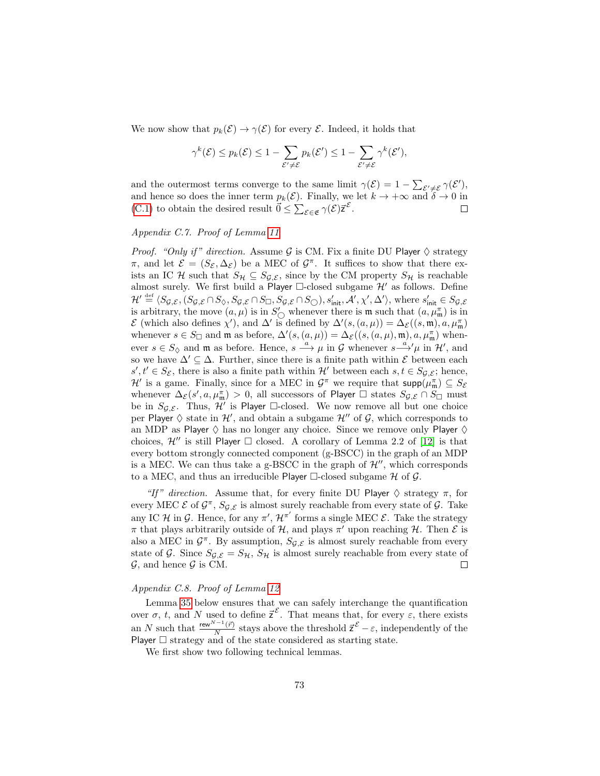We now show that  $p_k(\mathcal{E}) \to \gamma(\mathcal{E})$  for every  $\mathcal{E}$ . Indeed, it holds that

$$
\gamma^{k}(\mathcal{E}) \le p_{k}(\mathcal{E}) \le 1 - \sum_{\mathcal{E}' \neq \mathcal{E}} p_{k}(\mathcal{E}') \le 1 - \sum_{\mathcal{E}' \neq \mathcal{E}} \gamma^{k}(\mathcal{E}'),
$$

and the outermost terms converge to the same limit  $\gamma(\mathcal{E}) = 1 - \sum_{\mathcal{E}' \neq \mathcal{E}} \gamma(\mathcal{E}'),$ and hence so does the inner term  $p_k(\mathcal{E})$ . Finally, we let  $k \to +\infty$  and  $\delta \to 0$  in [\(C.1\)](#page-72-1) to obtain the desired result  $\vec{0} \le \sum_{\mathcal{E} \in \mathfrak{E}} \gamma(\mathcal{E}) \vec{z}^{\mathcal{E}}$ .  $\Box$ 

## Appendix C.7. Proof of Lemma [11](#page-34-0)

*Proof.* "Only if" direction. Assume G is CM. Fix a finite DU Player  $\diamond$  strategy π, and let  $\mathcal{E} = (S_{\mathcal{E}}, \Delta_{\mathcal{E}})$  be a MEC of  $\mathcal{G}^{\pi}$ . It suffices to show that there exists an IC H such that  $S_{\mathcal{H}} \subseteq S_{\mathcal{G},\mathcal{E}}$ , since by the CM property  $S_{\mathcal{H}}$  is reachable almost surely. We first build a Player  $\Box$ -closed subgame  $\mathcal{H}'$  as follows. Define  $\mathcal{H}' \stackrel{\text{def}}{=} \langle S_{\mathcal{G},\mathcal{E}},(S_{\mathcal{G},\mathcal{E}} \cap S_{\Diamond}, S_{\mathcal{G},\mathcal{E}} \cap S_{\Box}, S_{\mathcal{G},\mathcal{E}} \cap S_{\bigcirc}), s'_{\text{init}}, \mathcal{A}', \chi', \Delta' \rangle$ , where  $s'_{\text{init}} \in S_{\mathcal{G},\mathcal{E}}$ is arbitrary, the move  $(a, \mu)$  is in  $S'_{\bigcirc}$  whenever there is **m** such that  $(a, \mu^{\pi}_{m})$  is in  $\mathcal E$  (which also defines  $\chi'$ ), and  $\Delta'$  is defined by  $\Delta'(s,(a,\mu)) = \Delta_{\mathcal E}((s,\mathfrak{m}),a,\mu_{\mathfrak{m}}^{\pi})$ whenever  $s \in S_{\square}$  and  $\mathfrak{m}$  as before,  $\Delta'(s,(a,\mu)) = \Delta_{\mathcal{E}}((s,(a,\mu),\mathfrak{m}),a,\mu_{\mathfrak{m}}^{\pi})$  whenever  $s \in S_{\lozenge}$  and  $\mathfrak{m}$  as before. Hence,  $s \stackrel{a}{\longrightarrow} \mu$  in G whenever  $s \stackrel{a}{\longrightarrow} \mu$  in  $\mathcal{H}'$ , and so we have  $\Delta' \subseteq \Delta$ . Further, since there is a finite path within  $\mathcal E$  between each  $s', t' \in S_{\mathcal{E}}$ , there is also a finite path within  $\mathcal{H}'$  between each  $s, t \in S_{\mathcal{G},\mathcal{E}}$ ; hence,  $\mathcal{H}'$  is a game. Finally, since for a MEC in  $\mathcal{G}^{\pi}$  we require that  $\text{supp}(\mu_{\mathfrak{m}}^{\pi}) \subseteq S_{\mathcal{E}}$ whenever  $\Delta_{\mathcal{E}}(s', a, \mu_{\mathfrak{m}}^{\pi}) > 0$ , all successors of Player  $\Box$  states  $S_{\mathcal{G},\mathcal{E}} \cap S_{\Box}$  must be in  $S_{\mathcal{G},\mathcal{E}}$ . Thus,  $\mathcal{H}'$  is Player  $\Box$ -closed. We now remove all but one choice per Player  $\diamond$  state in  $\mathcal{H}'$ , and obtain a subgame  $\mathcal{H}''$  of  $\mathcal{G}$ , which corresponds to an MDP as Player  $\diamond$  has no longer any choice. Since we remove only Player  $\diamond$ choices,  $\mathcal{H}''$  is still Player  $\Box$  closed. A corollary of Lemma 2.2 of [\[12\]](#page-46-0) is that every bottom strongly connected component (g-BSCC) in the graph of an MDP is a MEC. We can thus take a g-BSCC in the graph of  $\mathcal{H}$ , which corresponds to a MEC, and thus an irreducible Player  $\Box$ -closed subgame H of G.

"If" direction. Assume that, for every finite DU Player  $\Diamond$  strategy  $\pi$ , for every MEC  $\mathcal{E}$  of  $\mathcal{G}^{\pi}$ ,  $S_{\mathcal{G},\mathcal{E}}$  is almost surely reachable from every state of  $\mathcal{G}$ . Take any IC H in G. Hence, for any  $\pi'$ ,  $\mathcal{H}^{\pi'}$  forms a single MEC  $\mathcal{E}$ . Take the strategy  $\pi$  that plays arbitrarily outside of H, and plays  $\pi'$  upon reaching H. Then  $\mathcal E$  is also a MEC in  $\mathcal{G}^{\pi}$ . By assumption,  $S_{\mathcal{G},\mathcal{E}}$  is almost surely reachable from every state of G. Since  $S_{\mathcal{G},\mathcal{E}} = S_{\mathcal{H}}, S_{\mathcal{H}}$  is almost surely reachable from every state of  $\mathcal{G}$ , and hence  $\mathcal{G}$  is CM.  $\Box$ 

#### Appendix C.8. Proof of Lemma [12](#page-35-0)

Lemma [35](#page-74-0) below ensures that we can safely interchange the quantification over  $\sigma$ , t, and N used to define  $\vec{z}^{\varepsilon}$ . That means that, for every  $\varepsilon$ , there exists an N such that  $\frac{\operatorname{rew}^{N-1}(\vec{r})}{N}$  $\frac{\zeta^{2} - 1}{N}$  stays above the threshold  $\vec{z}^{\mathcal{E}} - \varepsilon$ , independently of the Player  $\square$  strategy and of the state considered as starting state.

<span id="page-73-0"></span>We first show two following technical lemmas.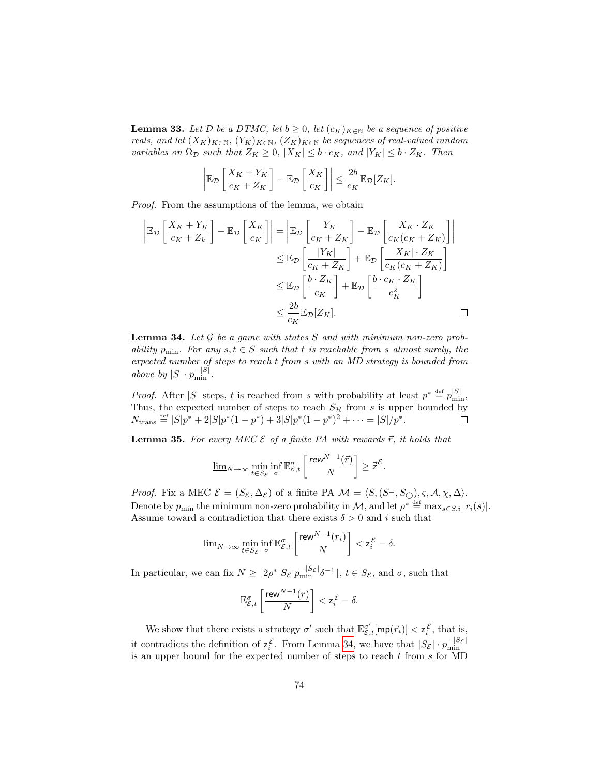**Lemma 33.** Let  $D$  be a DTMC, let  $b \ge 0$ , let  $(c_K)_{K \in \mathbb{N}}$  be a sequence of positive reals, and let  $(X_K)_{K\in\mathbb{N}}$ ,  $(Y_K)_{K\in\mathbb{N}}$ ,  $(Z_K)_{K\in\mathbb{N}}$  be sequences of real-valued random variables on  $\Omega_{\mathcal{D}}$  such that  $Z_K \geq 0$ ,  $|X_K| \leq b \cdot c_K$ , and  $|Y_K| \leq b \cdot Z_K$ . Then

$$
\left| \mathbb{E}_{\mathcal{D}}\left[\frac{X_K + Y_K}{c_K + Z_K}\right] - \mathbb{E}_{\mathcal{D}}\left[\frac{X_K}{c_K}\right] \right| \leq \frac{2b}{c_K} \mathbb{E}_{\mathcal{D}}[Z_K].
$$

Proof. From the assumptions of the lemma, we obtain

$$
\begin{aligned}\n\left| \mathbb{E}_{\mathcal{D}} \left[ \frac{X_K + Y_K}{c_K + Z_k} \right] - \mathbb{E}_{\mathcal{D}} \left[ \frac{X_K}{c_K} \right] \right| &= \left| \mathbb{E}_{\mathcal{D}} \left[ \frac{Y_K}{c_K + Z_K} \right] - \mathbb{E}_{\mathcal{D}} \left[ \frac{X_K \cdot Z_K}{c_K(c_K + Z_K)} \right] \right| \\
&\leq \mathbb{E}_{\mathcal{D}} \left[ \frac{|Y_K|}{c_K + Z_K} \right] + \mathbb{E}_{\mathcal{D}} \left[ \frac{|X_K| \cdot Z_K}{c_K(c_K + Z_K)} \right] \\
&\leq \mathbb{E}_{\mathcal{D}} \left[ \frac{b \cdot Z_K}{c_K} \right] + \mathbb{E}_{\mathcal{D}} \left[ \frac{b \cdot c_K \cdot Z_K}{c_K^2} \right] \\
&\leq \frac{2b}{c_K} \mathbb{E}_{\mathcal{D}} [Z_K].\n\end{aligned}
$$

<span id="page-74-1"></span>**Lemma 34.** Let  $G$  be a game with states  $S$  and with minimum non-zero probability  $p_{\min}$ . For any  $s, t \in S$  such that t is reachable from s almost surely, the expected number of steps to reach t from s with an MD strategy is bounded from above by  $|S| \cdot p_{\min}^{-|S|}$ .

*Proof.* After |S| steps, t is reached from s with probability at least  $p^* \triangleq p_{\min}^{|S|}$ , Thus, the expected number of steps to reach  $S_{\mathcal{H}}$  from s is upper bounded by  $N_{\text{trans}} \stackrel{\text{def}}{=} |S|p^* + 2|S|p^*(1-p^*) + 3|S|p^*(1-p^*)^2 + \cdots = |S|/p^*.$ 

<span id="page-74-0"></span>**Lemma 35.** For every MEC  $\mathcal{E}$  of a finite PA with rewards  $\vec{r}$ , it holds that

$$
\underline{\lim}_{N\to\infty}\min_{t\in S_{\mathcal{E}}}\inf_{\sigma}\mathbb{E}_{\mathcal{E},t}^{\sigma}\left[\frac{\text{rew}^{N-1}(\vec{r})}{N}\right]\geq\vec{z}^{\mathcal{E}}.
$$

*Proof.* Fix a MEC  $\mathcal{E} = (S_{\mathcal{E}}, \Delta_{\mathcal{E}})$  of a finite PA  $\mathcal{M} = \langle S, (S_{\Box}, S_{\Box}), \varsigma, \mathcal{A}, \chi, \Delta \rangle$ . Denote by  $p_{\min}$  the minimum non-zero probability in M, and let  $\rho^* \stackrel{\text{def}}{=} \max_{s \in S, i} |r_i(s)|$ . Assume toward a contradiction that there exists  $\delta > 0$  and i such that

$$
\underline{\lim}_{N\to\infty}\min_{t\in S_{\mathcal{E}}}\inf_{\sigma}\mathbb{E}_{\mathcal{E},t}^{\sigma}\left[\frac{\operatorname{rew}^{N-1}(r_{i})}{N}\right]<\mathsf{z}_{i}^{\mathcal{E}}-\delta.
$$

In particular, we can fix  $N \geq \lfloor 2\rho^* |S_{\mathcal{E}}| p_{\min}^{-|S_{\mathcal{E}}|} \delta^{-1} \rfloor$ ,  $t \in S_{\mathcal{E}}$ , and  $\sigma$ , such that

$$
\mathbb{E}_{\mathcal{E},t}^{\sigma} \left[ \frac{\operatorname{rew}^{N-1}(r)}{N} \right] < \mathsf{z}_i^{\mathcal{E}} - \delta.
$$

We show that there exists a strategy  $\sigma'$  such that  $\mathbb{E}^{\sigma'}_{\mathcal{E},t}[\mathsf{mp}(\vec{r}_i)] < \mathsf{z}^{\mathcal{E}}_i$ , that is, it contradicts the definition of  $z_i^{\mathcal{E}}$ . From Lemma [34,](#page-74-1) we have that  $|S_{\mathcal{E}}| \cdot p_{\min}^{-|S_{\mathcal{E}}|}$ is an upper bound for the expected number of steps to reach  $t$  from  $s$  for MD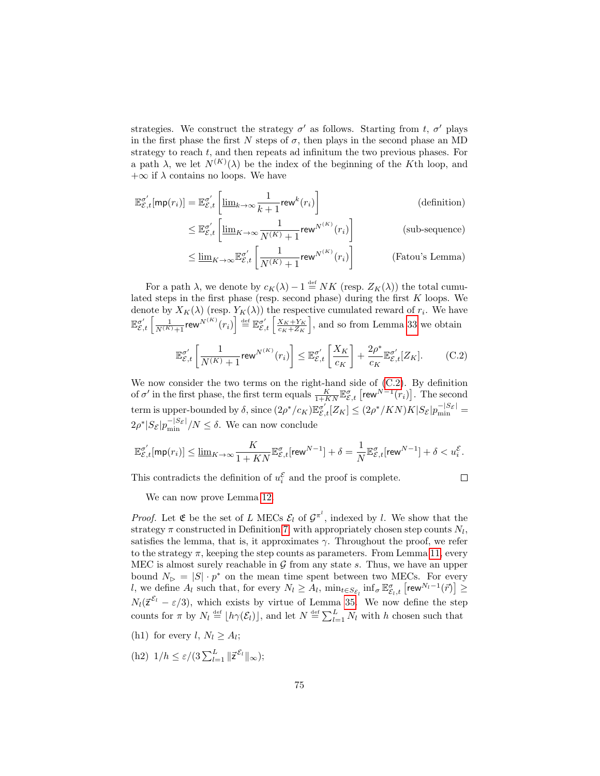strategies. We construct the strategy  $\sigma'$  as follows. Starting from t,  $\sigma'$  plays in the first phase the first N steps of  $\sigma$ , then plays in the second phase an MD strategy to reach t, and then repeats ad infinitum the two previous phases. For a path  $\lambda$ , we let  $N^{(K)}(\lambda)$  be the index of the beginning of the K<sup>th</sup> loop, and  $+\infty$  if  $\lambda$  contains no loops. We have

$$
\mathbb{E}_{\mathcal{E},t}^{\sigma'}[\mathsf{mp}(r_i)] = \mathbb{E}_{\mathcal{E},t}^{\sigma'}\left[\underline{\lim}_{k\to\infty}\frac{1}{k+1}\mathsf{rew}^k(r_i)\right]
$$
(definition)  

$$
\leq \mathbb{E}_{\mathcal{E},t}^{\sigma'}\left[\underline{\lim}_{K\to\infty}\frac{1}{N(K)+1}\mathsf{rew}^{N(K)}(r_i)\right]
$$
(sub-sequence)

$$
\leq \mathbb{E}_{\mathcal{E},t}^{\sigma'} \left[ \underline{\lim}_{K \to \infty} \frac{1}{N^{(K)} + 1} \text{rew}^{N^{(K)}}(r_i) \right] \qquad \text{(sub-sequence)}
$$
\n
$$
\leq \underline{\lim}_{K \to \infty} \mathbb{E}_{\mathcal{E},t}^{\sigma'} \left[ \frac{1}{N^{(K)} + 1} \text{rew}^{N^{(K)}}(r_i) \right] \qquad \text{(Fatou's Lemma)}
$$

For a path  $\lambda$ , we denote by  $c_K(\lambda) - 1 \stackrel{\text{def}}{=} NK$  (resp.  $Z_K(\lambda)$ ) the total cumulated steps in the first phase (resp. second phase) during the first  $K$  loops. We denote by  $X_K(\lambda)$  (resp.  $Y_K(\lambda)$ ) the respective cumulated reward of  $r_i$ . We have  $\mathbb{E}_{\mathcal{E},t}^{\sigma'}\left[\frac{1}{N^{(K)}+1}\text{rew}^{N^{(K)}}(r_i)\right] \stackrel{\text{def}}{=} \mathbb{E}_{\mathcal{E},t}^{\sigma'}\left[\frac{X_K+Y_K}{c_K+Z_K}\right],$  and so from Lemma [33](#page-73-0) we obtain

$$
\mathbb{E}_{\mathcal{E},t}^{\sigma'}\left[\frac{1}{N^{(K)}+1}\text{rew}^{N^{(K)}}(r_i)\right] \leq \mathbb{E}_{\mathcal{E},t}^{\sigma'}\left[\frac{X_K}{c_K}\right] + \frac{2\rho^*}{c_K}\mathbb{E}_{\mathcal{E},t}^{\sigma'}[Z_K].\tag{C.2}
$$

We now consider the two terms on the right-hand side of [\(C.2\)](#page-75-0). By definition of  $\sigma'$  in the first phase, the first term equals  $\frac{K}{1+KN}\mathbb{E}^{\sigma}_{\mathcal{E},t}$  [rew<sup>N-1</sup>( $r_i$ )]. The second term is upper-bounded by  $\delta$ , since  $(2\rho^*/c_K)\mathbb{E}_{\mathcal{E},t}^{\sigma'}[Z_K] \leq (2\rho^*/KN)K|S_{\mathcal{E}}|p_{\min}^{-|S_{\mathcal{E}}|}$  $2\rho^*|S_{\mathcal{E}}|p_{\min}^{-|S_{\mathcal{E}}|}/N \leq \delta$ . We can now conclude

$$
\mathbb{E}^{\sigma'}_{\mathcal{E},t}[\mathsf{mp}(r_i)] \le \underline{\lim}_{K \to \infty} \frac{K}{1+KN} \mathbb{E}^{\sigma}_{\mathcal{E},t}[\mathsf{rew}^{N-1}] + \delta = \frac{1}{N} \mathbb{E}^{\sigma}_{\mathcal{E},t}[\mathsf{rew}^{N-1}] + \delta < u_i^{\mathcal{E}}.
$$

This contradicts the definition of  $u_i^{\mathcal{E}}$  and the proof is complete.

<span id="page-75-0"></span>
$$
\qquad \qquad \Box
$$

We can now prove Lemma [12.](#page-35-0)

*Proof.* Let  $\mathfrak E$  be the set of L MECs  $\mathcal E_l$  of  $\mathcal G^{\pi^l}$ , indexed by l. We show that the strategy  $\pi$  constructed in Definition [7,](#page-35-1) with appropriately chosen step counts  $N_l$ , satisfies the lemma, that is, it approximates  $\gamma$ . Throughout the proof, we refer to the strategy  $\pi$ , keeping the step counts as parameters. From Lemma [11,](#page-34-0) every MEC is almost surely reachable in  $G$  from any state s. Thus, we have an upper bound  $N_{\triangleright} = |S| \cdot p^*$  on the mean time spent between two MECs. For every l, we define  $A_l$  such that, for every  $N_l \geq A_l$ ,  $\min_{t \in S_{\mathcal{E}_l}} \inf_{\sigma} \mathbb{E}_{\mathcal{E}_l,t}^{\sigma} \left[ \text{rew}^{N_l-1}(\vec{r}) \right] \geq$  $N_l(\vec{z}^{\mathcal{E}_l} - \varepsilon/3)$ , which exists by virtue of Lemma [35.](#page-74-0) We now define the step counts for  $\pi$  by  $N_l \stackrel{\text{def}}{=} \lfloor h\gamma(\mathcal{E}_l) \rfloor$ , and let  $N \stackrel{\text{def}}{=} \sum_{l=1}^L N_l$  with h chosen such that

- <span id="page-75-1"></span>(h1) for every l,  $N_l \geq A_l$ ;
- <span id="page-75-2"></span>(h2)  $1/h \leq \varepsilon/(3\sum_{l=1}^{L} ||\vec{z}^{\mathcal{E}_l}||_{\infty});$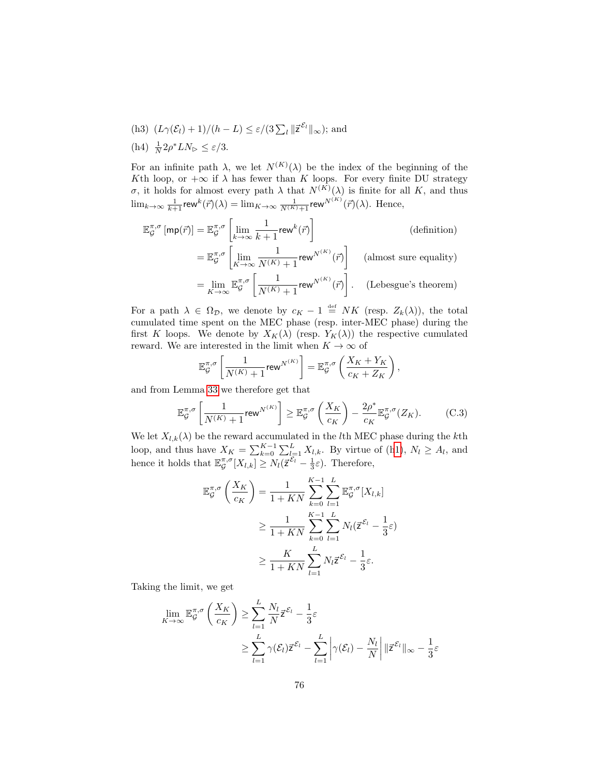<span id="page-76-2"></span><span id="page-76-0"></span>(h3)  $(L\gamma(\mathcal{E}_l) + 1)/(h - L) \leq \varepsilon/(3\sum_l ||\vec{z}^{\mathcal{E}_l}||_{\infty});$  and (h4)  $\frac{1}{N} 2\rho^* LN_{\triangleright} \leq \varepsilon/3$ .

For an infinite path  $\lambda$ , we let  $N^{(K)}(\lambda)$  be the index of the beginning of the Kth loop, or  $+\infty$  if  $\lambda$  has fewer than K loops. For every finite DU strategy σ, it holds for almost every path  $\lambda$  that  $N^{(K)}(\lambda)$  is finite for all K, and thus  $\lim_{k\to\infty}\frac{1}{k+1}$ rew $^k(\vec{r})(\lambda) = \lim_{K\to\infty}\frac{1}{N^{(K)}+1}$ rew $^{N^{(K)}}(\vec{r})(\lambda)$ . Hence,

$$
\mathbb{E}_{\mathcal{G}}^{\pi,\sigma} \left[ \mathsf{mp}(\vec{r}) \right] = \mathbb{E}_{\mathcal{G}}^{\pi,\sigma} \left[ \lim_{k \to \infty} \frac{1}{k+1} \mathsf{rew}^k(\vec{r}) \right] \tag{definition}
$$
\n
$$
= \mathbb{E}_{\mathcal{G}}^{\pi,\sigma} \left[ \lim_{K \to \infty} \frac{1}{N^{(K)} + 1} \mathsf{rew}^{N^{(K)}}(\vec{r}) \right] \tag{almost sure equality}
$$
\n
$$
= \lim_{K \to \infty} \mathbb{E}_{\mathcal{G}}^{\pi,\sigma} \left[ \frac{1}{N^{(K)} + 1} \mathsf{rew}^{N^{(K)}}(\vec{r}) \right]. \tag{Lebesgue's theorem}
$$

For a path  $\lambda \in \Omega_{\mathcal{D}}$ , we denote by  $c_K - 1 \stackrel{\text{def}}{=} NK$  (resp.  $Z_k(\lambda)$ ), the total cumulated time spent on the MEC phase (resp. inter-MEC phase) during the first K loops. We denote by  $X_K(\lambda)$  (resp.  $Y_K(\lambda)$ ) the respective cumulated reward. We are interested in the limit when  $K\to\infty$  of

$$
\mathbb{E}_\mathcal{G}^{\pi,\sigma}\left[\frac{1}{N^{(K)}+1}\mathrm{rew}^{N^{(K)}}\right] = \mathbb{E}_\mathcal{G}^{\pi,\sigma}\left(\frac{X_K+Y_K}{c_K+Z_K}\right)
$$

and from Lemma [33](#page-73-0) we therefore get that

$$
\mathbb{E}_{\mathcal{G}}^{\pi,\sigma}\left[\frac{1}{N^{(K)}+1}\text{rew}^{N^{(K)}}\right] \geq \mathbb{E}_{\mathcal{G}}^{\pi,\sigma}\left(\frac{X_K}{c_K}\right) - \frac{2\rho^*}{c_K}\mathbb{E}_{\mathcal{G}}^{\pi,\sigma}(Z_K). \tag{C.3}
$$

<span id="page-76-1"></span>,

We let  $X_{l,k}(\lambda)$  be the reward accumulated in the *l*th MEC phase during the *k*th loop, and thus have  $X_K = \sum_{k=0}^{K-1} \sum_{l=1}^{L} X_{l,k}$ . By virtue of ([h1\)](#page-75-1),  $N_l \geq A_l$ , and hence it holds that  $\mathbb{E}_{\mathcal{G}}^{\pi,\sigma}[X_{l,k}] \geq N_l(\bar{z}^{\mathcal{E}_l} - \frac{1}{3}\varepsilon)$ . Therefore,

$$
\mathbb{E}_{\mathcal{G}}^{\pi,\sigma}\left(\frac{X_K}{c_K}\right) = \frac{1}{1+KN} \sum_{k=0}^{K-1} \sum_{l=1}^{L} \mathbb{E}_{\mathcal{G}}^{\pi,\sigma}[X_{l,k}]
$$
  
\n
$$
\geq \frac{1}{1+KN} \sum_{k=0}^{K-1} \sum_{l=1}^{L} N_l(\vec{z}^{\mathcal{E}_l} - \frac{1}{3}\varepsilon)
$$
  
\n
$$
\geq \frac{K}{1+KN} \sum_{l=1}^{L} N_l \vec{z}^{\mathcal{E}_l} - \frac{1}{3}\varepsilon.
$$

Taking the limit, we get

$$
\lim_{K \to \infty} \mathbb{E}_{\mathcal{G}}^{\pi,\sigma} \left( \frac{X_K}{c_K} \right) \ge \sum_{l=1}^{L} \frac{N_l}{N} \vec{z}^{\mathcal{E}_l} - \frac{1}{3} \varepsilon
$$
\n
$$
\ge \sum_{l=1}^{L} \gamma(\mathcal{E}_l) \vec{z}^{\mathcal{E}_l} - \sum_{l=1}^{L} \left| \gamma(\mathcal{E}_l) - \frac{N_l}{N} \right| \| \vec{z}^{\mathcal{E}_l} \|_{\infty} - \frac{1}{3} \varepsilon
$$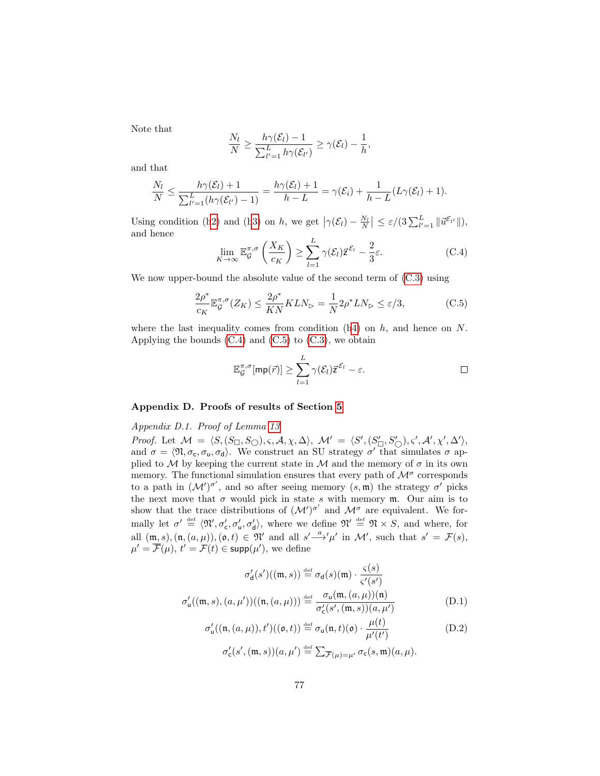Note that

$$
\frac{N_l}{N} \ge \frac{h\gamma(\mathcal{E}_l)-1}{\sum_{l'=1}^L h\gamma(\mathcal{E}_{l'})} \ge \gamma(\mathcal{E}_l)-\frac{1}{h},
$$

and that

$$
\frac{N_l}{N} \leq \frac{h\gamma(\mathcal{E}_l)+1}{\sum_{l'=1}^L (h\gamma(\mathcal{E}_{l'})-1)} = \frac{h\gamma(\mathcal{E}_l)+1}{h-L} = \gamma(\mathcal{E}_i) + \frac{1}{h-L}(L\gamma(\mathcal{E}_l)+1).
$$

Using condition ([h2\)](#page-75-2) and ([h3\)](#page-76-0) on h, we get  $|\gamma(\mathcal{E}_l) - \frac{N_l}{N}| \leq \varepsilon/(3\sum_{l'=1}^L ||\vec{u}^{\mathcal{E}_{l'}}||)$ , and hence

<span id="page-77-0"></span>
$$
\lim_{K \to \infty} \mathbb{E}_{\mathcal{G}}^{\pi,\sigma} \left( \frac{X_K}{c_K} \right) \ge \sum_{l=1}^L \gamma(\mathcal{E}_l) \overline{z}^{\mathcal{E}_l} - \frac{2}{3} \varepsilon. \tag{C.4}
$$

We now upper-bound the absolute value of the second term of  $(C.3)$  using

$$
\frac{2\rho^*}{c_K} \mathbb{E}_\mathcal{G}^{\pi,\sigma}(Z_K) \le \frac{2\rho^*}{KN} KLN_\rhd = \frac{1}{N} 2\rho^* LN_\rhd \le \varepsilon/3,
$$
 (C.5)

where the last inequality comes from condition  $(h4)$  $(h4)$  on h, and hence on N. Applying the bounds  $(C.4)$  and  $(C.5)$  to  $(C.3)$ , we obtain

<span id="page-77-1"></span>
$$
\mathbb{E}_{\mathcal{G}}^{\pi,\sigma}[\mathsf{mp}(\vec{r})] \geq \sum_{l=1}^{L} \gamma(\mathcal{E}_{l}) \vec{z}^{\mathcal{E}_{l}} - \varepsilon.
$$

# Appendix D. Proofs of results of Section [5](#page-37-0)

Appendix D.1. Proof of Lemma [13](#page-41-0)

Proof. Let  $\mathcal{M} = \langle S, (S_{\Box}, S_{\bigcirc}), \varsigma, \mathcal{A}, \chi, \Delta \rangle$ ,  $\mathcal{M}' = \langle S', (S'_{\Box}, S'_{\bigcirc}), \varsigma', \mathcal{A}', \chi', \Delta' \rangle$ , and  $\sigma = \langle \mathfrak{N}, \sigma_c, \sigma_u, \sigma_d \rangle$ . We construct an SU strategy  $\sigma'$  that simulates  $\sigma$  applied to  $M$  by keeping the current state in  $M$  and the memory of  $\sigma$  in its own memory. The functional simulation ensures that every path of  $\mathcal{M}^{\sigma}$  corresponds to a path in  $(M')^{\sigma'}$ , and so after seeing memory  $(s, \mathfrak{m})$  the strategy  $\sigma'$  picks the next move that  $\sigma$  would pick in state s with memory  $m$ . Our aim is to show that the trace distributions of  $({\cal M}')^{\sigma'}$  and  ${\cal M}^{\sigma}$  are equivalent. We formally let  $\sigma' \stackrel{\text{def}}{=} \langle \mathfrak{N}', \sigma'_{\mathsf{c}}, \sigma'_{\mathsf{u}}, \sigma'_{\mathsf{d}} \rangle$ , where we define  $\mathfrak{N}' \stackrel{\text{def}}{=} \mathfrak{N} \times S$ , and where, for all  $(\mathfrak{m}, s), (\mathfrak{n}, (a, \mu)), (\mathfrak{o}, t) \in \mathfrak{N}'$  and all  $s' \xrightarrow{a} ' \mu'$  in  $\mathcal{M}'$ , such that  $s' = \mathcal{F}(s)$ ,  $\mu' = \overline{\mathcal{F}}(\mu), t' = \mathcal{F}(t) \in \text{supp}(\mu'),$  we define

<span id="page-77-3"></span><span id="page-77-2"></span>
$$
\sigma'_{\mathsf{d}}(s')((\mathfrak{m},s)) \stackrel{\text{def}}{=} \sigma_{\mathsf{d}}(s)(\mathfrak{m}) \cdot \frac{\varsigma(s)}{\varsigma'(s')}
$$

$$
\sigma'_{\mathsf{u}}((\mathfrak{m},s), (a,\mu'))((\mathfrak{n}, (a,\mu))) \stackrel{\text{def}}{=} \frac{\sigma_{\mathsf{u}}(\mathfrak{m}, (a,\mu))(\mathfrak{n})}{\sigma'_{\mathsf{c}}(s', (\mathfrak{m},s))(a,\mu')}
$$
 (D.1)

$$
\sigma'_{\mathsf{u}}((\mathfrak{n}, (a, \mu)), t')((\mathfrak{o}, t)) \stackrel{\text{def}}{=} \sigma_{\mathsf{u}}(\mathfrak{n}, t)(\mathfrak{o}) \cdot \frac{\mu(t)}{\mu'(t')}
$$
\n
$$
\sigma'_{\mathsf{u}}(\mathfrak{o}', (\mathfrak{m}, \mathfrak{e}))(a, \mu') \stackrel{\text{def}}{=} \sum_{\sigma \in \mathsf{u}} \sigma_{\mathsf{u}}(\mathfrak{e}, \mathfrak{m})(a, \mu)
$$
\n(D.2)

$$
\sigma'_{\mathsf{c}}(s',(\mathfrak{m},s))(a,\mu') \stackrel{\text{def}}{=} \sum_{\overline{\mathcal{F}}(\mu)=\mu'} \sigma_{\mathsf{c}}(s,\mathfrak{m})(a,\mu).
$$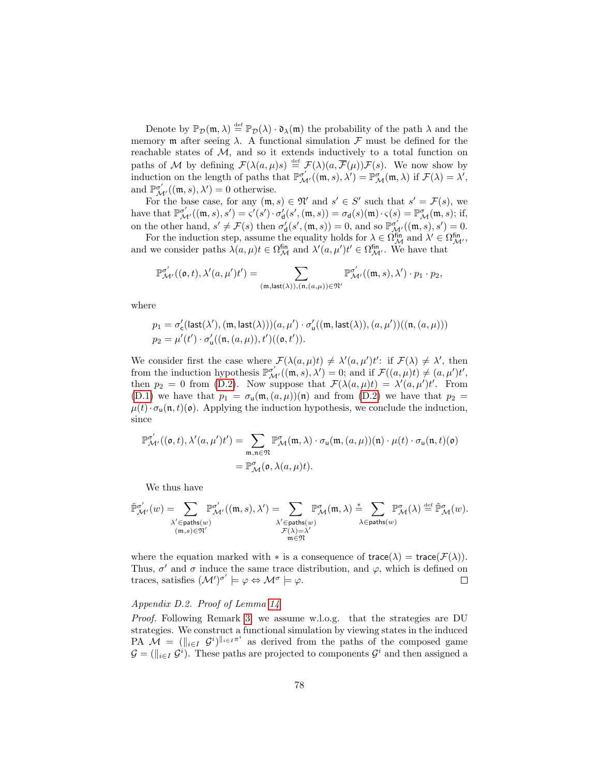Denote by  $\mathbb{P}_{\mathcal{D}}(\mathfrak{m},\lambda) \stackrel{\text{def}}{=} \mathbb{P}_{\mathcal{D}}(\lambda) \cdot \mathfrak{d}_{\lambda}(\mathfrak{m})$  the probability of the path  $\lambda$  and the memory **m** after seeing  $\lambda$ . A functional simulation  $\mathcal{F}$  must be defined for the reachable states of  $M$ , and so it extends inductively to a total function on paths of M by defining  $\mathcal{F}(\lambda(a,\mu)s) \stackrel{\text{def}}{=} \mathcal{F}(\lambda)(a,\overline{\mathcal{F}}(\mu))\mathcal{F}(s)$ . We now show by induction on the length of paths that  $\mathbb{P}^{\sigma'}_{\mathcal{M}'}((\mathfrak{m}, s), \lambda') = \mathbb{P}^{\sigma'}_{\mathcal{M}}(\mathfrak{m}, \lambda)$  if  $\mathcal{F}(\lambda) = \lambda'$ , and  $\mathbb{P}^{\sigma'}_{\mathcal{M}'}((\mathfrak{m}, s), \lambda') = 0$  otherwise.

For the base case, for any  $(\mathfrak{m}, s) \in \mathfrak{N}'$  and  $s' \in S'$  such that  $s' = \mathcal{F}(s)$ , we have that  $\mathbb{P}^{\sigma'}_{\mathcal{M}'}((\mathfrak{m}, s), s') = \varsigma'(s') \cdot \sigma'_{\mathsf{d}}(s', (\mathfrak{m}, s)) = \sigma_{\mathsf{d}}(s)(\mathfrak{m}) \cdot \varsigma(s) = \mathbb{P}^{\sigma}_{\mathcal{M}}(\mathfrak{m}, s);$  if, on the other hand,  $s' \neq \mathcal{F}(s)$  then  $\sigma'_d(s', (\mathfrak{m}, s)) = 0$ , and so  $\mathbb{P}_{\mathcal{M}'}^{\sigma'}((\mathfrak{m}, s), s') = 0$ .

For the induction step, assume the equality holds for  $\lambda \in \Omega_{\mathcal{M}}^{\text{fin}}$  and  $\lambda' \in \Omega_{\mathcal{M'}}^{\text{fin}}$ , and we consider paths  $\lambda(a,\mu)t \in \Omega_{\mathcal{M}}^{\text{fin}}$  and  $\lambda'(a,\mu')t' \in \Omega_{\mathcal{M}}^{\text{fin}}$ . We have that

$$
\mathbb{P}^{\sigma'}_{\mathcal{M}'}((\mathfrak{o},t),\lambda'(a,\mu')t')=\sum_{(\mathfrak{m},\text{last}(\lambda)),(\mathfrak{n},(a,\mu))\in\mathfrak{N}'}\mathbb{P}^{\sigma'}_{\mathcal{M}'}((\mathfrak{m},s),\lambda')\cdot p_1\cdot p_2,
$$

where

$$
\begin{array}{l} p_1=\sigma'_{\text{c}}(\text{last}(\lambda'),(\mathfrak{m},\text{last}(\lambda)))(a,\mu')\cdot \sigma'_{\text{u}}((\mathfrak{m},\text{last}(\lambda)),(a,\mu'))((\mathfrak{n},(a,\mu)))\\ p_2=\mu'(t')\cdot \sigma'_{\text{u}}((\mathfrak{n},(a,\mu)),t')((\mathfrak{o},t')).\end{array}
$$

We consider first the case where  $\mathcal{F}(\lambda(a,\mu)t) \neq \lambda'(a,\mu')t'$ : if  $\mathcal{F}(\lambda) \neq \lambda'$ , then from the induction hypothesis  $\mathbb{P}^{\sigma'}_{\mathcal{M}'}((\mathfrak{m}, s), \lambda') = 0$ ; and if  $\mathcal{F}((a, \mu)t) \neq (a, \mu')t'$ , then  $p_2 = 0$  from [\(D.2\)](#page-77-2). Now suppose that  $\mathcal{F}(\lambda(a,\mu)t) = \lambda'(a,\mu')t'$ . From [\(D.1\)](#page-77-3) we have that  $p_1 = \sigma_\text{u}(\text{m}, (a,\mu))(\text{n})$  and from [\(D.2\)](#page-77-2) we have that  $p_2 =$  $\mu(t) \cdot \sigma_{\mathsf{u}}(\mathfrak{n}, t)(\mathfrak{o})$ . Applying the induction hypothesis, we conclude the induction, since

$$
\mathbb{P}^{\sigma'}_{\mathcal{M}'}((\mathfrak{o},t),\lambda'(a,\mu')t') = \sum_{\mathfrak{m},\mathfrak{n}\in\mathfrak{N}} \mathbb{P}^{\sigma}_{\mathcal{M}}(\mathfrak{m},\lambda)\cdot\sigma_{\mathsf{u}}(\mathfrak{m},(a,\mu))(\mathfrak{n})\cdot\mu(t)\cdot\sigma_{\mathsf{u}}(\mathfrak{n},t)(\mathfrak{o})
$$

$$
= \mathbb{P}^{\sigma}_{\mathcal{M}}(\mathfrak{o},\lambda(a,\mu)t).
$$

We thus have

$$
\tilde{\mathbb{P}}^{\sigma'}_{\mathcal{M}'}(w) = \sum_{\substack{\lambda' \in \mathsf{paths}(w) \\ (\mathfrak{m},s) \in \mathfrak{N}'}} \mathbb{P}^{\sigma'}_{\mathcal{M}'}((\mathfrak{m},s),\lambda') = \sum_{\substack{\lambda' \in \mathsf{paths}(w) \\ \mathcal{F}(\lambda)=\lambda' \\ \mathfrak{m} \in \mathfrak{N}}} \mathbb{P}^{\sigma}_{\mathcal{M}}(\mathfrak{m},\lambda) \stackrel{*}{=} \sum_{\lambda \in \mathsf{paths}(w)} \mathbb{P}^{\sigma}_{\mathcal{M}}(\lambda) \stackrel{\text{def}}{=} \tilde{\mathbb{P}}^{\sigma}_{\mathcal{M}}(w).
$$

where the equation marked with  $*$  is a consequence of trace( $\lambda$ ) = trace( $\mathcal{F}(\lambda)$ ). Thus,  $\sigma'$  and  $\sigma$  induce the same trace distribution, and  $\varphi$ , which is defined on traces, satisfies  $({\cal M}')^{\sigma'} \models \varphi \Leftrightarrow {\cal M}^{\sigma} \models \varphi$ .  $\Box$ 

## Appendix D.2. Proof of Lemma [14](#page-41-1)

Proof. Following Remark [3,](#page-40-0) we assume w.l.o.g. that the strategies are DU strategies. We construct a functional simulation by viewing states in the induced PA  $\mathcal{M} = (\Vert_{i \in I} \mathcal{G}^i)^{\Vert_{i \in I} \pi^i}$  as derived from the paths of the composed game  $\mathcal{G} = (\Vert_{i \in I} \mathcal{G}^i)$ . These paths are projected to components  $\mathcal{G}^i$  and then assigned a